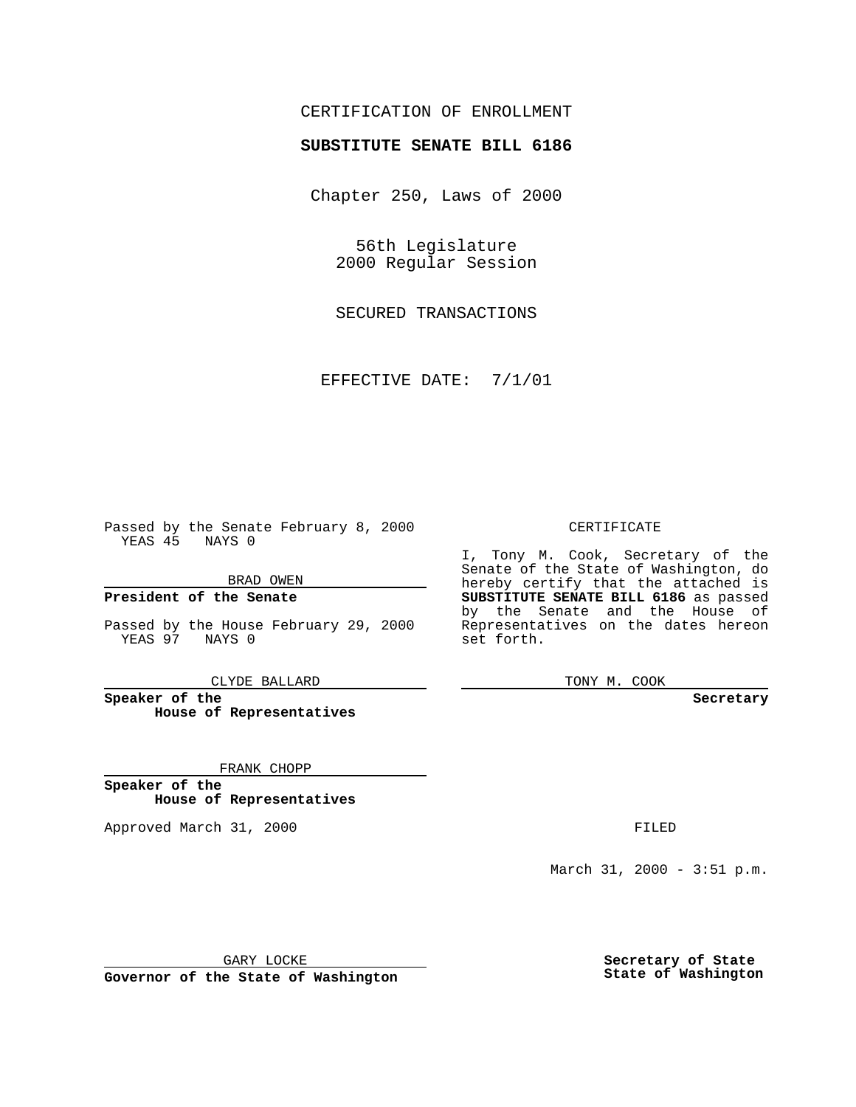### CERTIFICATION OF ENROLLMENT

# **SUBSTITUTE SENATE BILL 6186**

Chapter 250, Laws of 2000

56th Legislature 2000 Regular Session

SECURED TRANSACTIONS

EFFECTIVE DATE: 7/1/01

Passed by the Senate February 8, 2000 YEAS 45 NAYS 0

BRAD OWEN

**President of the Senate**

Passed by the House February 29, 2000 YEAS 97 NAYS 0

CLYDE BALLARD

**Speaker of the House of Representatives**

FRANK CHOPP

**Speaker of the House of Representatives**

Approved March 31, 2000 FILED

#### CERTIFICATE

I, Tony M. Cook, Secretary of the Senate of the State of Washington, do hereby certify that the attached is **SUBSTITUTE SENATE BILL 6186** as passed by the Senate and the House of Representatives on the dates hereon set forth.

TONY M. COOK

**Secretary**

March 31, 2000 - 3:51 p.m.

GARY LOCKE

**Governor of the State of Washington**

**Secretary of State State of Washington**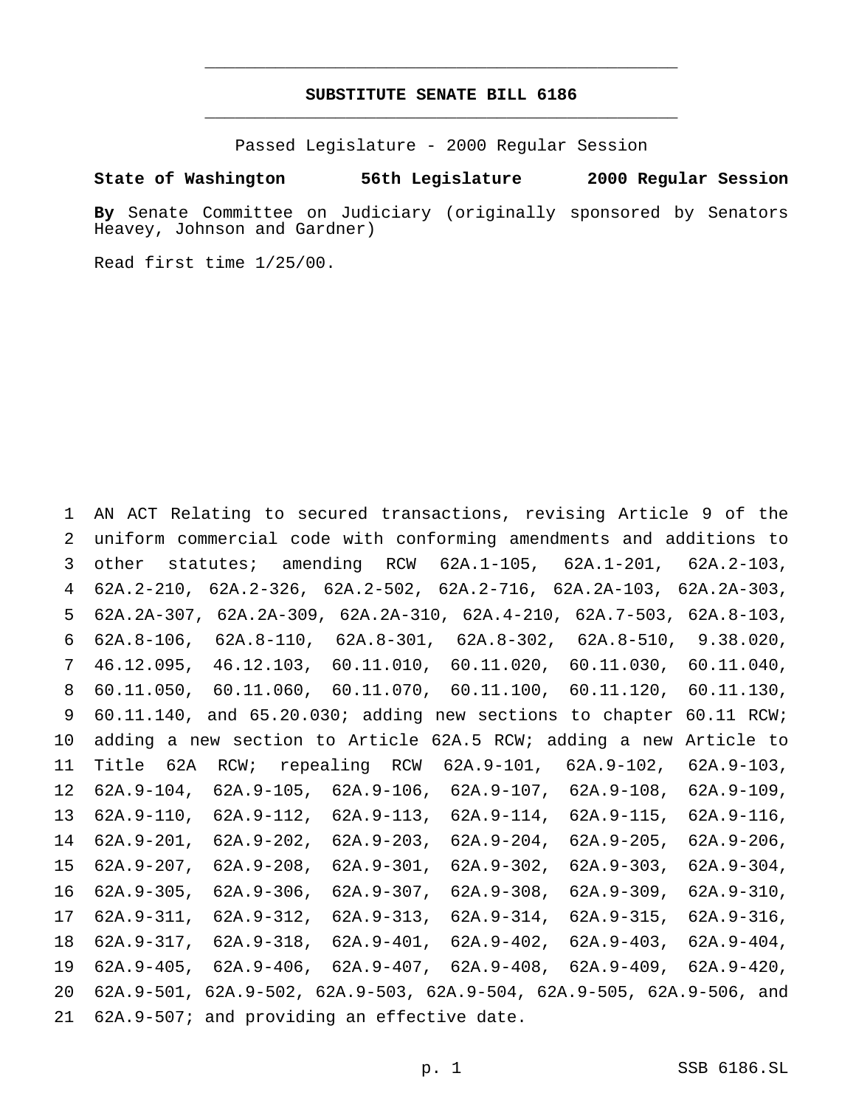### **SUBSTITUTE SENATE BILL 6186** \_\_\_\_\_\_\_\_\_\_\_\_\_\_\_\_\_\_\_\_\_\_\_\_\_\_\_\_\_\_\_\_\_\_\_\_\_\_\_\_\_\_\_\_\_\_\_

\_\_\_\_\_\_\_\_\_\_\_\_\_\_\_\_\_\_\_\_\_\_\_\_\_\_\_\_\_\_\_\_\_\_\_\_\_\_\_\_\_\_\_\_\_\_\_

Passed Legislature - 2000 Regular Session

#### **State of Washington 56th Legislature 2000 Regular Session**

**By** Senate Committee on Judiciary (originally sponsored by Senators Heavey, Johnson and Gardner)

Read first time 1/25/00.

 AN ACT Relating to secured transactions, revising Article 9 of the uniform commercial code with conforming amendments and additions to other statutes; amending RCW 62A.1-105, 62A.1-201, 62A.2-103, 62A.2-210, 62A.2-326, 62A.2-502, 62A.2-716, 62A.2A-103, 62A.2A-303, 62A.2A-307, 62A.2A-309, 62A.2A-310, 62A.4-210, 62A.7-503, 62A.8-103, 62A.8-106, 62A.8-110, 62A.8-301, 62A.8-302, 62A.8-510, 9.38.020, 46.12.095, 46.12.103, 60.11.010, 60.11.020, 60.11.030, 60.11.040, 60.11.050, 60.11.060, 60.11.070, 60.11.100, 60.11.120, 60.11.130, 60.11.140, and 65.20.030; adding new sections to chapter 60.11 RCW; adding a new section to Article 62A.5 RCW; adding a new Article to Title 62A RCW; repealing RCW 62A.9-101, 62A.9-102, 62A.9-103, 62A.9-104, 62A.9-105, 62A.9-106, 62A.9-107, 62A.9-108, 62A.9-109, 62A.9-110, 62A.9-112, 62A.9-113, 62A.9-114, 62A.9-115, 62A.9-116, 62A.9-201, 62A.9-202, 62A.9-203, 62A.9-204, 62A.9-205, 62A.9-206, 62A.9-207, 62A.9-208, 62A.9-301, 62A.9-302, 62A.9-303, 62A.9-304, 62A.9-305, 62A.9-306, 62A.9-307, 62A.9-308, 62A.9-309, 62A.9-310, 62A.9-311, 62A.9-312, 62A.9-313, 62A.9-314, 62A.9-315, 62A.9-316, 62A.9-317, 62A.9-318, 62A.9-401, 62A.9-402, 62A.9-403, 62A.9-404, 62A.9-405, 62A.9-406, 62A.9-407, 62A.9-408, 62A.9-409, 62A.9-420, 62A.9-501, 62A.9-502, 62A.9-503, 62A.9-504, 62A.9-505, 62A.9-506, and 62A.9-507; and providing an effective date.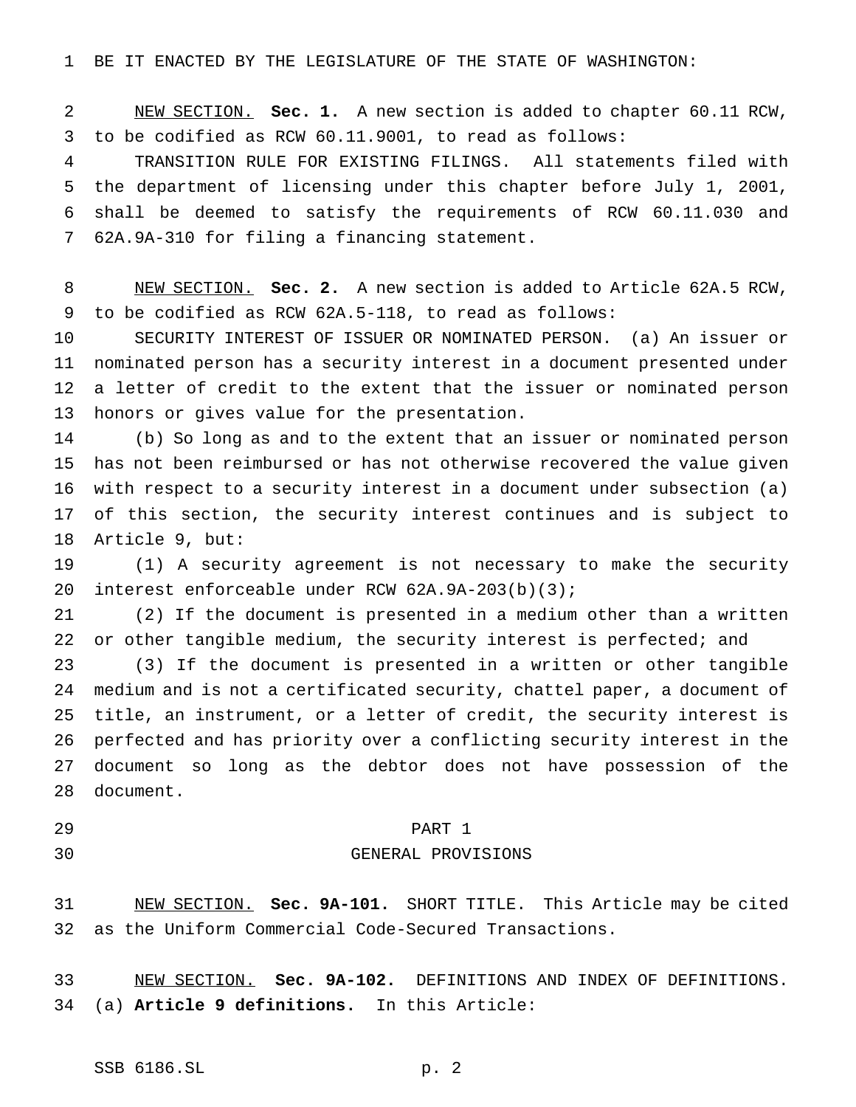BE IT ENACTED BY THE LEGISLATURE OF THE STATE OF WASHINGTON:

 NEW SECTION. **Sec. 1.** A new section is added to chapter 60.11 RCW, to be codified as RCW 60.11.9001, to read as follows:

 TRANSITION RULE FOR EXISTING FILINGS. All statements filed with the department of licensing under this chapter before July 1, 2001, shall be deemed to satisfy the requirements of RCW 60.11.030 and 62A.9A-310 for filing a financing statement.

 NEW SECTION. **Sec. 2.** A new section is added to Article 62A.5 RCW, to be codified as RCW 62A.5-118, to read as follows:

 SECURITY INTEREST OF ISSUER OR NOMINATED PERSON. (a) An issuer or nominated person has a security interest in a document presented under a letter of credit to the extent that the issuer or nominated person honors or gives value for the presentation.

 (b) So long as and to the extent that an issuer or nominated person has not been reimbursed or has not otherwise recovered the value given with respect to a security interest in a document under subsection (a) of this section, the security interest continues and is subject to Article 9, but:

 (1) A security agreement is not necessary to make the security interest enforceable under RCW 62A.9A-203(b)(3);

 (2) If the document is presented in a medium other than a written 22 or other tangible medium, the security interest is perfected; and

 (3) If the document is presented in a written or other tangible medium and is not a certificated security, chattel paper, a document of title, an instrument, or a letter of credit, the security interest is perfected and has priority over a conflicting security interest in the document so long as the debtor does not have possession of the document.

#### PART 1

## GENERAL PROVISIONS

 NEW SECTION. **Sec. 9A-101.** SHORT TITLE. This Article may be cited as the Uniform Commercial Code-Secured Transactions.

 NEW SECTION. **Sec. 9A-102.** DEFINITIONS AND INDEX OF DEFINITIONS. (a) **Article 9 definitions.** In this Article: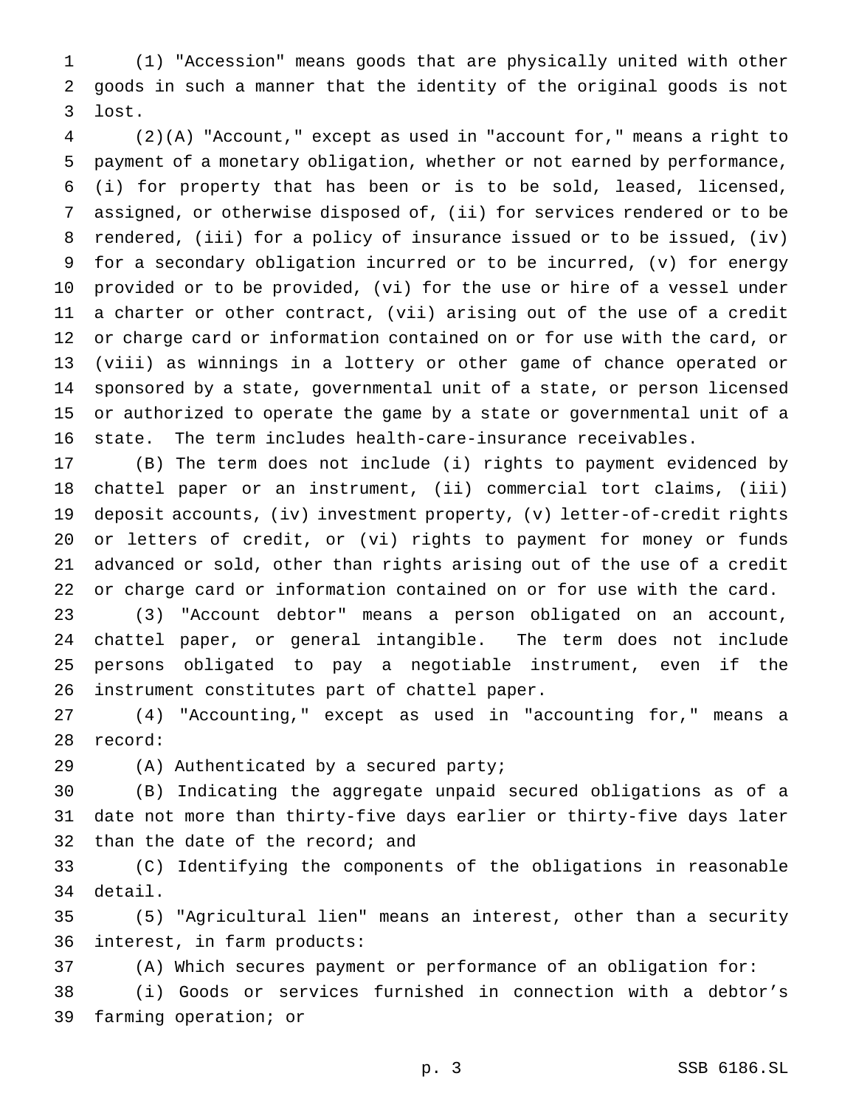(1) "Accession" means goods that are physically united with other goods in such a manner that the identity of the original goods is not lost.

 (2)(A) "Account," except as used in "account for," means a right to payment of a monetary obligation, whether or not earned by performance, (i) for property that has been or is to be sold, leased, licensed, assigned, or otherwise disposed of, (ii) for services rendered or to be rendered, (iii) for a policy of insurance issued or to be issued, (iv) for a secondary obligation incurred or to be incurred, (v) for energy provided or to be provided, (vi) for the use or hire of a vessel under a charter or other contract, (vii) arising out of the use of a credit or charge card or information contained on or for use with the card, or (viii) as winnings in a lottery or other game of chance operated or sponsored by a state, governmental unit of a state, or person licensed or authorized to operate the game by a state or governmental unit of a state. The term includes health-care-insurance receivables.

 (B) The term does not include (i) rights to payment evidenced by chattel paper or an instrument, (ii) commercial tort claims, (iii) deposit accounts, (iv) investment property, (v) letter-of-credit rights or letters of credit, or (vi) rights to payment for money or funds advanced or sold, other than rights arising out of the use of a credit or charge card or information contained on or for use with the card.

 (3) "Account debtor" means a person obligated on an account, chattel paper, or general intangible. The term does not include persons obligated to pay a negotiable instrument, even if the instrument constitutes part of chattel paper.

 (4) "Accounting," except as used in "accounting for," means a record:

(A) Authenticated by a secured party;

 (B) Indicating the aggregate unpaid secured obligations as of a date not more than thirty-five days earlier or thirty-five days later than the date of the record; and

 (C) Identifying the components of the obligations in reasonable detail.

 (5) "Agricultural lien" means an interest, other than a security interest, in farm products:

(A) Which secures payment or performance of an obligation for:

 (i) Goods or services furnished in connection with a debtor's farming operation; or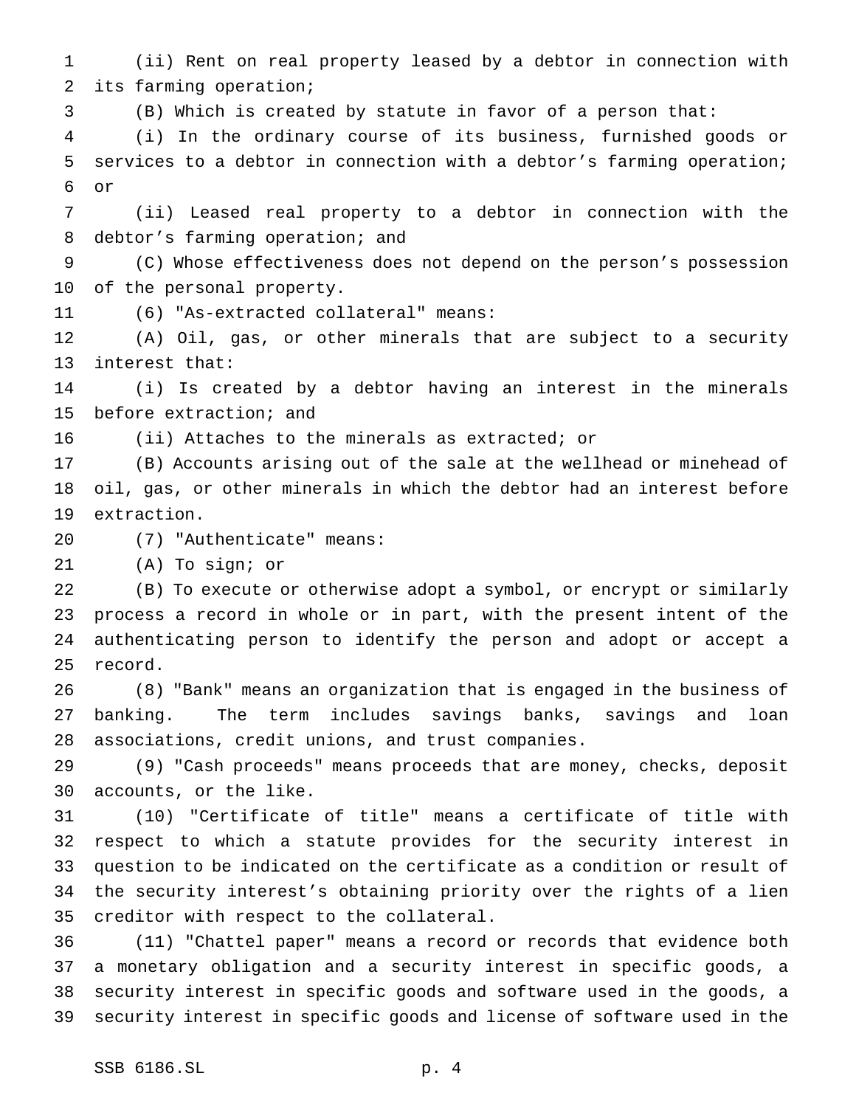(ii) Rent on real property leased by a debtor in connection with its farming operation;

(B) Which is created by statute in favor of a person that:

 (i) In the ordinary course of its business, furnished goods or services to a debtor in connection with a debtor's farming operation; or

 (ii) Leased real property to a debtor in connection with the debtor's farming operation; and

 (C) Whose effectiveness does not depend on the person's possession of the personal property.

(6) "As-extracted collateral" means:

 (A) Oil, gas, or other minerals that are subject to a security interest that:

 (i) Is created by a debtor having an interest in the minerals before extraction; and

(ii) Attaches to the minerals as extracted; or

 (B) Accounts arising out of the sale at the wellhead or minehead of oil, gas, or other minerals in which the debtor had an interest before extraction.

(7) "Authenticate" means:

(A) To sign; or

 (B) To execute or otherwise adopt a symbol, or encrypt or similarly process a record in whole or in part, with the present intent of the authenticating person to identify the person and adopt or accept a record.

 (8) "Bank" means an organization that is engaged in the business of banking. The term includes savings banks, savings and loan associations, credit unions, and trust companies.

 (9) "Cash proceeds" means proceeds that are money, checks, deposit accounts, or the like.

 (10) "Certificate of title" means a certificate of title with respect to which a statute provides for the security interest in question to be indicated on the certificate as a condition or result of the security interest's obtaining priority over the rights of a lien creditor with respect to the collateral.

 (11) "Chattel paper" means a record or records that evidence both a monetary obligation and a security interest in specific goods, a security interest in specific goods and software used in the goods, a security interest in specific goods and license of software used in the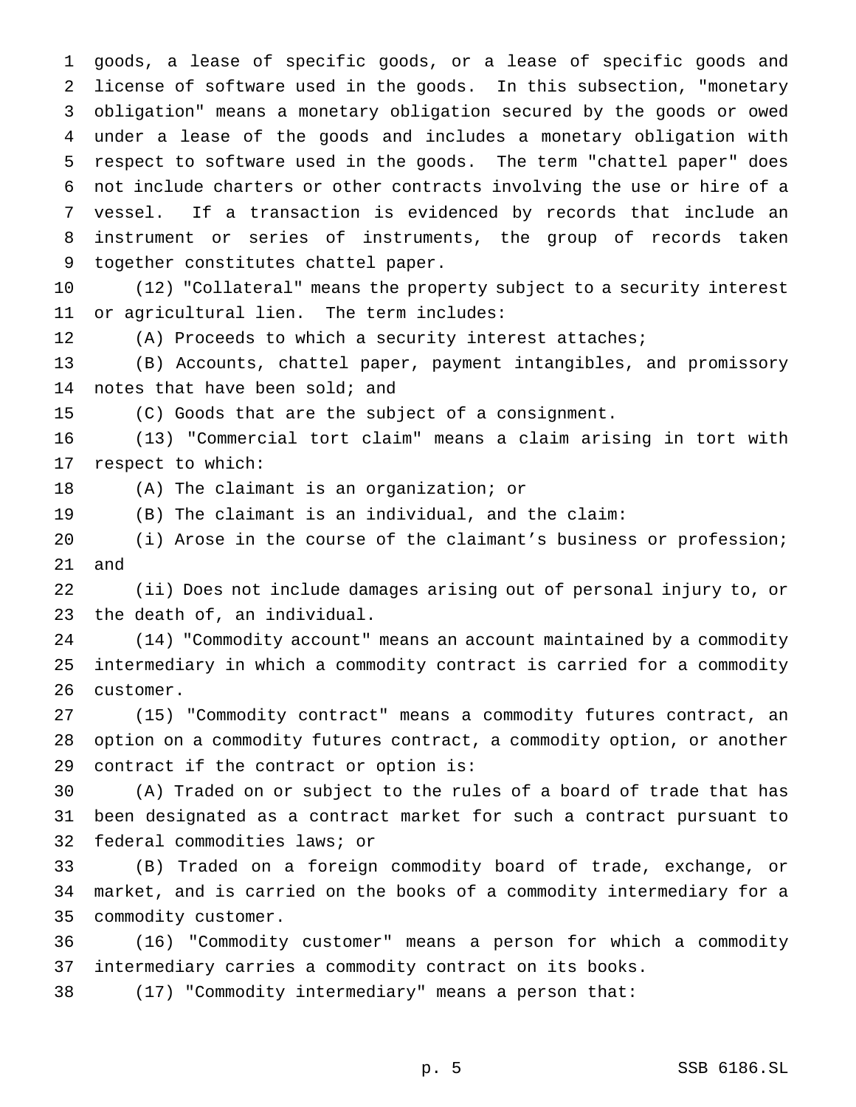goods, a lease of specific goods, or a lease of specific goods and license of software used in the goods. In this subsection, "monetary obligation" means a monetary obligation secured by the goods or owed under a lease of the goods and includes a monetary obligation with respect to software used in the goods. The term "chattel paper" does not include charters or other contracts involving the use or hire of a vessel. If a transaction is evidenced by records that include an instrument or series of instruments, the group of records taken together constitutes chattel paper.

 (12) "Collateral" means the property subject to a security interest or agricultural lien. The term includes:

(A) Proceeds to which a security interest attaches;

 (B) Accounts, chattel paper, payment intangibles, and promissory notes that have been sold; and

(C) Goods that are the subject of a consignment.

 (13) "Commercial tort claim" means a claim arising in tort with respect to which:

(A) The claimant is an organization; or

(B) The claimant is an individual, and the claim:

 (i) Arose in the course of the claimant's business or profession; and

 (ii) Does not include damages arising out of personal injury to, or the death of, an individual.

 (14) "Commodity account" means an account maintained by a commodity intermediary in which a commodity contract is carried for a commodity customer.

 (15) "Commodity contract" means a commodity futures contract, an option on a commodity futures contract, a commodity option, or another contract if the contract or option is:

 (A) Traded on or subject to the rules of a board of trade that has been designated as a contract market for such a contract pursuant to federal commodities laws; or

 (B) Traded on a foreign commodity board of trade, exchange, or market, and is carried on the books of a commodity intermediary for a commodity customer.

 (16) "Commodity customer" means a person for which a commodity intermediary carries a commodity contract on its books.

(17) "Commodity intermediary" means a person that: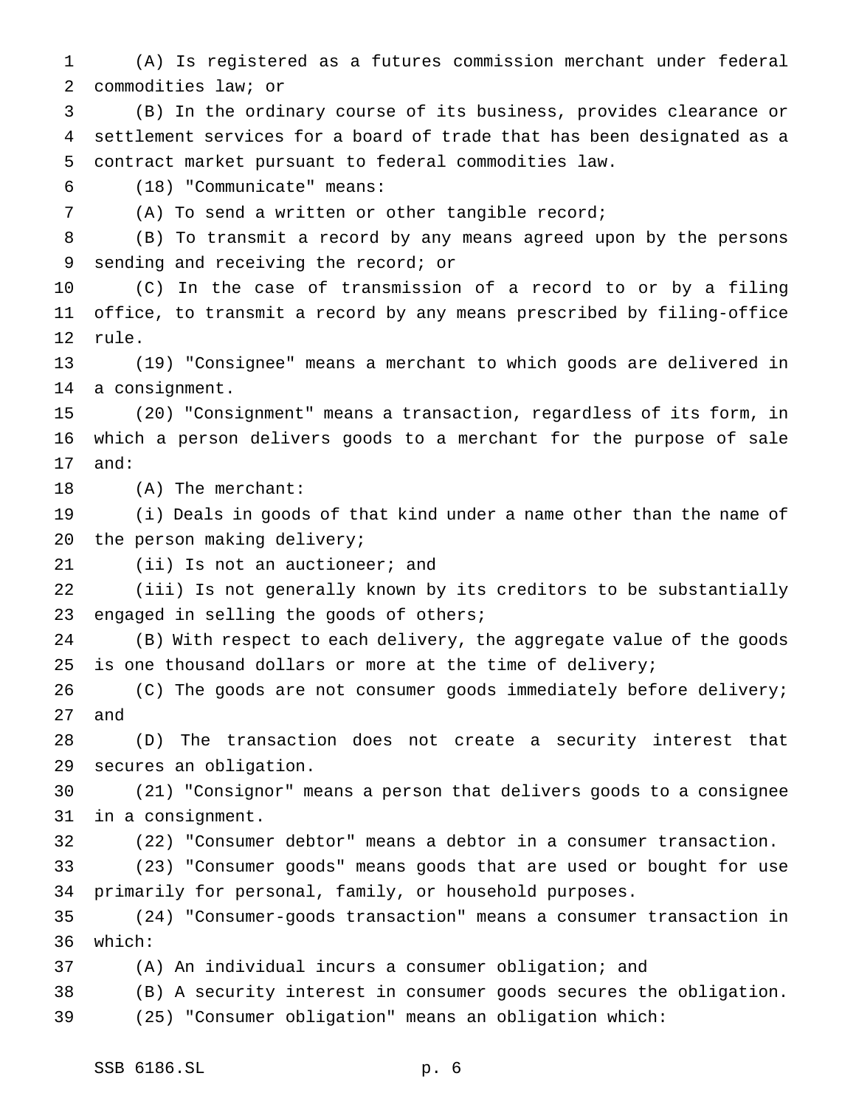(A) Is registered as a futures commission merchant under federal commodities law; or

 (B) In the ordinary course of its business, provides clearance or settlement services for a board of trade that has been designated as a contract market pursuant to federal commodities law.

(18) "Communicate" means:

(A) To send a written or other tangible record;

 (B) To transmit a record by any means agreed upon by the persons sending and receiving the record; or

 (C) In the case of transmission of a record to or by a filing office, to transmit a record by any means prescribed by filing-office rule.

 (19) "Consignee" means a merchant to which goods are delivered in a consignment.

 (20) "Consignment" means a transaction, regardless of its form, in which a person delivers goods to a merchant for the purpose of sale and:

(A) The merchant:

 (i) Deals in goods of that kind under a name other than the name of 20 the person making delivery;

(ii) Is not an auctioneer; and

 (iii) Is not generally known by its creditors to be substantially 23 engaged in selling the goods of others;

 (B) With respect to each delivery, the aggregate value of the goods is one thousand dollars or more at the time of delivery;

26 (C) The goods are not consumer goods immediately before delivery; and

 (D) The transaction does not create a security interest that secures an obligation.

 (21) "Consignor" means a person that delivers goods to a consignee in a consignment.

(22) "Consumer debtor" means a debtor in a consumer transaction.

 (23) "Consumer goods" means goods that are used or bought for use primarily for personal, family, or household purposes.

 (24) "Consumer-goods transaction" means a consumer transaction in which:

(A) An individual incurs a consumer obligation; and

(B) A security interest in consumer goods secures the obligation.

(25) "Consumer obligation" means an obligation which: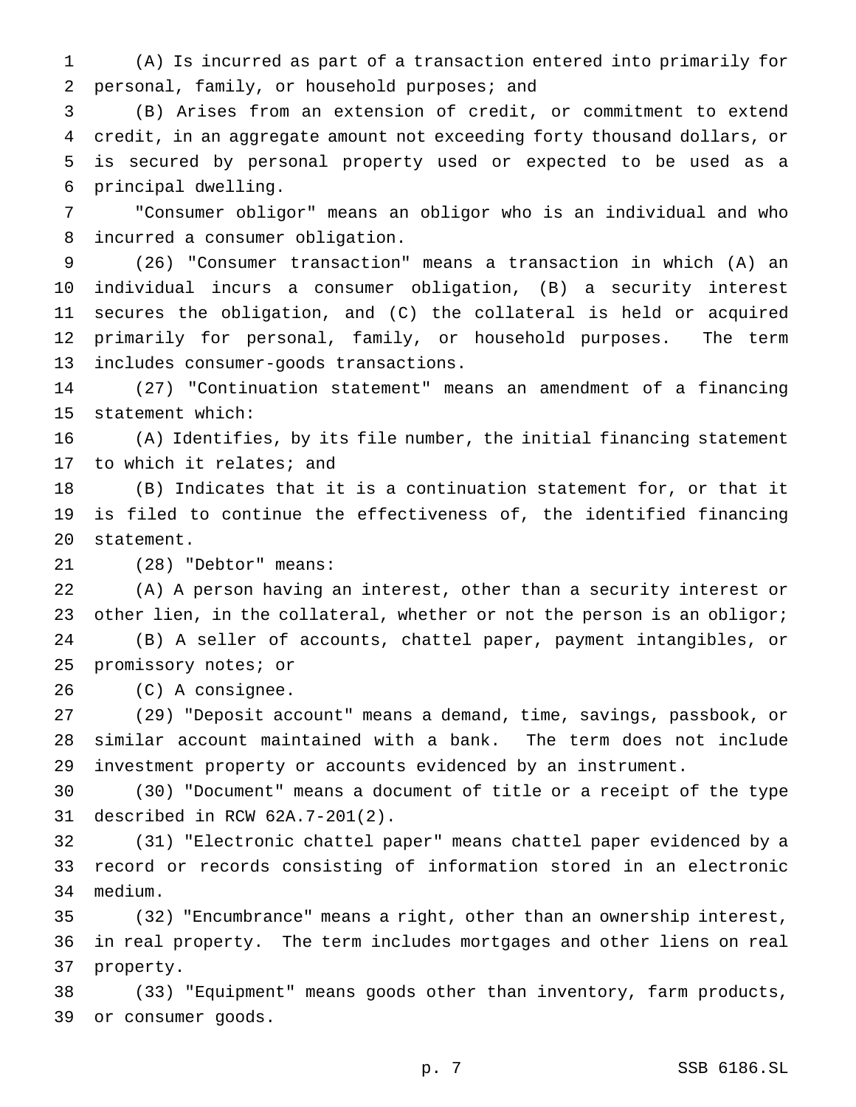(A) Is incurred as part of a transaction entered into primarily for personal, family, or household purposes; and

 (B) Arises from an extension of credit, or commitment to extend credit, in an aggregate amount not exceeding forty thousand dollars, or is secured by personal property used or expected to be used as a principal dwelling.

 "Consumer obligor" means an obligor who is an individual and who incurred a consumer obligation.

 (26) "Consumer transaction" means a transaction in which (A) an individual incurs a consumer obligation, (B) a security interest secures the obligation, and (C) the collateral is held or acquired primarily for personal, family, or household purposes. The term includes consumer-goods transactions.

 (27) "Continuation statement" means an amendment of a financing statement which:

 (A) Identifies, by its file number, the initial financing statement to which it relates; and

 (B) Indicates that it is a continuation statement for, or that it is filed to continue the effectiveness of, the identified financing statement.

(28) "Debtor" means:

 (A) A person having an interest, other than a security interest or 23 other lien, in the collateral, whether or not the person is an obligor; (B) A seller of accounts, chattel paper, payment intangibles, or promissory notes; or

(C) A consignee.

 (29) "Deposit account" means a demand, time, savings, passbook, or similar account maintained with a bank. The term does not include investment property or accounts evidenced by an instrument.

 (30) "Document" means a document of title or a receipt of the type described in RCW 62A.7-201(2).

 (31) "Electronic chattel paper" means chattel paper evidenced by a record or records consisting of information stored in an electronic medium.

 (32) "Encumbrance" means a right, other than an ownership interest, in real property. The term includes mortgages and other liens on real property.

 (33) "Equipment" means goods other than inventory, farm products, or consumer goods.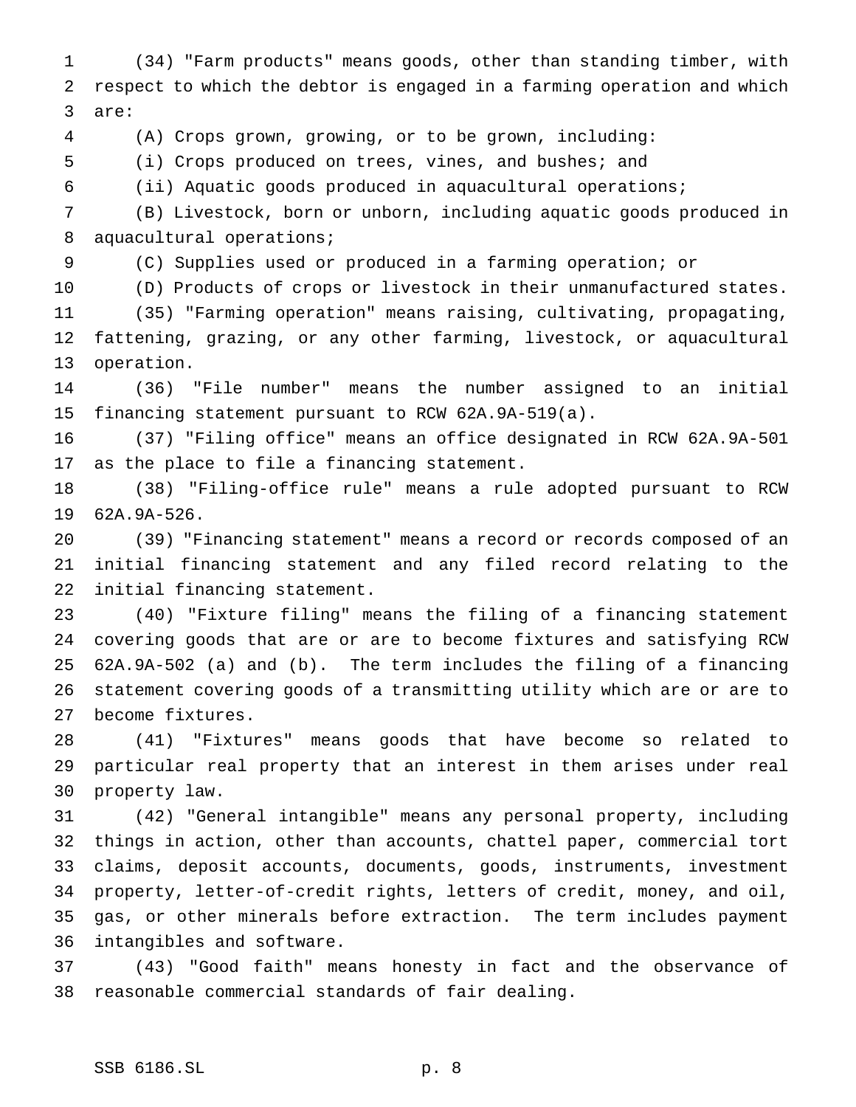(34) "Farm products" means goods, other than standing timber, with respect to which the debtor is engaged in a farming operation and which are:

(A) Crops grown, growing, or to be grown, including:

(i) Crops produced on trees, vines, and bushes; and

(ii) Aquatic goods produced in aquacultural operations;

 (B) Livestock, born or unborn, including aquatic goods produced in 8 aquacultural operations;

(C) Supplies used or produced in a farming operation; or

 (D) Products of crops or livestock in their unmanufactured states. (35) "Farming operation" means raising, cultivating, propagating, fattening, grazing, or any other farming, livestock, or aquacultural operation.

 (36) "File number" means the number assigned to an initial financing statement pursuant to RCW 62A.9A-519(a).

 (37) "Filing office" means an office designated in RCW 62A.9A-501 as the place to file a financing statement.

 (38) "Filing-office rule" means a rule adopted pursuant to RCW 62A.9A-526.

 (39) "Financing statement" means a record or records composed of an initial financing statement and any filed record relating to the initial financing statement.

 (40) "Fixture filing" means the filing of a financing statement covering goods that are or are to become fixtures and satisfying RCW 62A.9A-502 (a) and (b). The term includes the filing of a financing statement covering goods of a transmitting utility which are or are to become fixtures.

 (41) "Fixtures" means goods that have become so related to particular real property that an interest in them arises under real property law.

 (42) "General intangible" means any personal property, including things in action, other than accounts, chattel paper, commercial tort claims, deposit accounts, documents, goods, instruments, investment property, letter-of-credit rights, letters of credit, money, and oil, gas, or other minerals before extraction. The term includes payment intangibles and software.

 (43) "Good faith" means honesty in fact and the observance of reasonable commercial standards of fair dealing.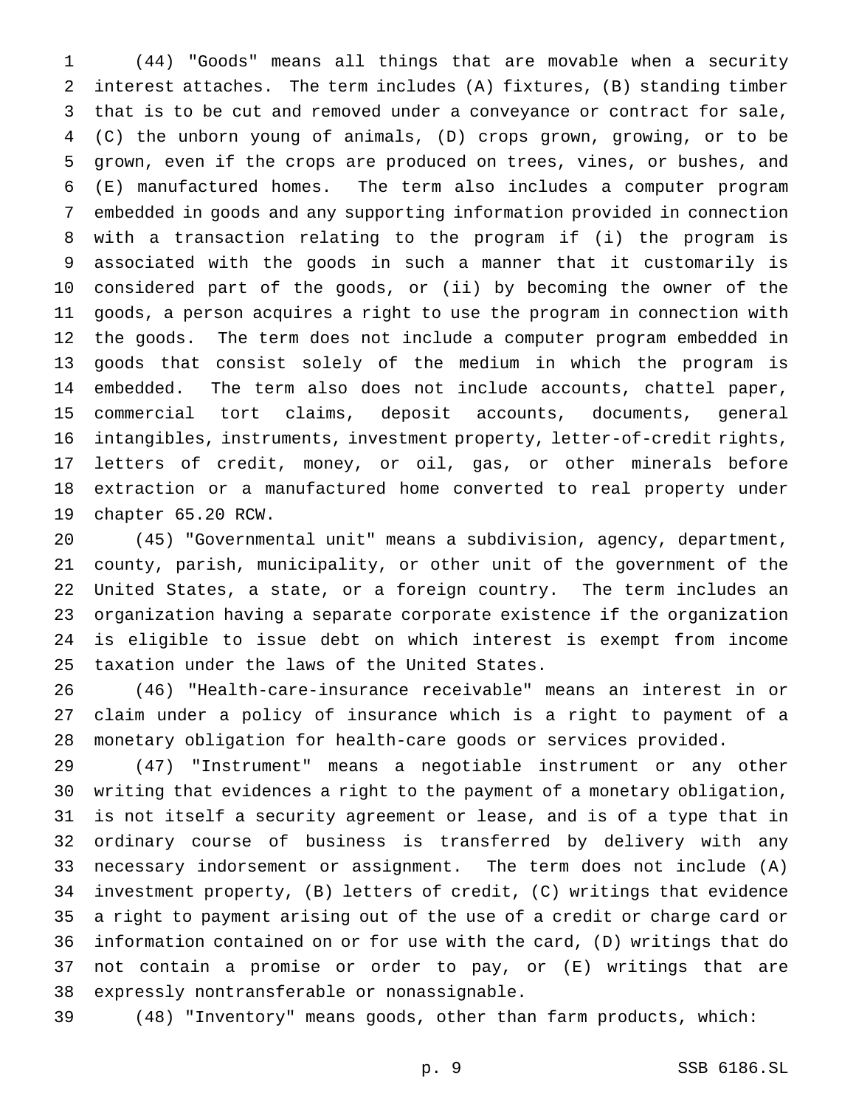(44) "Goods" means all things that are movable when a security interest attaches. The term includes (A) fixtures, (B) standing timber that is to be cut and removed under a conveyance or contract for sale, (C) the unborn young of animals, (D) crops grown, growing, or to be grown, even if the crops are produced on trees, vines, or bushes, and (E) manufactured homes. The term also includes a computer program embedded in goods and any supporting information provided in connection with a transaction relating to the program if (i) the program is associated with the goods in such a manner that it customarily is considered part of the goods, or (ii) by becoming the owner of the goods, a person acquires a right to use the program in connection with the goods. The term does not include a computer program embedded in goods that consist solely of the medium in which the program is embedded. The term also does not include accounts, chattel paper, commercial tort claims, deposit accounts, documents, general intangibles, instruments, investment property, letter-of-credit rights, letters of credit, money, or oil, gas, or other minerals before extraction or a manufactured home converted to real property under chapter 65.20 RCW.

 (45) "Governmental unit" means a subdivision, agency, department, county, parish, municipality, or other unit of the government of the United States, a state, or a foreign country. The term includes an organization having a separate corporate existence if the organization is eligible to issue debt on which interest is exempt from income taxation under the laws of the United States.

 (46) "Health-care-insurance receivable" means an interest in or claim under a policy of insurance which is a right to payment of a monetary obligation for health-care goods or services provided.

 (47) "Instrument" means a negotiable instrument or any other writing that evidences a right to the payment of a monetary obligation, is not itself a security agreement or lease, and is of a type that in ordinary course of business is transferred by delivery with any necessary indorsement or assignment. The term does not include (A) investment property, (B) letters of credit, (C) writings that evidence a right to payment arising out of the use of a credit or charge card or information contained on or for use with the card, (D) writings that do not contain a promise or order to pay, or (E) writings that are expressly nontransferable or nonassignable.

(48) "Inventory" means goods, other than farm products, which: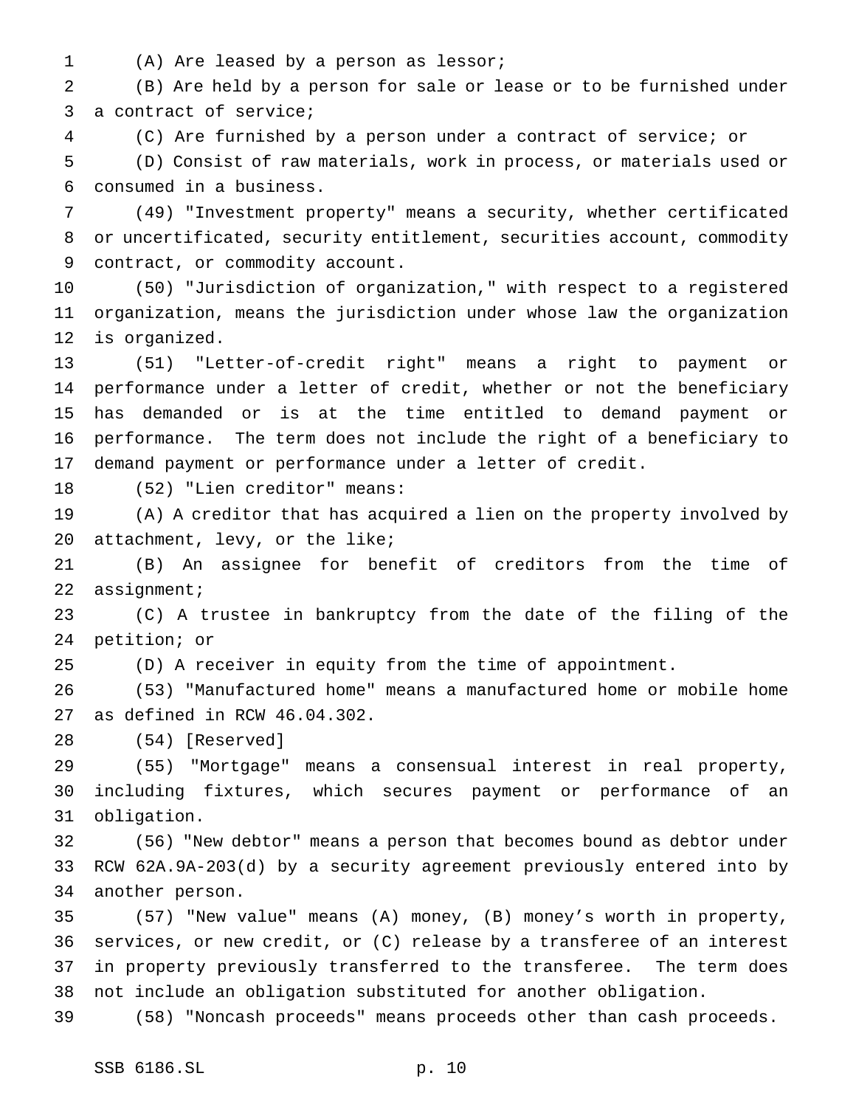(A) Are leased by a person as lessor;

 (B) Are held by a person for sale or lease or to be furnished under a contract of service;

 (C) Are furnished by a person under a contract of service; or (D) Consist of raw materials, work in process, or materials used or consumed in a business.

 (49) "Investment property" means a security, whether certificated or uncertificated, security entitlement, securities account, commodity contract, or commodity account.

 (50) "Jurisdiction of organization," with respect to a registered organization, means the jurisdiction under whose law the organization is organized.

 (51) "Letter-of-credit right" means a right to payment or performance under a letter of credit, whether or not the beneficiary has demanded or is at the time entitled to demand payment or performance. The term does not include the right of a beneficiary to demand payment or performance under a letter of credit.

(52) "Lien creditor" means:

 (A) A creditor that has acquired a lien on the property involved by attachment, levy, or the like;

 (B) An assignee for benefit of creditors from the time of assignment;

 (C) A trustee in bankruptcy from the date of the filing of the petition; or

(D) A receiver in equity from the time of appointment.

 (53) "Manufactured home" means a manufactured home or mobile home as defined in RCW 46.04.302.

(54) [Reserved]

 (55) "Mortgage" means a consensual interest in real property, including fixtures, which secures payment or performance of an obligation.

 (56) "New debtor" means a person that becomes bound as debtor under RCW 62A.9A-203(d) by a security agreement previously entered into by another person.

 (57) "New value" means (A) money, (B) money's worth in property, services, or new credit, or (C) release by a transferee of an interest in property previously transferred to the transferee. The term does not include an obligation substituted for another obligation.

(58) "Noncash proceeds" means proceeds other than cash proceeds.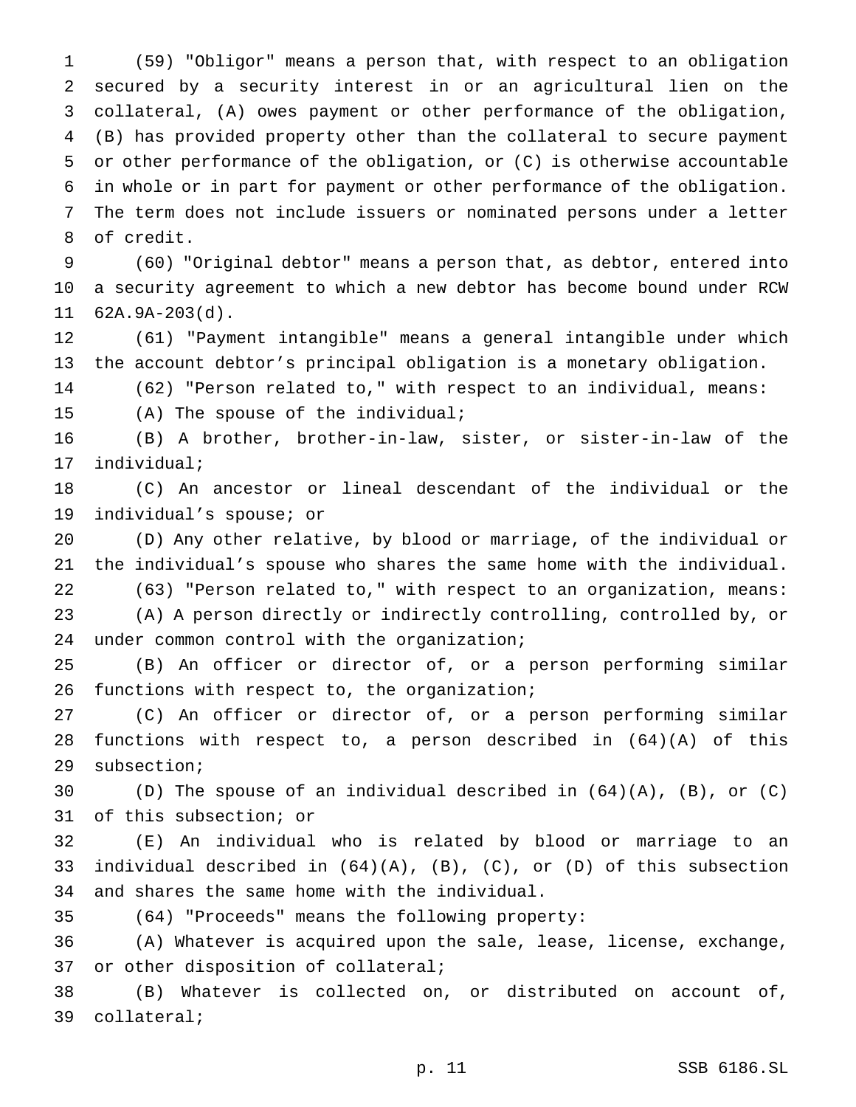(59) "Obligor" means a person that, with respect to an obligation secured by a security interest in or an agricultural lien on the collateral, (A) owes payment or other performance of the obligation, (B) has provided property other than the collateral to secure payment or other performance of the obligation, or (C) is otherwise accountable in whole or in part for payment or other performance of the obligation. The term does not include issuers or nominated persons under a letter of credit.

 (60) "Original debtor" means a person that, as debtor, entered into a security agreement to which a new debtor has become bound under RCW 62A.9A-203(d).

 (61) "Payment intangible" means a general intangible under which the account debtor's principal obligation is a monetary obligation.

(62) "Person related to," with respect to an individual, means:

(A) The spouse of the individual;

 (B) A brother, brother-in-law, sister, or sister-in-law of the individual;

 (C) An ancestor or lineal descendant of the individual or the individual's spouse; or

 (D) Any other relative, by blood or marriage, of the individual or the individual's spouse who shares the same home with the individual. (63) "Person related to," with respect to an organization, means:

 (A) A person directly or indirectly controlling, controlled by, or under common control with the organization;

 (B) An officer or director of, or a person performing similar functions with respect to, the organization;

 (C) An officer or director of, or a person performing similar functions with respect to, a person described in (64)(A) of this subsection;

 (D) The spouse of an individual described in (64)(A), (B), or (C) of this subsection; or

 (E) An individual who is related by blood or marriage to an individual described in (64)(A), (B), (C), or (D) of this subsection and shares the same home with the individual.

(64) "Proceeds" means the following property:

 (A) Whatever is acquired upon the sale, lease, license, exchange, or other disposition of collateral;

 (B) Whatever is collected on, or distributed on account of, collateral;

p. 11 SSB 6186.SL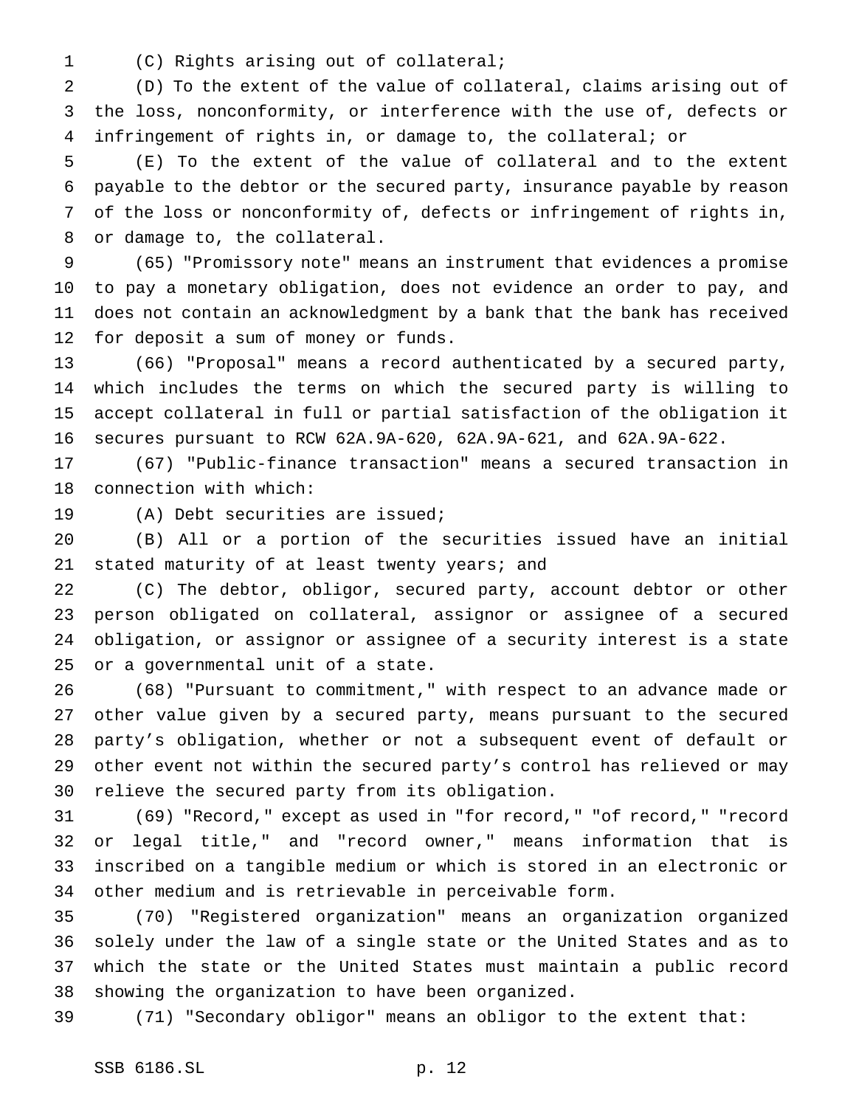(C) Rights arising out of collateral;

 (D) To the extent of the value of collateral, claims arising out of the loss, nonconformity, or interference with the use of, defects or infringement of rights in, or damage to, the collateral; or

 (E) To the extent of the value of collateral and to the extent payable to the debtor or the secured party, insurance payable by reason of the loss or nonconformity of, defects or infringement of rights in, or damage to, the collateral.

 (65) "Promissory note" means an instrument that evidences a promise to pay a monetary obligation, does not evidence an order to pay, and does not contain an acknowledgment by a bank that the bank has received for deposit a sum of money or funds.

 (66) "Proposal" means a record authenticated by a secured party, which includes the terms on which the secured party is willing to accept collateral in full or partial satisfaction of the obligation it secures pursuant to RCW 62A.9A-620, 62A.9A-621, and 62A.9A-622.

 (67) "Public-finance transaction" means a secured transaction in connection with which:

(A) Debt securities are issued;

 (B) All or a portion of the securities issued have an initial stated maturity of at least twenty years; and

 (C) The debtor, obligor, secured party, account debtor or other person obligated on collateral, assignor or assignee of a secured obligation, or assignor or assignee of a security interest is a state or a governmental unit of a state.

 (68) "Pursuant to commitment," with respect to an advance made or other value given by a secured party, means pursuant to the secured party's obligation, whether or not a subsequent event of default or other event not within the secured party's control has relieved or may relieve the secured party from its obligation.

 (69) "Record," except as used in "for record," "of record," "record or legal title," and "record owner," means information that is inscribed on a tangible medium or which is stored in an electronic or other medium and is retrievable in perceivable form.

 (70) "Registered organization" means an organization organized solely under the law of a single state or the United States and as to which the state or the United States must maintain a public record showing the organization to have been organized.

(71) "Secondary obligor" means an obligor to the extent that: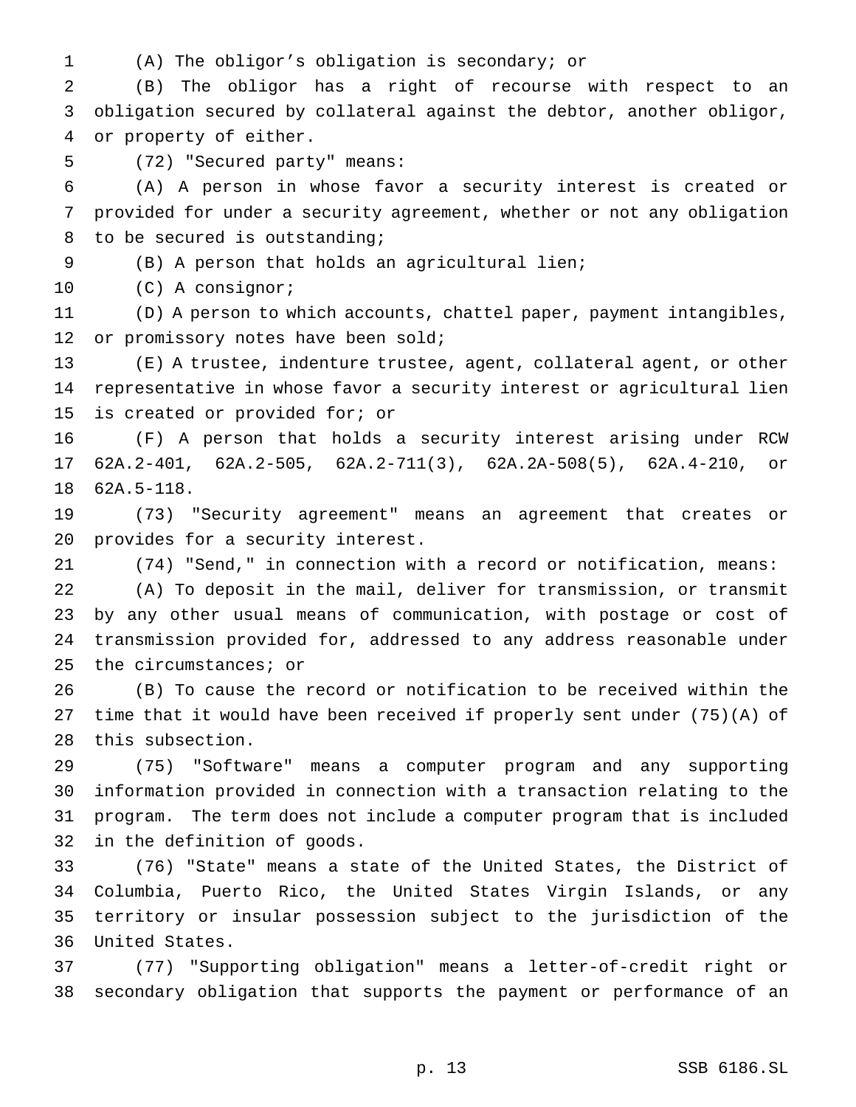- 
- (A) The obligor's obligation is secondary; or

 (B) The obligor has a right of recourse with respect to an obligation secured by collateral against the debtor, another obligor, or property of either.

(72) "Secured party" means:

 (A) A person in whose favor a security interest is created or provided for under a security agreement, whether or not any obligation to be secured is outstanding;

(B) A person that holds an agricultural lien;

(C) A consignor;

 (D) A person to which accounts, chattel paper, payment intangibles, 12 or promissory notes have been sold;

 (E) A trustee, indenture trustee, agent, collateral agent, or other representative in whose favor a security interest or agricultural lien is created or provided for; or

 (F) A person that holds a security interest arising under RCW 62A.2-401, 62A.2-505, 62A.2-711(3), 62A.2A-508(5), 62A.4-210, or 62A.5-118.

 (73) "Security agreement" means an agreement that creates or provides for a security interest.

(74) "Send," in connection with a record or notification, means:

 (A) To deposit in the mail, deliver for transmission, or transmit by any other usual means of communication, with postage or cost of transmission provided for, addressed to any address reasonable under the circumstances; or

 (B) To cause the record or notification to be received within the time that it would have been received if properly sent under (75)(A) of this subsection.

 (75) "Software" means a computer program and any supporting information provided in connection with a transaction relating to the program. The term does not include a computer program that is included in the definition of goods.

 (76) "State" means a state of the United States, the District of Columbia, Puerto Rico, the United States Virgin Islands, or any territory or insular possession subject to the jurisdiction of the United States.

 (77) "Supporting obligation" means a letter-of-credit right or secondary obligation that supports the payment or performance of an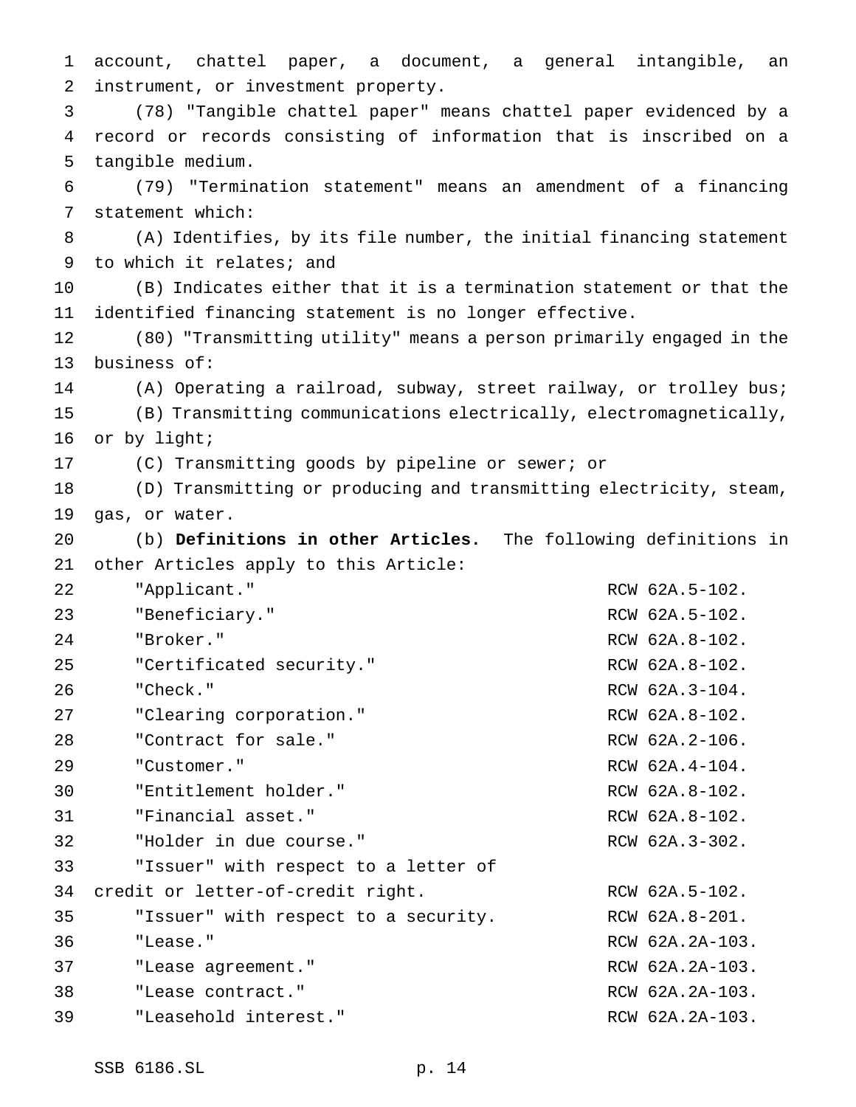account, chattel paper, a document, a general intangible, an instrument, or investment property. (78) "Tangible chattel paper" means chattel paper evidenced by a record or records consisting of information that is inscribed on a tangible medium. (79) "Termination statement" means an amendment of a financing statement which: (A) Identifies, by its file number, the initial financing statement to which it relates; and (B) Indicates either that it is a termination statement or that the identified financing statement is no longer effective. (80) "Transmitting utility" means a person primarily engaged in the business of: (A) Operating a railroad, subway, street railway, or trolley bus; (B) Transmitting communications electrically, electromagnetically, or by light; (C) Transmitting goods by pipeline or sewer; or (D) Transmitting or producing and transmitting electricity, steam, gas, or water. (b) **Definitions in other Articles.** The following definitions in other Articles apply to this Article: 22 "Applicant." and the set of the set of the set of the set of the set of the set of the set of the set of the set of the set of the set of the set of the set of the set of the set of the set of the set of the set of the 23 "Beneficiary." Case of the RCW 62A.5-102. "Broker." RCW 62A.8-102. "Certificated security." RCW 62A.8-102. "Check." RCW 62A.3-104. "Clearing corporation." RCW 62A.8-102. 28 "Contract for sale." The contract of the sale." "Customer." RCW 62A.4-104. "Entitlement holder." RCW 62A.8-102. "Financial asset." RCW 62A.8-102. "Holder in due course." RCW 62A.3-302. "Issuer" with respect to a letter of 34 credit or letter-of-credit right. RCW 62A.5-102. "Issuer" with respect to a security. RCW 62A.8-201. "Lease." RCW 62A.2A-103. "Lease agreement." RCW 62A.2A-103. 38 "Lease contract." The contract of the set of the set of the RCW 62A.2A-103. "Leasehold interest." RCW 62A.2A-103.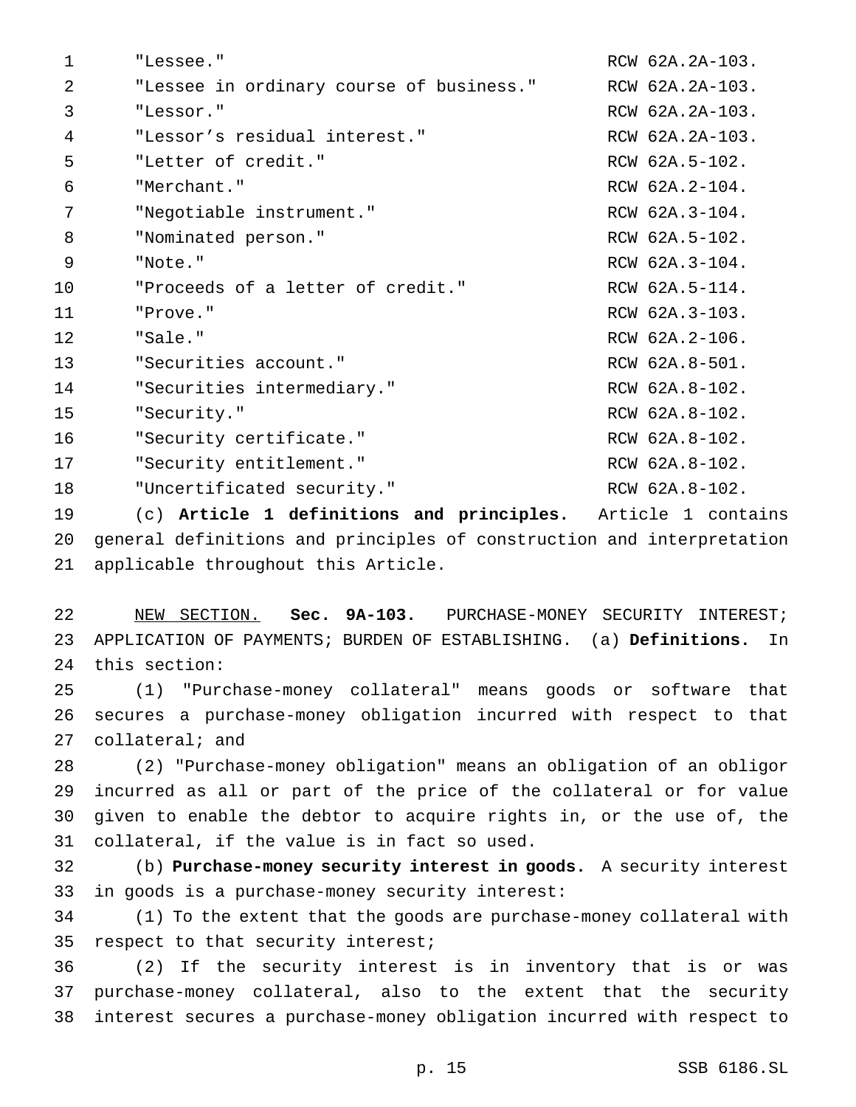| $\mathbf{1}$ | "Lessee."                                 | RCW 62A.2A-103.    |
|--------------|-------------------------------------------|--------------------|
| 2            | "Lessee in ordinary course of business."  | RCW 62A.2A-103.    |
| 3            | "Lessor."                                 | RCW 62A.2A-103.    |
| 4            | "Lessor's residual interest."             | RCW 62A.2A-103.    |
| 5            | "Letter of credit."                       | RCW 62A.5-102.     |
| 6            | "Merchant."                               | RCW 62A.2-104.     |
| 7            | "Negotiable instrument."                  | RCW 62A.3-104.     |
| 8            | "Nominated person."                       | RCW 62A.5-102.     |
| 9            | "Note."                                   | RCW 62A.3-104.     |
| 10           | "Proceeds of a letter of credit."         | RCW 62A.5-114.     |
| 11           | "Prove."                                  | RCW 62A.3-103.     |
| 12           | "Sale."                                   | RCW 62A.2-106.     |
| 13           | "Securities account."                     | RCW 62A.8-501.     |
| 14           | "Securities intermediary."                | RCW 62A.8-102.     |
| 15           | "Security."                               | RCW 62A.8-102.     |
| 16           | "Security certificate."                   | RCW 62A.8-102.     |
| 17           | "Security entitlement."                   | RCW 62A.8-102.     |
| 18           | "Uncertificated security."                | RCW 62A.8-102.     |
| 19           | (c) Article 1 definitions and principles. | Article 1 contains |

 general definitions and principles of construction and interpretation applicable throughout this Article.

 NEW SECTION. **Sec. 9A-103.** PURCHASE-MONEY SECURITY INTEREST; APPLICATION OF PAYMENTS; BURDEN OF ESTABLISHING. (a) **Definitions.** In this section:

 (1) "Purchase-money collateral" means goods or software that secures a purchase-money obligation incurred with respect to that collateral; and

 (2) "Purchase-money obligation" means an obligation of an obligor incurred as all or part of the price of the collateral or for value given to enable the debtor to acquire rights in, or the use of, the collateral, if the value is in fact so used.

 (b) **Purchase-money security interest in goods.** A security interest in goods is a purchase-money security interest:

 (1) To the extent that the goods are purchase-money collateral with 35 respect to that security interest;

 (2) If the security interest is in inventory that is or was purchase-money collateral, also to the extent that the security interest secures a purchase-money obligation incurred with respect to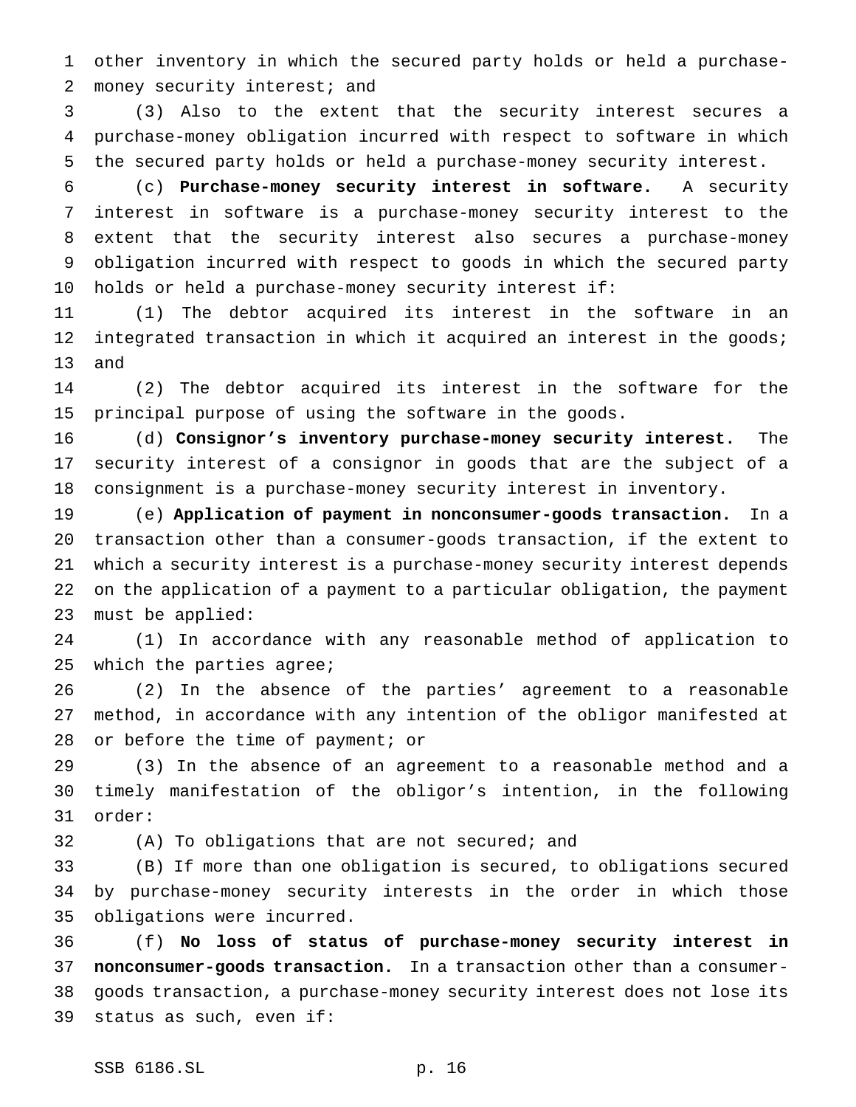other inventory in which the secured party holds or held a purchase-2 money security interest; and

 (3) Also to the extent that the security interest secures a purchase-money obligation incurred with respect to software in which the secured party holds or held a purchase-money security interest.

 (c) **Purchase-money security interest in software.** A security interest in software is a purchase-money security interest to the extent that the security interest also secures a purchase-money obligation incurred with respect to goods in which the secured party holds or held a purchase-money security interest if:

 (1) The debtor acquired its interest in the software in an 12 integrated transaction in which it acquired an interest in the goods; and

 (2) The debtor acquired its interest in the software for the principal purpose of using the software in the goods.

 (d) **Consignor's inventory purchase-money security interest.** The security interest of a consignor in goods that are the subject of a consignment is a purchase-money security interest in inventory.

 (e) **Application of payment in nonconsumer-goods transaction.** In a transaction other than a consumer-goods transaction, if the extent to which a security interest is a purchase-money security interest depends on the application of a payment to a particular obligation, the payment must be applied:

 (1) In accordance with any reasonable method of application to which the parties agree;

 (2) In the absence of the parties' agreement to a reasonable method, in accordance with any intention of the obligor manifested at 28 or before the time of payment; or

 (3) In the absence of an agreement to a reasonable method and a timely manifestation of the obligor's intention, in the following order:

(A) To obligations that are not secured; and

 (B) If more than one obligation is secured, to obligations secured by purchase-money security interests in the order in which those obligations were incurred.

 (f) **No loss of status of purchase-money security interest in nonconsumer-goods transaction.** In a transaction other than a consumer- goods transaction, a purchase-money security interest does not lose its status as such, even if: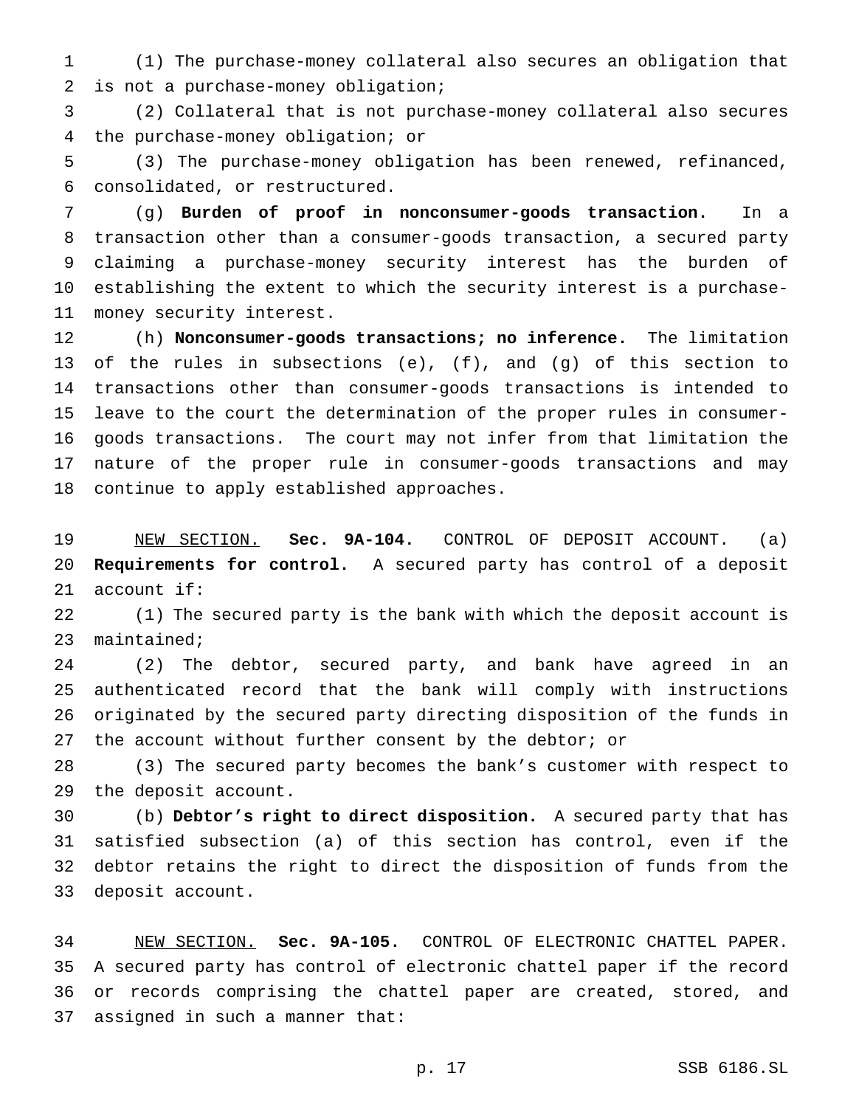(1) The purchase-money collateral also secures an obligation that is not a purchase-money obligation;

 (2) Collateral that is not purchase-money collateral also secures the purchase-money obligation; or

 (3) The purchase-money obligation has been renewed, refinanced, consolidated, or restructured.

 (g) **Burden of proof in nonconsumer-goods transaction.** In a transaction other than a consumer-goods transaction, a secured party claiming a purchase-money security interest has the burden of establishing the extent to which the security interest is a purchase-money security interest.

 (h) **Nonconsumer-goods transactions; no inference.** The limitation of the rules in subsections (e), (f), and (g) of this section to transactions other than consumer-goods transactions is intended to leave to the court the determination of the proper rules in consumer- goods transactions. The court may not infer from that limitation the nature of the proper rule in consumer-goods transactions and may continue to apply established approaches.

 NEW SECTION. **Sec. 9A-104.** CONTROL OF DEPOSIT ACCOUNT. (a) **Requirements for control.** A secured party has control of a deposit account if:

 (1) The secured party is the bank with which the deposit account is maintained;

 (2) The debtor, secured party, and bank have agreed in an authenticated record that the bank will comply with instructions originated by the secured party directing disposition of the funds in the account without further consent by the debtor; or

 (3) The secured party becomes the bank's customer with respect to the deposit account.

 (b) **Debtor's right to direct disposition.** A secured party that has satisfied subsection (a) of this section has control, even if the debtor retains the right to direct the disposition of funds from the deposit account.

 NEW SECTION. **Sec. 9A-105.** CONTROL OF ELECTRONIC CHATTEL PAPER. A secured party has control of electronic chattel paper if the record or records comprising the chattel paper are created, stored, and assigned in such a manner that: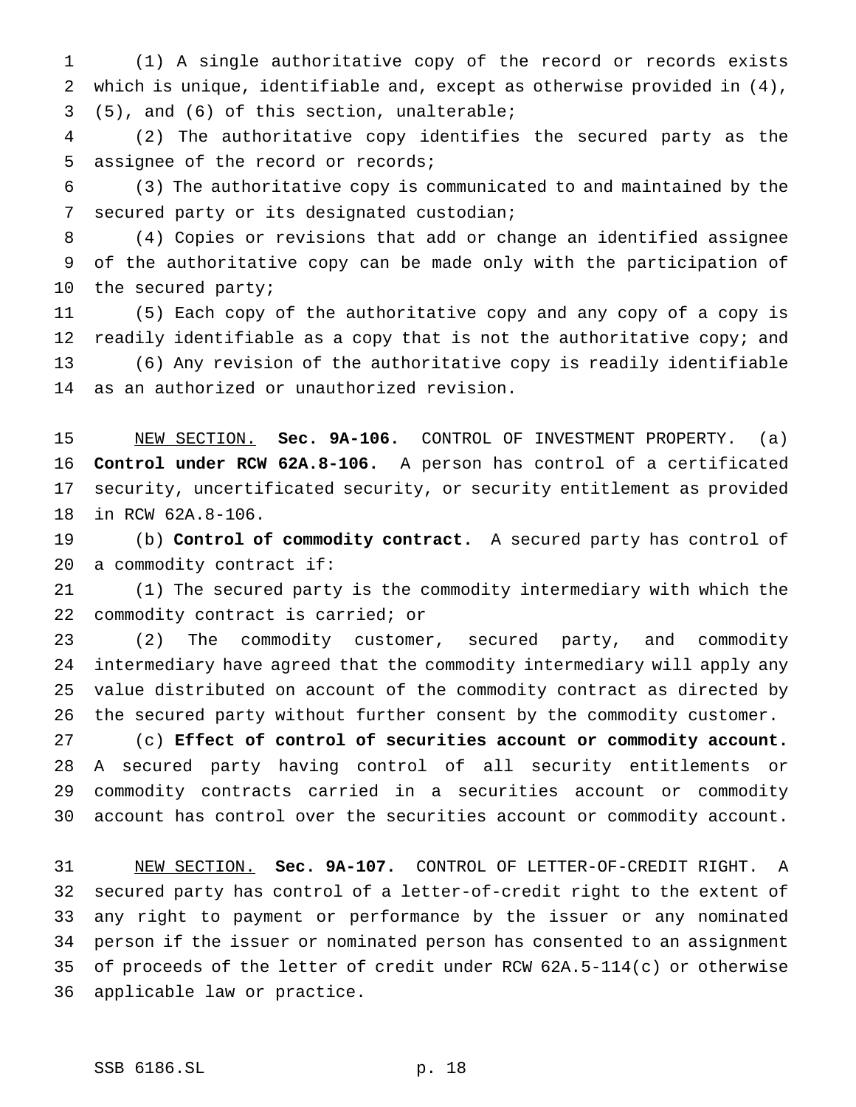(1) A single authoritative copy of the record or records exists which is unique, identifiable and, except as otherwise provided in (4), (5), and (6) of this section, unalterable;

 (2) The authoritative copy identifies the secured party as the assignee of the record or records;

 (3) The authoritative copy is communicated to and maintained by the secured party or its designated custodian;

 (4) Copies or revisions that add or change an identified assignee of the authoritative copy can be made only with the participation of the secured party;

 (5) Each copy of the authoritative copy and any copy of a copy is 12 readily identifiable as a copy that is not the authoritative copy; and (6) Any revision of the authoritative copy is readily identifiable as an authorized or unauthorized revision.

 NEW SECTION. **Sec. 9A-106.** CONTROL OF INVESTMENT PROPERTY. (a) **Control under RCW 62A.8-106.** A person has control of a certificated security, uncertificated security, or security entitlement as provided in RCW 62A.8-106.

 (b) **Control of commodity contract.** A secured party has control of a commodity contract if:

 (1) The secured party is the commodity intermediary with which the commodity contract is carried; or

 (2) The commodity customer, secured party, and commodity intermediary have agreed that the commodity intermediary will apply any value distributed on account of the commodity contract as directed by the secured party without further consent by the commodity customer.

 (c) **Effect of control of securities account or commodity account.** A secured party having control of all security entitlements or commodity contracts carried in a securities account or commodity account has control over the securities account or commodity account.

 NEW SECTION. **Sec. 9A-107.** CONTROL OF LETTER-OF-CREDIT RIGHT. A secured party has control of a letter-of-credit right to the extent of any right to payment or performance by the issuer or any nominated person if the issuer or nominated person has consented to an assignment of proceeds of the letter of credit under RCW 62A.5-114(c) or otherwise applicable law or practice.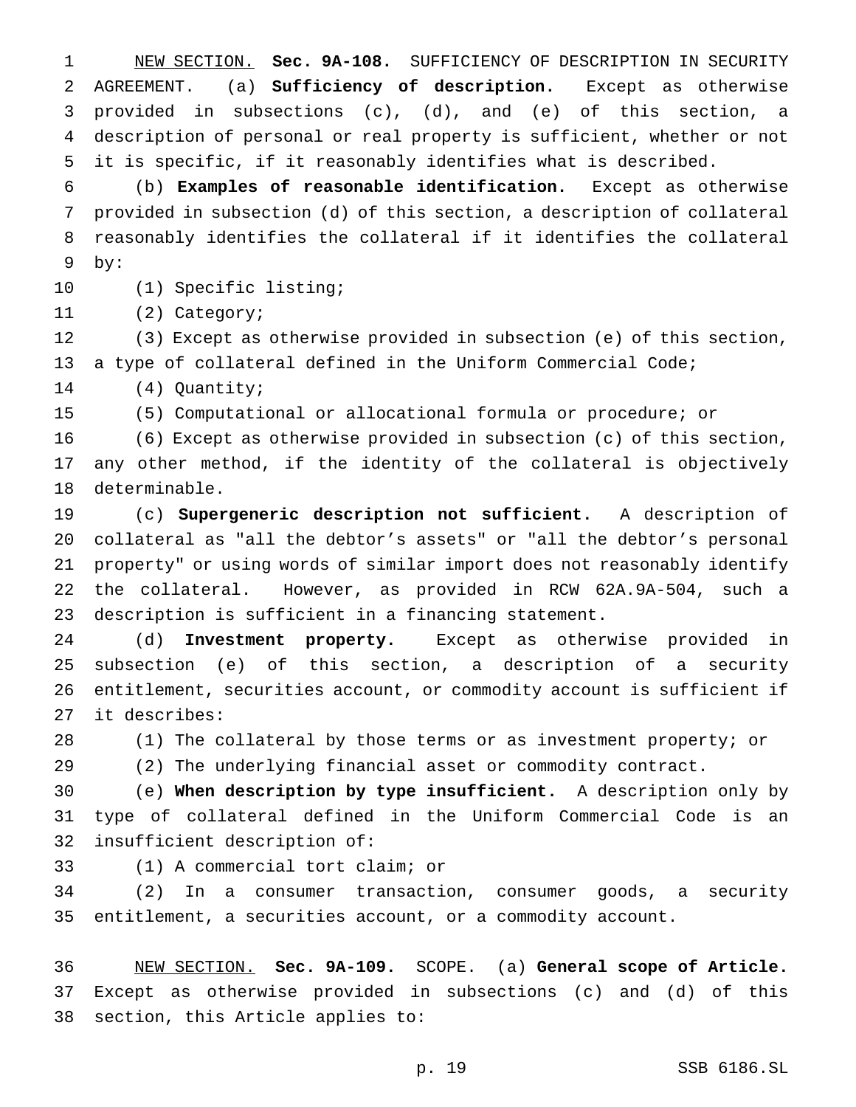NEW SECTION. **Sec. 9A-108.** SUFFICIENCY OF DESCRIPTION IN SECURITY AGREEMENT. (a) **Sufficiency of description.** Except as otherwise provided in subsections (c), (d), and (e) of this section, a description of personal or real property is sufficient, whether or not it is specific, if it reasonably identifies what is described.

 (b) **Examples of reasonable identification.** Except as otherwise provided in subsection (d) of this section, a description of collateral reasonably identifies the collateral if it identifies the collateral by:

(1) Specific listing;

(2) Category;

 (3) Except as otherwise provided in subsection (e) of this section, a type of collateral defined in the Uniform Commercial Code;

(4) Quantity;

(5) Computational or allocational formula or procedure; or

 (6) Except as otherwise provided in subsection (c) of this section, any other method, if the identity of the collateral is objectively determinable.

 (c) **Supergeneric description not sufficient.** A description of collateral as "all the debtor's assets" or "all the debtor's personal property" or using words of similar import does not reasonably identify the collateral. However, as provided in RCW 62A.9A-504, such a description is sufficient in a financing statement.

 (d) **Investment property.** Except as otherwise provided in subsection (e) of this section, a description of a security entitlement, securities account, or commodity account is sufficient if it describes:

(1) The collateral by those terms or as investment property; or

(2) The underlying financial asset or commodity contract.

 (e) **When description by type insufficient.** A description only by type of collateral defined in the Uniform Commercial Code is an insufficient description of:

(1) A commercial tort claim; or

 (2) In a consumer transaction, consumer goods, a security entitlement, a securities account, or a commodity account.

 NEW SECTION. **Sec. 9A-109.** SCOPE. (a) **General scope of Article.** Except as otherwise provided in subsections (c) and (d) of this section, this Article applies to: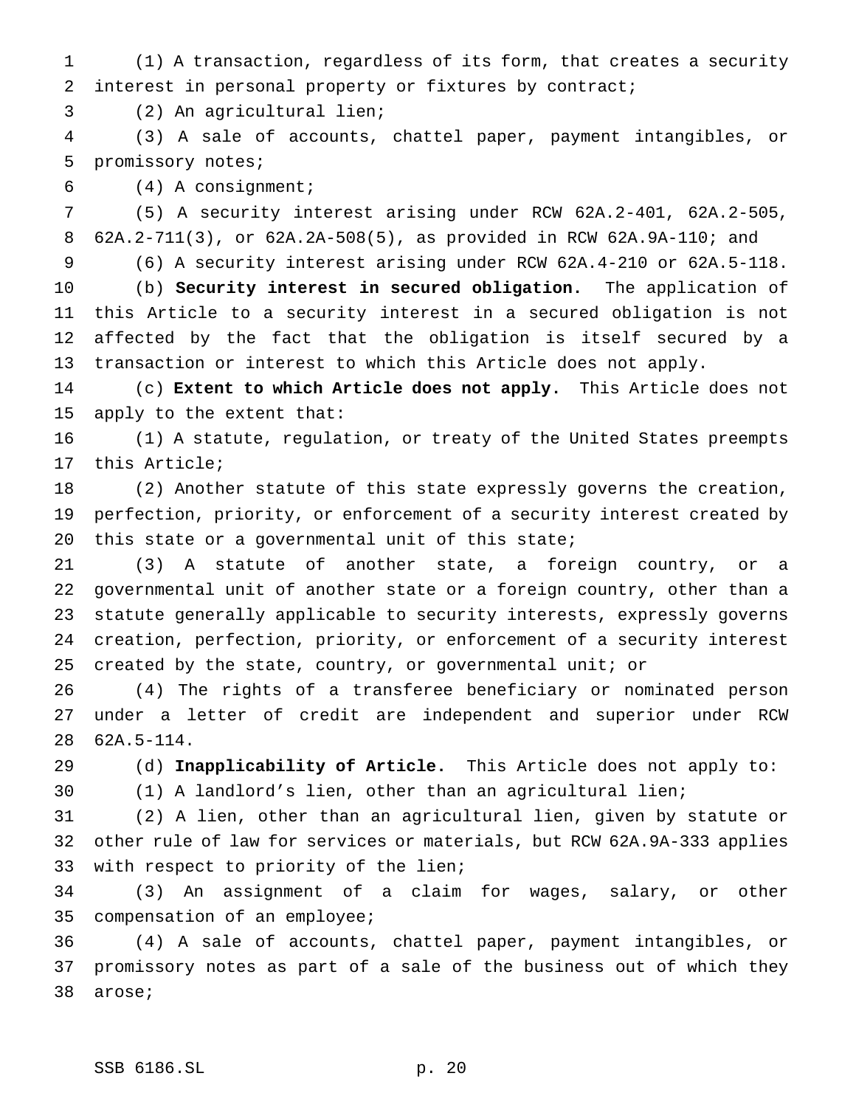(1) A transaction, regardless of its form, that creates a security 2 interest in personal property or fixtures by contract;

(2) An agricultural lien;

 (3) A sale of accounts, chattel paper, payment intangibles, or promissory notes;

(4) A consignment;

 (5) A security interest arising under RCW 62A.2-401, 62A.2-505, 62A.2-711(3), or 62A.2A-508(5), as provided in RCW 62A.9A-110; and

(6) A security interest arising under RCW 62A.4-210 or 62A.5-118.

 (b) **Security interest in secured obligation.** The application of this Article to a security interest in a secured obligation is not affected by the fact that the obligation is itself secured by a transaction or interest to which this Article does not apply.

 (c) **Extent to which Article does not apply.** This Article does not apply to the extent that:

 (1) A statute, regulation, or treaty of the United States preempts this Article;

 (2) Another statute of this state expressly governs the creation, perfection, priority, or enforcement of a security interest created by 20 this state or a governmental unit of this state;

 (3) A statute of another state, a foreign country, or a governmental unit of another state or a foreign country, other than a statute generally applicable to security interests, expressly governs creation, perfection, priority, or enforcement of a security interest created by the state, country, or governmental unit; or

 (4) The rights of a transferee beneficiary or nominated person under a letter of credit are independent and superior under RCW 62A.5-114.

(d) **Inapplicability of Article.** This Article does not apply to:

(1) A landlord's lien, other than an agricultural lien;

 (2) A lien, other than an agricultural lien, given by statute or other rule of law for services or materials, but RCW 62A.9A-333 applies with respect to priority of the lien;

 (3) An assignment of a claim for wages, salary, or other compensation of an employee;

 (4) A sale of accounts, chattel paper, payment intangibles, or promissory notes as part of a sale of the business out of which they arose;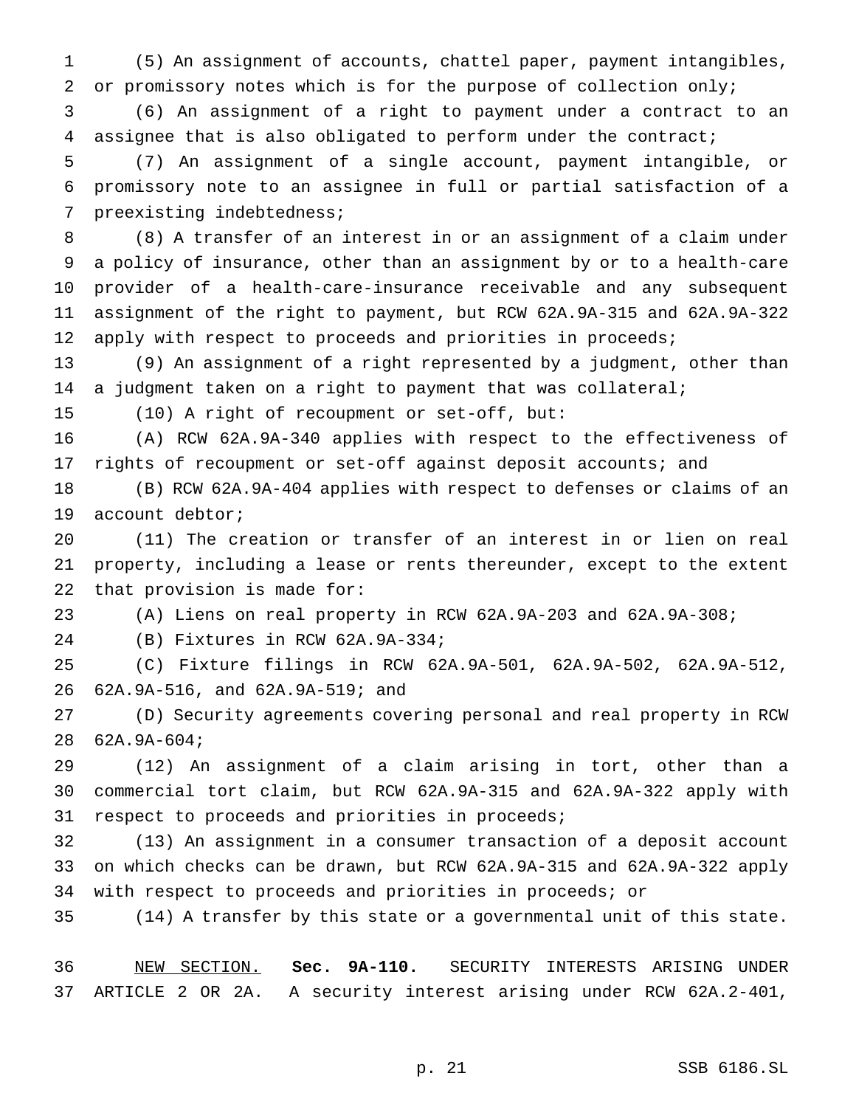(5) An assignment of accounts, chattel paper, payment intangibles, or promissory notes which is for the purpose of collection only;

 (6) An assignment of a right to payment under a contract to an assignee that is also obligated to perform under the contract;

 (7) An assignment of a single account, payment intangible, or promissory note to an assignee in full or partial satisfaction of a preexisting indebtedness;

 (8) A transfer of an interest in or an assignment of a claim under a policy of insurance, other than an assignment by or to a health-care provider of a health-care-insurance receivable and any subsequent assignment of the right to payment, but RCW 62A.9A-315 and 62A.9A-322 12 apply with respect to proceeds and priorities in proceeds;

 (9) An assignment of a right represented by a judgment, other than 14 a judgment taken on a right to payment that was collateral;

(10) A right of recoupment or set-off, but:

 (A) RCW 62A.9A-340 applies with respect to the effectiveness of rights of recoupment or set-off against deposit accounts; and

 (B) RCW 62A.9A-404 applies with respect to defenses or claims of an account debtor;

 (11) The creation or transfer of an interest in or lien on real property, including a lease or rents thereunder, except to the extent that provision is made for:

(A) Liens on real property in RCW 62A.9A-203 and 62A.9A-308;

(B) Fixtures in RCW 62A.9A-334;

 (C) Fixture filings in RCW 62A.9A-501, 62A.9A-502, 62A.9A-512, 62A.9A-516, and 62A.9A-519; and

 (D) Security agreements covering personal and real property in RCW 62A.9A-604;

 (12) An assignment of a claim arising in tort, other than a commercial tort claim, but RCW 62A.9A-315 and 62A.9A-322 apply with respect to proceeds and priorities in proceeds;

 (13) An assignment in a consumer transaction of a deposit account on which checks can be drawn, but RCW 62A.9A-315 and 62A.9A-322 apply with respect to proceeds and priorities in proceeds; or

(14) A transfer by this state or a governmental unit of this state.

 NEW SECTION. **Sec. 9A-110.** SECURITY INTERESTS ARISING UNDER ARTICLE 2 OR 2A. A security interest arising under RCW 62A.2-401,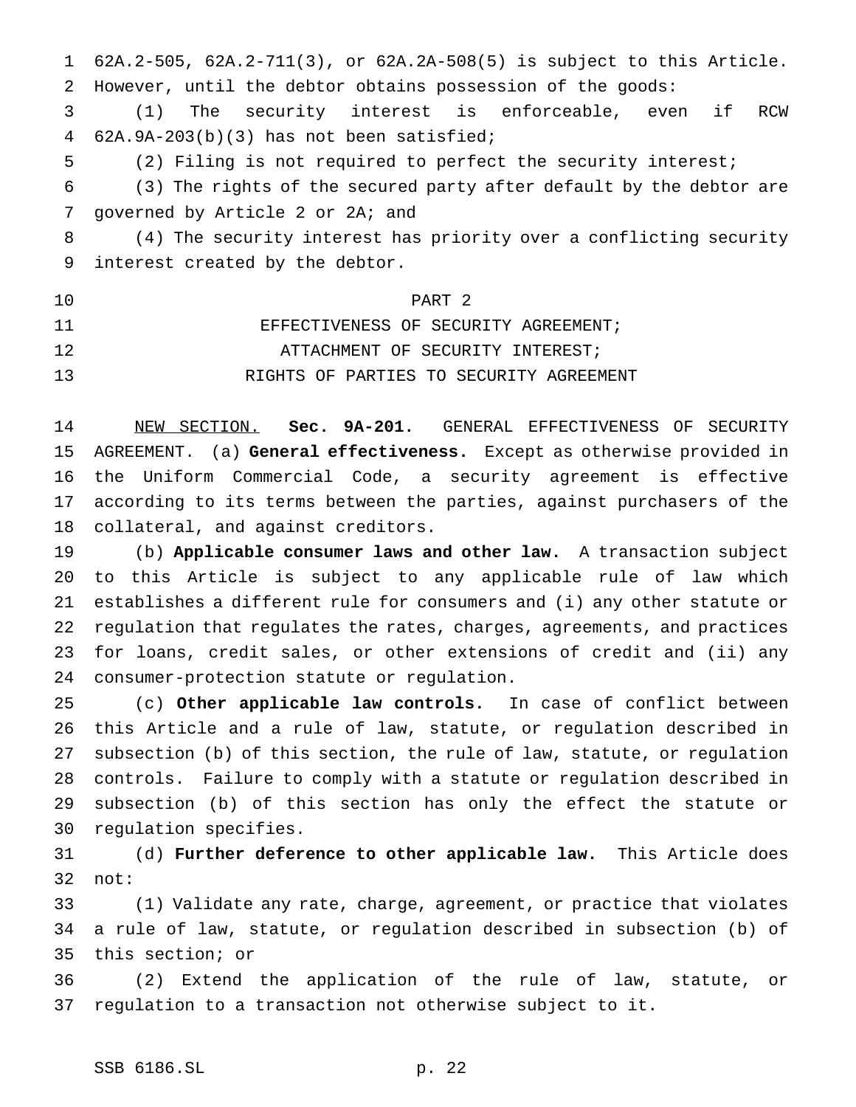62A.2-505, 62A.2-711(3), or 62A.2A-508(5) is subject to this Article. However, until the debtor obtains possession of the goods: (1) The security interest is enforceable, even if RCW 62A.9A-203(b)(3) has not been satisfied; (2) Filing is not required to perfect the security interest; (3) The rights of the secured party after default by the debtor are governed by Article 2 or 2A; and (4) The security interest has priority over a conflicting security interest created by the debtor. PART 2 **EFFECTIVENESS OF SECURITY AGREEMENT; ATTACHMENT OF SECURITY INTEREST;** 

RIGHTS OF PARTIES TO SECURITY AGREEMENT

 NEW SECTION. **Sec. 9A-201.** GENERAL EFFECTIVENESS OF SECURITY AGREEMENT. (a) **General effectiveness.** Except as otherwise provided in the Uniform Commercial Code, a security agreement is effective according to its terms between the parties, against purchasers of the collateral, and against creditors.

 (b) **Applicable consumer laws and other law.** A transaction subject to this Article is subject to any applicable rule of law which establishes a different rule for consumers and (i) any other statute or regulation that regulates the rates, charges, agreements, and practices for loans, credit sales, or other extensions of credit and (ii) any consumer-protection statute or regulation.

 (c) **Other applicable law controls.** In case of conflict between this Article and a rule of law, statute, or regulation described in subsection (b) of this section, the rule of law, statute, or regulation controls. Failure to comply with a statute or regulation described in subsection (b) of this section has only the effect the statute or regulation specifies.

 (d) **Further deference to other applicable law.** This Article does not:

 (1) Validate any rate, charge, agreement, or practice that violates a rule of law, statute, or regulation described in subsection (b) of this section; or

 (2) Extend the application of the rule of law, statute, or regulation to a transaction not otherwise subject to it.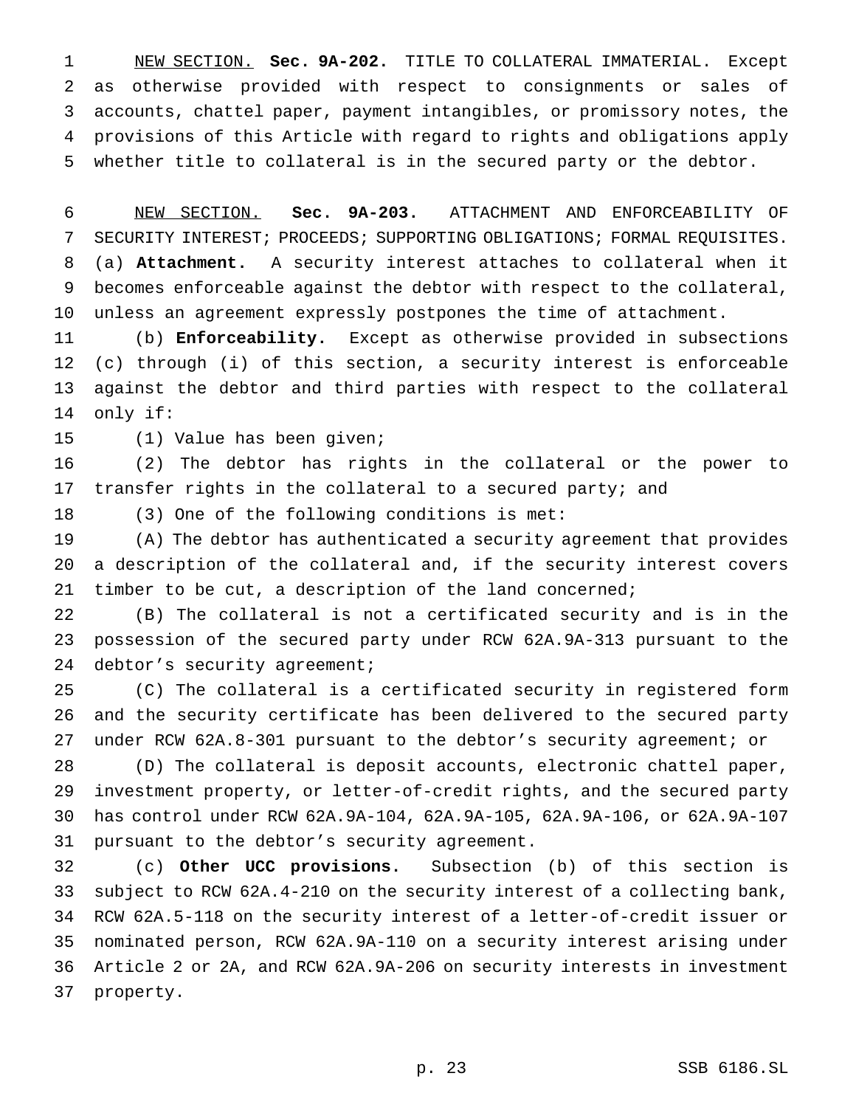NEW SECTION. **Sec. 9A-202.** TITLE TO COLLATERAL IMMATERIAL. Except as otherwise provided with respect to consignments or sales of accounts, chattel paper, payment intangibles, or promissory notes, the provisions of this Article with regard to rights and obligations apply whether title to collateral is in the secured party or the debtor.

 NEW SECTION. **Sec. 9A-203.** ATTACHMENT AND ENFORCEABILITY OF SECURITY INTEREST; PROCEEDS; SUPPORTING OBLIGATIONS; FORMAL REQUISITES. (a) **Attachment.** A security interest attaches to collateral when it becomes enforceable against the debtor with respect to the collateral, unless an agreement expressly postpones the time of attachment.

 (b) **Enforceability.** Except as otherwise provided in subsections (c) through (i) of this section, a security interest is enforceable against the debtor and third parties with respect to the collateral only if:

(1) Value has been given;

 (2) The debtor has rights in the collateral or the power to transfer rights in the collateral to a secured party; and

(3) One of the following conditions is met:

 (A) The debtor has authenticated a security agreement that provides a description of the collateral and, if the security interest covers timber to be cut, a description of the land concerned;

 (B) The collateral is not a certificated security and is in the possession of the secured party under RCW 62A.9A-313 pursuant to the 24 debtor's security agreement;

 (C) The collateral is a certificated security in registered form and the security certificate has been delivered to the secured party under RCW 62A.8-301 pursuant to the debtor's security agreement; or

 (D) The collateral is deposit accounts, electronic chattel paper, investment property, or letter-of-credit rights, and the secured party has control under RCW 62A.9A-104, 62A.9A-105, 62A.9A-106, or 62A.9A-107 pursuant to the debtor's security agreement.

 (c) **Other UCC provisions.** Subsection (b) of this section is subject to RCW 62A.4-210 on the security interest of a collecting bank, RCW 62A.5-118 on the security interest of a letter-of-credit issuer or nominated person, RCW 62A.9A-110 on a security interest arising under Article 2 or 2A, and RCW 62A.9A-206 on security interests in investment property.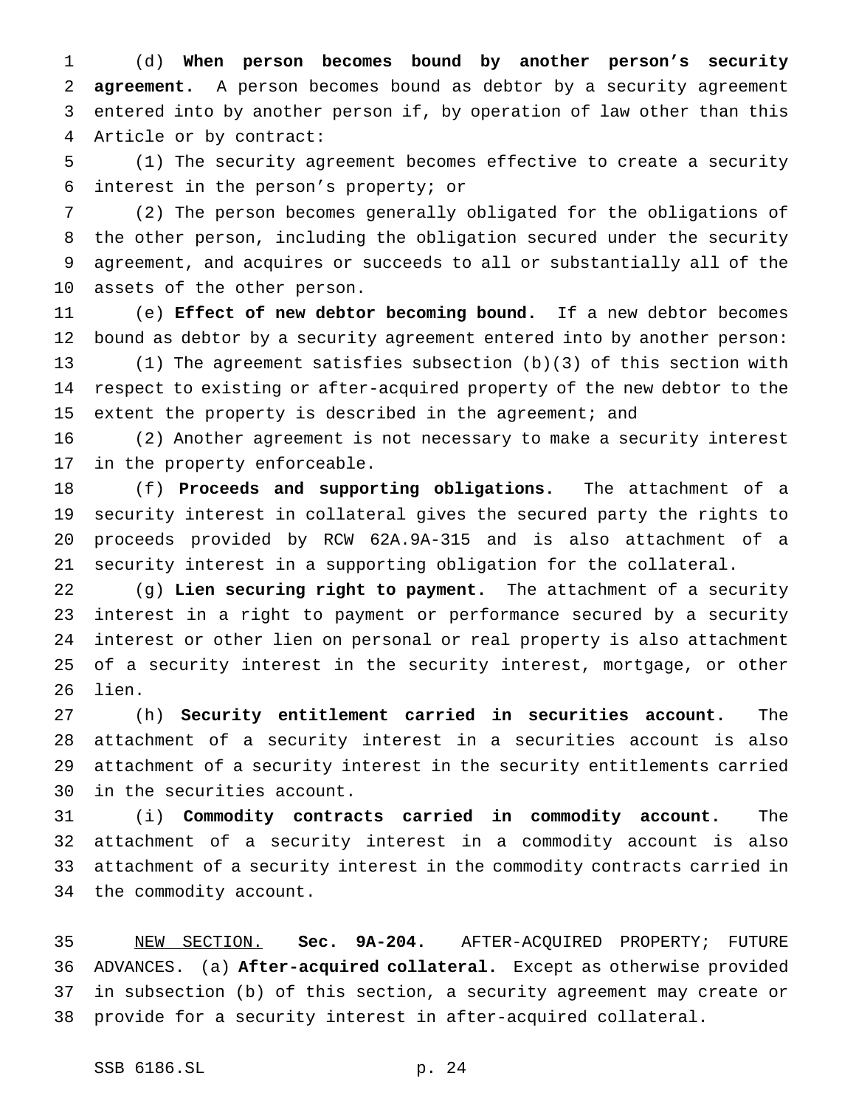(d) **When person becomes bound by another person's security agreement.** A person becomes bound as debtor by a security agreement entered into by another person if, by operation of law other than this Article or by contract:

 (1) The security agreement becomes effective to create a security interest in the person's property; or

 (2) The person becomes generally obligated for the obligations of the other person, including the obligation secured under the security agreement, and acquires or succeeds to all or substantially all of the assets of the other person.

 (e) **Effect of new debtor becoming bound.** If a new debtor becomes bound as debtor by a security agreement entered into by another person: (1) The agreement satisfies subsection (b)(3) of this section with respect to existing or after-acquired property of the new debtor to the 15 extent the property is described in the agreement; and

 (2) Another agreement is not necessary to make a security interest in the property enforceable.

 (f) **Proceeds and supporting obligations.** The attachment of a security interest in collateral gives the secured party the rights to proceeds provided by RCW 62A.9A-315 and is also attachment of a security interest in a supporting obligation for the collateral.

 (g) **Lien securing right to payment.** The attachment of a security interest in a right to payment or performance secured by a security interest or other lien on personal or real property is also attachment of a security interest in the security interest, mortgage, or other lien.

 (h) **Security entitlement carried in securities account.** The attachment of a security interest in a securities account is also attachment of a security interest in the security entitlements carried in the securities account.

 (i) **Commodity contracts carried in commodity account.** The attachment of a security interest in a commodity account is also attachment of a security interest in the commodity contracts carried in the commodity account.

 NEW SECTION. **Sec. 9A-204.** AFTER-ACQUIRED PROPERTY; FUTURE ADVANCES. (a) **After-acquired collateral.** Except as otherwise provided in subsection (b) of this section, a security agreement may create or provide for a security interest in after-acquired collateral.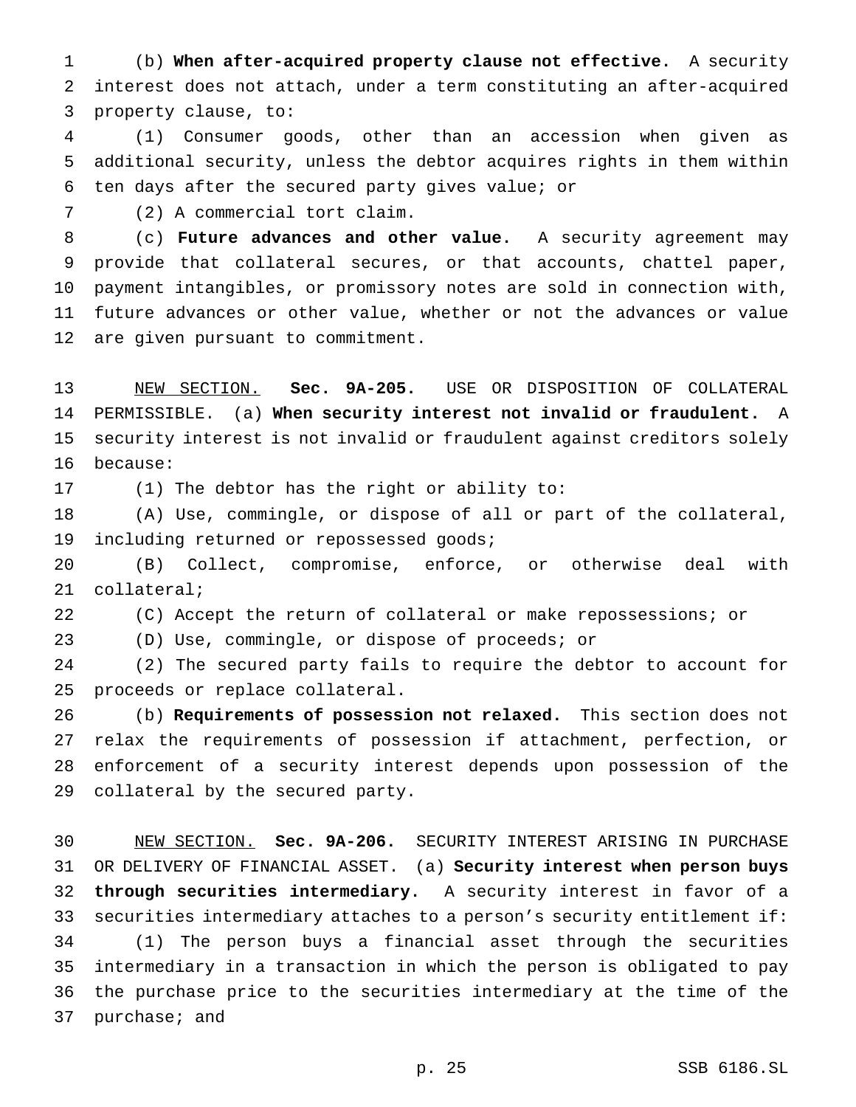(b) **When after-acquired property clause not effective.** A security interest does not attach, under a term constituting an after-acquired property clause, to:

 (1) Consumer goods, other than an accession when given as additional security, unless the debtor acquires rights in them within ten days after the secured party gives value; or

(2) A commercial tort claim.

 (c) **Future advances and other value.** A security agreement may provide that collateral secures, or that accounts, chattel paper, payment intangibles, or promissory notes are sold in connection with, future advances or other value, whether or not the advances or value are given pursuant to commitment.

 NEW SECTION. **Sec. 9A-205.** USE OR DISPOSITION OF COLLATERAL PERMISSIBLE. (a) **When security interest not invalid or fraudulent.** A security interest is not invalid or fraudulent against creditors solely because:

(1) The debtor has the right or ability to:

 (A) Use, commingle, or dispose of all or part of the collateral, including returned or repossessed goods;

 (B) Collect, compromise, enforce, or otherwise deal with collateral;

(C) Accept the return of collateral or make repossessions; or

(D) Use, commingle, or dispose of proceeds; or

(2) The secured party fails to require the debtor to account for

 proceeds or replace collateral. (b) **Requirements of possession not relaxed.** This section does not

 relax the requirements of possession if attachment, perfection, or enforcement of a security interest depends upon possession of the collateral by the secured party.

 NEW SECTION. **Sec. 9A-206.** SECURITY INTEREST ARISING IN PURCHASE OR DELIVERY OF FINANCIAL ASSET. (a) **Security interest when person buys through securities intermediary.** A security interest in favor of a securities intermediary attaches to a person's security entitlement if: (1) The person buys a financial asset through the securities intermediary in a transaction in which the person is obligated to pay the purchase price to the securities intermediary at the time of the purchase; and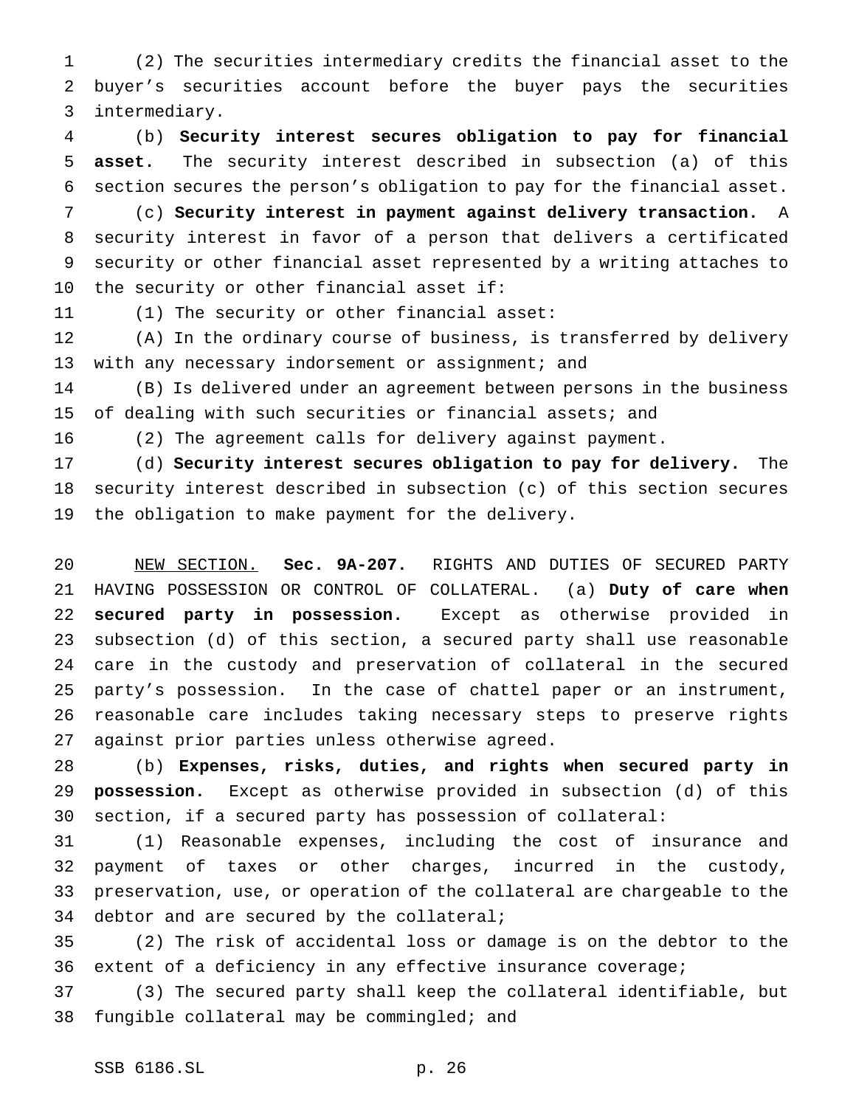(2) The securities intermediary credits the financial asset to the buyer's securities account before the buyer pays the securities intermediary.

 (b) **Security interest secures obligation to pay for financial asset.** The security interest described in subsection (a) of this section secures the person's obligation to pay for the financial asset.

 (c) **Security interest in payment against delivery transaction.** A security interest in favor of a person that delivers a certificated security or other financial asset represented by a writing attaches to the security or other financial asset if:

(1) The security or other financial asset:

 (A) In the ordinary course of business, is transferred by delivery 13 with any necessary indorsement or assignment; and

 (B) Is delivered under an agreement between persons in the business of dealing with such securities or financial assets; and

(2) The agreement calls for delivery against payment.

 (d) **Security interest secures obligation to pay for delivery.** The security interest described in subsection (c) of this section secures the obligation to make payment for the delivery.

 NEW SECTION. **Sec. 9A-207.** RIGHTS AND DUTIES OF SECURED PARTY HAVING POSSESSION OR CONTROL OF COLLATERAL. (a) **Duty of care when secured party in possession.** Except as otherwise provided in subsection (d) of this section, a secured party shall use reasonable care in the custody and preservation of collateral in the secured party's possession. In the case of chattel paper or an instrument, reasonable care includes taking necessary steps to preserve rights against prior parties unless otherwise agreed.

 (b) **Expenses, risks, duties, and rights when secured party in possession.** Except as otherwise provided in subsection (d) of this section, if a secured party has possession of collateral:

 (1) Reasonable expenses, including the cost of insurance and payment of taxes or other charges, incurred in the custody, preservation, use, or operation of the collateral are chargeable to the 34 debtor and are secured by the collateral;

 (2) The risk of accidental loss or damage is on the debtor to the extent of a deficiency in any effective insurance coverage;

 (3) The secured party shall keep the collateral identifiable, but fungible collateral may be commingled; and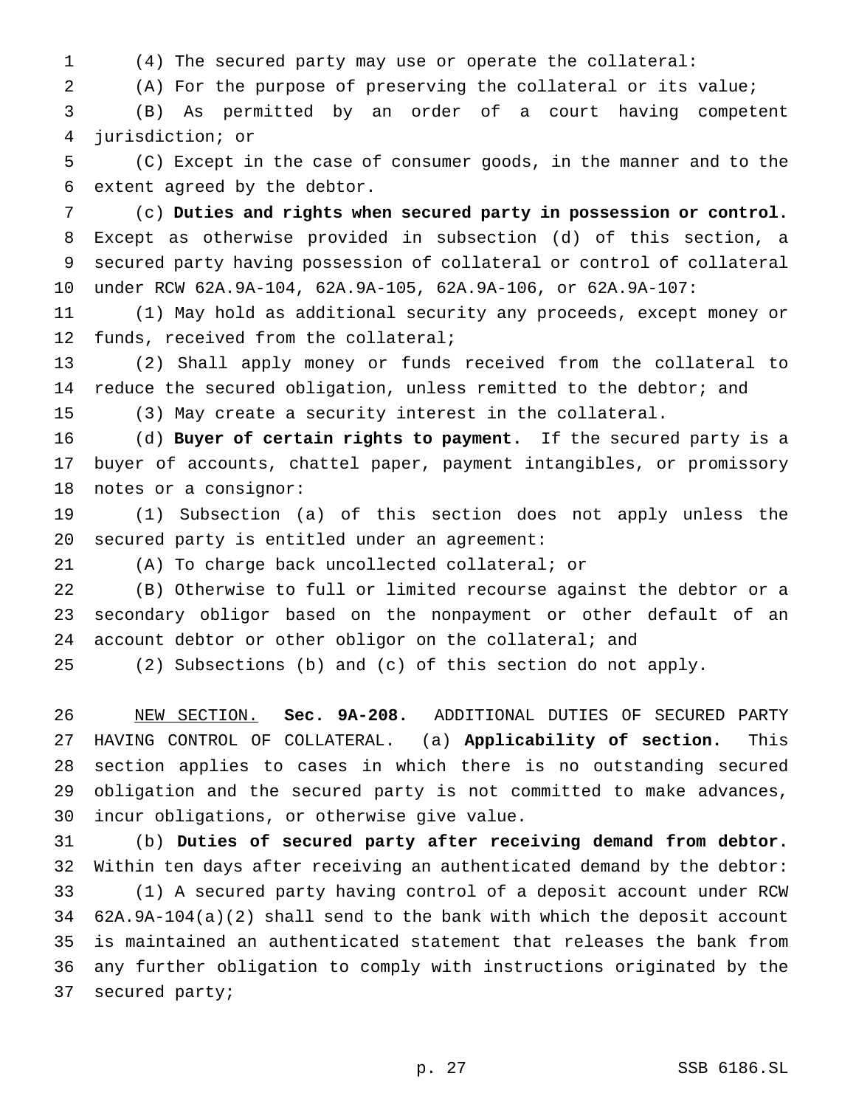(4) The secured party may use or operate the collateral:

(A) For the purpose of preserving the collateral or its value;

 (B) As permitted by an order of a court having competent jurisdiction; or

 (C) Except in the case of consumer goods, in the manner and to the extent agreed by the debtor.

 (c) **Duties and rights when secured party in possession or control.** Except as otherwise provided in subsection (d) of this section, a secured party having possession of collateral or control of collateral under RCW 62A.9A-104, 62A.9A-105, 62A.9A-106, or 62A.9A-107:

 (1) May hold as additional security any proceeds, except money or funds, received from the collateral;

 (2) Shall apply money or funds received from the collateral to 14 reduce the secured obligation, unless remitted to the debtor; and

(3) May create a security interest in the collateral.

 (d) **Buyer of certain rights to payment.** If the secured party is a buyer of accounts, chattel paper, payment intangibles, or promissory notes or a consignor:

 (1) Subsection (a) of this section does not apply unless the secured party is entitled under an agreement:

(A) To charge back uncollected collateral; or

 (B) Otherwise to full or limited recourse against the debtor or a secondary obligor based on the nonpayment or other default of an account debtor or other obligor on the collateral; and

(2) Subsections (b) and (c) of this section do not apply.

 NEW SECTION. **Sec. 9A-208.** ADDITIONAL DUTIES OF SECURED PARTY HAVING CONTROL OF COLLATERAL. (a) **Applicability of section.** This section applies to cases in which there is no outstanding secured obligation and the secured party is not committed to make advances, incur obligations, or otherwise give value.

 (b) **Duties of secured party after receiving demand from debtor.** Within ten days after receiving an authenticated demand by the debtor: (1) A secured party having control of a deposit account under RCW 62A.9A-104(a)(2) shall send to the bank with which the deposit account is maintained an authenticated statement that releases the bank from any further obligation to comply with instructions originated by the secured party;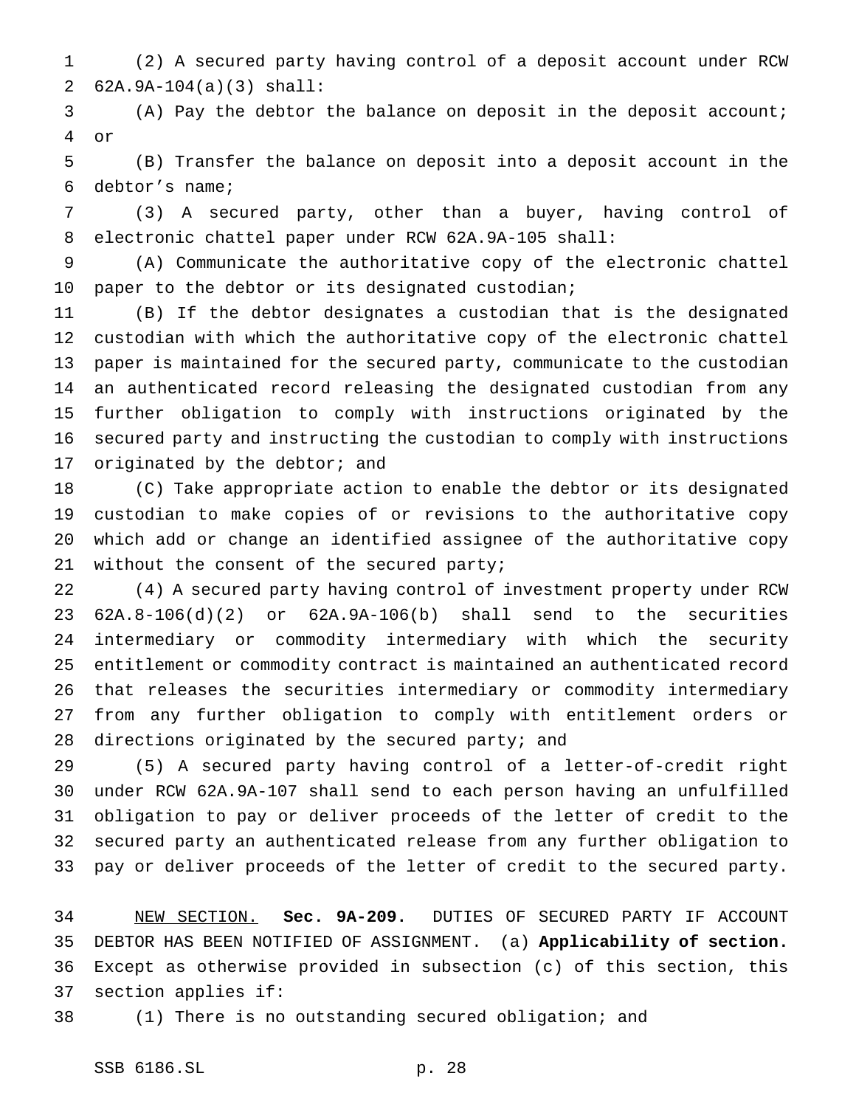(2) A secured party having control of a deposit account under RCW 62A.9A-104(a)(3) shall:

 (A) Pay the debtor the balance on deposit in the deposit account; or

 (B) Transfer the balance on deposit into a deposit account in the debtor's name;

 (3) A secured party, other than a buyer, having control of electronic chattel paper under RCW 62A.9A-105 shall:

 (A) Communicate the authoritative copy of the electronic chattel paper to the debtor or its designated custodian;

 (B) If the debtor designates a custodian that is the designated custodian with which the authoritative copy of the electronic chattel paper is maintained for the secured party, communicate to the custodian an authenticated record releasing the designated custodian from any further obligation to comply with instructions originated by the secured party and instructing the custodian to comply with instructions 17 originated by the debtor; and

 (C) Take appropriate action to enable the debtor or its designated custodian to make copies of or revisions to the authoritative copy which add or change an identified assignee of the authoritative copy without the consent of the secured party;

 (4) A secured party having control of investment property under RCW 62A.8-106(d)(2) or 62A.9A-106(b) shall send to the securities intermediary or commodity intermediary with which the security entitlement or commodity contract is maintained an authenticated record that releases the securities intermediary or commodity intermediary from any further obligation to comply with entitlement orders or directions originated by the secured party; and

 (5) A secured party having control of a letter-of-credit right under RCW 62A.9A-107 shall send to each person having an unfulfilled obligation to pay or deliver proceeds of the letter of credit to the secured party an authenticated release from any further obligation to pay or deliver proceeds of the letter of credit to the secured party.

 NEW SECTION. **Sec. 9A-209.** DUTIES OF SECURED PARTY IF ACCOUNT DEBTOR HAS BEEN NOTIFIED OF ASSIGNMENT. (a) **Applicability of section.** Except as otherwise provided in subsection (c) of this section, this section applies if:

(1) There is no outstanding secured obligation; and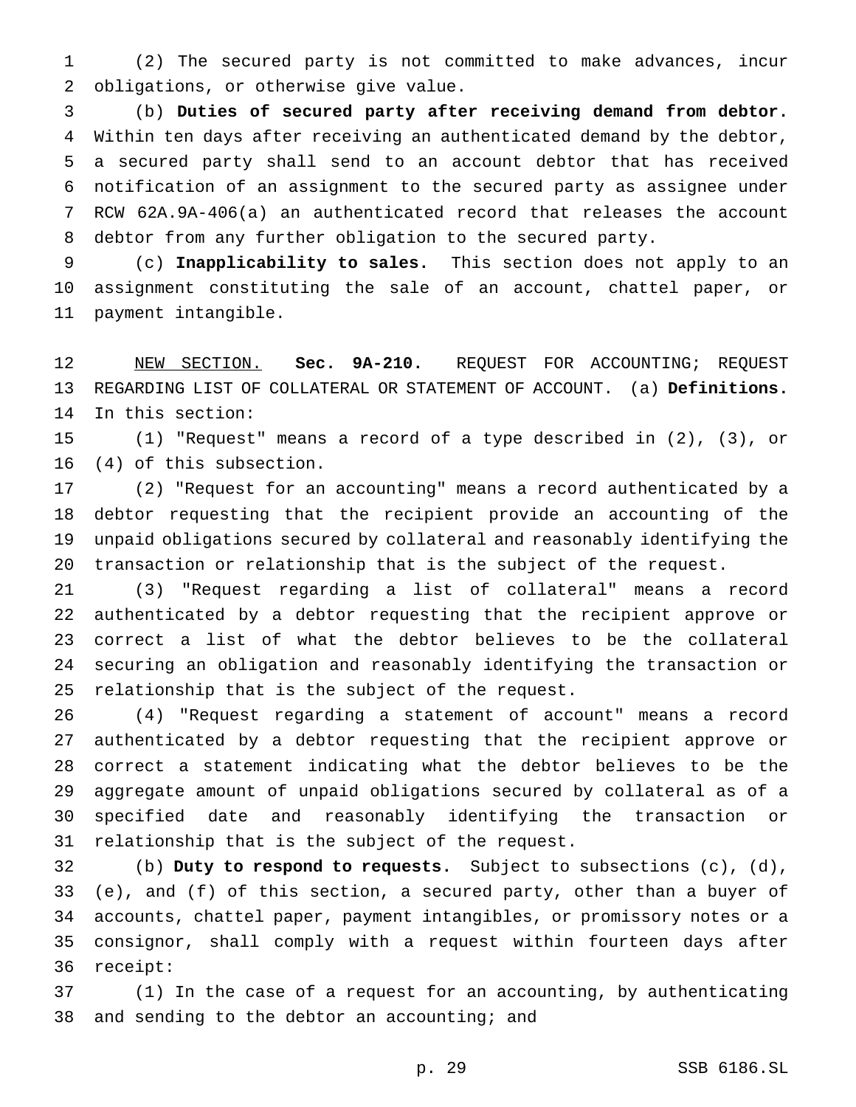(2) The secured party is not committed to make advances, incur obligations, or otherwise give value.

 (b) **Duties of secured party after receiving demand from debtor.** Within ten days after receiving an authenticated demand by the debtor, a secured party shall send to an account debtor that has received notification of an assignment to the secured party as assignee under RCW 62A.9A-406(a) an authenticated record that releases the account debtor from any further obligation to the secured party.

 (c) **Inapplicability to sales.** This section does not apply to an assignment constituting the sale of an account, chattel paper, or payment intangible.

 NEW SECTION. **Sec. 9A-210.** REQUEST FOR ACCOUNTING; REQUEST REGARDING LIST OF COLLATERAL OR STATEMENT OF ACCOUNT. (a) **Definitions.** In this section:

 (1) "Request" means a record of a type described in (2), (3), or (4) of this subsection.

 (2) "Request for an accounting" means a record authenticated by a debtor requesting that the recipient provide an accounting of the unpaid obligations secured by collateral and reasonably identifying the transaction or relationship that is the subject of the request.

 (3) "Request regarding a list of collateral" means a record authenticated by a debtor requesting that the recipient approve or correct a list of what the debtor believes to be the collateral securing an obligation and reasonably identifying the transaction or relationship that is the subject of the request.

 (4) "Request regarding a statement of account" means a record authenticated by a debtor requesting that the recipient approve or correct a statement indicating what the debtor believes to be the aggregate amount of unpaid obligations secured by collateral as of a specified date and reasonably identifying the transaction or relationship that is the subject of the request.

 (b) **Duty to respond to requests.** Subject to subsections (c), (d), (e), and (f) of this section, a secured party, other than a buyer of accounts, chattel paper, payment intangibles, or promissory notes or a consignor, shall comply with a request within fourteen days after receipt:

 (1) In the case of a request for an accounting, by authenticating 38 and sending to the debtor an accounting; and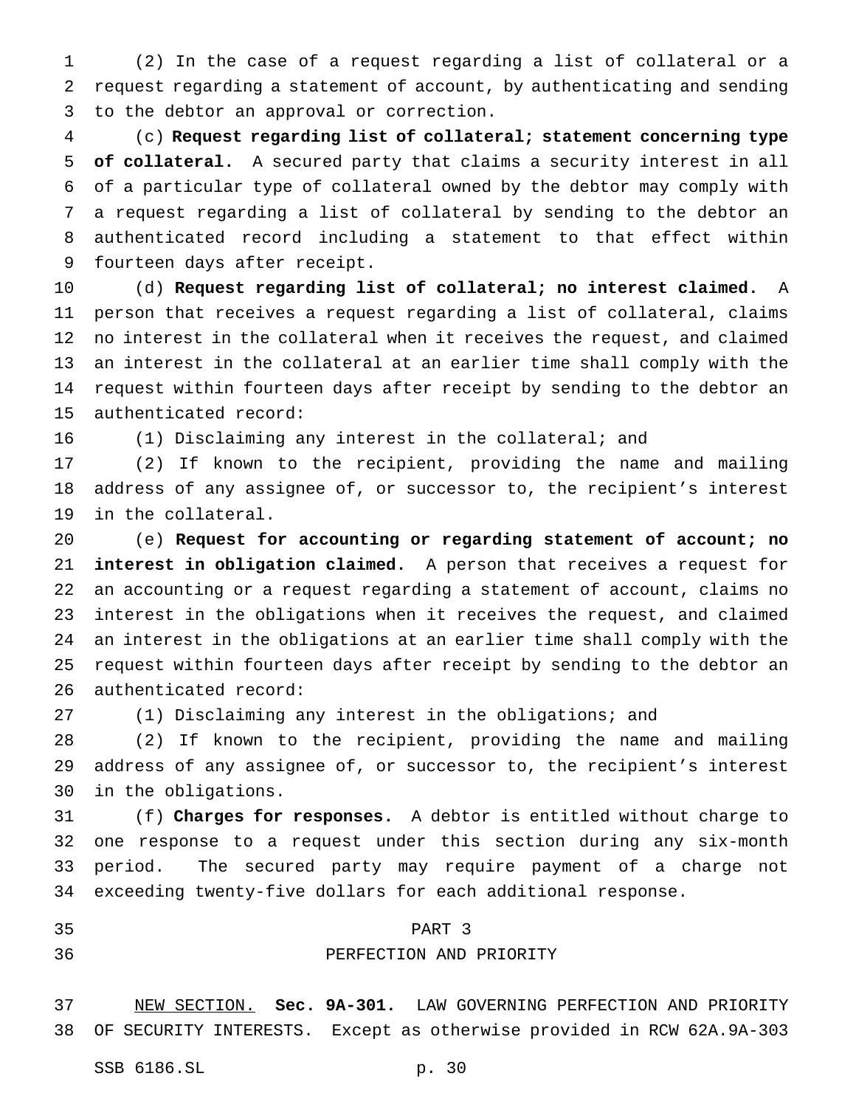(2) In the case of a request regarding a list of collateral or a request regarding a statement of account, by authenticating and sending to the debtor an approval or correction.

 (c) **Request regarding list of collateral; statement concerning type of collateral.** A secured party that claims a security interest in all of a particular type of collateral owned by the debtor may comply with a request regarding a list of collateral by sending to the debtor an authenticated record including a statement to that effect within fourteen days after receipt.

 (d) **Request regarding list of collateral; no interest claimed.** A person that receives a request regarding a list of collateral, claims no interest in the collateral when it receives the request, and claimed an interest in the collateral at an earlier time shall comply with the request within fourteen days after receipt by sending to the debtor an authenticated record:

(1) Disclaiming any interest in the collateral; and

 (2) If known to the recipient, providing the name and mailing address of any assignee of, or successor to, the recipient's interest in the collateral.

 (e) **Request for accounting or regarding statement of account; no interest in obligation claimed.** A person that receives a request for an accounting or a request regarding a statement of account, claims no interest in the obligations when it receives the request, and claimed an interest in the obligations at an earlier time shall comply with the request within fourteen days after receipt by sending to the debtor an authenticated record:

(1) Disclaiming any interest in the obligations; and

 (2) If known to the recipient, providing the name and mailing address of any assignee of, or successor to, the recipient's interest in the obligations.

 (f) **Charges for responses.** A debtor is entitled without charge to one response to a request under this section during any six-month period. The secured party may require payment of a charge not exceeding twenty-five dollars for each additional response.

### PART 3

## PERFECTION AND PRIORITY

 NEW SECTION. **Sec. 9A-301.** LAW GOVERNING PERFECTION AND PRIORITY OF SECURITY INTERESTS. Except as otherwise provided in RCW 62A.9A-303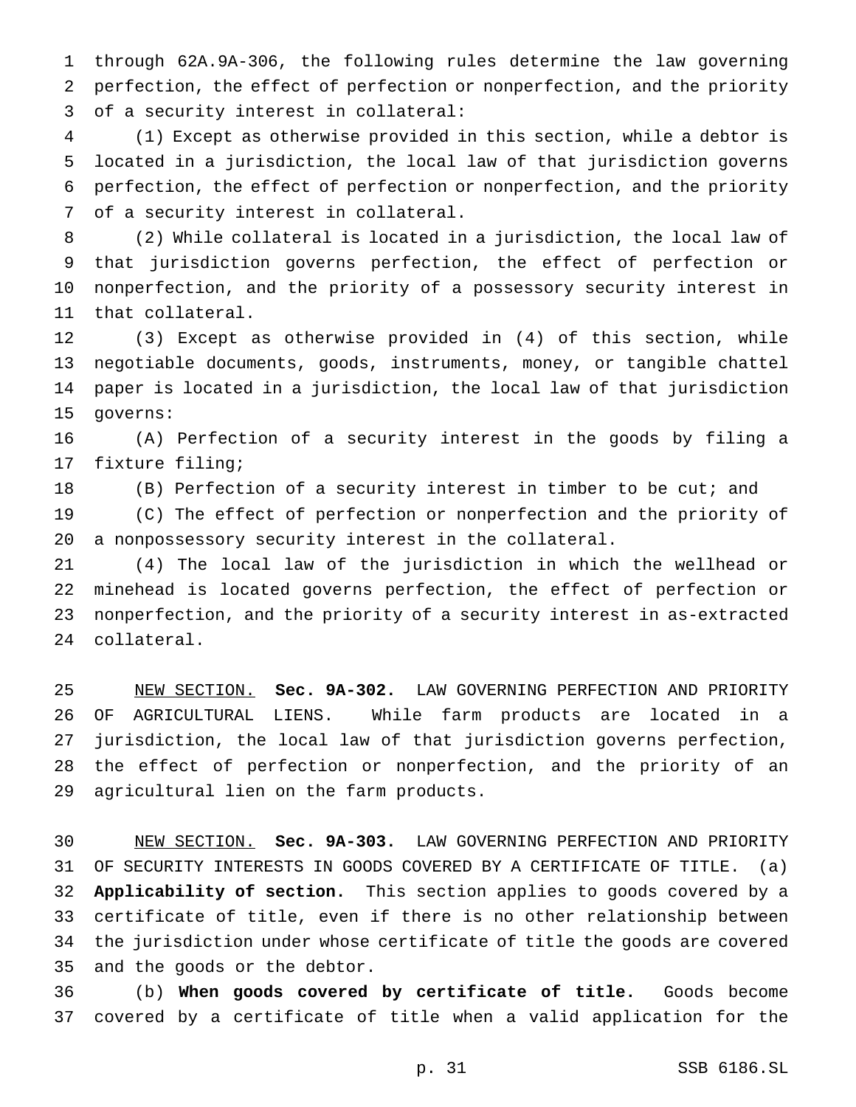through 62A.9A-306, the following rules determine the law governing perfection, the effect of perfection or nonperfection, and the priority of a security interest in collateral:

 (1) Except as otherwise provided in this section, while a debtor is located in a jurisdiction, the local law of that jurisdiction governs perfection, the effect of perfection or nonperfection, and the priority of a security interest in collateral.

 (2) While collateral is located in a jurisdiction, the local law of that jurisdiction governs perfection, the effect of perfection or nonperfection, and the priority of a possessory security interest in that collateral.

 (3) Except as otherwise provided in (4) of this section, while negotiable documents, goods, instruments, money, or tangible chattel paper is located in a jurisdiction, the local law of that jurisdiction governs:

 (A) Perfection of a security interest in the goods by filing a fixture filing;

(B) Perfection of a security interest in timber to be cut; and

 (C) The effect of perfection or nonperfection and the priority of a nonpossessory security interest in the collateral.

 (4) The local law of the jurisdiction in which the wellhead or minehead is located governs perfection, the effect of perfection or nonperfection, and the priority of a security interest in as-extracted collateral.

 NEW SECTION. **Sec. 9A-302.** LAW GOVERNING PERFECTION AND PRIORITY OF AGRICULTURAL LIENS. While farm products are located in a jurisdiction, the local law of that jurisdiction governs perfection, the effect of perfection or nonperfection, and the priority of an agricultural lien on the farm products.

 NEW SECTION. **Sec. 9A-303.** LAW GOVERNING PERFECTION AND PRIORITY OF SECURITY INTERESTS IN GOODS COVERED BY A CERTIFICATE OF TITLE. (a) **Applicability of section.** This section applies to goods covered by a certificate of title, even if there is no other relationship between the jurisdiction under whose certificate of title the goods are covered and the goods or the debtor.

 (b) **When goods covered by certificate of title.** Goods become covered by a certificate of title when a valid application for the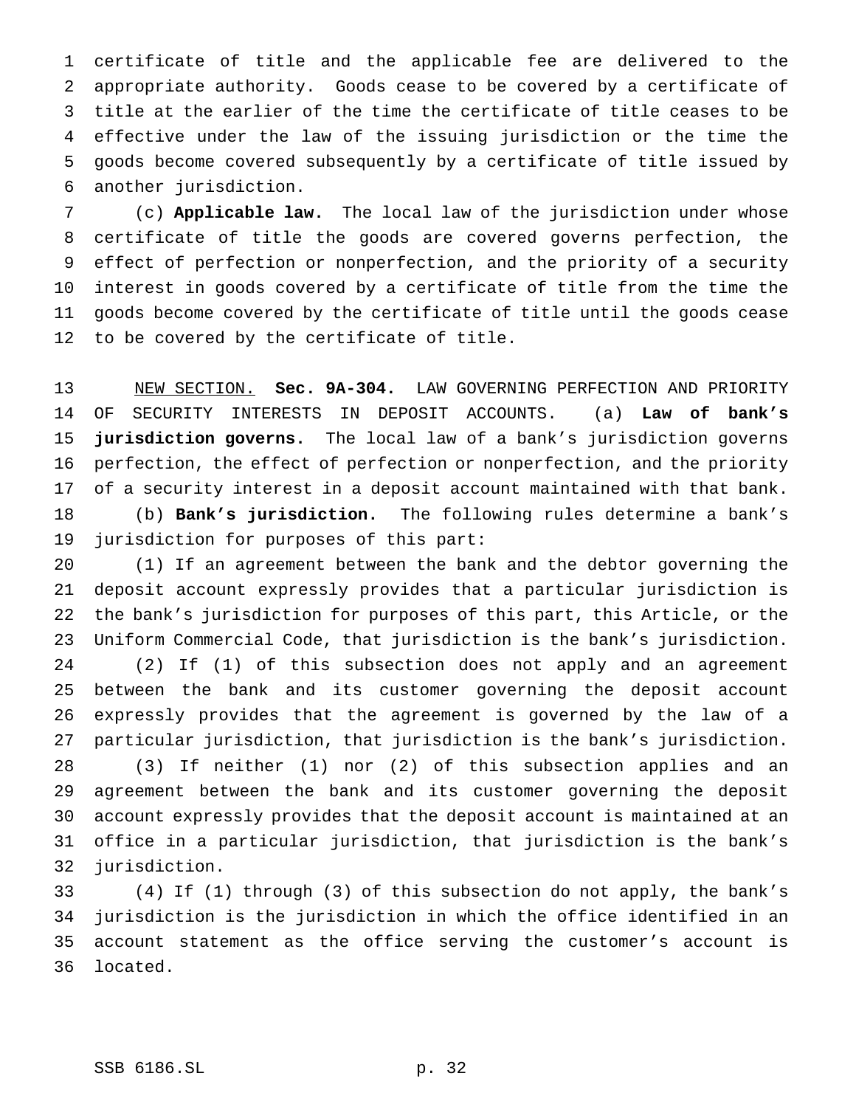certificate of title and the applicable fee are delivered to the appropriate authority. Goods cease to be covered by a certificate of title at the earlier of the time the certificate of title ceases to be effective under the law of the issuing jurisdiction or the time the goods become covered subsequently by a certificate of title issued by another jurisdiction.

 (c) **Applicable law.** The local law of the jurisdiction under whose certificate of title the goods are covered governs perfection, the effect of perfection or nonperfection, and the priority of a security interest in goods covered by a certificate of title from the time the goods become covered by the certificate of title until the goods cease to be covered by the certificate of title.

 NEW SECTION. **Sec. 9A-304.** LAW GOVERNING PERFECTION AND PRIORITY OF SECURITY INTERESTS IN DEPOSIT ACCOUNTS. (a) **Law of bank's jurisdiction governs.** The local law of a bank's jurisdiction governs perfection, the effect of perfection or nonperfection, and the priority of a security interest in a deposit account maintained with that bank.

 (b) **Bank's jurisdiction.** The following rules determine a bank's jurisdiction for purposes of this part:

 (1) If an agreement between the bank and the debtor governing the deposit account expressly provides that a particular jurisdiction is the bank's jurisdiction for purposes of this part, this Article, or the Uniform Commercial Code, that jurisdiction is the bank's jurisdiction. (2) If (1) of this subsection does not apply and an agreement between the bank and its customer governing the deposit account expressly provides that the agreement is governed by the law of a particular jurisdiction, that jurisdiction is the bank's jurisdiction. (3) If neither (1) nor (2) of this subsection applies and an agreement between the bank and its customer governing the deposit account expressly provides that the deposit account is maintained at an office in a particular jurisdiction, that jurisdiction is the bank's jurisdiction.

 (4) If (1) through (3) of this subsection do not apply, the bank's jurisdiction is the jurisdiction in which the office identified in an account statement as the office serving the customer's account is located.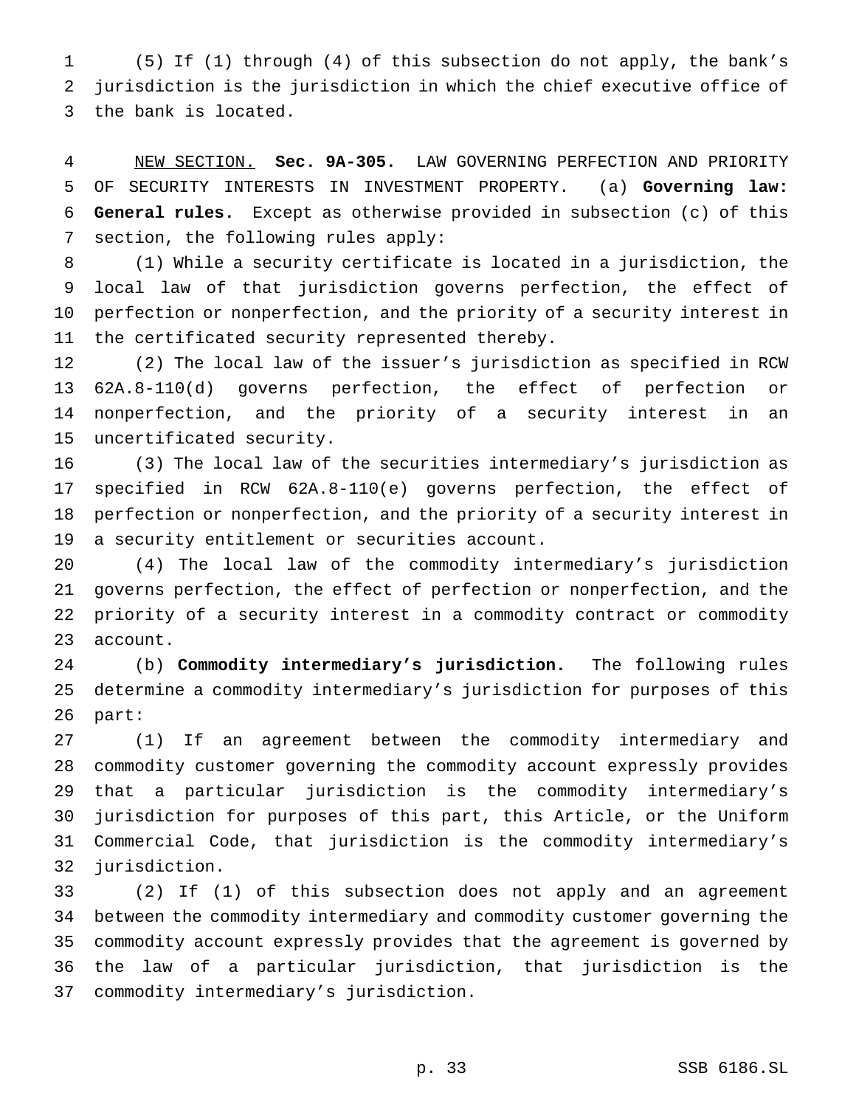(5) If (1) through (4) of this subsection do not apply, the bank's jurisdiction is the jurisdiction in which the chief executive office of the bank is located.

 NEW SECTION. **Sec. 9A-305.** LAW GOVERNING PERFECTION AND PRIORITY OF SECURITY INTERESTS IN INVESTMENT PROPERTY. (a) **Governing law: General rules.** Except as otherwise provided in subsection (c) of this section, the following rules apply:

 (1) While a security certificate is located in a jurisdiction, the local law of that jurisdiction governs perfection, the effect of perfection or nonperfection, and the priority of a security interest in the certificated security represented thereby.

 (2) The local law of the issuer's jurisdiction as specified in RCW 62A.8-110(d) governs perfection, the effect of perfection or nonperfection, and the priority of a security interest in an uncertificated security.

 (3) The local law of the securities intermediary's jurisdiction as specified in RCW 62A.8-110(e) governs perfection, the effect of perfection or nonperfection, and the priority of a security interest in a security entitlement or securities account.

 (4) The local law of the commodity intermediary's jurisdiction governs perfection, the effect of perfection or nonperfection, and the priority of a security interest in a commodity contract or commodity account.

 (b) **Commodity intermediary's jurisdiction.** The following rules determine a commodity intermediary's jurisdiction for purposes of this part:

 (1) If an agreement between the commodity intermediary and commodity customer governing the commodity account expressly provides that a particular jurisdiction is the commodity intermediary's jurisdiction for purposes of this part, this Article, or the Uniform Commercial Code, that jurisdiction is the commodity intermediary's jurisdiction.

 (2) If (1) of this subsection does not apply and an agreement between the commodity intermediary and commodity customer governing the commodity account expressly provides that the agreement is governed by the law of a particular jurisdiction, that jurisdiction is the commodity intermediary's jurisdiction.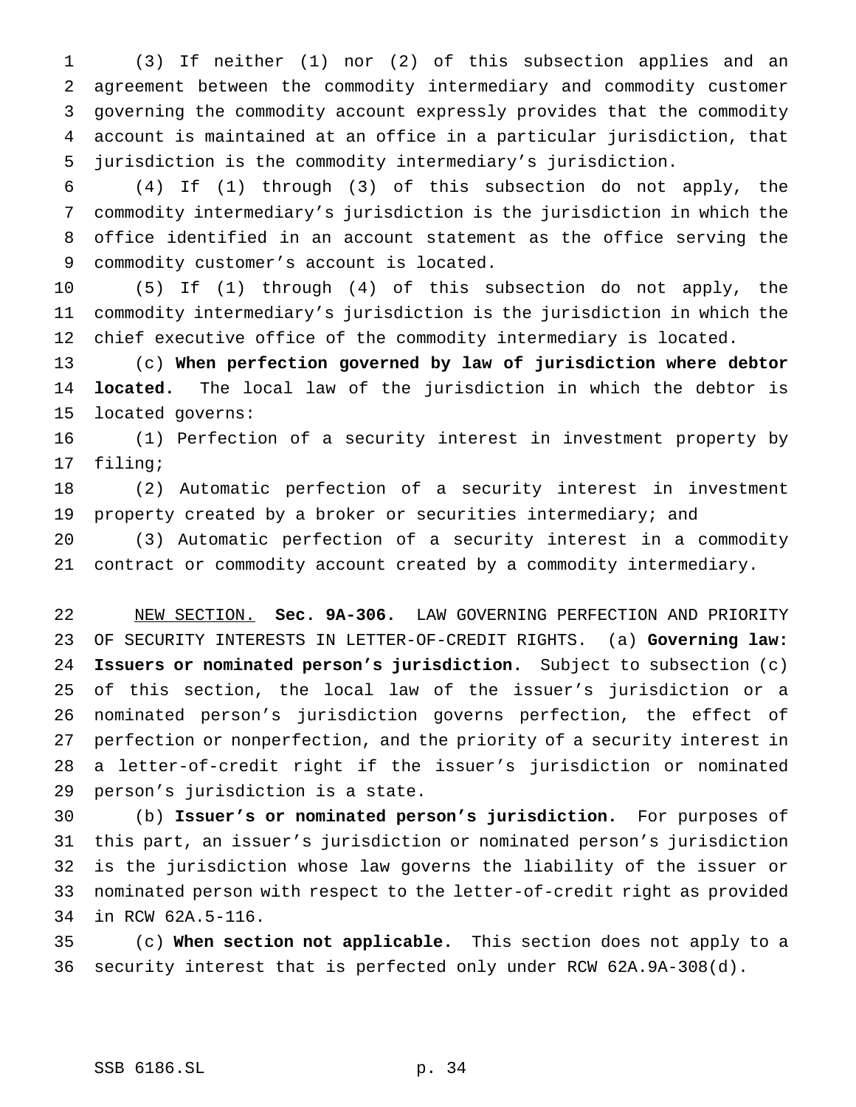(3) If neither (1) nor (2) of this subsection applies and an agreement between the commodity intermediary and commodity customer governing the commodity account expressly provides that the commodity account is maintained at an office in a particular jurisdiction, that jurisdiction is the commodity intermediary's jurisdiction.

 (4) If (1) through (3) of this subsection do not apply, the commodity intermediary's jurisdiction is the jurisdiction in which the office identified in an account statement as the office serving the commodity customer's account is located.

 (5) If (1) through (4) of this subsection do not apply, the commodity intermediary's jurisdiction is the jurisdiction in which the chief executive office of the commodity intermediary is located.

 (c) **When perfection governed by law of jurisdiction where debtor located.** The local law of the jurisdiction in which the debtor is located governs:

 (1) Perfection of a security interest in investment property by filing;

 (2) Automatic perfection of a security interest in investment property created by a broker or securities intermediary; and

 (3) Automatic perfection of a security interest in a commodity contract or commodity account created by a commodity intermediary.

 NEW SECTION. **Sec. 9A-306.** LAW GOVERNING PERFECTION AND PRIORITY OF SECURITY INTERESTS IN LETTER-OF-CREDIT RIGHTS. (a) **Governing law: Issuers or nominated person's jurisdiction.** Subject to subsection (c) of this section, the local law of the issuer's jurisdiction or a nominated person's jurisdiction governs perfection, the effect of perfection or nonperfection, and the priority of a security interest in a letter-of-credit right if the issuer's jurisdiction or nominated person's jurisdiction is a state.

 (b) **Issuer's or nominated person's jurisdiction.** For purposes of this part, an issuer's jurisdiction or nominated person's jurisdiction is the jurisdiction whose law governs the liability of the issuer or nominated person with respect to the letter-of-credit right as provided in RCW 62A.5-116.

 (c) **When section not applicable.** This section does not apply to a security interest that is perfected only under RCW 62A.9A-308(d).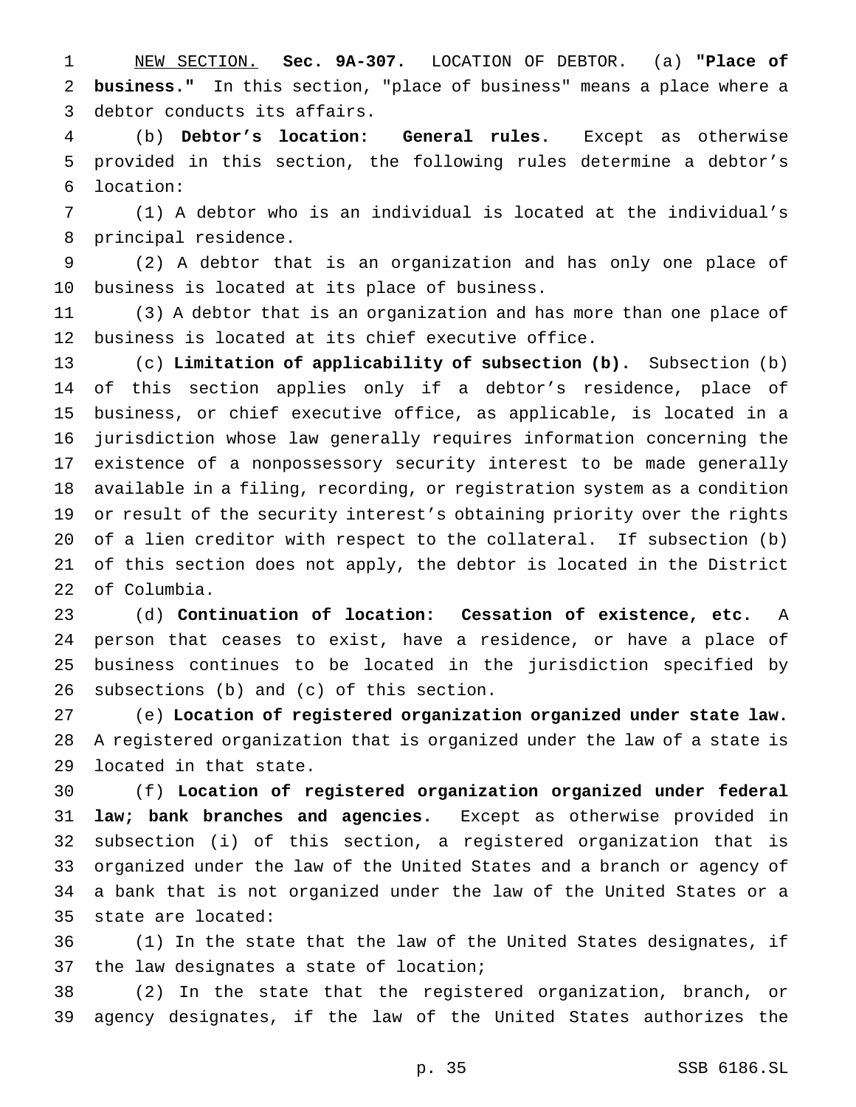NEW SECTION. **Sec. 9A-307.** LOCATION OF DEBTOR. (a) **"Place of business."** In this section, "place of business" means a place where a debtor conducts its affairs.

 (b) **Debtor's location: General rules.** Except as otherwise provided in this section, the following rules determine a debtor's location:

 (1) A debtor who is an individual is located at the individual's principal residence.

 (2) A debtor that is an organization and has only one place of business is located at its place of business.

 (3) A debtor that is an organization and has more than one place of business is located at its chief executive office.

 (c) **Limitation of applicability of subsection (b).** Subsection (b) of this section applies only if a debtor's residence, place of business, or chief executive office, as applicable, is located in a jurisdiction whose law generally requires information concerning the existence of a nonpossessory security interest to be made generally available in a filing, recording, or registration system as a condition or result of the security interest's obtaining priority over the rights of a lien creditor with respect to the collateral. If subsection (b) of this section does not apply, the debtor is located in the District of Columbia.

 (d) **Continuation of location: Cessation of existence, etc.** A person that ceases to exist, have a residence, or have a place of business continues to be located in the jurisdiction specified by subsections (b) and (c) of this section.

 (e) **Location of registered organization organized under state law.** A registered organization that is organized under the law of a state is located in that state.

 (f) **Location of registered organization organized under federal law; bank branches and agencies.** Except as otherwise provided in subsection (i) of this section, a registered organization that is organized under the law of the United States and a branch or agency of a bank that is not organized under the law of the United States or a state are located:

 (1) In the state that the law of the United States designates, if the law designates a state of location;

 (2) In the state that the registered organization, branch, or agency designates, if the law of the United States authorizes the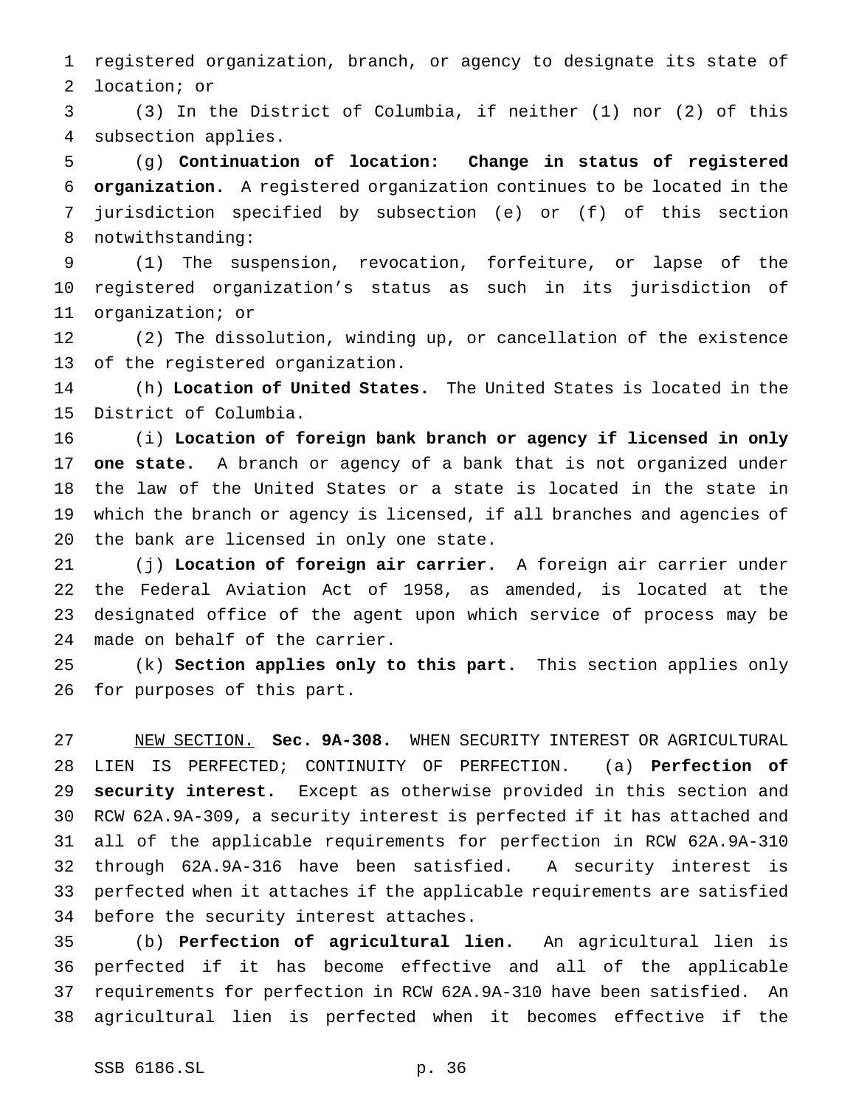registered organization, branch, or agency to designate its state of location; or

 (3) In the District of Columbia, if neither (1) nor (2) of this subsection applies.

 (g) **Continuation of location: Change in status of registered organization.** A registered organization continues to be located in the jurisdiction specified by subsection (e) or (f) of this section notwithstanding:

 (1) The suspension, revocation, forfeiture, or lapse of the registered organization's status as such in its jurisdiction of organization; or

 (2) The dissolution, winding up, or cancellation of the existence of the registered organization.

 (h) **Location of United States.** The United States is located in the District of Columbia.

 (i) **Location of foreign bank branch or agency if licensed in only one state.** A branch or agency of a bank that is not organized under the law of the United States or a state is located in the state in which the branch or agency is licensed, if all branches and agencies of the bank are licensed in only one state.

 (j) **Location of foreign air carrier.** A foreign air carrier under the Federal Aviation Act of 1958, as amended, is located at the designated office of the agent upon which service of process may be made on behalf of the carrier.

 (k) **Section applies only to this part.** This section applies only for purposes of this part.

 NEW SECTION. **Sec. 9A-308.** WHEN SECURITY INTEREST OR AGRICULTURAL LIEN IS PERFECTED; CONTINUITY OF PERFECTION. (a) **Perfection of security interest.** Except as otherwise provided in this section and RCW 62A.9A-309, a security interest is perfected if it has attached and all of the applicable requirements for perfection in RCW 62A.9A-310 through 62A.9A-316 have been satisfied. A security interest is perfected when it attaches if the applicable requirements are satisfied before the security interest attaches.

 (b) **Perfection of agricultural lien.** An agricultural lien is perfected if it has become effective and all of the applicable requirements for perfection in RCW 62A.9A-310 have been satisfied. An agricultural lien is perfected when it becomes effective if the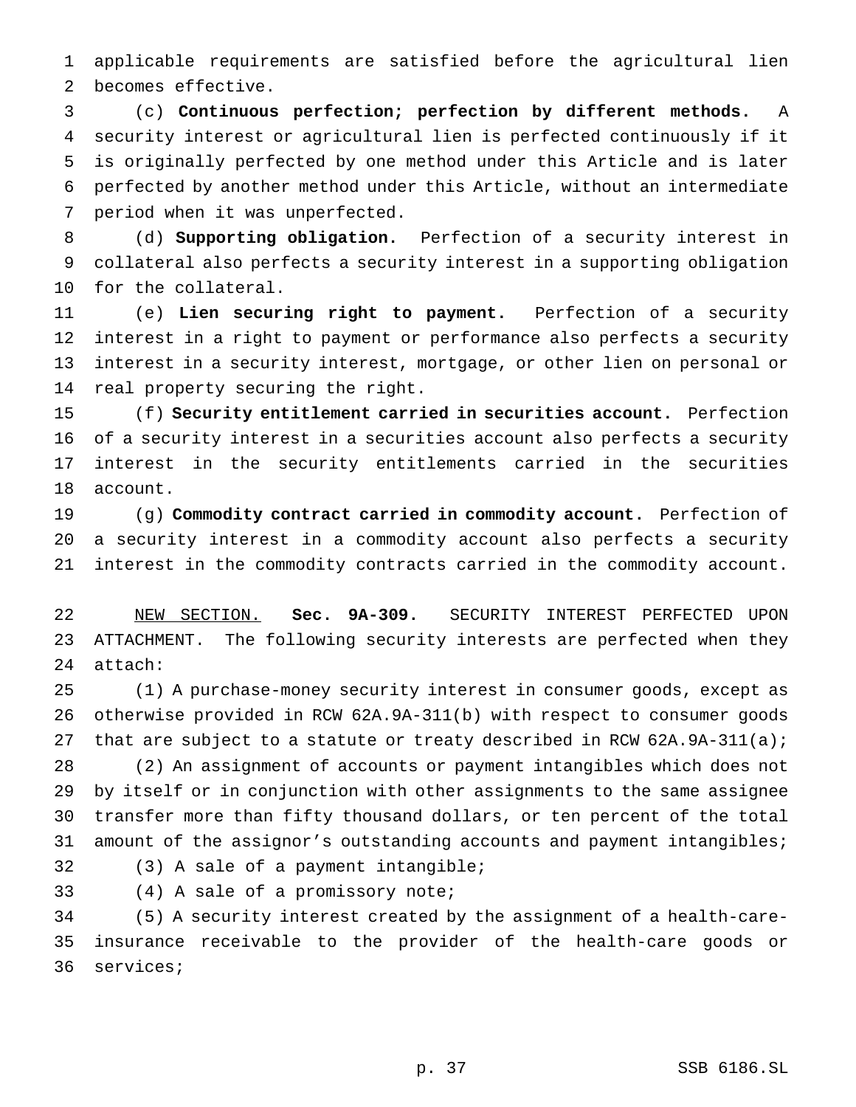applicable requirements are satisfied before the agricultural lien becomes effective.

 (c) **Continuous perfection; perfection by different methods.** A security interest or agricultural lien is perfected continuously if it is originally perfected by one method under this Article and is later perfected by another method under this Article, without an intermediate period when it was unperfected.

 (d) **Supporting obligation.** Perfection of a security interest in collateral also perfects a security interest in a supporting obligation for the collateral.

 (e) **Lien securing right to payment.** Perfection of a security interest in a right to payment or performance also perfects a security interest in a security interest, mortgage, or other lien on personal or real property securing the right.

 (f) **Security entitlement carried in securities account.** Perfection of a security interest in a securities account also perfects a security interest in the security entitlements carried in the securities account.

 (g) **Commodity contract carried in commodity account.** Perfection of a security interest in a commodity account also perfects a security interest in the commodity contracts carried in the commodity account.

 NEW SECTION. **Sec. 9A-309.** SECURITY INTEREST PERFECTED UPON ATTACHMENT. The following security interests are perfected when they attach:

 (1) A purchase-money security interest in consumer goods, except as otherwise provided in RCW 62A.9A-311(b) with respect to consumer goods 27 that are subject to a statute or treaty described in RCW 62A.9A-311(a);

 (2) An assignment of accounts or payment intangibles which does not by itself or in conjunction with other assignments to the same assignee transfer more than fifty thousand dollars, or ten percent of the total 31 amount of the assignor's outstanding accounts and payment intangibles; (3) A sale of a payment intangible;

(4) A sale of a promissory note;

 (5) A security interest created by the assignment of a health-care- insurance receivable to the provider of the health-care goods or services;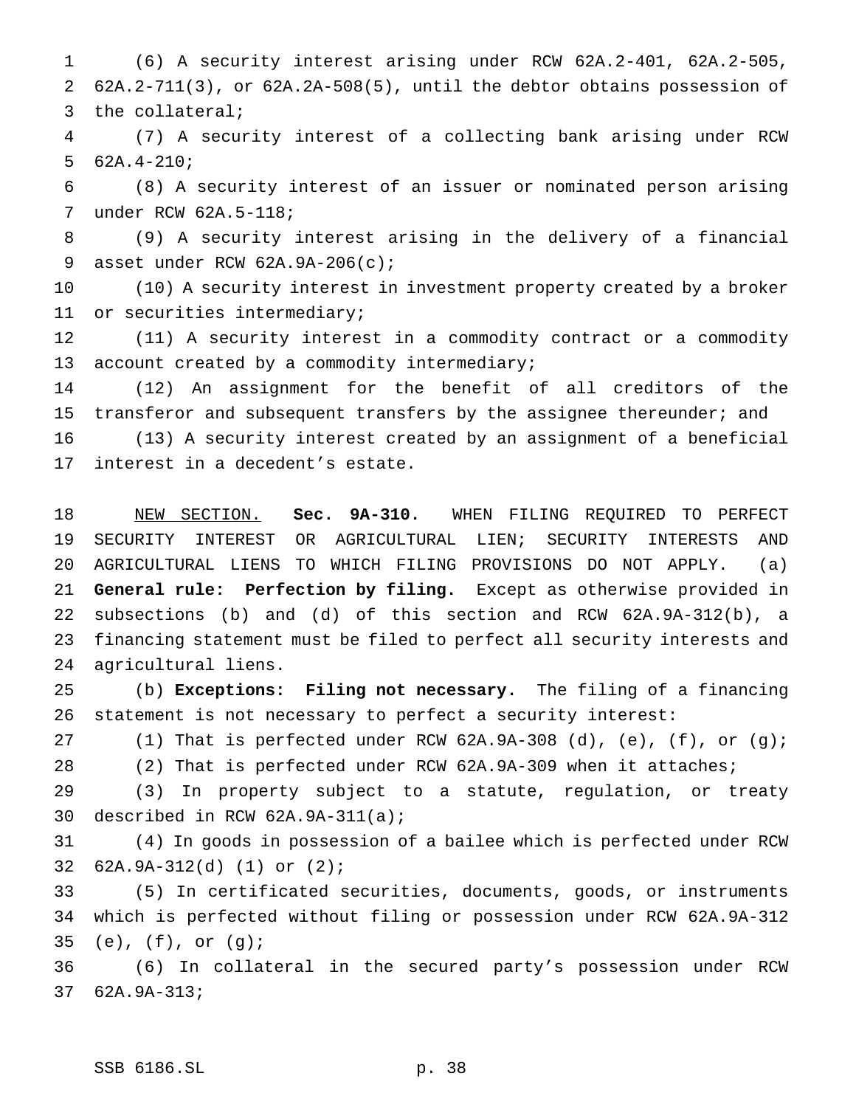(6) A security interest arising under RCW 62A.2-401, 62A.2-505, 62A.2-711(3), or 62A.2A-508(5), until the debtor obtains possession of the collateral;

 (7) A security interest of a collecting bank arising under RCW 62A.4-210;

 (8) A security interest of an issuer or nominated person arising under RCW 62A.5-118;

 (9) A security interest arising in the delivery of a financial asset under RCW 62A.9A-206(c);

 (10) A security interest in investment property created by a broker or securities intermediary;

 (11) A security interest in a commodity contract or a commodity 13 account created by a commodity intermediary;

 (12) An assignment for the benefit of all creditors of the 15 transferor and subsequent transfers by the assignee thereunder; and (13) A security interest created by an assignment of a beneficial

interest in a decedent's estate.

 NEW SECTION. **Sec. 9A-310.** WHEN FILING REQUIRED TO PERFECT SECURITY INTEREST OR AGRICULTURAL LIEN; SECURITY INTERESTS AND AGRICULTURAL LIENS TO WHICH FILING PROVISIONS DO NOT APPLY. (a) **General rule: Perfection by filing.** Except as otherwise provided in subsections (b) and (d) of this section and RCW 62A.9A-312(b), a financing statement must be filed to perfect all security interests and agricultural liens.

 (b) **Exceptions: Filing not necessary.** The filing of a financing statement is not necessary to perfect a security interest:

 (1) That is perfected under RCW 62A.9A-308 (d), (e), (f), or (g); (2) That is perfected under RCW 62A.9A-309 when it attaches;

 (3) In property subject to a statute, regulation, or treaty described in RCW 62A.9A-311(a);

 (4) In goods in possession of a bailee which is perfected under RCW 62A.9A-312(d) (1) or (2);

 (5) In certificated securities, documents, goods, or instruments which is perfected without filing or possession under RCW 62A.9A-312 (e), (f), or (g);

 (6) In collateral in the secured party's possession under RCW 62A.9A-313;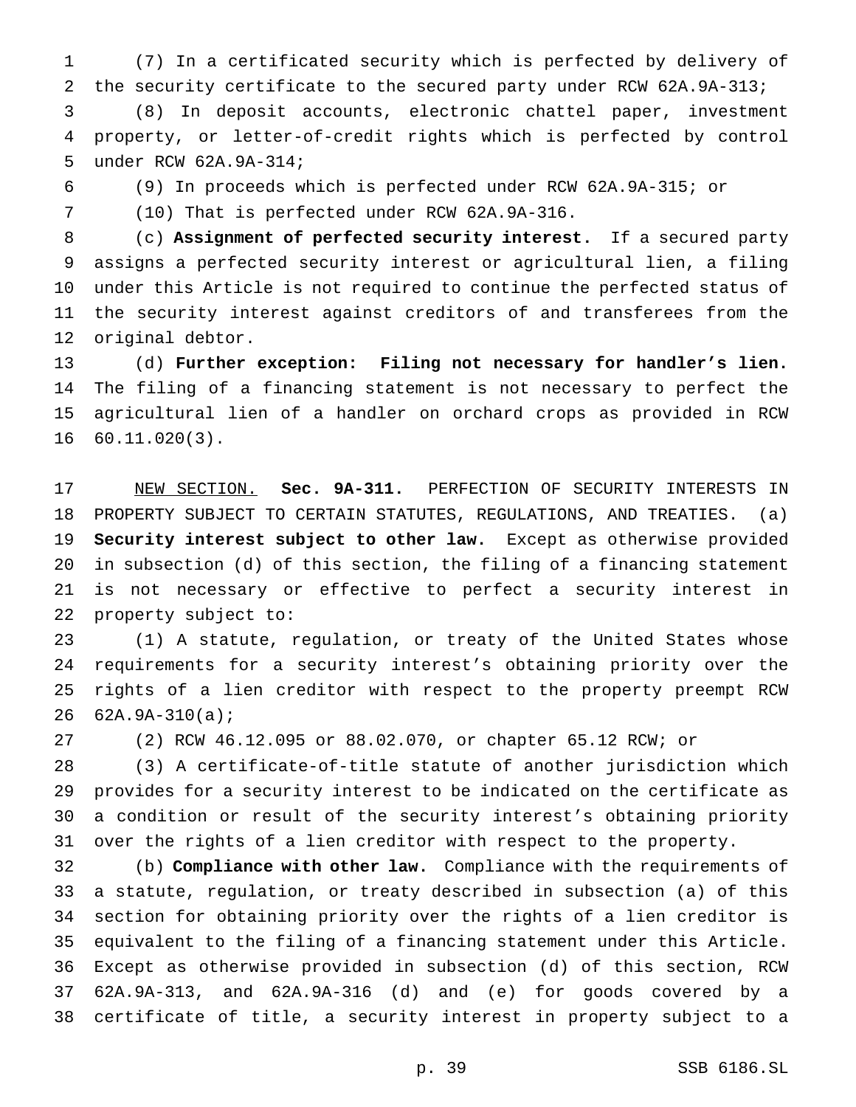(7) In a certificated security which is perfected by delivery of the security certificate to the secured party under RCW 62A.9A-313;

 (8) In deposit accounts, electronic chattel paper, investment property, or letter-of-credit rights which is perfected by control under RCW 62A.9A-314;

(9) In proceeds which is perfected under RCW 62A.9A-315; or

(10) That is perfected under RCW 62A.9A-316.

 (c) **Assignment of perfected security interest.** If a secured party assigns a perfected security interest or agricultural lien, a filing under this Article is not required to continue the perfected status of the security interest against creditors of and transferees from the original debtor.

 (d) **Further exception: Filing not necessary for handler's lien.** The filing of a financing statement is not necessary to perfect the agricultural lien of a handler on orchard crops as provided in RCW 60.11.020(3).

 NEW SECTION. **Sec. 9A-311.** PERFECTION OF SECURITY INTERESTS IN PROPERTY SUBJECT TO CERTAIN STATUTES, REGULATIONS, AND TREATIES. (a) **Security interest subject to other law.** Except as otherwise provided in subsection (d) of this section, the filing of a financing statement is not necessary or effective to perfect a security interest in property subject to:

 (1) A statute, regulation, or treaty of the United States whose requirements for a security interest's obtaining priority over the rights of a lien creditor with respect to the property preempt RCW 62A.9A-310(a);

(2) RCW 46.12.095 or 88.02.070, or chapter 65.12 RCW; or

 (3) A certificate-of-title statute of another jurisdiction which provides for a security interest to be indicated on the certificate as a condition or result of the security interest's obtaining priority over the rights of a lien creditor with respect to the property.

 (b) **Compliance with other law.** Compliance with the requirements of a statute, regulation, or treaty described in subsection (a) of this section for obtaining priority over the rights of a lien creditor is equivalent to the filing of a financing statement under this Article. Except as otherwise provided in subsection (d) of this section, RCW 62A.9A-313, and 62A.9A-316 (d) and (e) for goods covered by a certificate of title, a security interest in property subject to a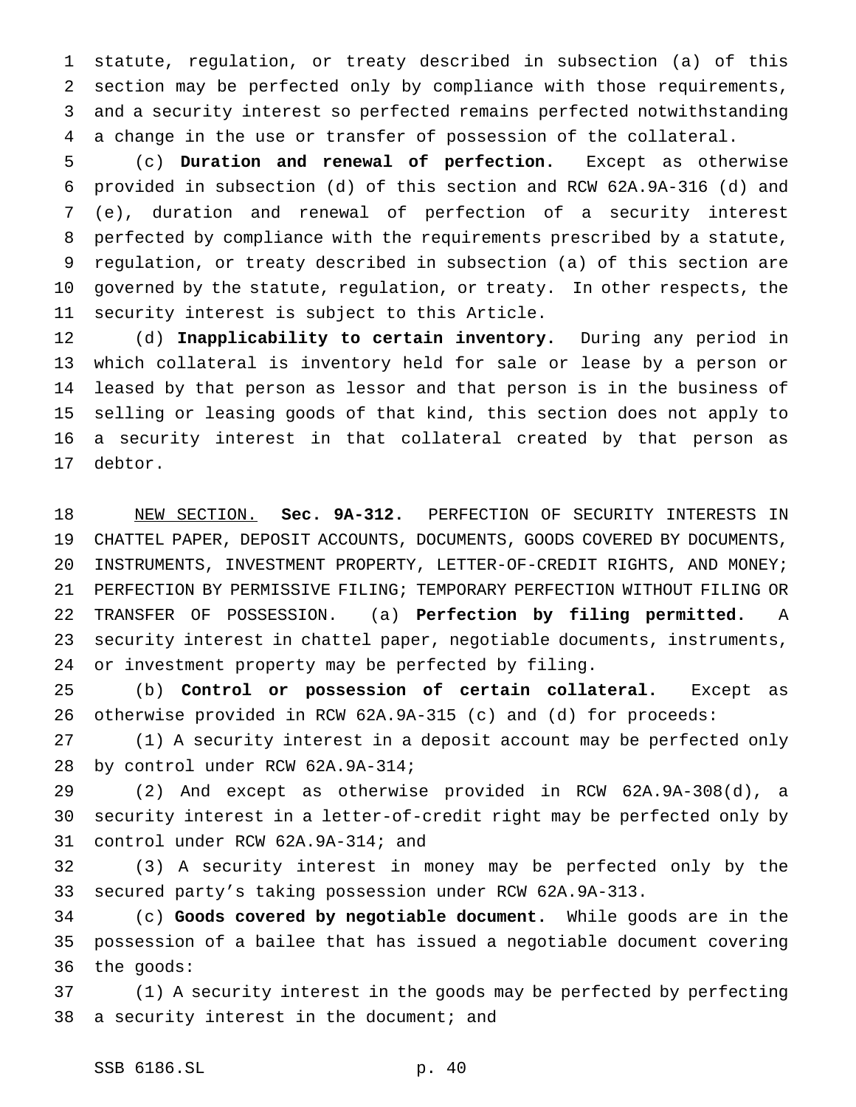statute, regulation, or treaty described in subsection (a) of this section may be perfected only by compliance with those requirements, and a security interest so perfected remains perfected notwithstanding a change in the use or transfer of possession of the collateral.

 (c) **Duration and renewal of perfection.** Except as otherwise provided in subsection (d) of this section and RCW 62A.9A-316 (d) and (e), duration and renewal of perfection of a security interest perfected by compliance with the requirements prescribed by a statute, regulation, or treaty described in subsection (a) of this section are governed by the statute, regulation, or treaty. In other respects, the security interest is subject to this Article.

 (d) **Inapplicability to certain inventory.** During any period in which collateral is inventory held for sale or lease by a person or leased by that person as lessor and that person is in the business of selling or leasing goods of that kind, this section does not apply to a security interest in that collateral created by that person as debtor.

 NEW SECTION. **Sec. 9A-312.** PERFECTION OF SECURITY INTERESTS IN CHATTEL PAPER, DEPOSIT ACCOUNTS, DOCUMENTS, GOODS COVERED BY DOCUMENTS, INSTRUMENTS, INVESTMENT PROPERTY, LETTER-OF-CREDIT RIGHTS, AND MONEY; PERFECTION BY PERMISSIVE FILING; TEMPORARY PERFECTION WITHOUT FILING OR TRANSFER OF POSSESSION. (a) **Perfection by filing permitted.** A security interest in chattel paper, negotiable documents, instruments, or investment property may be perfected by filing.

 (b) **Control or possession of certain collateral.** Except as otherwise provided in RCW 62A.9A-315 (c) and (d) for proceeds:

 (1) A security interest in a deposit account may be perfected only by control under RCW 62A.9A-314;

 (2) And except as otherwise provided in RCW 62A.9A-308(d), a security interest in a letter-of-credit right may be perfected only by control under RCW 62A.9A-314; and

 (3) A security interest in money may be perfected only by the secured party's taking possession under RCW 62A.9A-313.

 (c) **Goods covered by negotiable document.** While goods are in the possession of a bailee that has issued a negotiable document covering the goods:

 (1) A security interest in the goods may be perfected by perfecting 38 a security interest in the document; and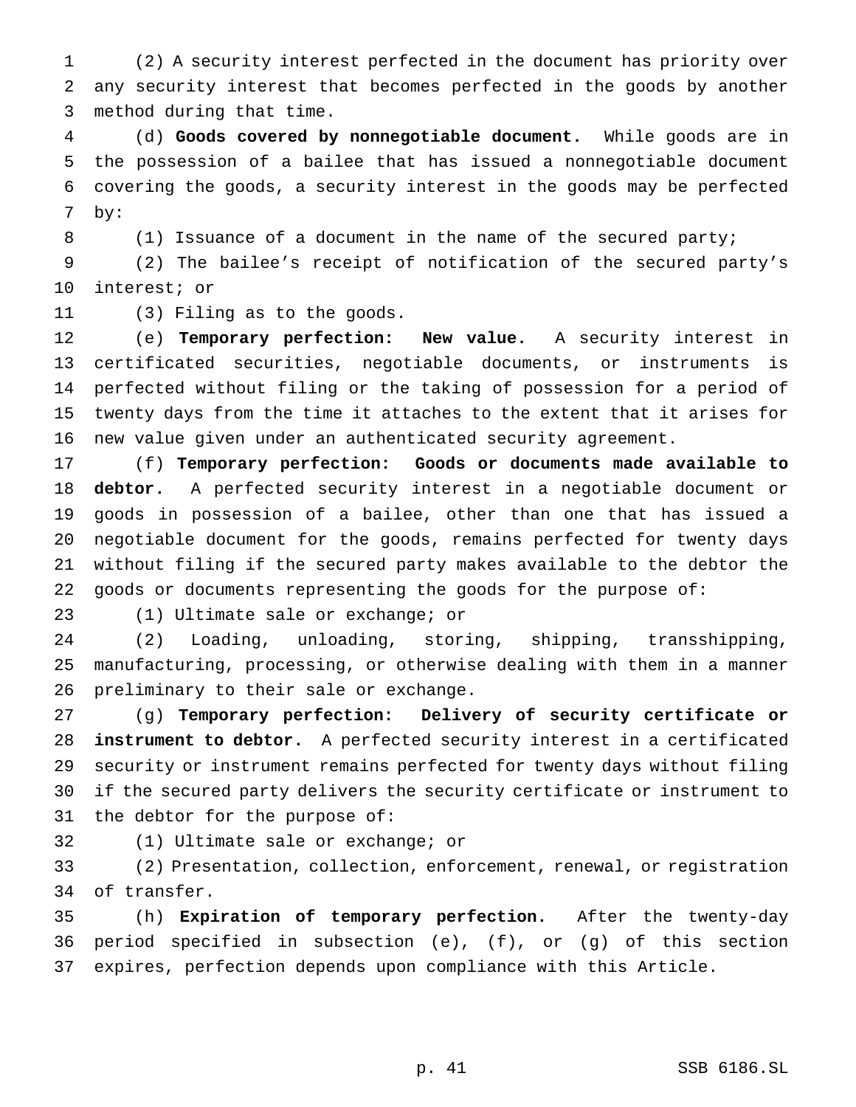(2) A security interest perfected in the document has priority over any security interest that becomes perfected in the goods by another method during that time.

 (d) **Goods covered by nonnegotiable document.** While goods are in the possession of a bailee that has issued a nonnegotiable document covering the goods, a security interest in the goods may be perfected by:

8 (1) Issuance of a document in the name of the secured party;

 (2) The bailee's receipt of notification of the secured party's interest; or

(3) Filing as to the goods.

 (e) **Temporary perfection: New value.** A security interest in certificated securities, negotiable documents, or instruments is perfected without filing or the taking of possession for a period of twenty days from the time it attaches to the extent that it arises for new value given under an authenticated security agreement.

 (f) **Temporary perfection: Goods or documents made available to debtor.** A perfected security interest in a negotiable document or goods in possession of a bailee, other than one that has issued a negotiable document for the goods, remains perfected for twenty days without filing if the secured party makes available to the debtor the goods or documents representing the goods for the purpose of:

(1) Ultimate sale or exchange; or

 (2) Loading, unloading, storing, shipping, transshipping, manufacturing, processing, or otherwise dealing with them in a manner preliminary to their sale or exchange.

 (g) **Temporary perfection: Delivery of security certificate or instrument to debtor.** A perfected security interest in a certificated security or instrument remains perfected for twenty days without filing if the secured party delivers the security certificate or instrument to the debtor for the purpose of:

(1) Ultimate sale or exchange; or

 (2) Presentation, collection, enforcement, renewal, or registration of transfer.

 (h) **Expiration of temporary perfection.** After the twenty-day period specified in subsection (e), (f), or (g) of this section expires, perfection depends upon compliance with this Article.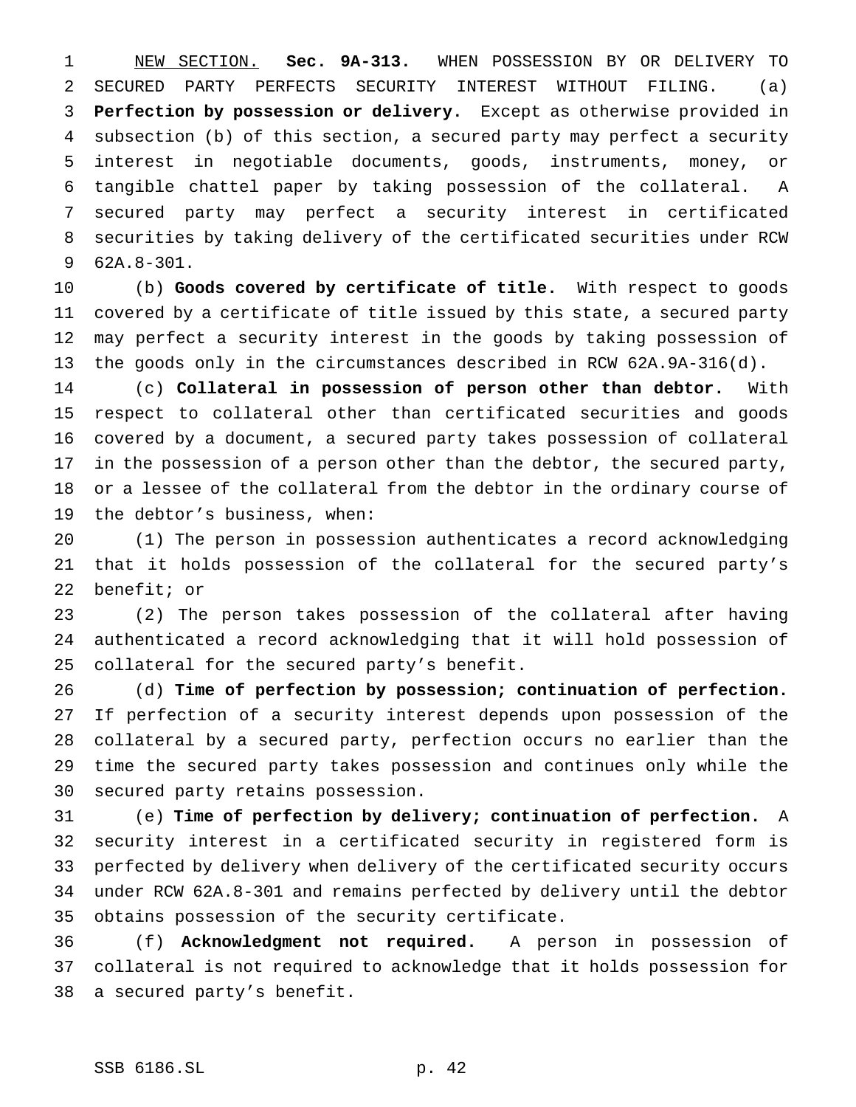NEW SECTION. **Sec. 9A-313.** WHEN POSSESSION BY OR DELIVERY TO SECURED PARTY PERFECTS SECURITY INTEREST WITHOUT FILING. (a) **Perfection by possession or delivery.** Except as otherwise provided in subsection (b) of this section, a secured party may perfect a security interest in negotiable documents, goods, instruments, money, or tangible chattel paper by taking possession of the collateral. A secured party may perfect a security interest in certificated securities by taking delivery of the certificated securities under RCW 62A.8-301.

 (b) **Goods covered by certificate of title.** With respect to goods covered by a certificate of title issued by this state, a secured party may perfect a security interest in the goods by taking possession of the goods only in the circumstances described in RCW 62A.9A-316(d).

 (c) **Collateral in possession of person other than debtor.** With respect to collateral other than certificated securities and goods covered by a document, a secured party takes possession of collateral in the possession of a person other than the debtor, the secured party, or a lessee of the collateral from the debtor in the ordinary course of the debtor's business, when:

 (1) The person in possession authenticates a record acknowledging that it holds possession of the collateral for the secured party's benefit; or

 (2) The person takes possession of the collateral after having authenticated a record acknowledging that it will hold possession of collateral for the secured party's benefit.

 (d) **Time of perfection by possession; continuation of perfection.** If perfection of a security interest depends upon possession of the collateral by a secured party, perfection occurs no earlier than the time the secured party takes possession and continues only while the secured party retains possession.

 (e) **Time of perfection by delivery; continuation of perfection.** A security interest in a certificated security in registered form is perfected by delivery when delivery of the certificated security occurs under RCW 62A.8-301 and remains perfected by delivery until the debtor obtains possession of the security certificate.

 (f) **Acknowledgment not required.** A person in possession of collateral is not required to acknowledge that it holds possession for a secured party's benefit.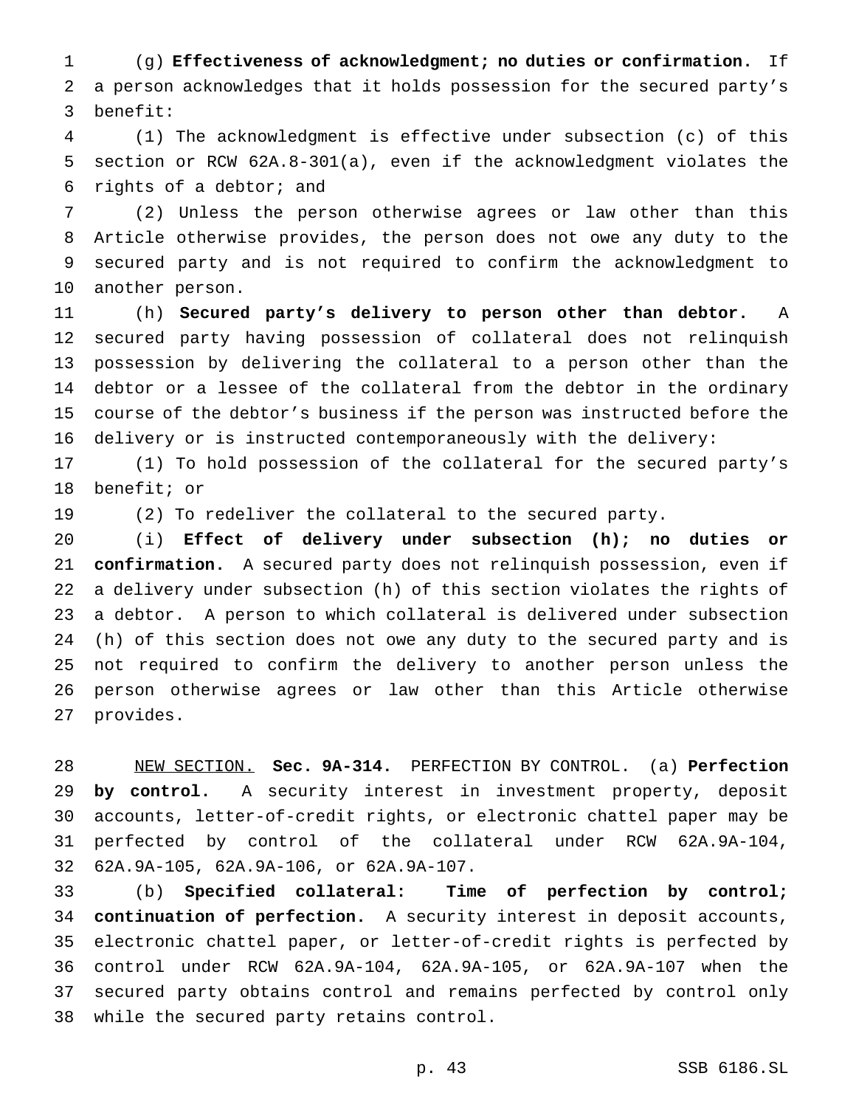(g) **Effectiveness of acknowledgment; no duties or confirmation.** If a person acknowledges that it holds possession for the secured party's benefit:

 (1) The acknowledgment is effective under subsection (c) of this section or RCW 62A.8-301(a), even if the acknowledgment violates the rights of a debtor; and

 (2) Unless the person otherwise agrees or law other than this Article otherwise provides, the person does not owe any duty to the secured party and is not required to confirm the acknowledgment to another person.

 (h) **Secured party's delivery to person other than debtor.** A secured party having possession of collateral does not relinquish possession by delivering the collateral to a person other than the debtor or a lessee of the collateral from the debtor in the ordinary course of the debtor's business if the person was instructed before the delivery or is instructed contemporaneously with the delivery:

 (1) To hold possession of the collateral for the secured party's benefit; or

(2) To redeliver the collateral to the secured party.

 (i) **Effect of delivery under subsection (h); no duties or confirmation.** A secured party does not relinquish possession, even if a delivery under subsection (h) of this section violates the rights of a debtor. A person to which collateral is delivered under subsection (h) of this section does not owe any duty to the secured party and is not required to confirm the delivery to another person unless the person otherwise agrees or law other than this Article otherwise provides.

 NEW SECTION. **Sec. 9A-314.** PERFECTION BY CONTROL. (a) **Perfection by control.** A security interest in investment property, deposit accounts, letter-of-credit rights, or electronic chattel paper may be perfected by control of the collateral under RCW 62A.9A-104, 62A.9A-105, 62A.9A-106, or 62A.9A-107.

 (b) **Specified collateral: Time of perfection by control; continuation of perfection.** A security interest in deposit accounts, electronic chattel paper, or letter-of-credit rights is perfected by control under RCW 62A.9A-104, 62A.9A-105, or 62A.9A-107 when the secured party obtains control and remains perfected by control only while the secured party retains control.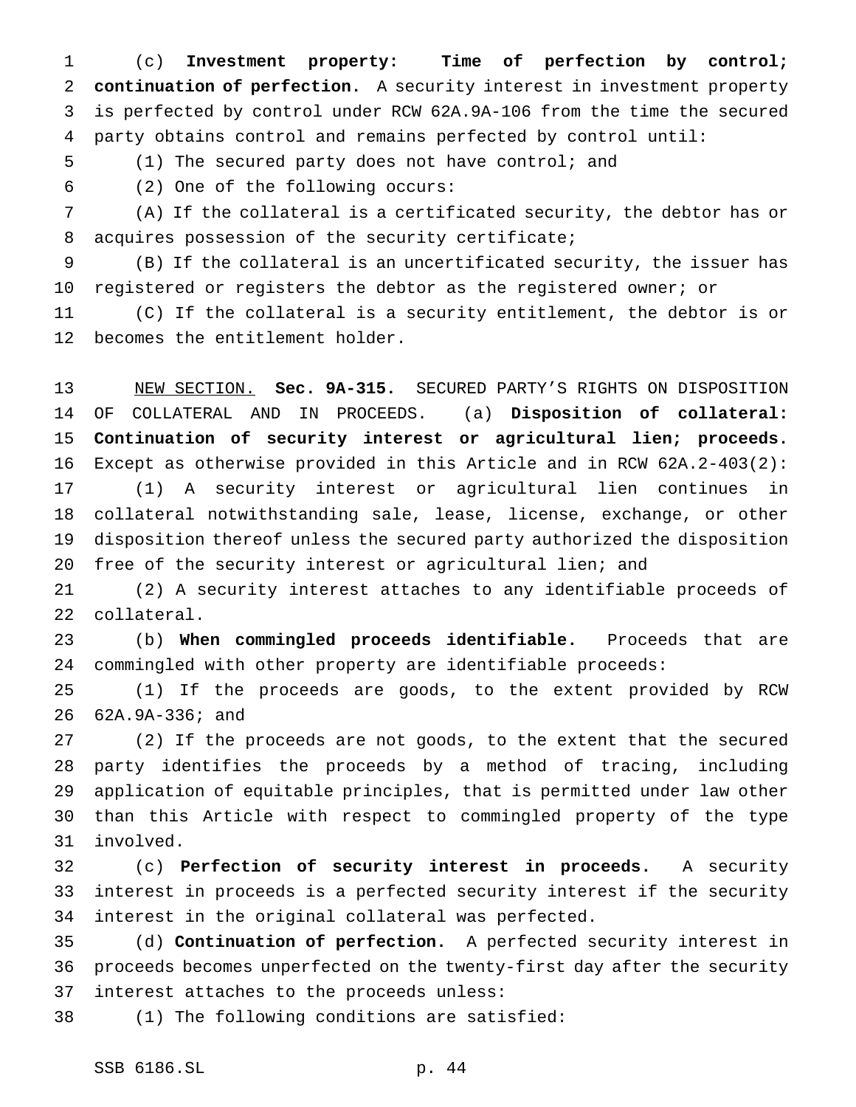(c) **Investment property: Time of perfection by control; continuation of perfection.** A security interest in investment property is perfected by control under RCW 62A.9A-106 from the time the secured party obtains control and remains perfected by control until:

(1) The secured party does not have control; and

(2) One of the following occurs:

 (A) If the collateral is a certificated security, the debtor has or acquires possession of the security certificate;

 (B) If the collateral is an uncertificated security, the issuer has registered or registers the debtor as the registered owner; or

 (C) If the collateral is a security entitlement, the debtor is or becomes the entitlement holder.

 NEW SECTION. **Sec. 9A-315.** SECURED PARTY'S RIGHTS ON DISPOSITION OF COLLATERAL AND IN PROCEEDS. (a) **Disposition of collateral: Continuation of security interest or agricultural lien; proceeds.** Except as otherwise provided in this Article and in RCW 62A.2-403(2): (1) A security interest or agricultural lien continues in collateral notwithstanding sale, lease, license, exchange, or other disposition thereof unless the secured party authorized the disposition free of the security interest or agricultural lien; and

 (2) A security interest attaches to any identifiable proceeds of collateral.

 (b) **When commingled proceeds identifiable.** Proceeds that are commingled with other property are identifiable proceeds:

 (1) If the proceeds are goods, to the extent provided by RCW 62A.9A-336; and

 (2) If the proceeds are not goods, to the extent that the secured party identifies the proceeds by a method of tracing, including application of equitable principles, that is permitted under law other than this Article with respect to commingled property of the type involved.

 (c) **Perfection of security interest in proceeds.** A security interest in proceeds is a perfected security interest if the security interest in the original collateral was perfected.

 (d) **Continuation of perfection.** A perfected security interest in proceeds becomes unperfected on the twenty-first day after the security interest attaches to the proceeds unless:

(1) The following conditions are satisfied: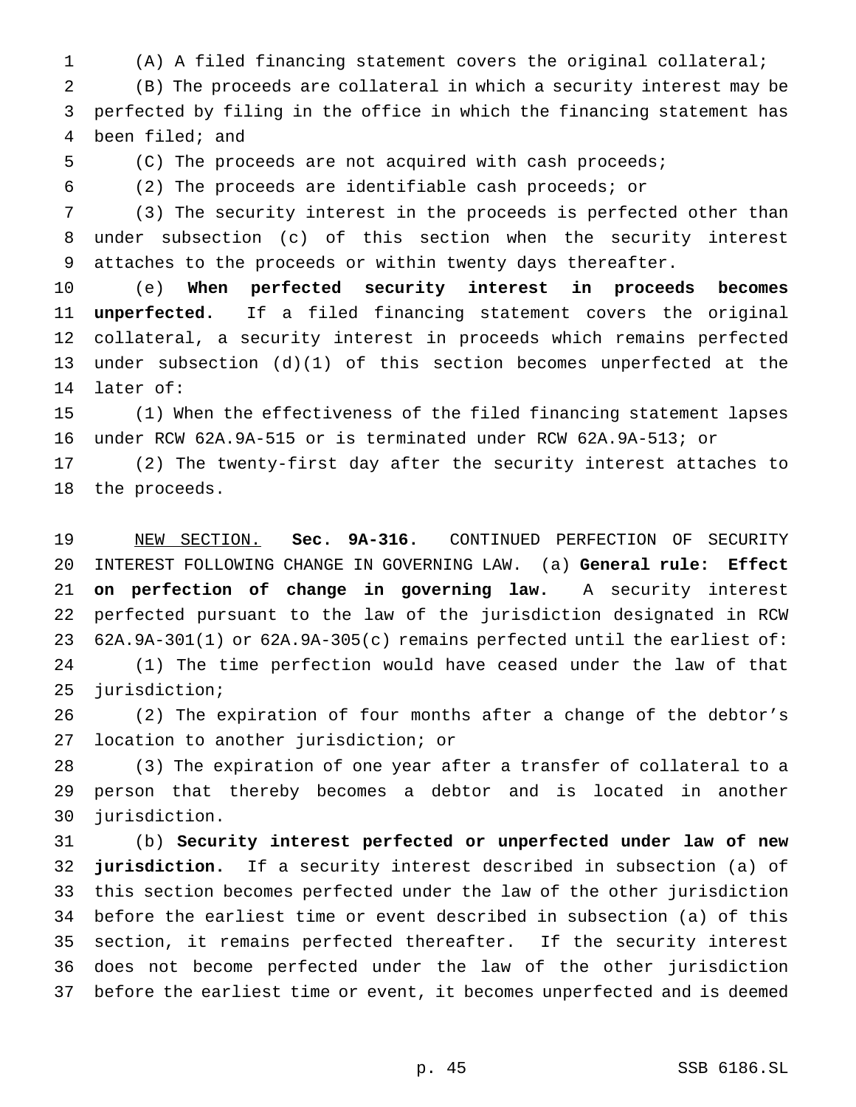(A) A filed financing statement covers the original collateral;

 (B) The proceeds are collateral in which a security interest may be perfected by filing in the office in which the financing statement has been filed; and

(C) The proceeds are not acquired with cash proceeds;

(2) The proceeds are identifiable cash proceeds; or

 (3) The security interest in the proceeds is perfected other than under subsection (c) of this section when the security interest attaches to the proceeds or within twenty days thereafter.

 (e) **When perfected security interest in proceeds becomes unperfected.** If a filed financing statement covers the original collateral, a security interest in proceeds which remains perfected under subsection (d)(1) of this section becomes unperfected at the later of:

 (1) When the effectiveness of the filed financing statement lapses under RCW 62A.9A-515 or is terminated under RCW 62A.9A-513; or

 (2) The twenty-first day after the security interest attaches to the proceeds.

 NEW SECTION. **Sec. 9A-316.** CONTINUED PERFECTION OF SECURITY INTEREST FOLLOWING CHANGE IN GOVERNING LAW. (a) **General rule: Effect on perfection of change in governing law.** A security interest perfected pursuant to the law of the jurisdiction designated in RCW 62A.9A-301(1) or 62A.9A-305(c) remains perfected until the earliest of: (1) The time perfection would have ceased under the law of that jurisdiction;

 (2) The expiration of four months after a change of the debtor's location to another jurisdiction; or

 (3) The expiration of one year after a transfer of collateral to a person that thereby becomes a debtor and is located in another jurisdiction.

 (b) **Security interest perfected or unperfected under law of new jurisdiction.** If a security interest described in subsection (a) of this section becomes perfected under the law of the other jurisdiction before the earliest time or event described in subsection (a) of this section, it remains perfected thereafter. If the security interest does not become perfected under the law of the other jurisdiction before the earliest time or event, it becomes unperfected and is deemed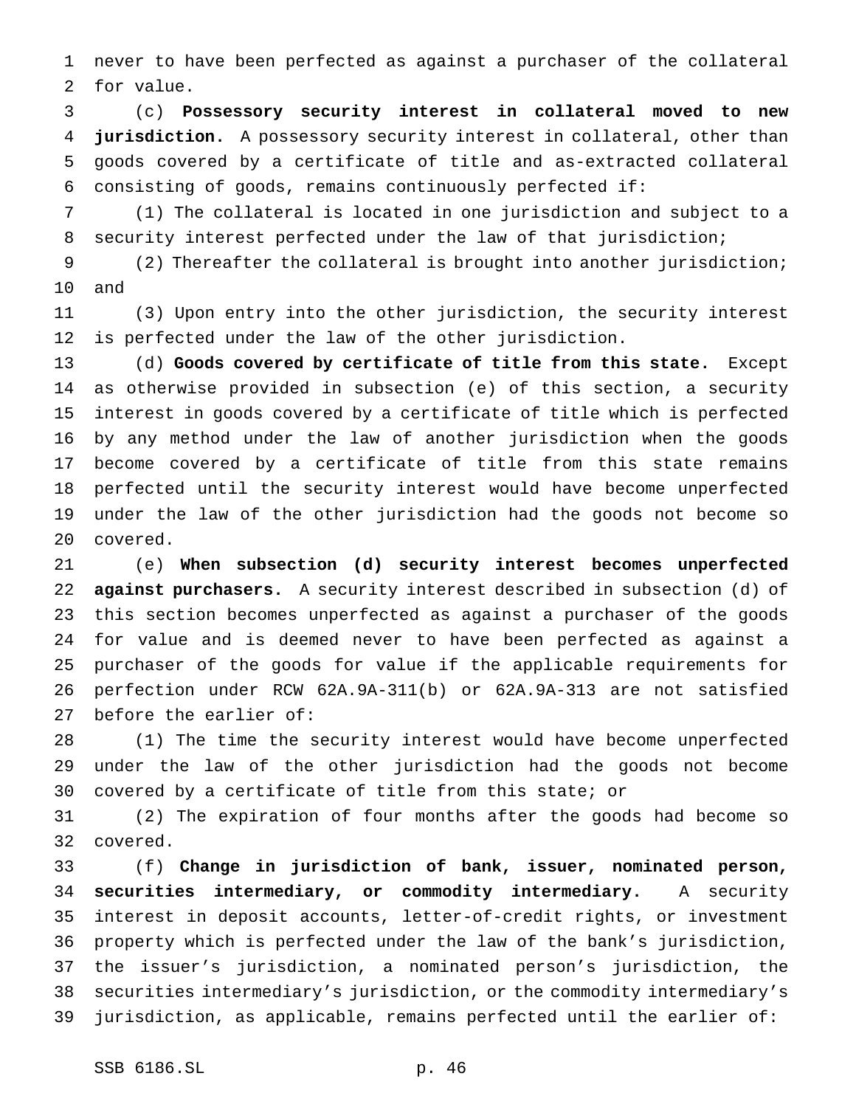never to have been perfected as against a purchaser of the collateral for value.

 (c) **Possessory security interest in collateral moved to new jurisdiction.** A possessory security interest in collateral, other than goods covered by a certificate of title and as-extracted collateral consisting of goods, remains continuously perfected if:

 (1) The collateral is located in one jurisdiction and subject to a security interest perfected under the law of that jurisdiction;

 (2) Thereafter the collateral is brought into another jurisdiction; and

 (3) Upon entry into the other jurisdiction, the security interest is perfected under the law of the other jurisdiction.

 (d) **Goods covered by certificate of title from this state.** Except as otherwise provided in subsection (e) of this section, a security interest in goods covered by a certificate of title which is perfected by any method under the law of another jurisdiction when the goods become covered by a certificate of title from this state remains perfected until the security interest would have become unperfected under the law of the other jurisdiction had the goods not become so covered.

 (e) **When subsection (d) security interest becomes unperfected against purchasers.** A security interest described in subsection (d) of this section becomes unperfected as against a purchaser of the goods for value and is deemed never to have been perfected as against a purchaser of the goods for value if the applicable requirements for perfection under RCW 62A.9A-311(b) or 62A.9A-313 are not satisfied before the earlier of:

 (1) The time the security interest would have become unperfected under the law of the other jurisdiction had the goods not become covered by a certificate of title from this state; or

 (2) The expiration of four months after the goods had become so covered.

 (f) **Change in jurisdiction of bank, issuer, nominated person, securities intermediary, or commodity intermediary.** A security interest in deposit accounts, letter-of-credit rights, or investment property which is perfected under the law of the bank's jurisdiction, the issuer's jurisdiction, a nominated person's jurisdiction, the securities intermediary's jurisdiction, or the commodity intermediary's jurisdiction, as applicable, remains perfected until the earlier of: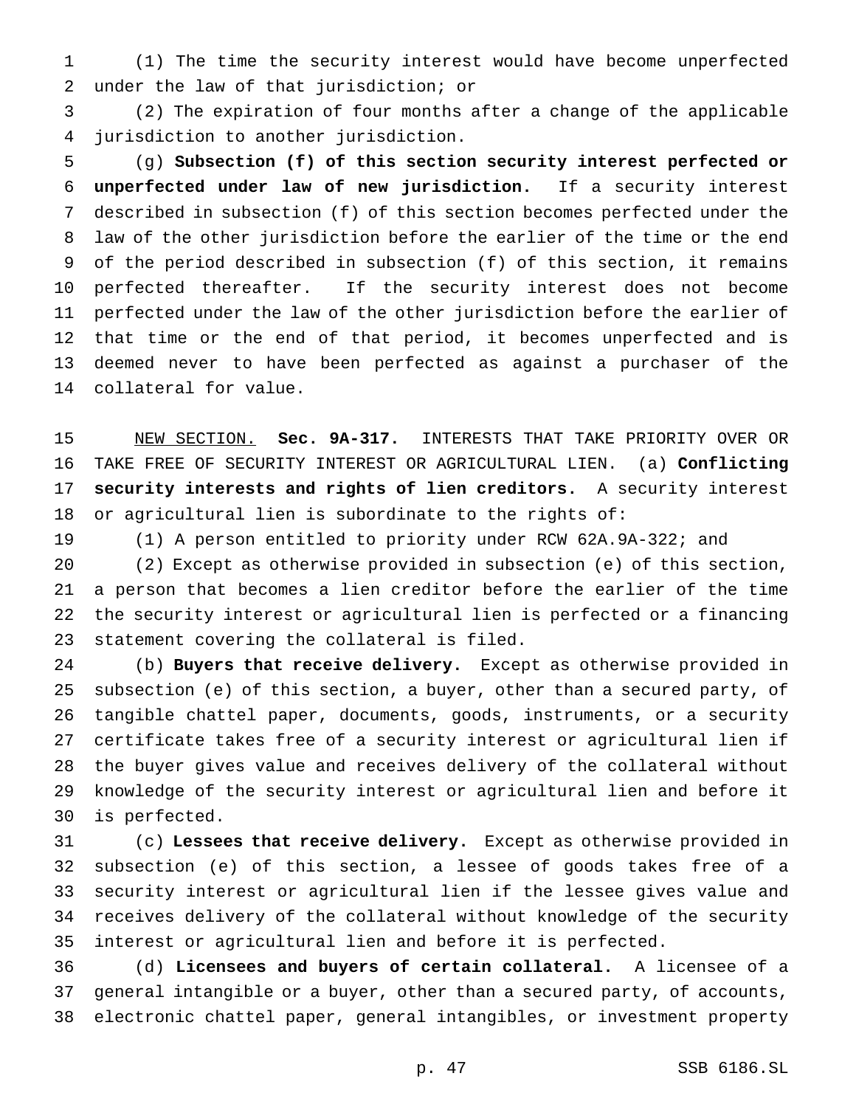(1) The time the security interest would have become unperfected under the law of that jurisdiction; or

 (2) The expiration of four months after a change of the applicable jurisdiction to another jurisdiction.

 (g) **Subsection (f) of this section security interest perfected or unperfected under law of new jurisdiction.** If a security interest described in subsection (f) of this section becomes perfected under the law of the other jurisdiction before the earlier of the time or the end of the period described in subsection (f) of this section, it remains perfected thereafter. If the security interest does not become perfected under the law of the other jurisdiction before the earlier of that time or the end of that period, it becomes unperfected and is deemed never to have been perfected as against a purchaser of the collateral for value.

 NEW SECTION. **Sec. 9A-317.** INTERESTS THAT TAKE PRIORITY OVER OR TAKE FREE OF SECURITY INTEREST OR AGRICULTURAL LIEN. (a) **Conflicting security interests and rights of lien creditors.** A security interest or agricultural lien is subordinate to the rights of:

(1) A person entitled to priority under RCW 62A.9A-322; and

 (2) Except as otherwise provided in subsection (e) of this section, a person that becomes a lien creditor before the earlier of the time the security interest or agricultural lien is perfected or a financing statement covering the collateral is filed.

 (b) **Buyers that receive delivery.** Except as otherwise provided in subsection (e) of this section, a buyer, other than a secured party, of tangible chattel paper, documents, goods, instruments, or a security certificate takes free of a security interest or agricultural lien if the buyer gives value and receives delivery of the collateral without knowledge of the security interest or agricultural lien and before it is perfected.

 (c) **Lessees that receive delivery.** Except as otherwise provided in subsection (e) of this section, a lessee of goods takes free of a security interest or agricultural lien if the lessee gives value and receives delivery of the collateral without knowledge of the security interest or agricultural lien and before it is perfected.

 (d) **Licensees and buyers of certain collateral.** A licensee of a general intangible or a buyer, other than a secured party, of accounts, electronic chattel paper, general intangibles, or investment property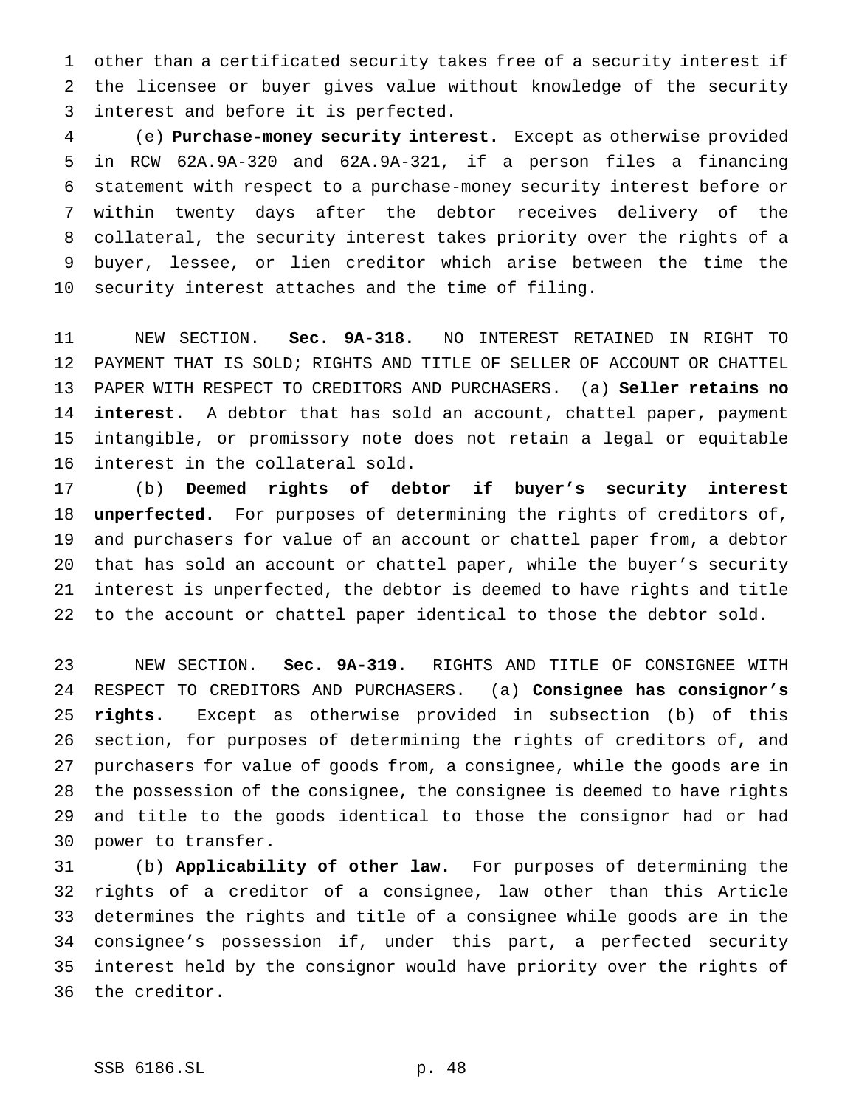other than a certificated security takes free of a security interest if the licensee or buyer gives value without knowledge of the security interest and before it is perfected.

 (e) **Purchase-money security interest.** Except as otherwise provided in RCW 62A.9A-320 and 62A.9A-321, if a person files a financing statement with respect to a purchase-money security interest before or within twenty days after the debtor receives delivery of the collateral, the security interest takes priority over the rights of a buyer, lessee, or lien creditor which arise between the time the security interest attaches and the time of filing.

 NEW SECTION. **Sec. 9A-318.** NO INTEREST RETAINED IN RIGHT TO PAYMENT THAT IS SOLD; RIGHTS AND TITLE OF SELLER OF ACCOUNT OR CHATTEL PAPER WITH RESPECT TO CREDITORS AND PURCHASERS. (a) **Seller retains no interest.** A debtor that has sold an account, chattel paper, payment intangible, or promissory note does not retain a legal or equitable interest in the collateral sold.

 (b) **Deemed rights of debtor if buyer's security interest unperfected.** For purposes of determining the rights of creditors of, and purchasers for value of an account or chattel paper from, a debtor that has sold an account or chattel paper, while the buyer's security interest is unperfected, the debtor is deemed to have rights and title to the account or chattel paper identical to those the debtor sold.

 NEW SECTION. **Sec. 9A-319.** RIGHTS AND TITLE OF CONSIGNEE WITH RESPECT TO CREDITORS AND PURCHASERS. (a) **Consignee has consignor's rights.** Except as otherwise provided in subsection (b) of this section, for purposes of determining the rights of creditors of, and purchasers for value of goods from, a consignee, while the goods are in the possession of the consignee, the consignee is deemed to have rights and title to the goods identical to those the consignor had or had power to transfer.

 (b) **Applicability of other law.** For purposes of determining the rights of a creditor of a consignee, law other than this Article determines the rights and title of a consignee while goods are in the consignee's possession if, under this part, a perfected security interest held by the consignor would have priority over the rights of the creditor.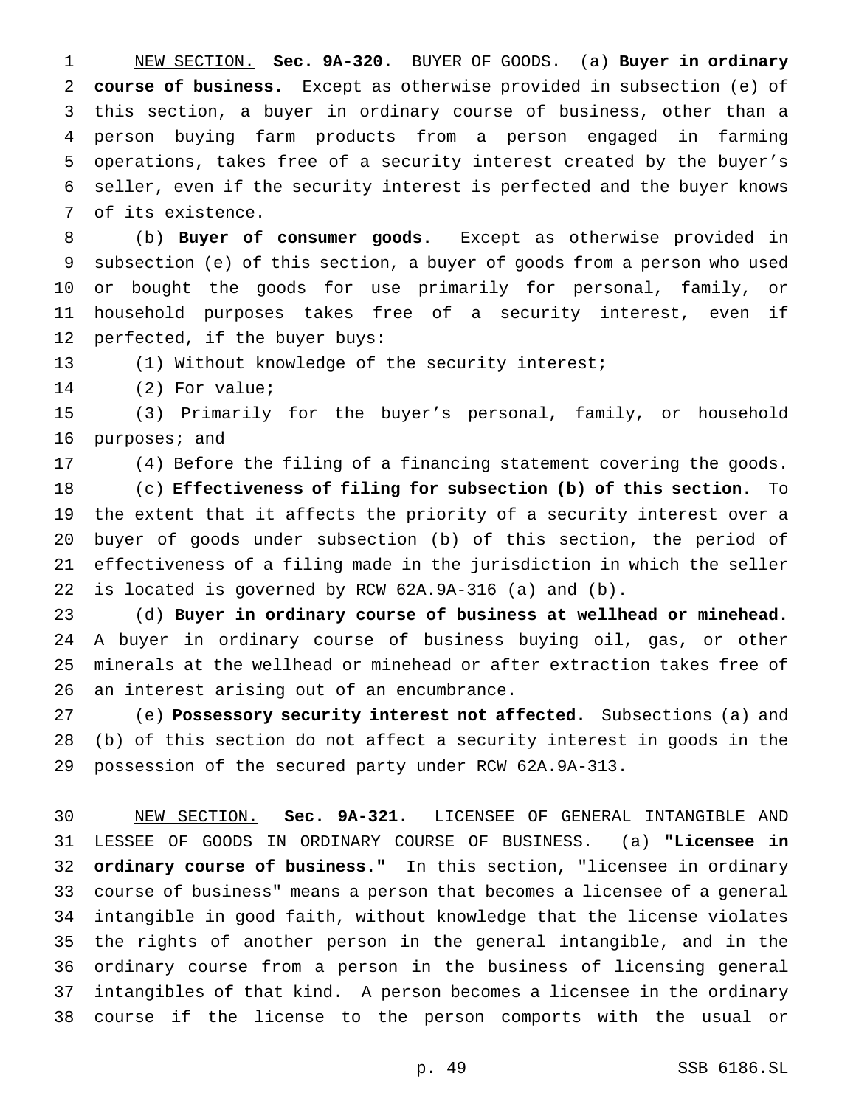NEW SECTION. **Sec. 9A-320.** BUYER OF GOODS. (a) **Buyer in ordinary course of business.** Except as otherwise provided in subsection (e) of this section, a buyer in ordinary course of business, other than a person buying farm products from a person engaged in farming operations, takes free of a security interest created by the buyer's seller, even if the security interest is perfected and the buyer knows of its existence.

 (b) **Buyer of consumer goods.** Except as otherwise provided in subsection (e) of this section, a buyer of goods from a person who used or bought the goods for use primarily for personal, family, or household purposes takes free of a security interest, even if perfected, if the buyer buys:

(1) Without knowledge of the security interest;

(2) For value;

 (3) Primarily for the buyer's personal, family, or household purposes; and

 (4) Before the filing of a financing statement covering the goods. (c) **Effectiveness of filing for subsection (b) of this section.** To

 the extent that it affects the priority of a security interest over a buyer of goods under subsection (b) of this section, the period of effectiveness of a filing made in the jurisdiction in which the seller is located is governed by RCW 62A.9A-316 (a) and (b).

 (d) **Buyer in ordinary course of business at wellhead or minehead.** A buyer in ordinary course of business buying oil, gas, or other minerals at the wellhead or minehead or after extraction takes free of an interest arising out of an encumbrance.

 (e) **Possessory security interest not affected.** Subsections (a) and (b) of this section do not affect a security interest in goods in the possession of the secured party under RCW 62A.9A-313.

 NEW SECTION. **Sec. 9A-321.** LICENSEE OF GENERAL INTANGIBLE AND LESSEE OF GOODS IN ORDINARY COURSE OF BUSINESS. (a) **"Licensee in ordinary course of business."** In this section, "licensee in ordinary course of business" means a person that becomes a licensee of a general intangible in good faith, without knowledge that the license violates the rights of another person in the general intangible, and in the ordinary course from a person in the business of licensing general intangibles of that kind. A person becomes a licensee in the ordinary course if the license to the person comports with the usual or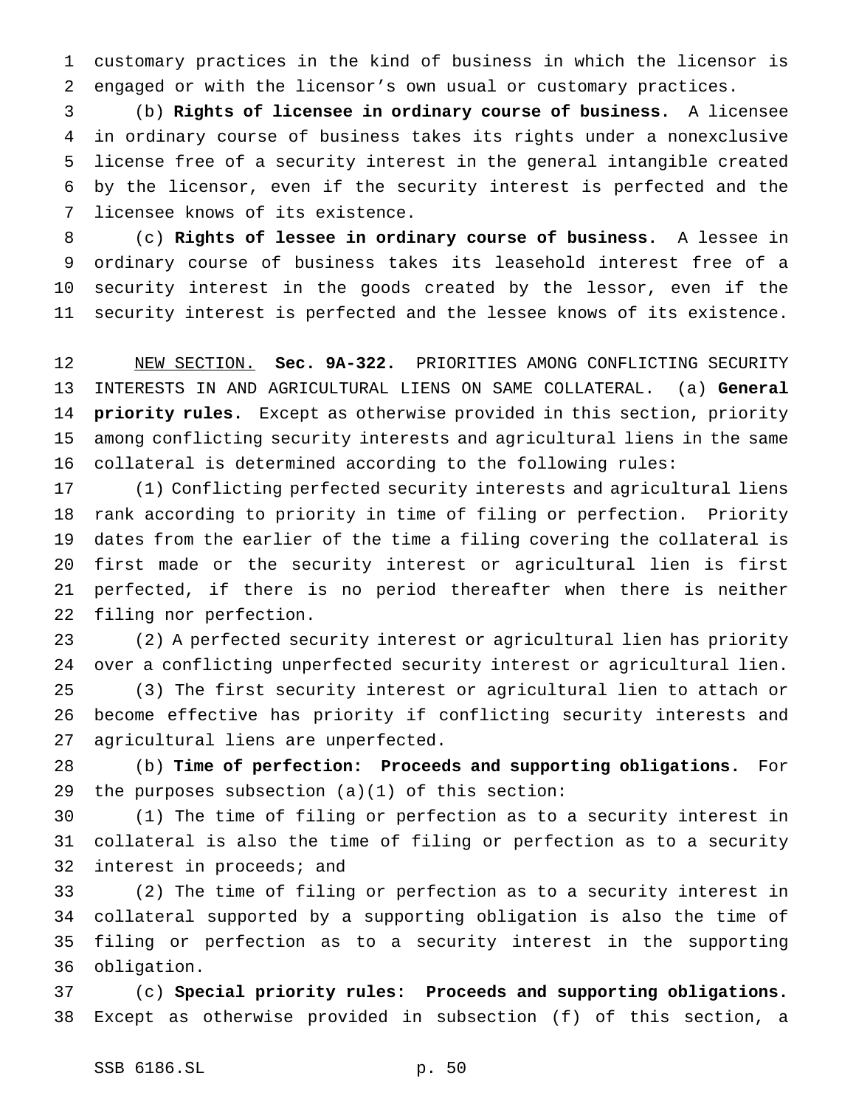customary practices in the kind of business in which the licensor is engaged or with the licensor's own usual or customary practices.

 (b) **Rights of licensee in ordinary course of business.** A licensee in ordinary course of business takes its rights under a nonexclusive license free of a security interest in the general intangible created by the licensor, even if the security interest is perfected and the licensee knows of its existence.

 (c) **Rights of lessee in ordinary course of business.** A lessee in ordinary course of business takes its leasehold interest free of a security interest in the goods created by the lessor, even if the security interest is perfected and the lessee knows of its existence.

 NEW SECTION. **Sec. 9A-322.** PRIORITIES AMONG CONFLICTING SECURITY INTERESTS IN AND AGRICULTURAL LIENS ON SAME COLLATERAL. (a) **General priority rules.** Except as otherwise provided in this section, priority among conflicting security interests and agricultural liens in the same collateral is determined according to the following rules:

 (1) Conflicting perfected security interests and agricultural liens rank according to priority in time of filing or perfection. Priority dates from the earlier of the time a filing covering the collateral is first made or the security interest or agricultural lien is first perfected, if there is no period thereafter when there is neither filing nor perfection.

 (2) A perfected security interest or agricultural lien has priority over a conflicting unperfected security interest or agricultural lien. (3) The first security interest or agricultural lien to attach or become effective has priority if conflicting security interests and

agricultural liens are unperfected.

 (b) **Time of perfection: Proceeds and supporting obligations.** For the purposes subsection (a)(1) of this section:

 (1) The time of filing or perfection as to a security interest in collateral is also the time of filing or perfection as to a security 32 interest in proceeds; and

 (2) The time of filing or perfection as to a security interest in collateral supported by a supporting obligation is also the time of filing or perfection as to a security interest in the supporting obligation.

 (c) **Special priority rules: Proceeds and supporting obligations.** Except as otherwise provided in subsection (f) of this section, a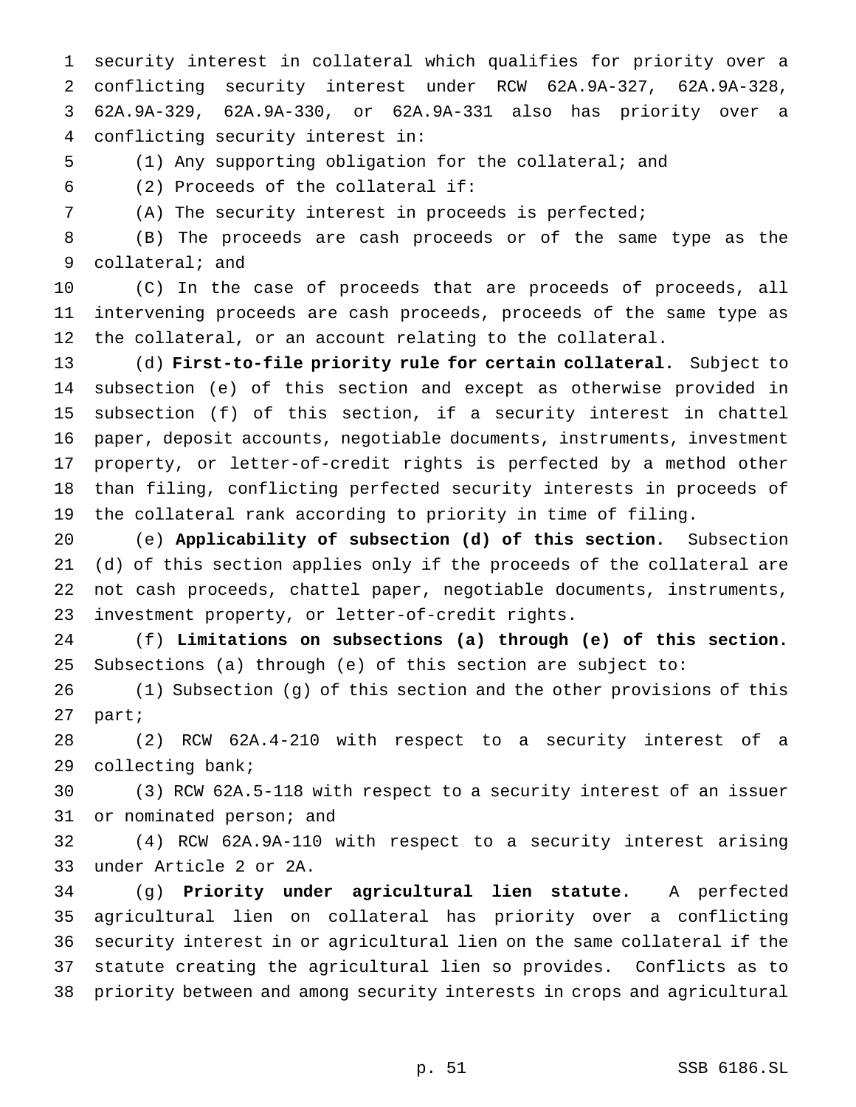security interest in collateral which qualifies for priority over a conflicting security interest under RCW 62A.9A-327, 62A.9A-328, 62A.9A-329, 62A.9A-330, or 62A.9A-331 also has priority over a conflicting security interest in:

(1) Any supporting obligation for the collateral; and

(2) Proceeds of the collateral if:

(A) The security interest in proceeds is perfected;

 (B) The proceeds are cash proceeds or of the same type as the collateral; and

 (C) In the case of proceeds that are proceeds of proceeds, all intervening proceeds are cash proceeds, proceeds of the same type as the collateral, or an account relating to the collateral.

 (d) **First-to-file priority rule for certain collateral.** Subject to subsection (e) of this section and except as otherwise provided in subsection (f) of this section, if a security interest in chattel paper, deposit accounts, negotiable documents, instruments, investment property, or letter-of-credit rights is perfected by a method other than filing, conflicting perfected security interests in proceeds of the collateral rank according to priority in time of filing.

 (e) **Applicability of subsection (d) of this section.** Subsection (d) of this section applies only if the proceeds of the collateral are not cash proceeds, chattel paper, negotiable documents, instruments, investment property, or letter-of-credit rights.

 (f) **Limitations on subsections (a) through (e) of this section.** Subsections (a) through (e) of this section are subject to:

 (1) Subsection (g) of this section and the other provisions of this part;

 (2) RCW 62A.4-210 with respect to a security interest of a collecting bank;

 (3) RCW 62A.5-118 with respect to a security interest of an issuer or nominated person; and

 (4) RCW 62A.9A-110 with respect to a security interest arising under Article 2 or 2A.

 (g) **Priority under agricultural lien statute.** A perfected agricultural lien on collateral has priority over a conflicting security interest in or agricultural lien on the same collateral if the statute creating the agricultural lien so provides. Conflicts as to priority between and among security interests in crops and agricultural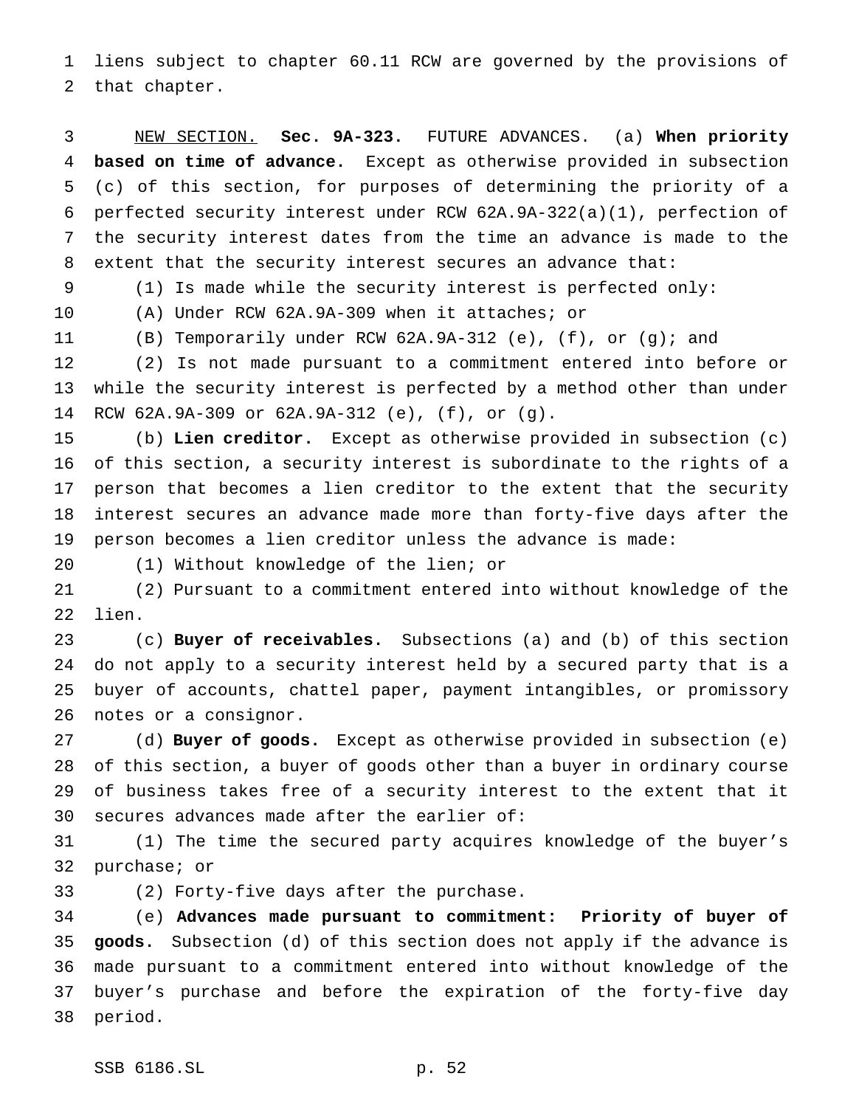liens subject to chapter 60.11 RCW are governed by the provisions of that chapter.

 NEW SECTION. **Sec. 9A-323.** FUTURE ADVANCES. (a) **When priority based on time of advance.** Except as otherwise provided in subsection (c) of this section, for purposes of determining the priority of a perfected security interest under RCW 62A.9A-322(a)(1), perfection of the security interest dates from the time an advance is made to the extent that the security interest secures an advance that:

(1) Is made while the security interest is perfected only:

(A) Under RCW 62A.9A-309 when it attaches; or

(B) Temporarily under RCW 62A.9A-312 (e), (f), or (g); and

 (2) Is not made pursuant to a commitment entered into before or while the security interest is perfected by a method other than under RCW 62A.9A-309 or 62A.9A-312 (e), (f), or (g).

 (b) **Lien creditor.** Except as otherwise provided in subsection (c) of this section, a security interest is subordinate to the rights of a person that becomes a lien creditor to the extent that the security interest secures an advance made more than forty-five days after the person becomes a lien creditor unless the advance is made:

(1) Without knowledge of the lien; or

 (2) Pursuant to a commitment entered into without knowledge of the lien.

 (c) **Buyer of receivables.** Subsections (a) and (b) of this section do not apply to a security interest held by a secured party that is a buyer of accounts, chattel paper, payment intangibles, or promissory notes or a consignor.

 (d) **Buyer of goods.** Except as otherwise provided in subsection (e) of this section, a buyer of goods other than a buyer in ordinary course of business takes free of a security interest to the extent that it secures advances made after the earlier of:

 (1) The time the secured party acquires knowledge of the buyer's purchase; or

(2) Forty-five days after the purchase.

 (e) **Advances made pursuant to commitment: Priority of buyer of goods.** Subsection (d) of this section does not apply if the advance is made pursuant to a commitment entered into without knowledge of the buyer's purchase and before the expiration of the forty-five day period.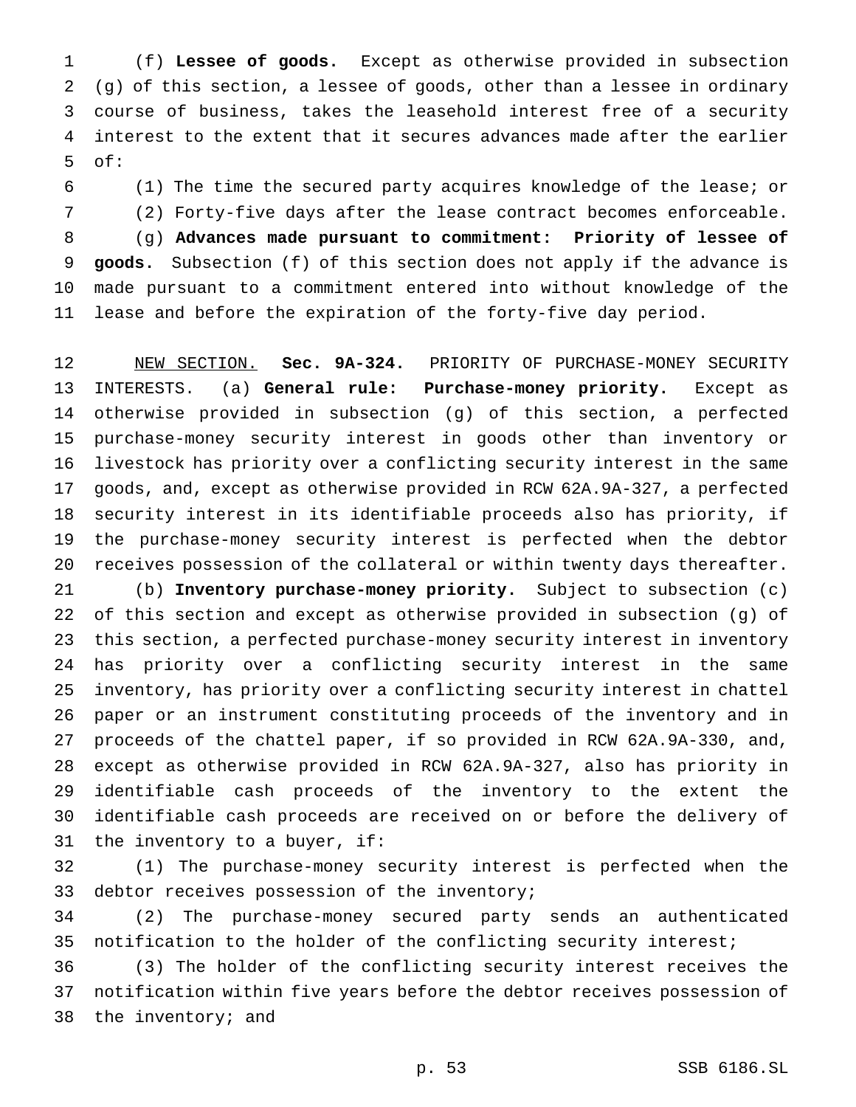(f) **Lessee of goods.** Except as otherwise provided in subsection (g) of this section, a lessee of goods, other than a lessee in ordinary course of business, takes the leasehold interest free of a security interest to the extent that it secures advances made after the earlier of:

 (1) The time the secured party acquires knowledge of the lease; or (2) Forty-five days after the lease contract becomes enforceable. (g) **Advances made pursuant to commitment: Priority of lessee of goods.** Subsection (f) of this section does not apply if the advance is made pursuant to a commitment entered into without knowledge of the lease and before the expiration of the forty-five day period.

 NEW SECTION. **Sec. 9A-324.** PRIORITY OF PURCHASE-MONEY SECURITY INTERESTS. (a) **General rule: Purchase-money priority.** Except as otherwise provided in subsection (g) of this section, a perfected purchase-money security interest in goods other than inventory or livestock has priority over a conflicting security interest in the same goods, and, except as otherwise provided in RCW 62A.9A-327, a perfected security interest in its identifiable proceeds also has priority, if the purchase-money security interest is perfected when the debtor receives possession of the collateral or within twenty days thereafter.

 (b) **Inventory purchase-money priority.** Subject to subsection (c) of this section and except as otherwise provided in subsection (g) of this section, a perfected purchase-money security interest in inventory has priority over a conflicting security interest in the same inventory, has priority over a conflicting security interest in chattel paper or an instrument constituting proceeds of the inventory and in proceeds of the chattel paper, if so provided in RCW 62A.9A-330, and, except as otherwise provided in RCW 62A.9A-327, also has priority in identifiable cash proceeds of the inventory to the extent the identifiable cash proceeds are received on or before the delivery of the inventory to a buyer, if:

 (1) The purchase-money security interest is perfected when the debtor receives possession of the inventory;

 (2) The purchase-money secured party sends an authenticated 35 notification to the holder of the conflicting security interest;

 (3) The holder of the conflicting security interest receives the notification within five years before the debtor receives possession of the inventory; and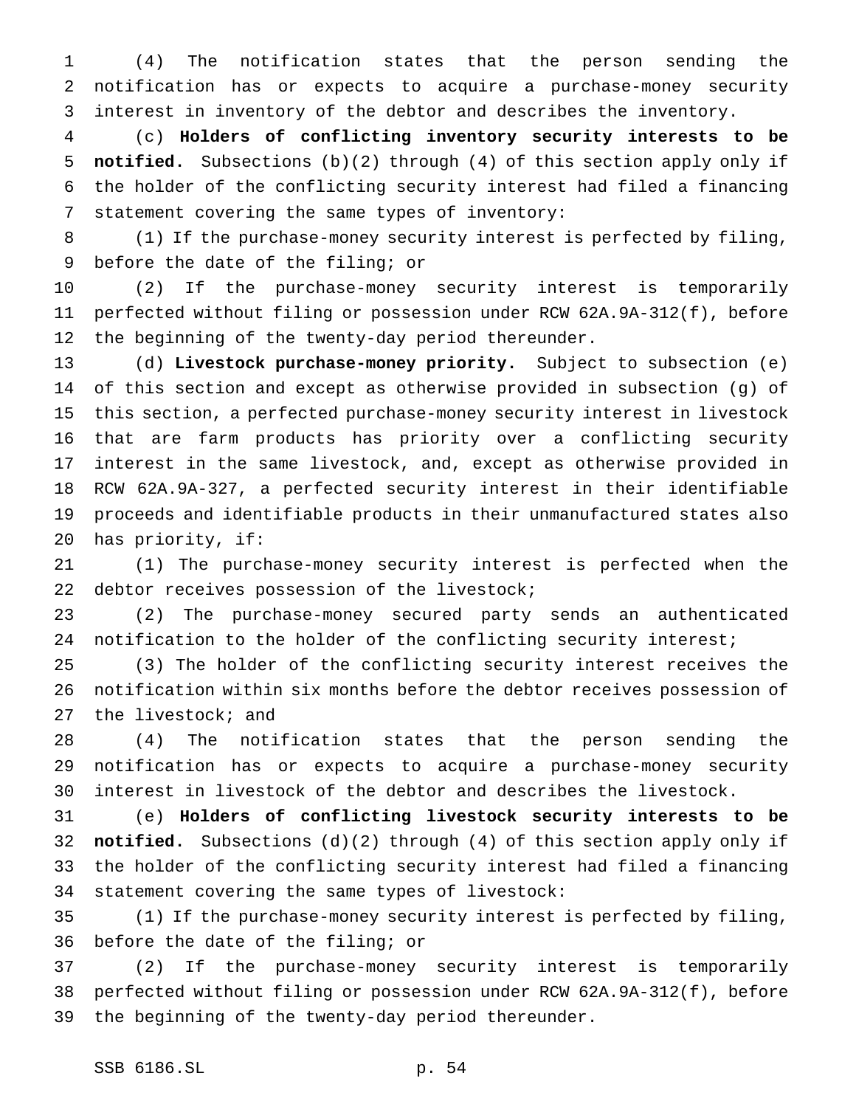(4) The notification states that the person sending the notification has or expects to acquire a purchase-money security interest in inventory of the debtor and describes the inventory.

 (c) **Holders of conflicting inventory security interests to be notified.** Subsections (b)(2) through (4) of this section apply only if the holder of the conflicting security interest had filed a financing statement covering the same types of inventory:

 (1) If the purchase-money security interest is perfected by filing, before the date of the filing; or

 (2) If the purchase-money security interest is temporarily perfected without filing or possession under RCW 62A.9A-312(f), before the beginning of the twenty-day period thereunder.

 (d) **Livestock purchase-money priority.** Subject to subsection (e) of this section and except as otherwise provided in subsection (g) of this section, a perfected purchase-money security interest in livestock that are farm products has priority over a conflicting security interest in the same livestock, and, except as otherwise provided in RCW 62A.9A-327, a perfected security interest in their identifiable proceeds and identifiable products in their unmanufactured states also has priority, if:

 (1) The purchase-money security interest is perfected when the debtor receives possession of the livestock;

 (2) The purchase-money secured party sends an authenticated 24 notification to the holder of the conflicting security interest;

 (3) The holder of the conflicting security interest receives the notification within six months before the debtor receives possession of the livestock; and

 (4) The notification states that the person sending the notification has or expects to acquire a purchase-money security interest in livestock of the debtor and describes the livestock.

 (e) **Holders of conflicting livestock security interests to be notified.** Subsections (d)(2) through (4) of this section apply only if the holder of the conflicting security interest had filed a financing statement covering the same types of livestock:

 (1) If the purchase-money security interest is perfected by filing, before the date of the filing; or

 (2) If the purchase-money security interest is temporarily perfected without filing or possession under RCW 62A.9A-312(f), before the beginning of the twenty-day period thereunder.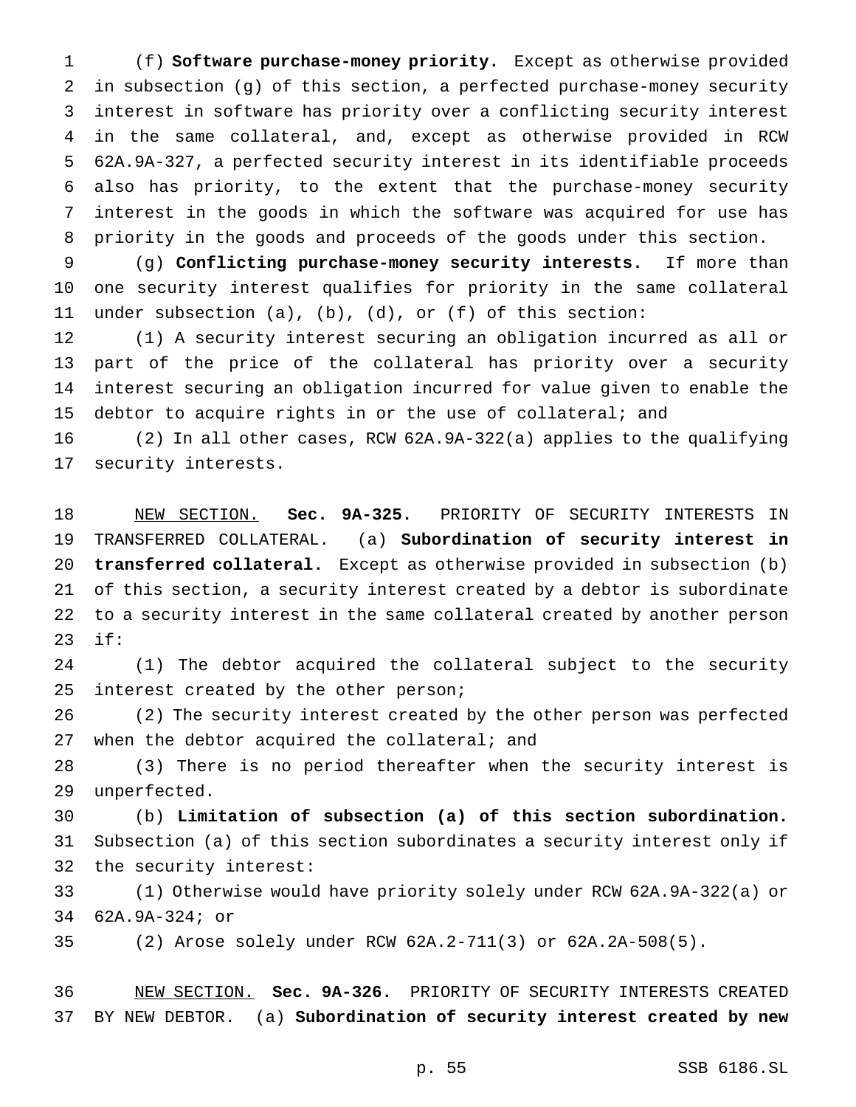(f) **Software purchase-money priority.** Except as otherwise provided in subsection (g) of this section, a perfected purchase-money security interest in software has priority over a conflicting security interest in the same collateral, and, except as otherwise provided in RCW 62A.9A-327, a perfected security interest in its identifiable proceeds also has priority, to the extent that the purchase-money security interest in the goods in which the software was acquired for use has priority in the goods and proceeds of the goods under this section.

 (g) **Conflicting purchase-money security interests.** If more than one security interest qualifies for priority in the same collateral under subsection (a), (b), (d), or (f) of this section:

 (1) A security interest securing an obligation incurred as all or part of the price of the collateral has priority over a security interest securing an obligation incurred for value given to enable the 15 debtor to acquire rights in or the use of collateral; and

 (2) In all other cases, RCW 62A.9A-322(a) applies to the qualifying security interests.

 NEW SECTION. **Sec. 9A-325.** PRIORITY OF SECURITY INTERESTS IN TRANSFERRED COLLATERAL. (a) **Subordination of security interest in transferred collateral.** Except as otherwise provided in subsection (b) of this section, a security interest created by a debtor is subordinate to a security interest in the same collateral created by another person if:

 (1) The debtor acquired the collateral subject to the security 25 interest created by the other person;

 (2) The security interest created by the other person was perfected 27 when the debtor acquired the collateral; and

 (3) There is no period thereafter when the security interest is unperfected.

 (b) **Limitation of subsection (a) of this section subordination.** Subsection (a) of this section subordinates a security interest only if the security interest:

 (1) Otherwise would have priority solely under RCW 62A.9A-322(a) or 62A.9A-324; or

(2) Arose solely under RCW 62A.2-711(3) or 62A.2A-508(5).

 NEW SECTION. **Sec. 9A-326.** PRIORITY OF SECURITY INTERESTS CREATED BY NEW DEBTOR. (a) **Subordination of security interest created by new**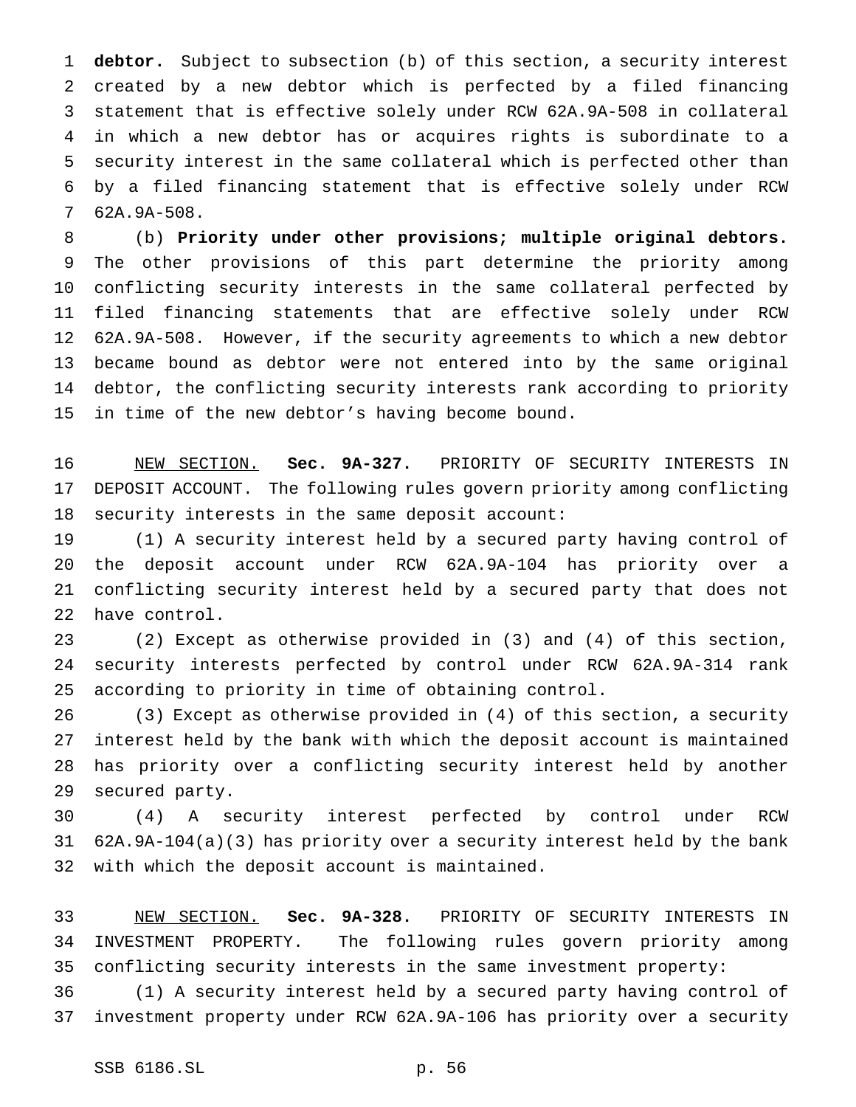**debtor.** Subject to subsection (b) of this section, a security interest created by a new debtor which is perfected by a filed financing statement that is effective solely under RCW 62A.9A-508 in collateral in which a new debtor has or acquires rights is subordinate to a security interest in the same collateral which is perfected other than by a filed financing statement that is effective solely under RCW 62A.9A-508.

 (b) **Priority under other provisions; multiple original debtors.** The other provisions of this part determine the priority among conflicting security interests in the same collateral perfected by filed financing statements that are effective solely under RCW 62A.9A-508. However, if the security agreements to which a new debtor became bound as debtor were not entered into by the same original debtor, the conflicting security interests rank according to priority in time of the new debtor's having become bound.

 NEW SECTION. **Sec. 9A-327.** PRIORITY OF SECURITY INTERESTS IN DEPOSIT ACCOUNT. The following rules govern priority among conflicting security interests in the same deposit account:

 (1) A security interest held by a secured party having control of the deposit account under RCW 62A.9A-104 has priority over a conflicting security interest held by a secured party that does not have control.

 (2) Except as otherwise provided in (3) and (4) of this section, security interests perfected by control under RCW 62A.9A-314 rank according to priority in time of obtaining control.

 (3) Except as otherwise provided in (4) of this section, a security interest held by the bank with which the deposit account is maintained has priority over a conflicting security interest held by another secured party.

 (4) A security interest perfected by control under RCW 62A.9A-104(a)(3) has priority over a security interest held by the bank with which the deposit account is maintained.

 NEW SECTION. **Sec. 9A-328.** PRIORITY OF SECURITY INTERESTS IN INVESTMENT PROPERTY. The following rules govern priority among conflicting security interests in the same investment property:

 (1) A security interest held by a secured party having control of investment property under RCW 62A.9A-106 has priority over a security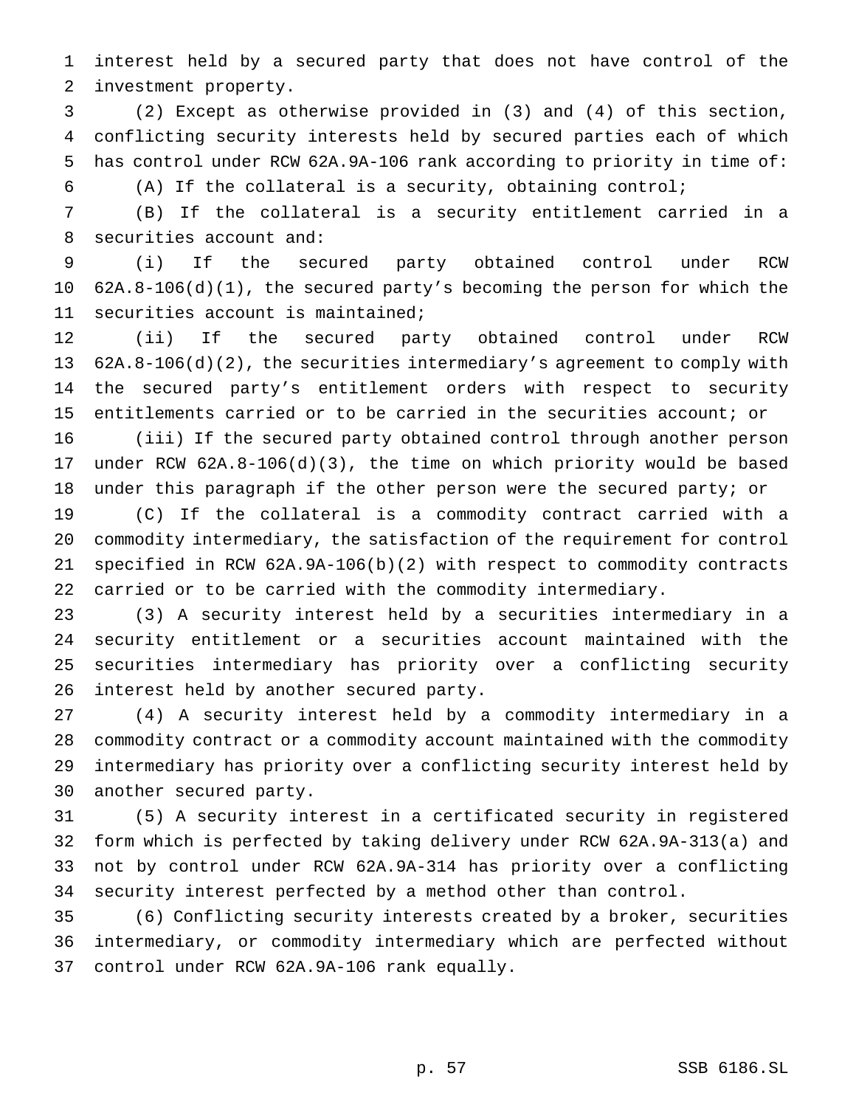interest held by a secured party that does not have control of the investment property.

 (2) Except as otherwise provided in (3) and (4) of this section, conflicting security interests held by secured parties each of which has control under RCW 62A.9A-106 rank according to priority in time of:

(A) If the collateral is a security, obtaining control;

 (B) If the collateral is a security entitlement carried in a securities account and:

 (i) If the secured party obtained control under RCW 62A.8-106(d)(1), the secured party's becoming the person for which the securities account is maintained;

 (ii) If the secured party obtained control under RCW 62A.8-106(d)(2), the securities intermediary's agreement to comply with the secured party's entitlement orders with respect to security entitlements carried or to be carried in the securities account; or

 (iii) If the secured party obtained control through another person under RCW 62A.8-106(d)(3), the time on which priority would be based under this paragraph if the other person were the secured party; or

 (C) If the collateral is a commodity contract carried with a commodity intermediary, the satisfaction of the requirement for control specified in RCW 62A.9A-106(b)(2) with respect to commodity contracts carried or to be carried with the commodity intermediary.

 (3) A security interest held by a securities intermediary in a security entitlement or a securities account maintained with the securities intermediary has priority over a conflicting security interest held by another secured party.

 (4) A security interest held by a commodity intermediary in a commodity contract or a commodity account maintained with the commodity intermediary has priority over a conflicting security interest held by another secured party.

 (5) A security interest in a certificated security in registered form which is perfected by taking delivery under RCW 62A.9A-313(a) and not by control under RCW 62A.9A-314 has priority over a conflicting security interest perfected by a method other than control.

 (6) Conflicting security interests created by a broker, securities intermediary, or commodity intermediary which are perfected without control under RCW 62A.9A-106 rank equally.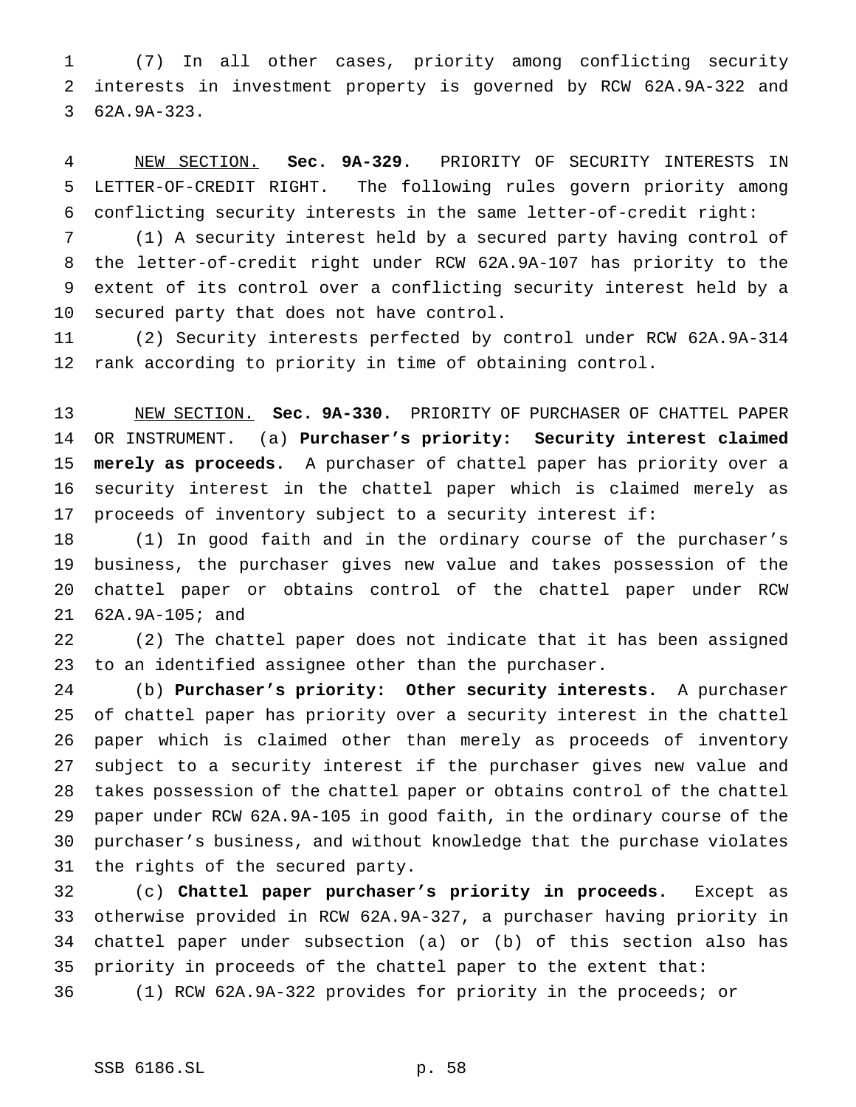(7) In all other cases, priority among conflicting security interests in investment property is governed by RCW 62A.9A-322 and 62A.9A-323.

 NEW SECTION. **Sec. 9A-329.** PRIORITY OF SECURITY INTERESTS IN LETTER-OF-CREDIT RIGHT. The following rules govern priority among conflicting security interests in the same letter-of-credit right:

 (1) A security interest held by a secured party having control of the letter-of-credit right under RCW 62A.9A-107 has priority to the extent of its control over a conflicting security interest held by a secured party that does not have control.

 (2) Security interests perfected by control under RCW 62A.9A-314 rank according to priority in time of obtaining control.

 NEW SECTION. **Sec. 9A-330.** PRIORITY OF PURCHASER OF CHATTEL PAPER OR INSTRUMENT. (a) **Purchaser's priority: Security interest claimed merely as proceeds.** A purchaser of chattel paper has priority over a security interest in the chattel paper which is claimed merely as proceeds of inventory subject to a security interest if:

 (1) In good faith and in the ordinary course of the purchaser's business, the purchaser gives new value and takes possession of the chattel paper or obtains control of the chattel paper under RCW 62A.9A-105; and

 (2) The chattel paper does not indicate that it has been assigned to an identified assignee other than the purchaser.

 (b) **Purchaser's priority: Other security interests.** A purchaser of chattel paper has priority over a security interest in the chattel paper which is claimed other than merely as proceeds of inventory subject to a security interest if the purchaser gives new value and takes possession of the chattel paper or obtains control of the chattel paper under RCW 62A.9A-105 in good faith, in the ordinary course of the purchaser's business, and without knowledge that the purchase violates the rights of the secured party.

 (c) **Chattel paper purchaser's priority in proceeds.** Except as otherwise provided in RCW 62A.9A-327, a purchaser having priority in chattel paper under subsection (a) or (b) of this section also has priority in proceeds of the chattel paper to the extent that: (1) RCW 62A.9A-322 provides for priority in the proceeds; or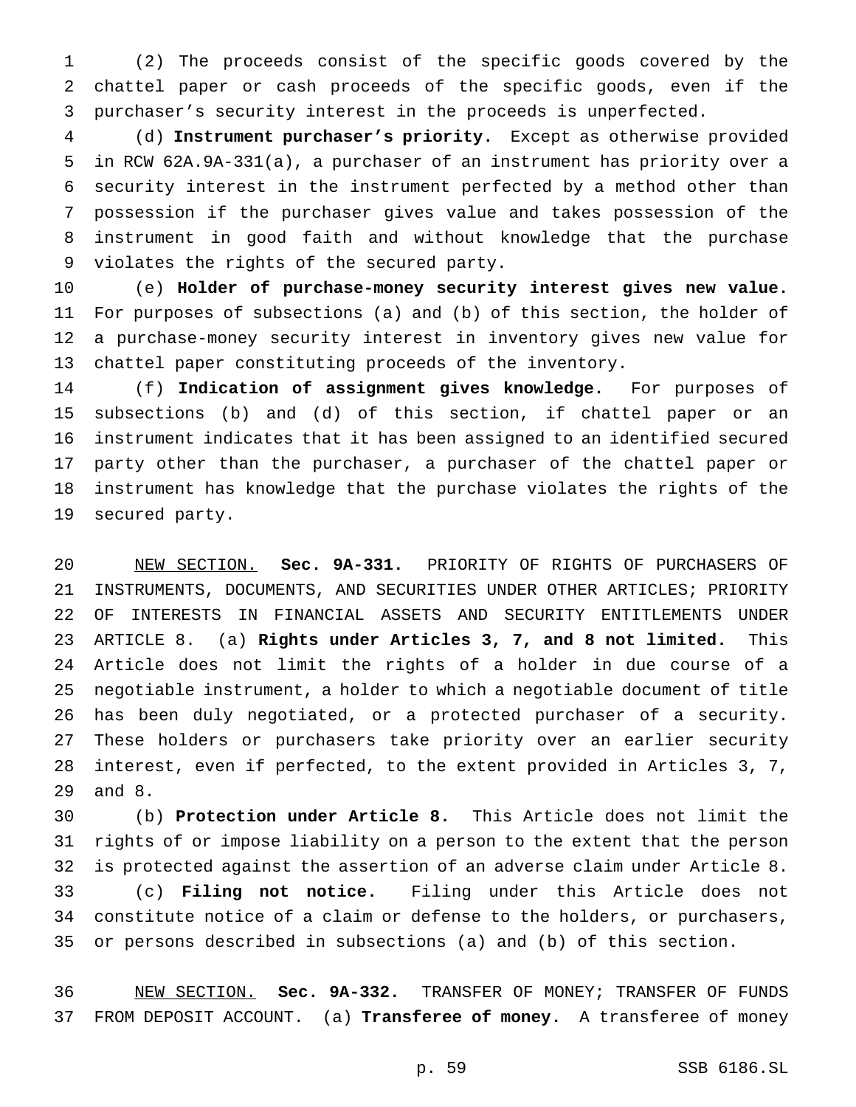(2) The proceeds consist of the specific goods covered by the chattel paper or cash proceeds of the specific goods, even if the purchaser's security interest in the proceeds is unperfected.

 (d) **Instrument purchaser's priority.** Except as otherwise provided in RCW 62A.9A-331(a), a purchaser of an instrument has priority over a security interest in the instrument perfected by a method other than possession if the purchaser gives value and takes possession of the instrument in good faith and without knowledge that the purchase violates the rights of the secured party.

 (e) **Holder of purchase-money security interest gives new value.** For purposes of subsections (a) and (b) of this section, the holder of a purchase-money security interest in inventory gives new value for chattel paper constituting proceeds of the inventory.

 (f) **Indication of assignment gives knowledge.** For purposes of subsections (b) and (d) of this section, if chattel paper or an instrument indicates that it has been assigned to an identified secured party other than the purchaser, a purchaser of the chattel paper or instrument has knowledge that the purchase violates the rights of the secured party.

 NEW SECTION. **Sec. 9A-331.** PRIORITY OF RIGHTS OF PURCHASERS OF INSTRUMENTS, DOCUMENTS, AND SECURITIES UNDER OTHER ARTICLES; PRIORITY OF INTERESTS IN FINANCIAL ASSETS AND SECURITY ENTITLEMENTS UNDER ARTICLE 8. (a) **Rights under Articles 3, 7, and 8 not limited.** This Article does not limit the rights of a holder in due course of a negotiable instrument, a holder to which a negotiable document of title has been duly negotiated, or a protected purchaser of a security. These holders or purchasers take priority over an earlier security interest, even if perfected, to the extent provided in Articles 3, 7, and 8.

 (b) **Protection under Article 8.** This Article does not limit the rights of or impose liability on a person to the extent that the person is protected against the assertion of an adverse claim under Article 8. (c) **Filing not notice.** Filing under this Article does not constitute notice of a claim or defense to the holders, or purchasers, or persons described in subsections (a) and (b) of this section.

 NEW SECTION. **Sec. 9A-332.** TRANSFER OF MONEY; TRANSFER OF FUNDS FROM DEPOSIT ACCOUNT. (a) **Transferee of money.** A transferee of money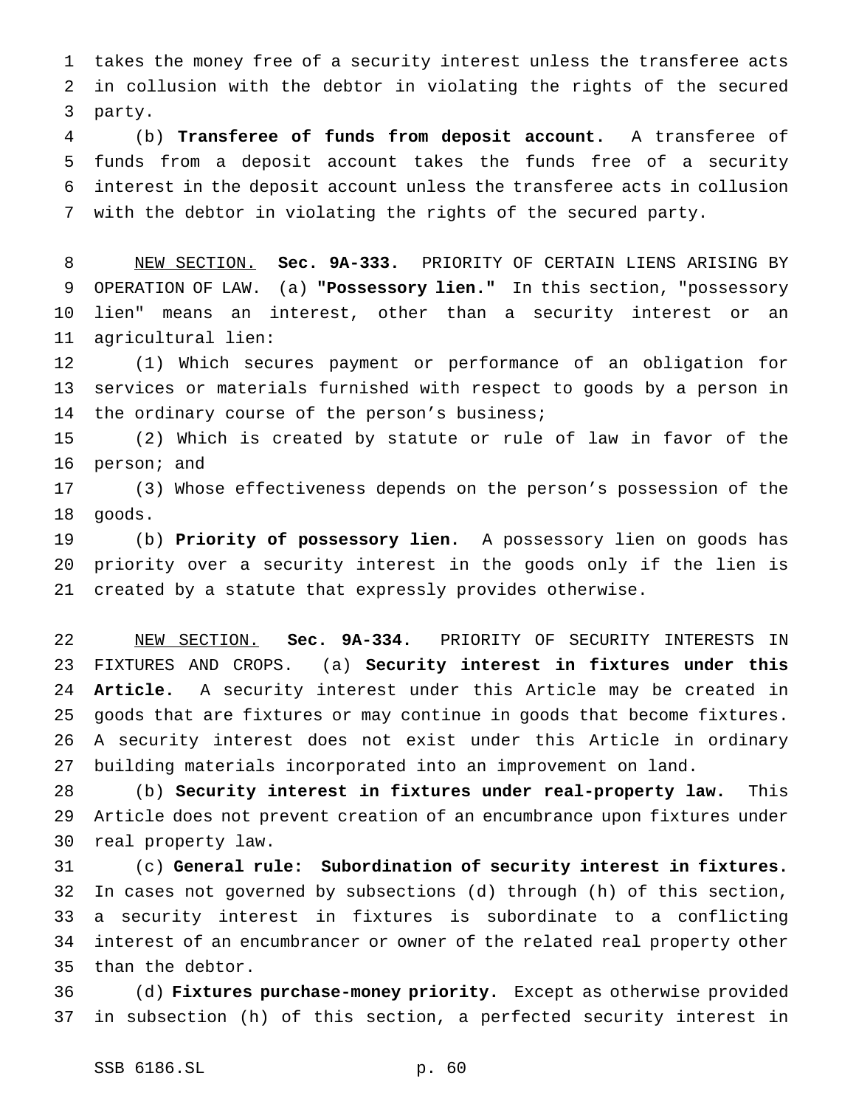takes the money free of a security interest unless the transferee acts in collusion with the debtor in violating the rights of the secured party.

 (b) **Transferee of funds from deposit account.** A transferee of funds from a deposit account takes the funds free of a security interest in the deposit account unless the transferee acts in collusion with the debtor in violating the rights of the secured party.

 NEW SECTION. **Sec. 9A-333.** PRIORITY OF CERTAIN LIENS ARISING BY OPERATION OF LAW. (a) **"Possessory lien."** In this section, "possessory lien" means an interest, other than a security interest or an agricultural lien:

 (1) Which secures payment or performance of an obligation for services or materials furnished with respect to goods by a person in 14 the ordinary course of the person's business;

 (2) Which is created by statute or rule of law in favor of the person; and

 (3) Whose effectiveness depends on the person's possession of the goods.

 (b) **Priority of possessory lien.** A possessory lien on goods has priority over a security interest in the goods only if the lien is created by a statute that expressly provides otherwise.

 NEW SECTION. **Sec. 9A-334.** PRIORITY OF SECURITY INTERESTS IN FIXTURES AND CROPS. (a) **Security interest in fixtures under this Article.** A security interest under this Article may be created in goods that are fixtures or may continue in goods that become fixtures. A security interest does not exist under this Article in ordinary building materials incorporated into an improvement on land.

 (b) **Security interest in fixtures under real-property law.** This Article does not prevent creation of an encumbrance upon fixtures under real property law.

 (c) **General rule: Subordination of security interest in fixtures.** In cases not governed by subsections (d) through (h) of this section, a security interest in fixtures is subordinate to a conflicting interest of an encumbrancer or owner of the related real property other than the debtor.

 (d) **Fixtures purchase-money priority.** Except as otherwise provided in subsection (h) of this section, a perfected security interest in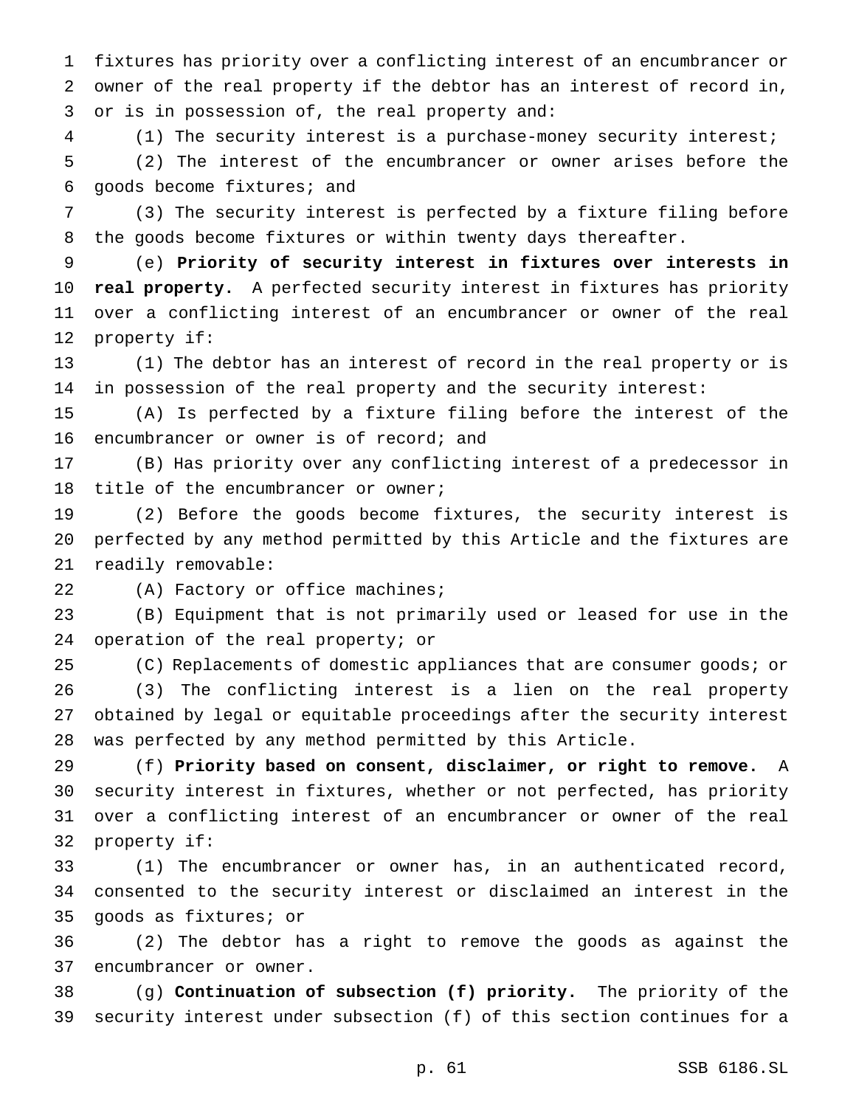fixtures has priority over a conflicting interest of an encumbrancer or owner of the real property if the debtor has an interest of record in, or is in possession of, the real property and:

(1) The security interest is a purchase-money security interest;

 (2) The interest of the encumbrancer or owner arises before the goods become fixtures; and

 (3) The security interest is perfected by a fixture filing before the goods become fixtures or within twenty days thereafter.

 (e) **Priority of security interest in fixtures over interests in real property.** A perfected security interest in fixtures has priority over a conflicting interest of an encumbrancer or owner of the real property if:

 (1) The debtor has an interest of record in the real property or is in possession of the real property and the security interest:

 (A) Is perfected by a fixture filing before the interest of the 16 encumbrancer or owner is of record; and

 (B) Has priority over any conflicting interest of a predecessor in title of the encumbrancer or owner;

 (2) Before the goods become fixtures, the security interest is perfected by any method permitted by this Article and the fixtures are readily removable:

(A) Factory or office machines;

 (B) Equipment that is not primarily used or leased for use in the operation of the real property; or

 (C) Replacements of domestic appliances that are consumer goods; or (3) The conflicting interest is a lien on the real property obtained by legal or equitable proceedings after the security interest was perfected by any method permitted by this Article.

 (f) **Priority based on consent, disclaimer, or right to remove.** A security interest in fixtures, whether or not perfected, has priority over a conflicting interest of an encumbrancer or owner of the real property if:

 (1) The encumbrancer or owner has, in an authenticated record, consented to the security interest or disclaimed an interest in the goods as fixtures; or

 (2) The debtor has a right to remove the goods as against the encumbrancer or owner.

 (g) **Continuation of subsection (f) priority.** The priority of the security interest under subsection (f) of this section continues for a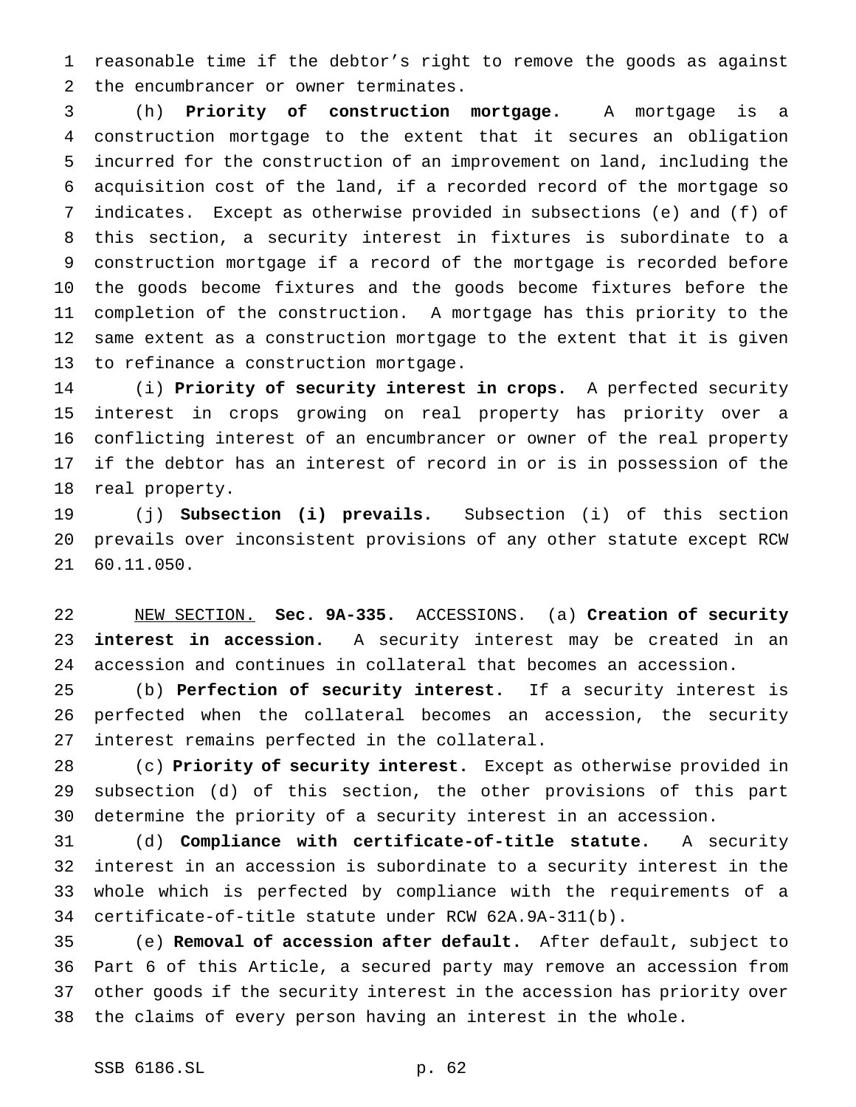reasonable time if the debtor's right to remove the goods as against the encumbrancer or owner terminates.

 (h) **Priority of construction mortgage.** A mortgage is a construction mortgage to the extent that it secures an obligation incurred for the construction of an improvement on land, including the acquisition cost of the land, if a recorded record of the mortgage so indicates. Except as otherwise provided in subsections (e) and (f) of this section, a security interest in fixtures is subordinate to a construction mortgage if a record of the mortgage is recorded before the goods become fixtures and the goods become fixtures before the completion of the construction. A mortgage has this priority to the same extent as a construction mortgage to the extent that it is given to refinance a construction mortgage.

 (i) **Priority of security interest in crops.** A perfected security interest in crops growing on real property has priority over a conflicting interest of an encumbrancer or owner of the real property if the debtor has an interest of record in or is in possession of the real property.

 (j) **Subsection (i) prevails.** Subsection (i) of this section prevails over inconsistent provisions of any other statute except RCW 60.11.050.

 NEW SECTION. **Sec. 9A-335.** ACCESSIONS. (a) **Creation of security interest in accession.** A security interest may be created in an accession and continues in collateral that becomes an accession.

 (b) **Perfection of security interest.** If a security interest is perfected when the collateral becomes an accession, the security interest remains perfected in the collateral.

 (c) **Priority of security interest.** Except as otherwise provided in subsection (d) of this section, the other provisions of this part determine the priority of a security interest in an accession.

 (d) **Compliance with certificate-of-title statute.** A security interest in an accession is subordinate to a security interest in the whole which is perfected by compliance with the requirements of a certificate-of-title statute under RCW 62A.9A-311(b).

 (e) **Removal of accession after default.** After default, subject to Part 6 of this Article, a secured party may remove an accession from other goods if the security interest in the accession has priority over the claims of every person having an interest in the whole.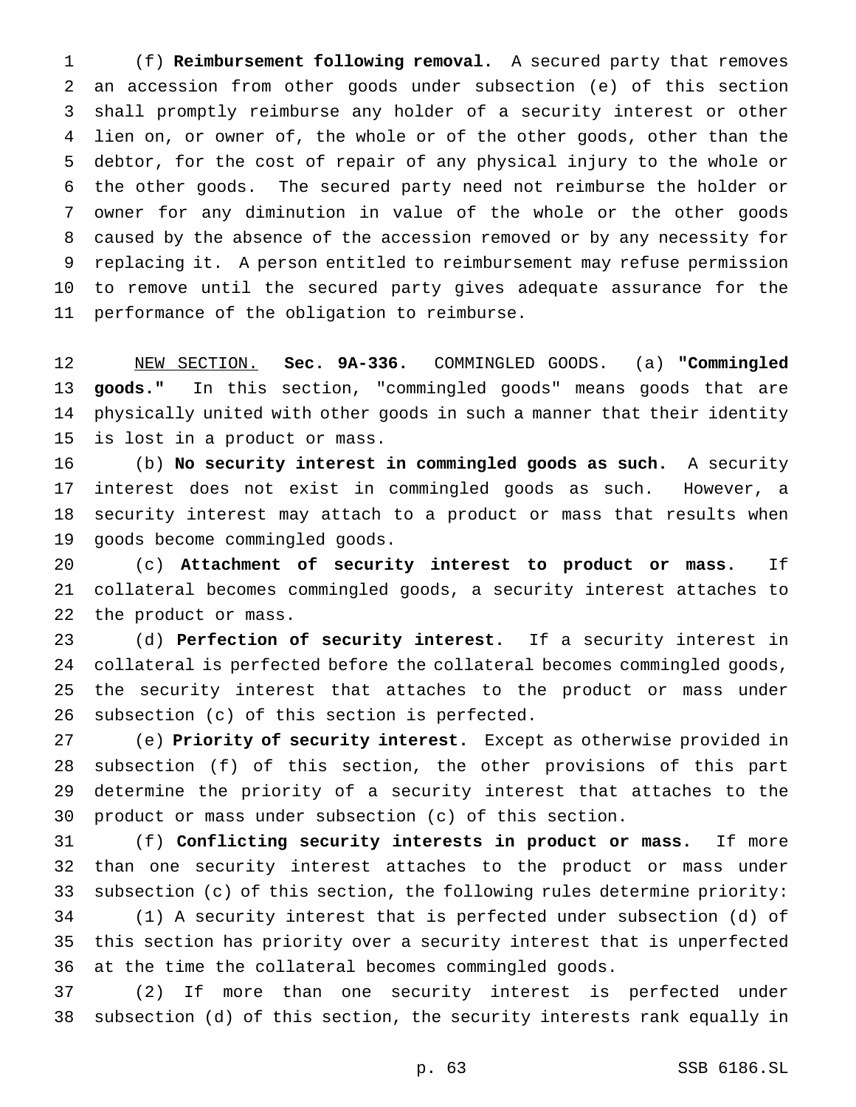(f) **Reimbursement following removal.** A secured party that removes an accession from other goods under subsection (e) of this section shall promptly reimburse any holder of a security interest or other lien on, or owner of, the whole or of the other goods, other than the debtor, for the cost of repair of any physical injury to the whole or the other goods. The secured party need not reimburse the holder or owner for any diminution in value of the whole or the other goods caused by the absence of the accession removed or by any necessity for replacing it. A person entitled to reimbursement may refuse permission to remove until the secured party gives adequate assurance for the performance of the obligation to reimburse.

 NEW SECTION. **Sec. 9A-336.** COMMINGLED GOODS. (a) **"Commingled goods."** In this section, "commingled goods" means goods that are physically united with other goods in such a manner that their identity is lost in a product or mass.

 (b) **No security interest in commingled goods as such.** A security interest does not exist in commingled goods as such. However, a security interest may attach to a product or mass that results when goods become commingled goods.

 (c) **Attachment of security interest to product or mass.** If collateral becomes commingled goods, a security interest attaches to the product or mass.

 (d) **Perfection of security interest.** If a security interest in collateral is perfected before the collateral becomes commingled goods, the security interest that attaches to the product or mass under subsection (c) of this section is perfected.

 (e) **Priority of security interest.** Except as otherwise provided in subsection (f) of this section, the other provisions of this part determine the priority of a security interest that attaches to the product or mass under subsection (c) of this section.

 (f) **Conflicting security interests in product or mass.** If more than one security interest attaches to the product or mass under subsection (c) of this section, the following rules determine priority: (1) A security interest that is perfected under subsection (d) of this section has priority over a security interest that is unperfected at the time the collateral becomes commingled goods.

 (2) If more than one security interest is perfected under subsection (d) of this section, the security interests rank equally in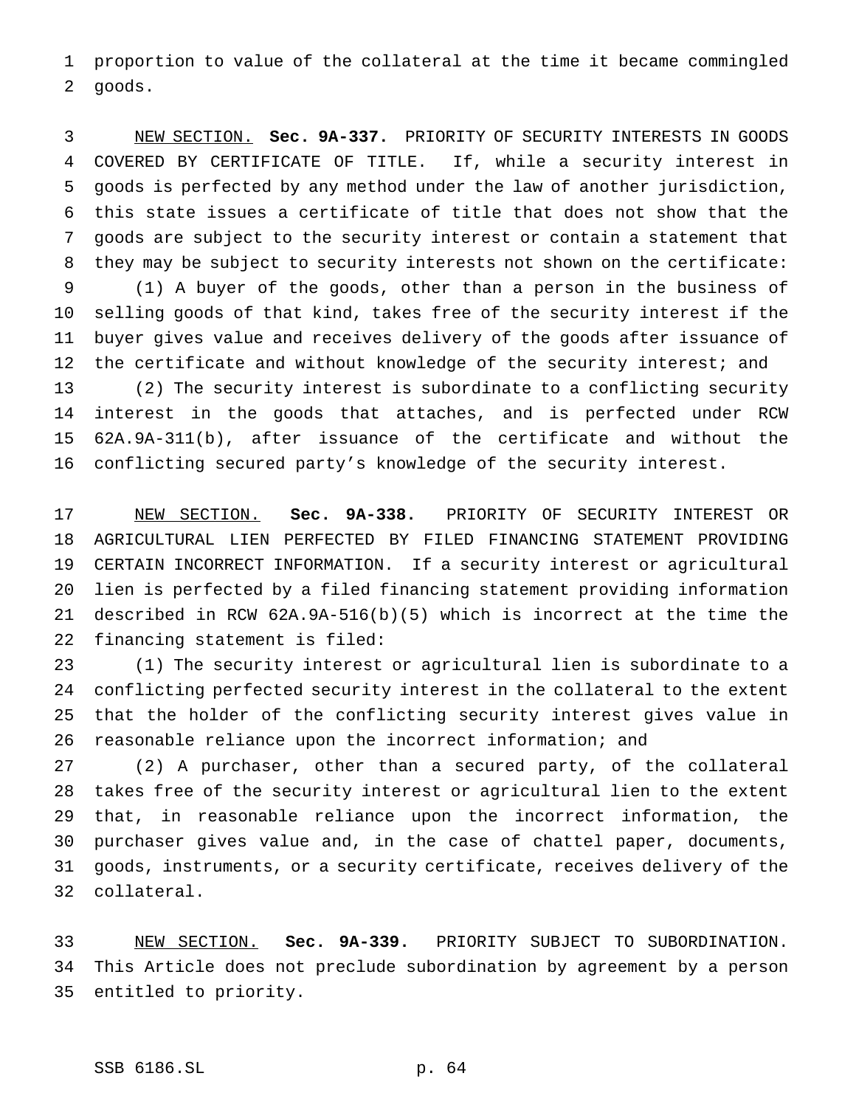proportion to value of the collateral at the time it became commingled goods.

 NEW SECTION. **Sec. 9A-337.** PRIORITY OF SECURITY INTERESTS IN GOODS COVERED BY CERTIFICATE OF TITLE. If, while a security interest in goods is perfected by any method under the law of another jurisdiction, this state issues a certificate of title that does not show that the goods are subject to the security interest or contain a statement that they may be subject to security interests not shown on the certificate: (1) A buyer of the goods, other than a person in the business of selling goods of that kind, takes free of the security interest if the buyer gives value and receives delivery of the goods after issuance of 12 the certificate and without knowledge of the security interest; and

 (2) The security interest is subordinate to a conflicting security interest in the goods that attaches, and is perfected under RCW 62A.9A-311(b), after issuance of the certificate and without the conflicting secured party's knowledge of the security interest.

 NEW SECTION. **Sec. 9A-338.** PRIORITY OF SECURITY INTEREST OR AGRICULTURAL LIEN PERFECTED BY FILED FINANCING STATEMENT PROVIDING CERTAIN INCORRECT INFORMATION. If a security interest or agricultural lien is perfected by a filed financing statement providing information described in RCW 62A.9A-516(b)(5) which is incorrect at the time the financing statement is filed:

 (1) The security interest or agricultural lien is subordinate to a conflicting perfected security interest in the collateral to the extent that the holder of the conflicting security interest gives value in reasonable reliance upon the incorrect information; and

 (2) A purchaser, other than a secured party, of the collateral takes free of the security interest or agricultural lien to the extent that, in reasonable reliance upon the incorrect information, the purchaser gives value and, in the case of chattel paper, documents, goods, instruments, or a security certificate, receives delivery of the collateral.

 NEW SECTION. **Sec. 9A-339.** PRIORITY SUBJECT TO SUBORDINATION. This Article does not preclude subordination by agreement by a person entitled to priority.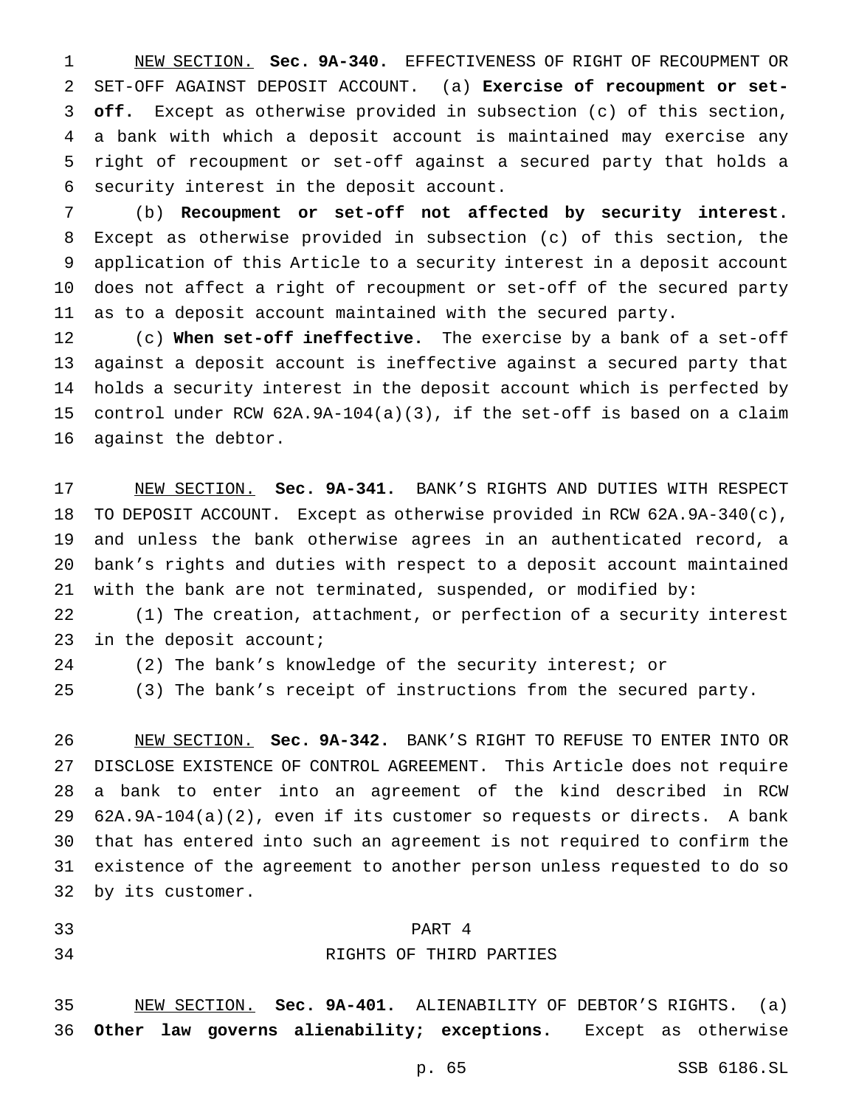NEW SECTION. **Sec. 9A-340.** EFFECTIVENESS OF RIGHT OF RECOUPMENT OR SET-OFF AGAINST DEPOSIT ACCOUNT. (a) **Exercise of recoupment or set- off.** Except as otherwise provided in subsection (c) of this section, a bank with which a deposit account is maintained may exercise any right of recoupment or set-off against a secured party that holds a security interest in the deposit account.

 (b) **Recoupment or set-off not affected by security interest.** Except as otherwise provided in subsection (c) of this section, the application of this Article to a security interest in a deposit account does not affect a right of recoupment or set-off of the secured party as to a deposit account maintained with the secured party.

 (c) **When set-off ineffective.** The exercise by a bank of a set-off against a deposit account is ineffective against a secured party that holds a security interest in the deposit account which is perfected by control under RCW 62A.9A-104(a)(3), if the set-off is based on a claim against the debtor.

 NEW SECTION. **Sec. 9A-341.** BANK'S RIGHTS AND DUTIES WITH RESPECT TO DEPOSIT ACCOUNT. Except as otherwise provided in RCW 62A.9A-340(c), and unless the bank otherwise agrees in an authenticated record, a bank's rights and duties with respect to a deposit account maintained with the bank are not terminated, suspended, or modified by:

 (1) The creation, attachment, or perfection of a security interest 23 in the deposit account;

(2) The bank's knowledge of the security interest; or

(3) The bank's receipt of instructions from the secured party.

 NEW SECTION. **Sec. 9A-342.** BANK'S RIGHT TO REFUSE TO ENTER INTO OR DISCLOSE EXISTENCE OF CONTROL AGREEMENT. This Article does not require a bank to enter into an agreement of the kind described in RCW 62A.9A-104(a)(2), even if its customer so requests or directs. A bank that has entered into such an agreement is not required to confirm the existence of the agreement to another person unless requested to do so by its customer.

## PART 4

## RIGHTS OF THIRD PARTIES

 NEW SECTION. **Sec. 9A-401.** ALIENABILITY OF DEBTOR'S RIGHTS. (a) **Other law governs alienability; exceptions.** Except as otherwise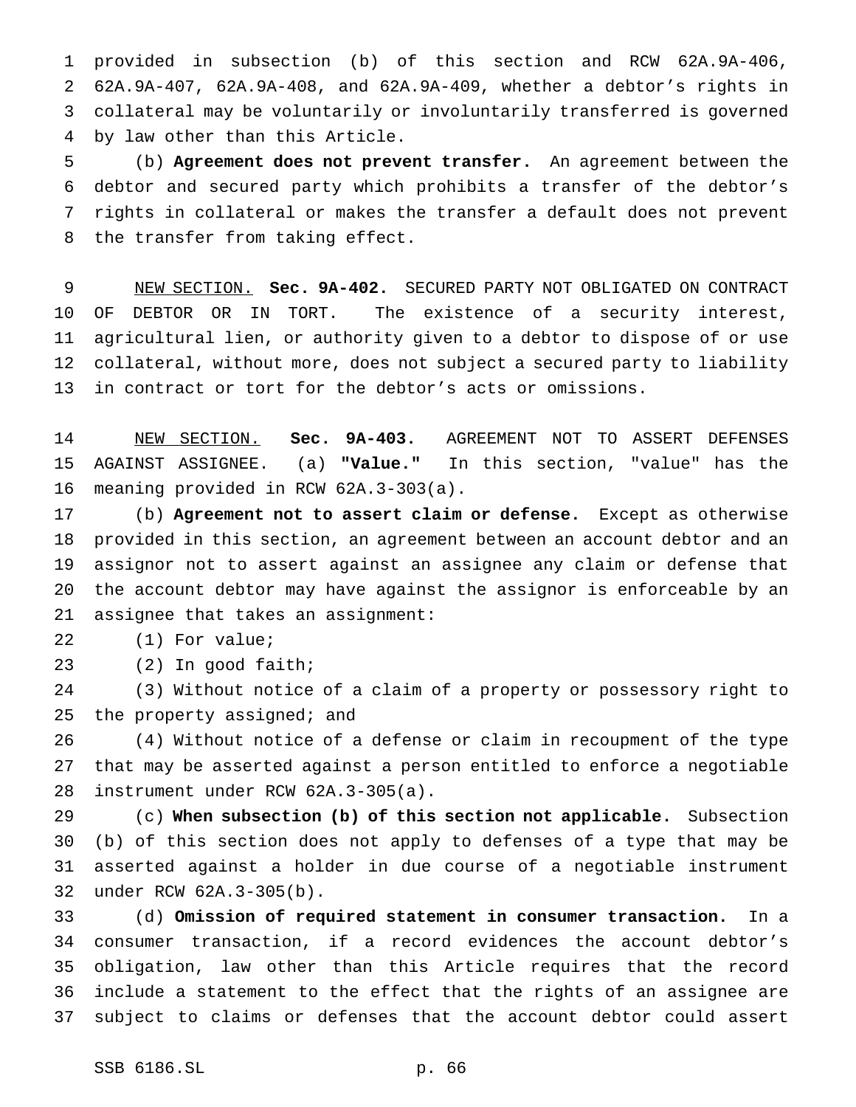provided in subsection (b) of this section and RCW 62A.9A-406, 62A.9A-407, 62A.9A-408, and 62A.9A-409, whether a debtor's rights in collateral may be voluntarily or involuntarily transferred is governed by law other than this Article.

 (b) **Agreement does not prevent transfer.** An agreement between the debtor and secured party which prohibits a transfer of the debtor's rights in collateral or makes the transfer a default does not prevent the transfer from taking effect.

 NEW SECTION. **Sec. 9A-402.** SECURED PARTY NOT OBLIGATED ON CONTRACT OF DEBTOR OR IN TORT. The existence of a security interest, agricultural lien, or authority given to a debtor to dispose of or use collateral, without more, does not subject a secured party to liability in contract or tort for the debtor's acts or omissions.

 NEW SECTION. **Sec. 9A-403.** AGREEMENT NOT TO ASSERT DEFENSES AGAINST ASSIGNEE. (a) **"Value."** In this section, "value" has the meaning provided in RCW 62A.3-303(a).

 (b) **Agreement not to assert claim or defense.** Except as otherwise provided in this section, an agreement between an account debtor and an assignor not to assert against an assignee any claim or defense that the account debtor may have against the assignor is enforceable by an assignee that takes an assignment:

(1) For value;

(2) In good faith;

 (3) Without notice of a claim of a property or possessory right to 25 the property assigned; and

 (4) Without notice of a defense or claim in recoupment of the type that may be asserted against a person entitled to enforce a negotiable instrument under RCW 62A.3-305(a).

 (c) **When subsection (b) of this section not applicable.** Subsection (b) of this section does not apply to defenses of a type that may be asserted against a holder in due course of a negotiable instrument under RCW 62A.3-305(b).

 (d) **Omission of required statement in consumer transaction.** In a consumer transaction, if a record evidences the account debtor's obligation, law other than this Article requires that the record include a statement to the effect that the rights of an assignee are subject to claims or defenses that the account debtor could assert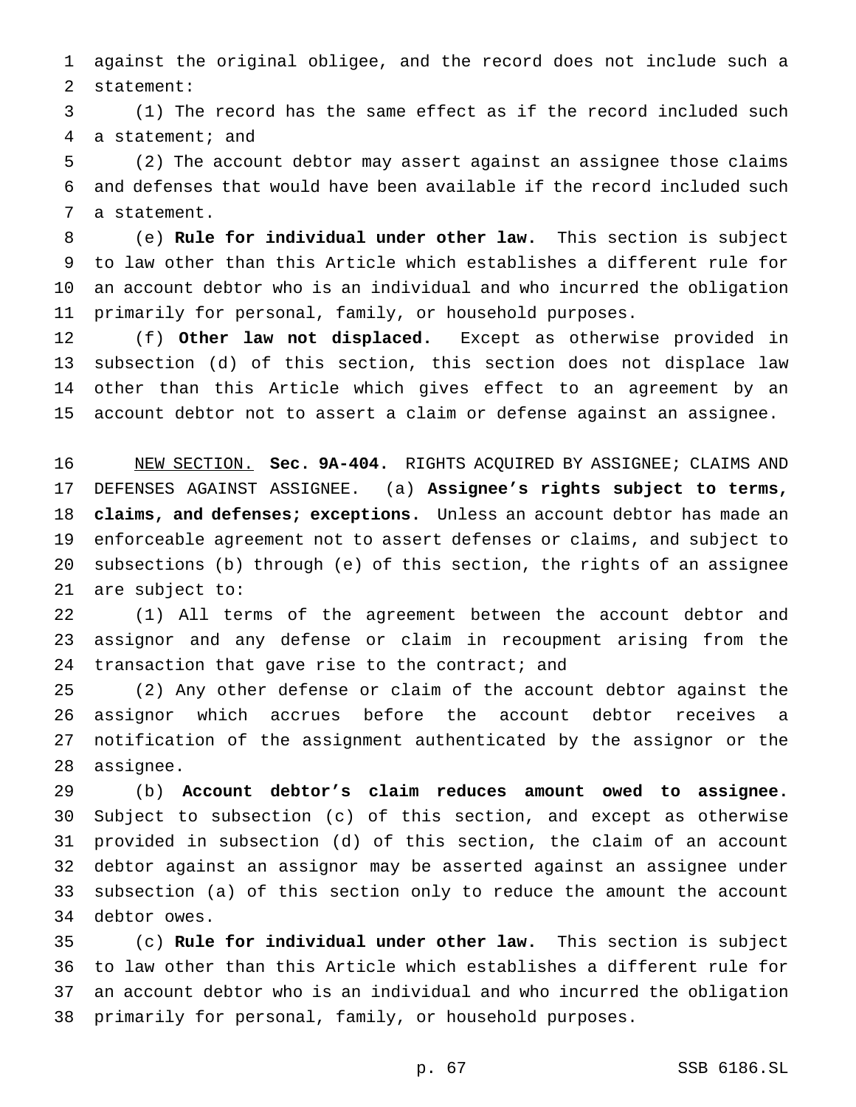against the original obligee, and the record does not include such a statement:

 (1) The record has the same effect as if the record included such a statement; and

 (2) The account debtor may assert against an assignee those claims and defenses that would have been available if the record included such a statement.

 (e) **Rule for individual under other law.** This section is subject to law other than this Article which establishes a different rule for an account debtor who is an individual and who incurred the obligation primarily for personal, family, or household purposes.

 (f) **Other law not displaced.** Except as otherwise provided in subsection (d) of this section, this section does not displace law other than this Article which gives effect to an agreement by an account debtor not to assert a claim or defense against an assignee.

 NEW SECTION. **Sec. 9A-404.** RIGHTS ACQUIRED BY ASSIGNEE; CLAIMS AND DEFENSES AGAINST ASSIGNEE. (a) **Assignee's rights subject to terms, claims, and defenses; exceptions.** Unless an account debtor has made an enforceable agreement not to assert defenses or claims, and subject to subsections (b) through (e) of this section, the rights of an assignee are subject to:

 (1) All terms of the agreement between the account debtor and assignor and any defense or claim in recoupment arising from the 24 transaction that gave rise to the contract; and

 (2) Any other defense or claim of the account debtor against the assignor which accrues before the account debtor receives a notification of the assignment authenticated by the assignor or the assignee.

 (b) **Account debtor's claim reduces amount owed to assignee.** Subject to subsection (c) of this section, and except as otherwise provided in subsection (d) of this section, the claim of an account debtor against an assignor may be asserted against an assignee under subsection (a) of this section only to reduce the amount the account debtor owes.

 (c) **Rule for individual under other law.** This section is subject to law other than this Article which establishes a different rule for an account debtor who is an individual and who incurred the obligation primarily for personal, family, or household purposes.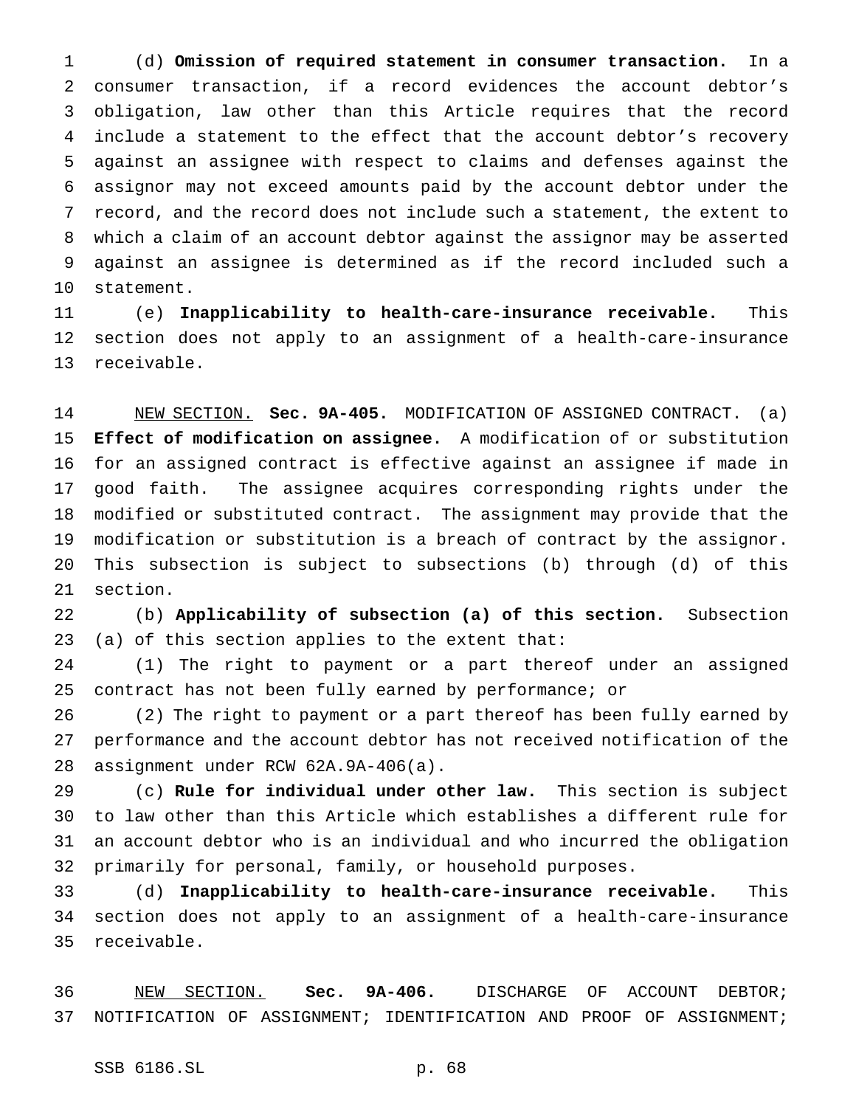(d) **Omission of required statement in consumer transaction.** In a consumer transaction, if a record evidences the account debtor's obligation, law other than this Article requires that the record include a statement to the effect that the account debtor's recovery against an assignee with respect to claims and defenses against the assignor may not exceed amounts paid by the account debtor under the record, and the record does not include such a statement, the extent to which a claim of an account debtor against the assignor may be asserted against an assignee is determined as if the record included such a statement.

 (e) **Inapplicability to health-care-insurance receivable.** This section does not apply to an assignment of a health-care-insurance receivable.

 NEW SECTION. **Sec. 9A-405.** MODIFICATION OF ASSIGNED CONTRACT. (a) **Effect of modification on assignee.** A modification of or substitution for an assigned contract is effective against an assignee if made in good faith. The assignee acquires corresponding rights under the modified or substituted contract. The assignment may provide that the modification or substitution is a breach of contract by the assignor. This subsection is subject to subsections (b) through (d) of this section.

 (b) **Applicability of subsection (a) of this section.** Subsection (a) of this section applies to the extent that:

 (1) The right to payment or a part thereof under an assigned contract has not been fully earned by performance; or

 (2) The right to payment or a part thereof has been fully earned by performance and the account debtor has not received notification of the assignment under RCW 62A.9A-406(a).

 (c) **Rule for individual under other law.** This section is subject to law other than this Article which establishes a different rule for an account debtor who is an individual and who incurred the obligation primarily for personal, family, or household purposes.

 (d) **Inapplicability to health-care-insurance receivable.** This section does not apply to an assignment of a health-care-insurance receivable.

 NEW SECTION. **Sec. 9A-406.** DISCHARGE OF ACCOUNT DEBTOR; NOTIFICATION OF ASSIGNMENT; IDENTIFICATION AND PROOF OF ASSIGNMENT;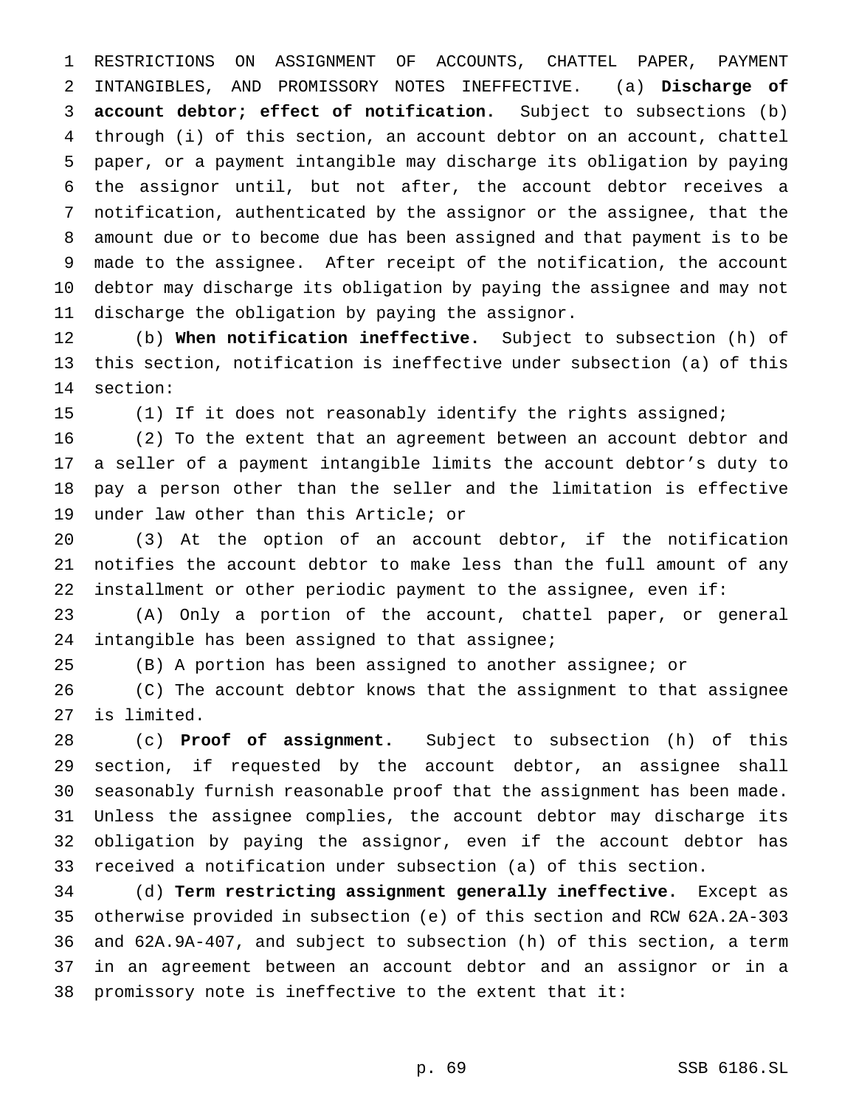RESTRICTIONS ON ASSIGNMENT OF ACCOUNTS, CHATTEL PAPER, PAYMENT INTANGIBLES, AND PROMISSORY NOTES INEFFECTIVE. (a) **Discharge of account debtor; effect of notification.** Subject to subsections (b) through (i) of this section, an account debtor on an account, chattel paper, or a payment intangible may discharge its obligation by paying the assignor until, but not after, the account debtor receives a notification, authenticated by the assignor or the assignee, that the amount due or to become due has been assigned and that payment is to be made to the assignee. After receipt of the notification, the account debtor may discharge its obligation by paying the assignee and may not discharge the obligation by paying the assignor.

 (b) **When notification ineffective.** Subject to subsection (h) of this section, notification is ineffective under subsection (a) of this section:

(1) If it does not reasonably identify the rights assigned;

 (2) To the extent that an agreement between an account debtor and a seller of a payment intangible limits the account debtor's duty to pay a person other than the seller and the limitation is effective under law other than this Article; or

 (3) At the option of an account debtor, if the notification notifies the account debtor to make less than the full amount of any installment or other periodic payment to the assignee, even if:

 (A) Only a portion of the account, chattel paper, or general intangible has been assigned to that assignee;

(B) A portion has been assigned to another assignee; or

 (C) The account debtor knows that the assignment to that assignee is limited.

 (c) **Proof of assignment.** Subject to subsection (h) of this section, if requested by the account debtor, an assignee shall seasonably furnish reasonable proof that the assignment has been made. Unless the assignee complies, the account debtor may discharge its obligation by paying the assignor, even if the account debtor has received a notification under subsection (a) of this section.

 (d) **Term restricting assignment generally ineffective.** Except as otherwise provided in subsection (e) of this section and RCW 62A.2A-303 and 62A.9A-407, and subject to subsection (h) of this section, a term in an agreement between an account debtor and an assignor or in a promissory note is ineffective to the extent that it: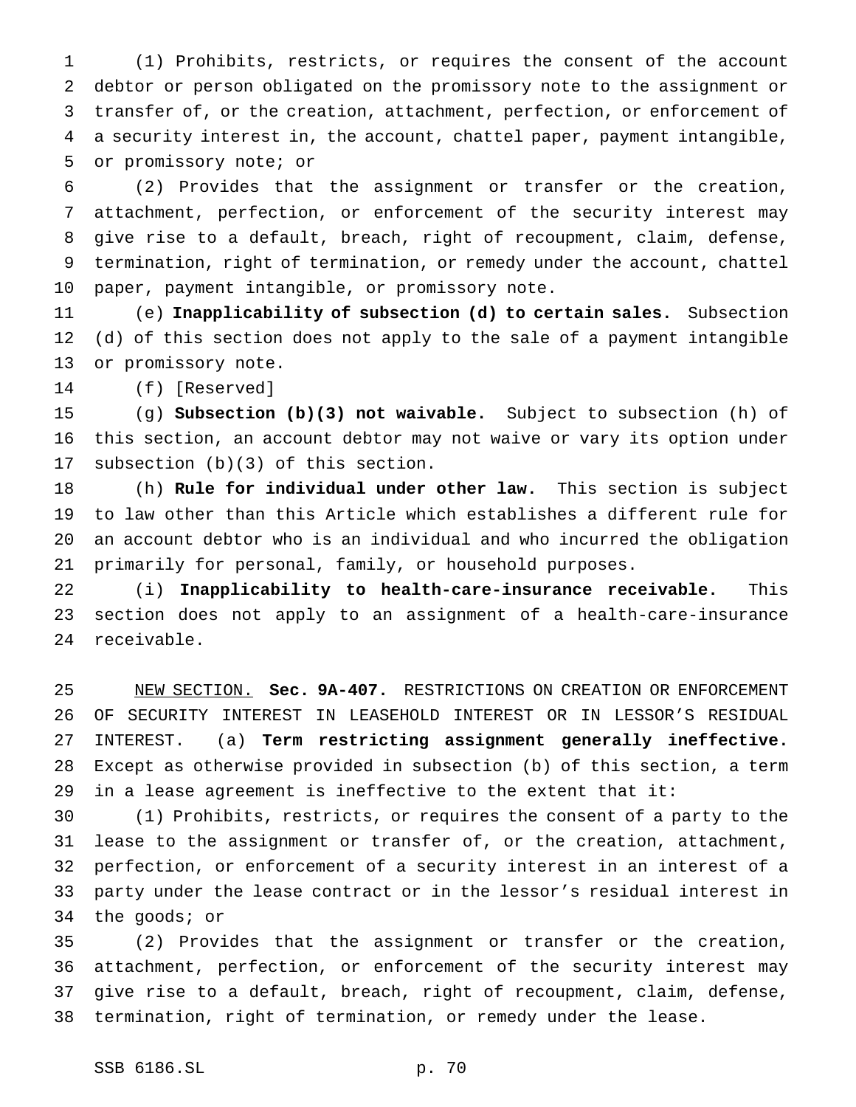(1) Prohibits, restricts, or requires the consent of the account debtor or person obligated on the promissory note to the assignment or transfer of, or the creation, attachment, perfection, or enforcement of a security interest in, the account, chattel paper, payment intangible, or promissory note; or

 (2) Provides that the assignment or transfer or the creation, attachment, perfection, or enforcement of the security interest may give rise to a default, breach, right of recoupment, claim, defense, termination, right of termination, or remedy under the account, chattel paper, payment intangible, or promissory note.

 (e) **Inapplicability of subsection (d) to certain sales.** Subsection (d) of this section does not apply to the sale of a payment intangible or promissory note.

(f) [Reserved]

 (g) **Subsection (b)(3) not waivable.** Subject to subsection (h) of this section, an account debtor may not waive or vary its option under subsection (b)(3) of this section.

 (h) **Rule for individual under other law.** This section is subject to law other than this Article which establishes a different rule for an account debtor who is an individual and who incurred the obligation primarily for personal, family, or household purposes.

 (i) **Inapplicability to health-care-insurance receivable.** This section does not apply to an assignment of a health-care-insurance receivable.

 NEW SECTION. **Sec. 9A-407.** RESTRICTIONS ON CREATION OR ENFORCEMENT OF SECURITY INTEREST IN LEASEHOLD INTEREST OR IN LESSOR'S RESIDUAL INTEREST. (a) **Term restricting assignment generally ineffective.** Except as otherwise provided in subsection (b) of this section, a term in a lease agreement is ineffective to the extent that it:

 (1) Prohibits, restricts, or requires the consent of a party to the lease to the assignment or transfer of, or the creation, attachment, perfection, or enforcement of a security interest in an interest of a party under the lease contract or in the lessor's residual interest in the goods; or

 (2) Provides that the assignment or transfer or the creation, attachment, perfection, or enforcement of the security interest may give rise to a default, breach, right of recoupment, claim, defense, termination, right of termination, or remedy under the lease.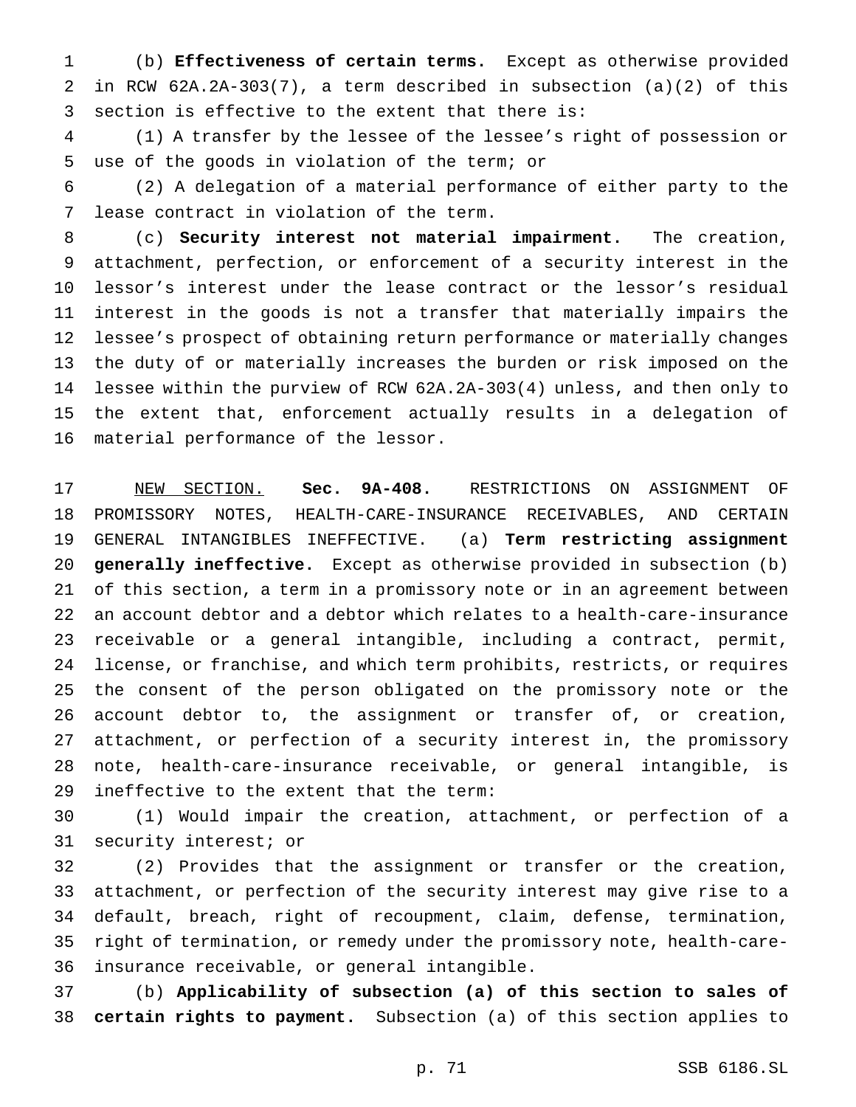(b) **Effectiveness of certain terms.** Except as otherwise provided in RCW 62A.2A-303(7), a term described in subsection (a)(2) of this section is effective to the extent that there is:

 (1) A transfer by the lessee of the lessee's right of possession or use of the goods in violation of the term; or

 (2) A delegation of a material performance of either party to the lease contract in violation of the term.

 (c) **Security interest not material impairment.** The creation, attachment, perfection, or enforcement of a security interest in the lessor's interest under the lease contract or the lessor's residual interest in the goods is not a transfer that materially impairs the lessee's prospect of obtaining return performance or materially changes the duty of or materially increases the burden or risk imposed on the lessee within the purview of RCW 62A.2A-303(4) unless, and then only to the extent that, enforcement actually results in a delegation of material performance of the lessor.

 NEW SECTION. **Sec. 9A-408.** RESTRICTIONS ON ASSIGNMENT OF PROMISSORY NOTES, HEALTH-CARE-INSURANCE RECEIVABLES, AND CERTAIN GENERAL INTANGIBLES INEFFECTIVE. (a) **Term restricting assignment generally ineffective.** Except as otherwise provided in subsection (b) of this section, a term in a promissory note or in an agreement between an account debtor and a debtor which relates to a health-care-insurance receivable or a general intangible, including a contract, permit, license, or franchise, and which term prohibits, restricts, or requires the consent of the person obligated on the promissory note or the account debtor to, the assignment or transfer of, or creation, attachment, or perfection of a security interest in, the promissory note, health-care-insurance receivable, or general intangible, is ineffective to the extent that the term:

 (1) Would impair the creation, attachment, or perfection of a security interest; or

 (2) Provides that the assignment or transfer or the creation, attachment, or perfection of the security interest may give rise to a default, breach, right of recoupment, claim, defense, termination, right of termination, or remedy under the promissory note, health-care-insurance receivable, or general intangible.

 (b) **Applicability of subsection (a) of this section to sales of certain rights to payment.** Subsection (a) of this section applies to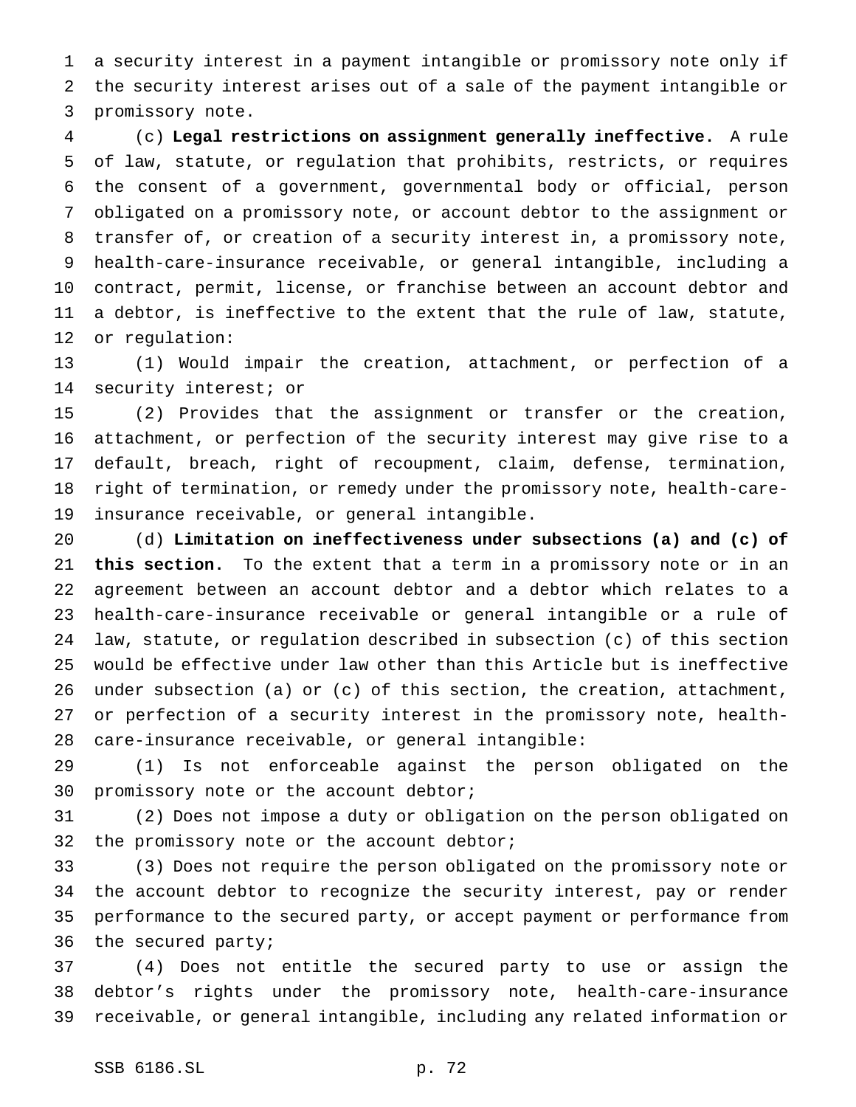a security interest in a payment intangible or promissory note only if the security interest arises out of a sale of the payment intangible or promissory note.

 (c) **Legal restrictions on assignment generally ineffective.** A rule of law, statute, or regulation that prohibits, restricts, or requires the consent of a government, governmental body or official, person obligated on a promissory note, or account debtor to the assignment or transfer of, or creation of a security interest in, a promissory note, health-care-insurance receivable, or general intangible, including a contract, permit, license, or franchise between an account debtor and a debtor, is ineffective to the extent that the rule of law, statute, or regulation:

 (1) Would impair the creation, attachment, or perfection of a security interest; or

 (2) Provides that the assignment or transfer or the creation, attachment, or perfection of the security interest may give rise to a default, breach, right of recoupment, claim, defense, termination, right of termination, or remedy under the promissory note, health-care-insurance receivable, or general intangible.

 (d) **Limitation on ineffectiveness under subsections (a) and (c) of this section.** To the extent that a term in a promissory note or in an agreement between an account debtor and a debtor which relates to a health-care-insurance receivable or general intangible or a rule of law, statute, or regulation described in subsection (c) of this section would be effective under law other than this Article but is ineffective under subsection (a) or (c) of this section, the creation, attachment, or perfection of a security interest in the promissory note, health-care-insurance receivable, or general intangible:

 (1) Is not enforceable against the person obligated on the promissory note or the account debtor;

 (2) Does not impose a duty or obligation on the person obligated on 32 the promissory note or the account debtor;

 (3) Does not require the person obligated on the promissory note or the account debtor to recognize the security interest, pay or render performance to the secured party, or accept payment or performance from the secured party;

 (4) Does not entitle the secured party to use or assign the debtor's rights under the promissory note, health-care-insurance receivable, or general intangible, including any related information or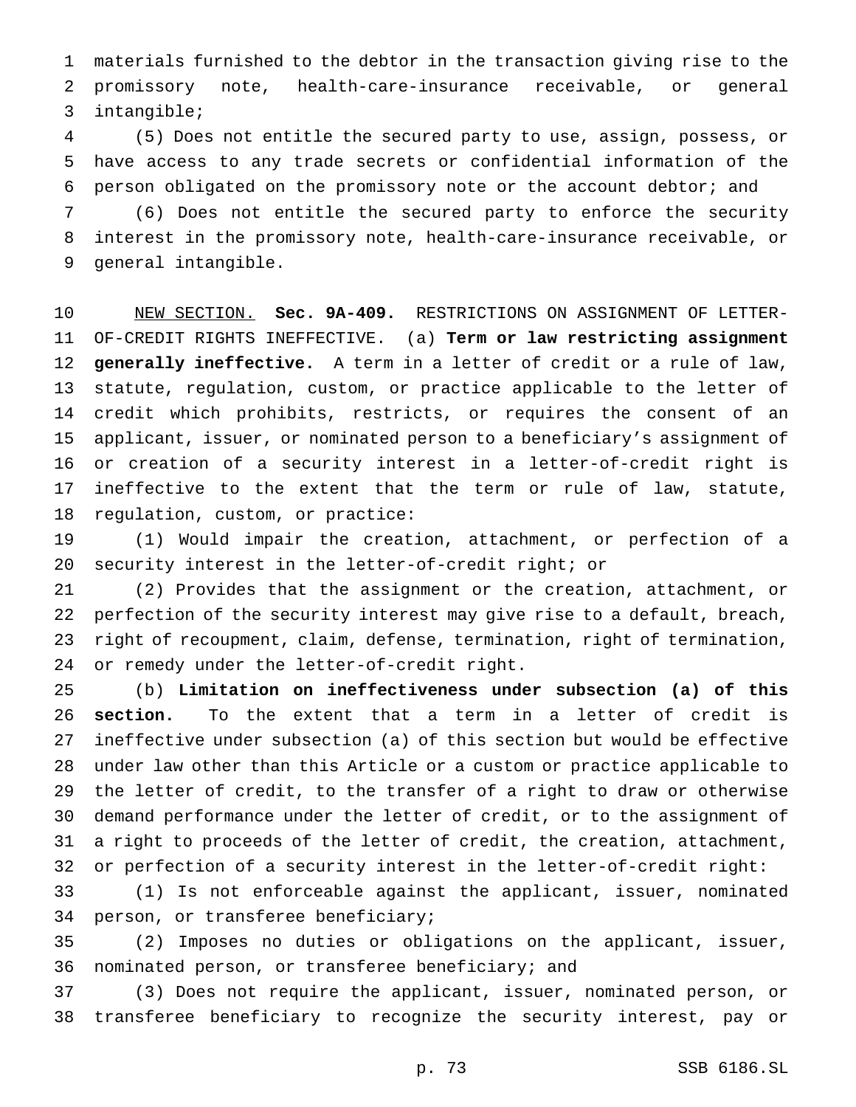materials furnished to the debtor in the transaction giving rise to the promissory note, health-care-insurance receivable, or general intangible;

 (5) Does not entitle the secured party to use, assign, possess, or have access to any trade secrets or confidential information of the person obligated on the promissory note or the account debtor; and

 (6) Does not entitle the secured party to enforce the security interest in the promissory note, health-care-insurance receivable, or general intangible.

 NEW SECTION. **Sec. 9A-409.** RESTRICTIONS ON ASSIGNMENT OF LETTER- OF-CREDIT RIGHTS INEFFECTIVE. (a) **Term or law restricting assignment generally ineffective.** A term in a letter of credit or a rule of law, statute, regulation, custom, or practice applicable to the letter of credit which prohibits, restricts, or requires the consent of an applicant, issuer, or nominated person to a beneficiary's assignment of or creation of a security interest in a letter-of-credit right is ineffective to the extent that the term or rule of law, statute, regulation, custom, or practice:

 (1) Would impair the creation, attachment, or perfection of a security interest in the letter-of-credit right; or

 (2) Provides that the assignment or the creation, attachment, or perfection of the security interest may give rise to a default, breach, right of recoupment, claim, defense, termination, right of termination, or remedy under the letter-of-credit right.

 (b) **Limitation on ineffectiveness under subsection (a) of this section.** To the extent that a term in a letter of credit is ineffective under subsection (a) of this section but would be effective under law other than this Article or a custom or practice applicable to the letter of credit, to the transfer of a right to draw or otherwise demand performance under the letter of credit, or to the assignment of a right to proceeds of the letter of credit, the creation, attachment, or perfection of a security interest in the letter-of-credit right:

 (1) Is not enforceable against the applicant, issuer, nominated person, or transferee beneficiary;

 (2) Imposes no duties or obligations on the applicant, issuer, nominated person, or transferee beneficiary; and

 (3) Does not require the applicant, issuer, nominated person, or transferee beneficiary to recognize the security interest, pay or

p. 73 SSB 6186.SL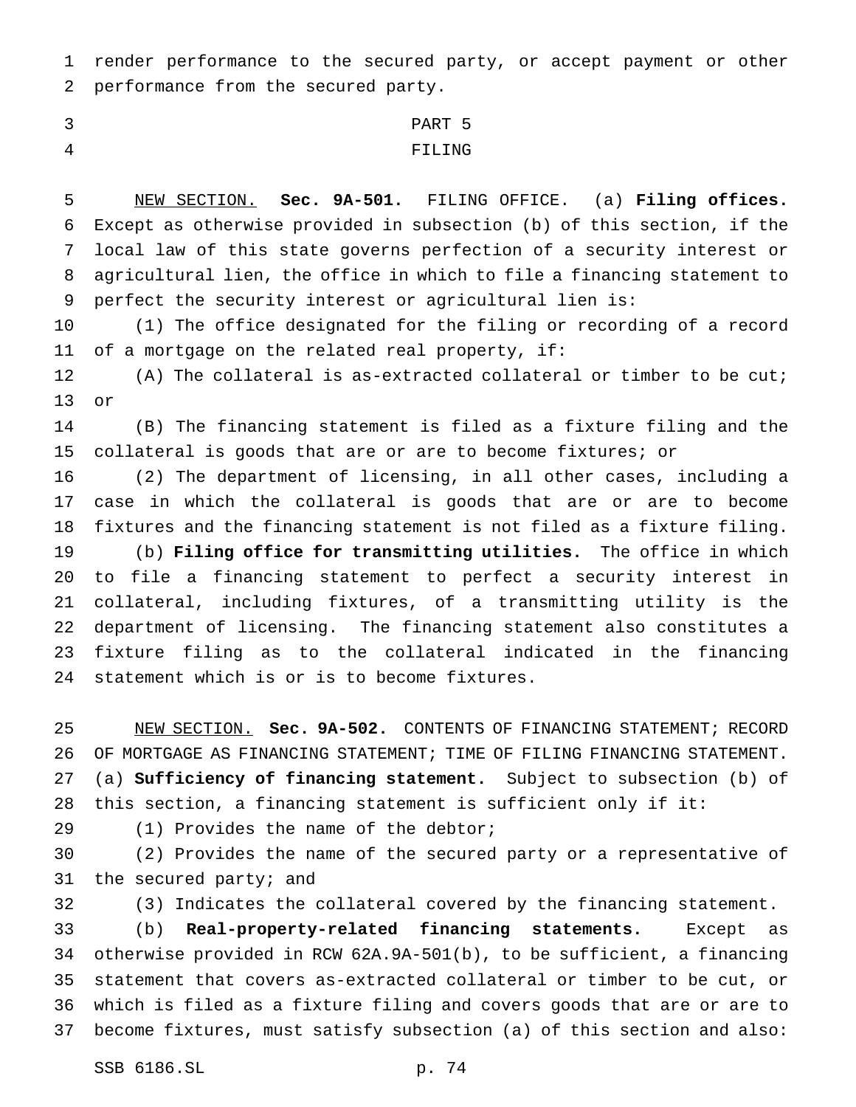render performance to the secured party, or accept payment or other performance from the secured party.

 PART 5 FILING

 NEW SECTION. **Sec. 9A-501.** FILING OFFICE. (a) **Filing offices.** Except as otherwise provided in subsection (b) of this section, if the local law of this state governs perfection of a security interest or agricultural lien, the office in which to file a financing statement to perfect the security interest or agricultural lien is:

 (1) The office designated for the filing or recording of a record of a mortgage on the related real property, if:

 (A) The collateral is as-extracted collateral or timber to be cut; or

 (B) The financing statement is filed as a fixture filing and the collateral is goods that are or are to become fixtures; or

 (2) The department of licensing, in all other cases, including a case in which the collateral is goods that are or are to become fixtures and the financing statement is not filed as a fixture filing. (b) **Filing office for transmitting utilities.** The office in which to file a financing statement to perfect a security interest in collateral, including fixtures, of a transmitting utility is the department of licensing. The financing statement also constitutes a fixture filing as to the collateral indicated in the financing statement which is or is to become fixtures.

 NEW SECTION. **Sec. 9A-502.** CONTENTS OF FINANCING STATEMENT; RECORD OF MORTGAGE AS FINANCING STATEMENT; TIME OF FILING FINANCING STATEMENT. (a) **Sufficiency of financing statement.** Subject to subsection (b) of this section, a financing statement is sufficient only if it:

(1) Provides the name of the debtor;

 (2) Provides the name of the secured party or a representative of the secured party; and

(3) Indicates the collateral covered by the financing statement.

 (b) **Real-property-related financing statements.** Except as otherwise provided in RCW 62A.9A-501(b), to be sufficient, a financing statement that covers as-extracted collateral or timber to be cut, or which is filed as a fixture filing and covers goods that are or are to become fixtures, must satisfy subsection (a) of this section and also: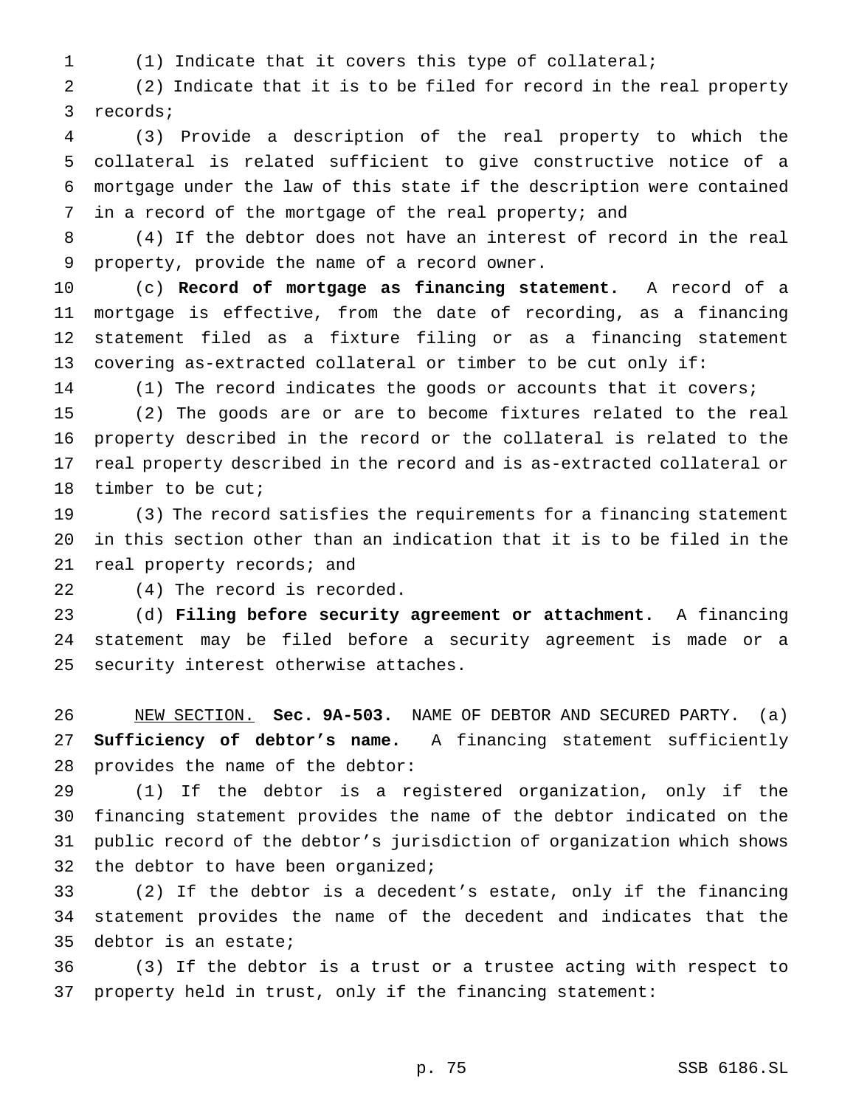(1) Indicate that it covers this type of collateral;

 (2) Indicate that it is to be filed for record in the real property records;

 (3) Provide a description of the real property to which the collateral is related sufficient to give constructive notice of a mortgage under the law of this state if the description were contained in a record of the mortgage of the real property; and

 (4) If the debtor does not have an interest of record in the real property, provide the name of a record owner.

 (c) **Record of mortgage as financing statement.** A record of a mortgage is effective, from the date of recording, as a financing statement filed as a fixture filing or as a financing statement covering as-extracted collateral or timber to be cut only if:

(1) The record indicates the goods or accounts that it covers;

 (2) The goods are or are to become fixtures related to the real property described in the record or the collateral is related to the real property described in the record and is as-extracted collateral or timber to be cut;

 (3) The record satisfies the requirements for a financing statement in this section other than an indication that it is to be filed in the real property records; and

(4) The record is recorded.

 (d) **Filing before security agreement or attachment.** A financing statement may be filed before a security agreement is made or a security interest otherwise attaches.

 NEW SECTION. **Sec. 9A-503.** NAME OF DEBTOR AND SECURED PARTY. (a) **Sufficiency of debtor's name.** A financing statement sufficiently provides the name of the debtor:

 (1) If the debtor is a registered organization, only if the financing statement provides the name of the debtor indicated on the public record of the debtor's jurisdiction of organization which shows 32 the debtor to have been organized;

 (2) If the debtor is a decedent's estate, only if the financing statement provides the name of the decedent and indicates that the debtor is an estate;

 (3) If the debtor is a trust or a trustee acting with respect to property held in trust, only if the financing statement: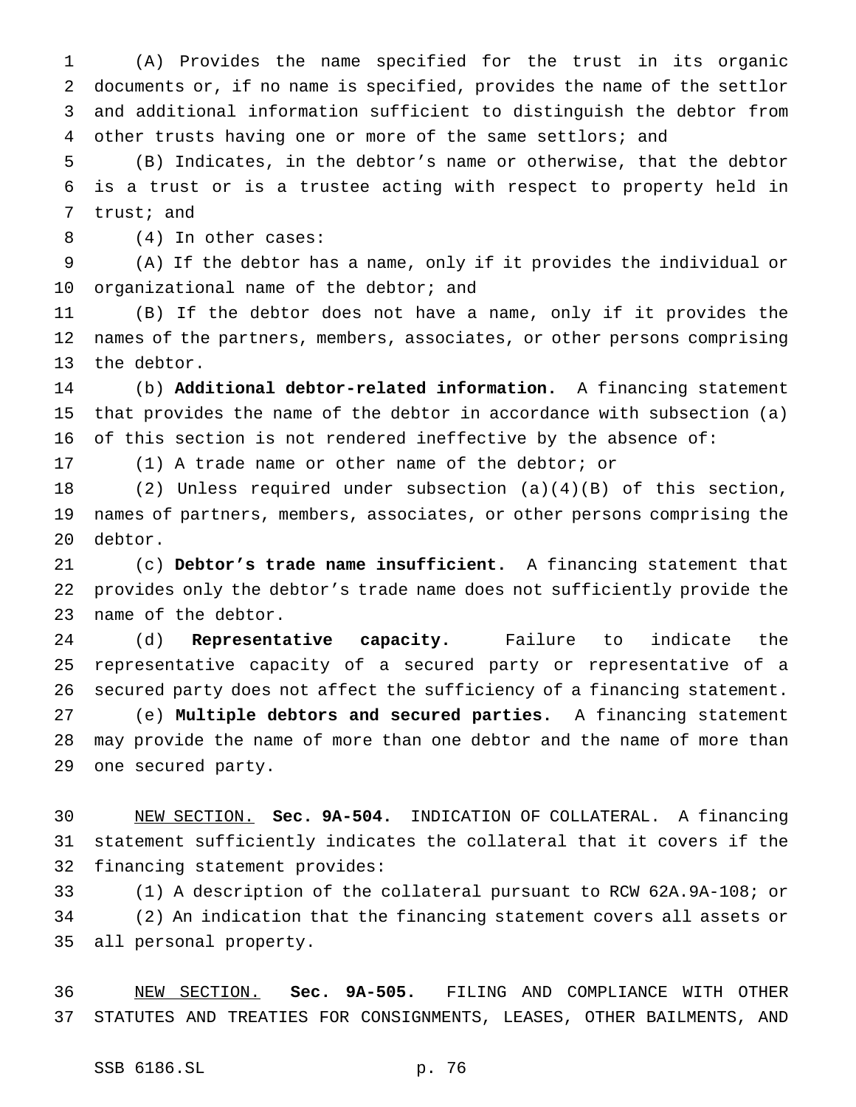(A) Provides the name specified for the trust in its organic documents or, if no name is specified, provides the name of the settlor and additional information sufficient to distinguish the debtor from other trusts having one or more of the same settlors; and

 (B) Indicates, in the debtor's name or otherwise, that the debtor is a trust or is a trustee acting with respect to property held in trust; and

(4) In other cases:

 (A) If the debtor has a name, only if it provides the individual or 10 organizational name of the debtor; and

 (B) If the debtor does not have a name, only if it provides the names of the partners, members, associates, or other persons comprising the debtor.

 (b) **Additional debtor-related information.** A financing statement that provides the name of the debtor in accordance with subsection (a) of this section is not rendered ineffective by the absence of:

(1) A trade name or other name of the debtor; or

 (2) Unless required under subsection (a)(4)(B) of this section, names of partners, members, associates, or other persons comprising the debtor.

 (c) **Debtor's trade name insufficient.** A financing statement that provides only the debtor's trade name does not sufficiently provide the name of the debtor.

 (d) **Representative capacity.** Failure to indicate the representative capacity of a secured party or representative of a secured party does not affect the sufficiency of a financing statement.

 (e) **Multiple debtors and secured parties.** A financing statement may provide the name of more than one debtor and the name of more than one secured party.

 NEW SECTION. **Sec. 9A-504.** INDICATION OF COLLATERAL. A financing statement sufficiently indicates the collateral that it covers if the financing statement provides:

 (1) A description of the collateral pursuant to RCW 62A.9A-108; or (2) An indication that the financing statement covers all assets or all personal property.

 NEW SECTION. **Sec. 9A-505.** FILING AND COMPLIANCE WITH OTHER STATUTES AND TREATIES FOR CONSIGNMENTS, LEASES, OTHER BAILMENTS, AND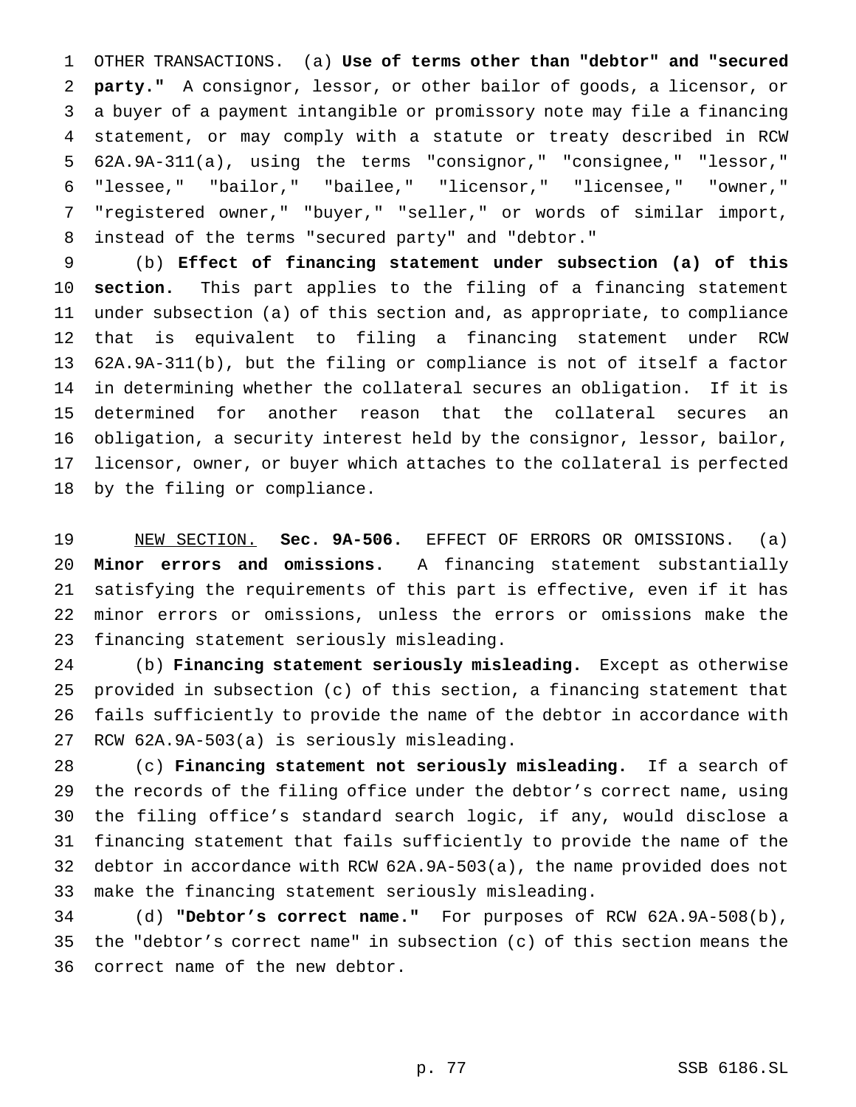OTHER TRANSACTIONS. (a) **Use of terms other than "debtor" and "secured party."** A consignor, lessor, or other bailor of goods, a licensor, or a buyer of a payment intangible or promissory note may file a financing statement, or may comply with a statute or treaty described in RCW 62A.9A-311(a), using the terms "consignor," "consignee," "lessor," "lessee," "bailor," "bailee," "licensor," "licensee," "owner," "registered owner," "buyer," "seller," or words of similar import, instead of the terms "secured party" and "debtor."

 (b) **Effect of financing statement under subsection (a) of this section.** This part applies to the filing of a financing statement under subsection (a) of this section and, as appropriate, to compliance that is equivalent to filing a financing statement under RCW 62A.9A-311(b), but the filing or compliance is not of itself a factor in determining whether the collateral secures an obligation. If it is determined for another reason that the collateral secures an obligation, a security interest held by the consignor, lessor, bailor, licensor, owner, or buyer which attaches to the collateral is perfected by the filing or compliance.

 NEW SECTION. **Sec. 9A-506.** EFFECT OF ERRORS OR OMISSIONS. (a) **Minor errors and omissions.** A financing statement substantially satisfying the requirements of this part is effective, even if it has minor errors or omissions, unless the errors or omissions make the financing statement seriously misleading.

 (b) **Financing statement seriously misleading.** Except as otherwise provided in subsection (c) of this section, a financing statement that fails sufficiently to provide the name of the debtor in accordance with RCW 62A.9A-503(a) is seriously misleading.

 (c) **Financing statement not seriously misleading.** If a search of the records of the filing office under the debtor's correct name, using the filing office's standard search logic, if any, would disclose a financing statement that fails sufficiently to provide the name of the debtor in accordance with RCW 62A.9A-503(a), the name provided does not make the financing statement seriously misleading.

 (d) **"Debtor's correct name."** For purposes of RCW 62A.9A-508(b), the "debtor's correct name" in subsection (c) of this section means the correct name of the new debtor.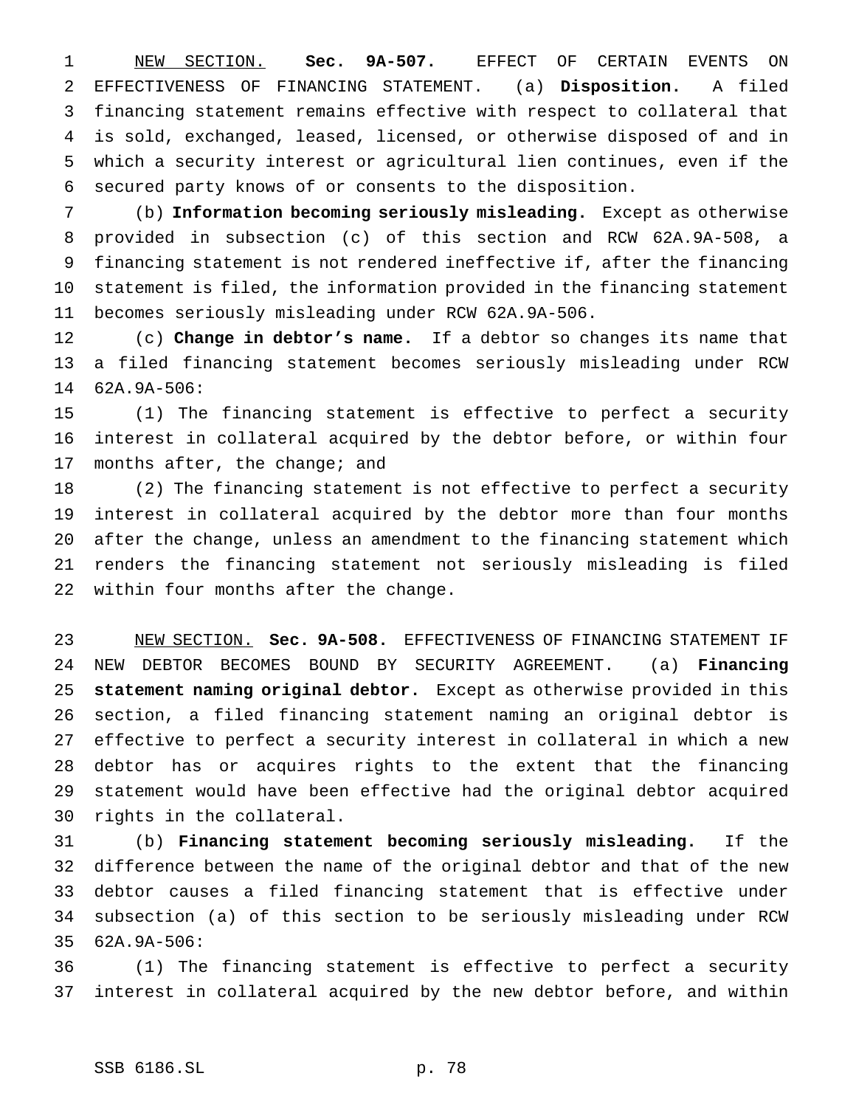NEW SECTION. **Sec. 9A-507.** EFFECT OF CERTAIN EVENTS ON EFFECTIVENESS OF FINANCING STATEMENT. (a) **Disposition.** A filed financing statement remains effective with respect to collateral that is sold, exchanged, leased, licensed, or otherwise disposed of and in which a security interest or agricultural lien continues, even if the secured party knows of or consents to the disposition.

 (b) **Information becoming seriously misleading.** Except as otherwise provided in subsection (c) of this section and RCW 62A.9A-508, a financing statement is not rendered ineffective if, after the financing statement is filed, the information provided in the financing statement becomes seriously misleading under RCW 62A.9A-506.

 (c) **Change in debtor's name.** If a debtor so changes its name that a filed financing statement becomes seriously misleading under RCW 62A.9A-506:

 (1) The financing statement is effective to perfect a security interest in collateral acquired by the debtor before, or within four 17 months after, the change; and

 (2) The financing statement is not effective to perfect a security interest in collateral acquired by the debtor more than four months after the change, unless an amendment to the financing statement which renders the financing statement not seriously misleading is filed within four months after the change.

 NEW SECTION. **Sec. 9A-508.** EFFECTIVENESS OF FINANCING STATEMENT IF NEW DEBTOR BECOMES BOUND BY SECURITY AGREEMENT. (a) **Financing statement naming original debtor.** Except as otherwise provided in this section, a filed financing statement naming an original debtor is effective to perfect a security interest in collateral in which a new debtor has or acquires rights to the extent that the financing statement would have been effective had the original debtor acquired rights in the collateral.

 (b) **Financing statement becoming seriously misleading.** If the difference between the name of the original debtor and that of the new debtor causes a filed financing statement that is effective under subsection (a) of this section to be seriously misleading under RCW 62A.9A-506:

 (1) The financing statement is effective to perfect a security interest in collateral acquired by the new debtor before, and within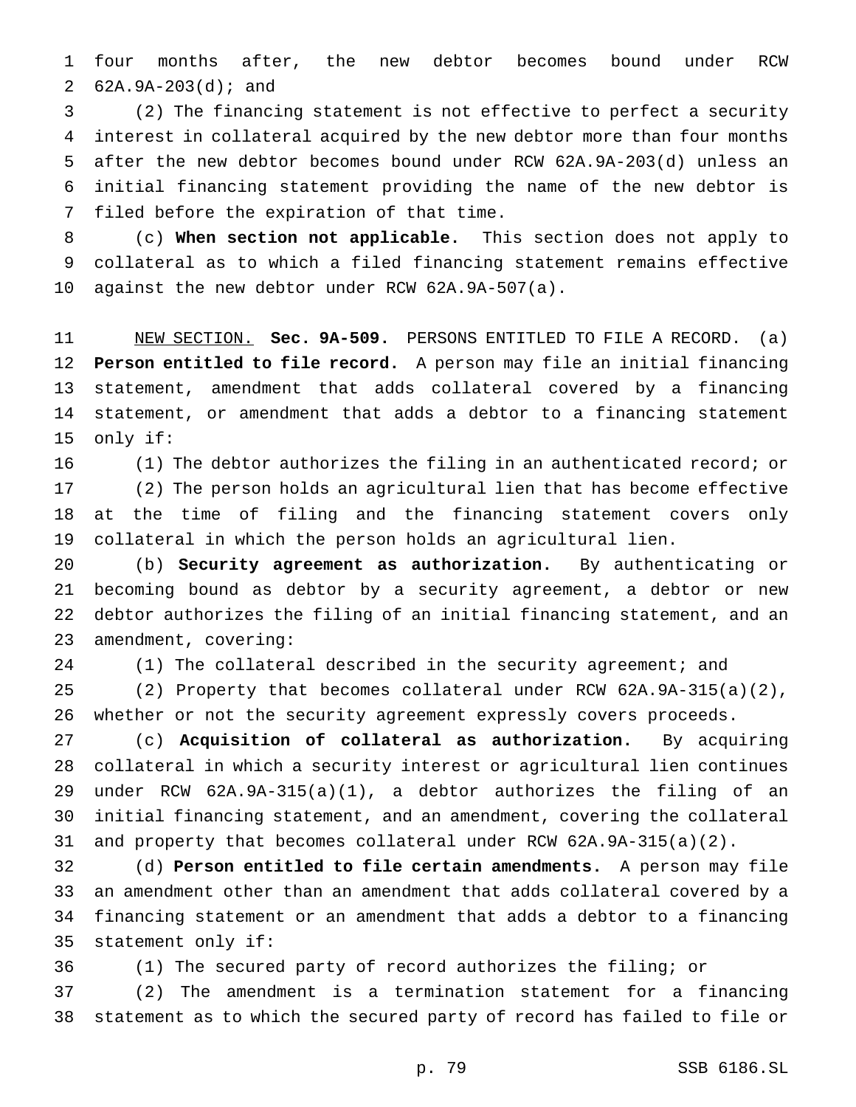four months after, the new debtor becomes bound under RCW 62A.9A-203(d); and

 (2) The financing statement is not effective to perfect a security interest in collateral acquired by the new debtor more than four months after the new debtor becomes bound under RCW 62A.9A-203(d) unless an initial financing statement providing the name of the new debtor is filed before the expiration of that time.

 (c) **When section not applicable.** This section does not apply to collateral as to which a filed financing statement remains effective against the new debtor under RCW 62A.9A-507(a).

 NEW SECTION. **Sec. 9A-509.** PERSONS ENTITLED TO FILE A RECORD. (a) **Person entitled to file record.** A person may file an initial financing statement, amendment that adds collateral covered by a financing statement, or amendment that adds a debtor to a financing statement only if:

 (1) The debtor authorizes the filing in an authenticated record; or (2) The person holds an agricultural lien that has become effective at the time of filing and the financing statement covers only collateral in which the person holds an agricultural lien.

 (b) **Security agreement as authorization.** By authenticating or becoming bound as debtor by a security agreement, a debtor or new debtor authorizes the filing of an initial financing statement, and an amendment, covering:

(1) The collateral described in the security agreement; and

 (2) Property that becomes collateral under RCW 62A.9A-315(a)(2), whether or not the security agreement expressly covers proceeds.

 (c) **Acquisition of collateral as authorization.** By acquiring collateral in which a security interest or agricultural lien continues under RCW 62A.9A-315(a)(1), a debtor authorizes the filing of an initial financing statement, and an amendment, covering the collateral and property that becomes collateral under RCW 62A.9A-315(a)(2).

 (d) **Person entitled to file certain amendments.** A person may file an amendment other than an amendment that adds collateral covered by a financing statement or an amendment that adds a debtor to a financing statement only if:

(1) The secured party of record authorizes the filing; or

 (2) The amendment is a termination statement for a financing statement as to which the secured party of record has failed to file or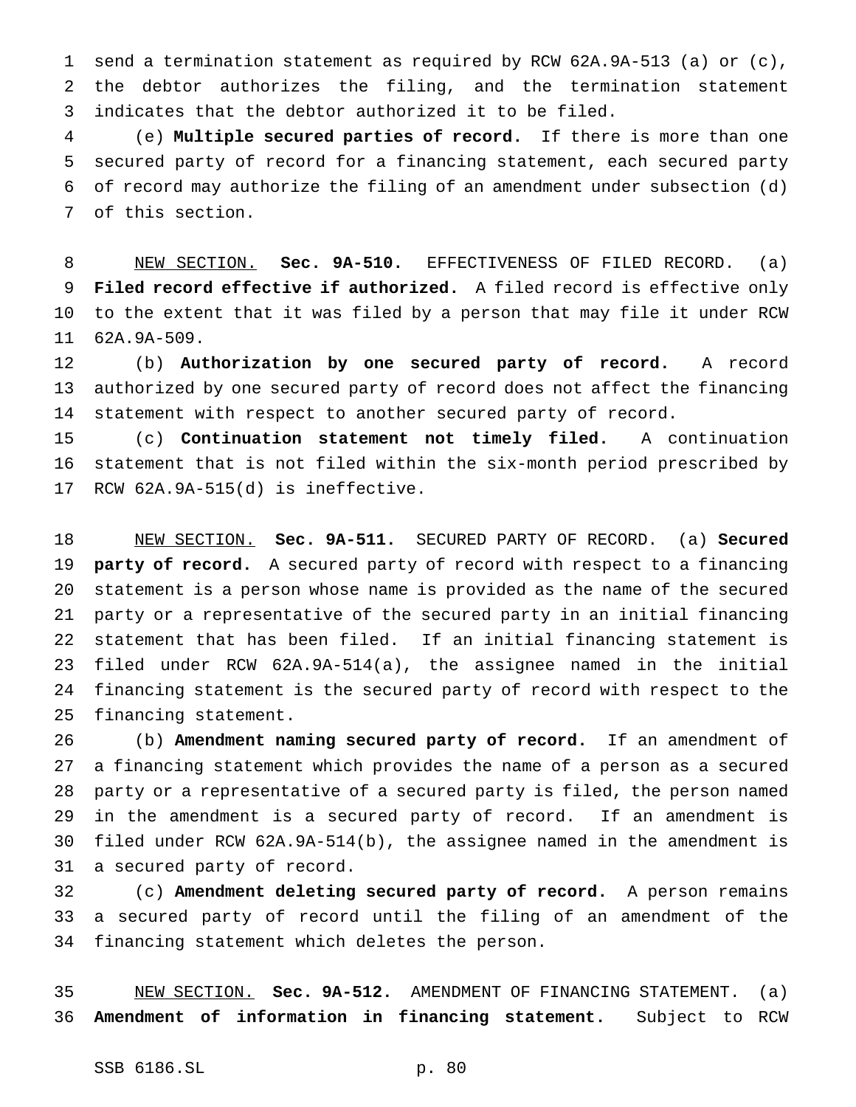send a termination statement as required by RCW 62A.9A-513 (a) or (c), the debtor authorizes the filing, and the termination statement indicates that the debtor authorized it to be filed.

 (e) **Multiple secured parties of record.** If there is more than one secured party of record for a financing statement, each secured party of record may authorize the filing of an amendment under subsection (d) of this section.

 NEW SECTION. **Sec. 9A-510.** EFFECTIVENESS OF FILED RECORD. (a) **Filed record effective if authorized.** A filed record is effective only to the extent that it was filed by a person that may file it under RCW 62A.9A-509.

 (b) **Authorization by one secured party of record.** A record authorized by one secured party of record does not affect the financing statement with respect to another secured party of record.

 (c) **Continuation statement not timely filed.** A continuation statement that is not filed within the six-month period prescribed by RCW 62A.9A-515(d) is ineffective.

 NEW SECTION. **Sec. 9A-511.** SECURED PARTY OF RECORD. (a) **Secured party of record.** A secured party of record with respect to a financing statement is a person whose name is provided as the name of the secured party or a representative of the secured party in an initial financing statement that has been filed. If an initial financing statement is filed under RCW 62A.9A-514(a), the assignee named in the initial financing statement is the secured party of record with respect to the financing statement.

 (b) **Amendment naming secured party of record.** If an amendment of a financing statement which provides the name of a person as a secured party or a representative of a secured party is filed, the person named in the amendment is a secured party of record. If an amendment is filed under RCW 62A.9A-514(b), the assignee named in the amendment is a secured party of record.

 (c) **Amendment deleting secured party of record.** A person remains a secured party of record until the filing of an amendment of the financing statement which deletes the person.

 NEW SECTION. **Sec. 9A-512.** AMENDMENT OF FINANCING STATEMENT. (a) **Amendment of information in financing statement.** Subject to RCW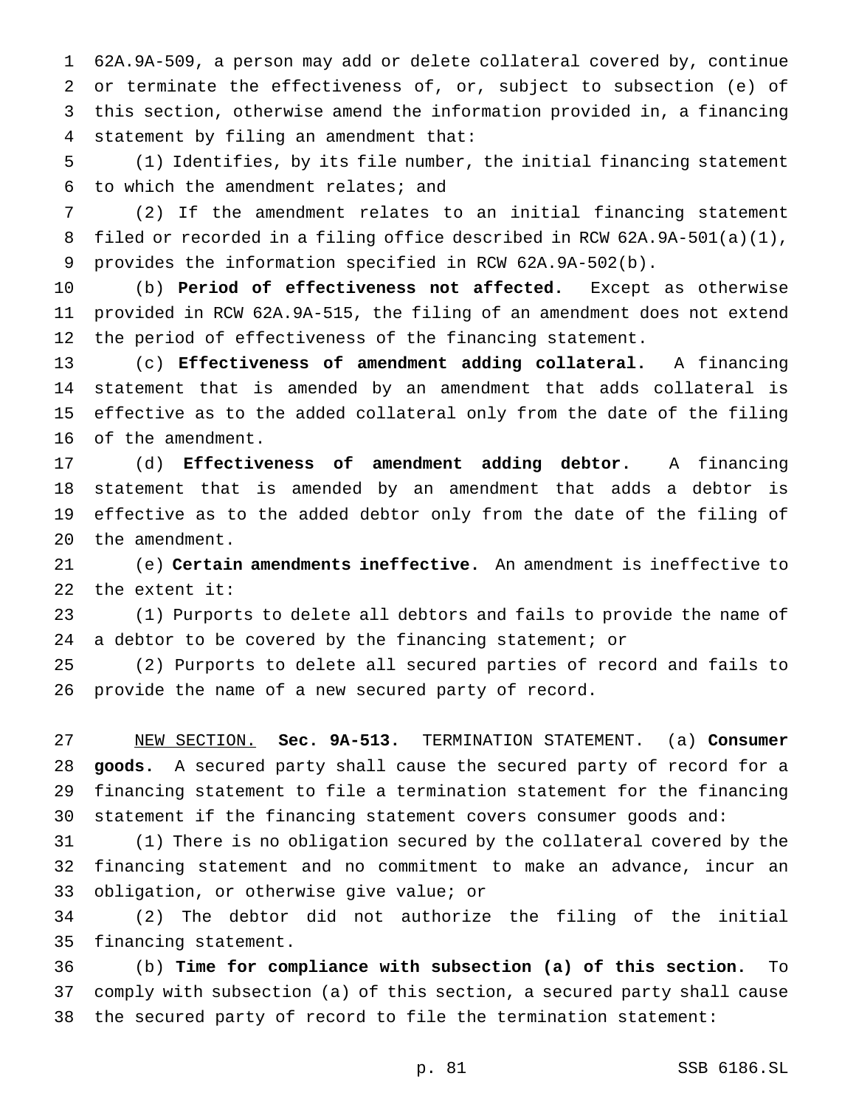62A.9A-509, a person may add or delete collateral covered by, continue or terminate the effectiveness of, or, subject to subsection (e) of this section, otherwise amend the information provided in, a financing statement by filing an amendment that:

 (1) Identifies, by its file number, the initial financing statement to which the amendment relates; and

 (2) If the amendment relates to an initial financing statement filed or recorded in a filing office described in RCW 62A.9A-501(a)(1), provides the information specified in RCW 62A.9A-502(b).

 (b) **Period of effectiveness not affected.** Except as otherwise provided in RCW 62A.9A-515, the filing of an amendment does not extend the period of effectiveness of the financing statement.

 (c) **Effectiveness of amendment adding collateral.** A financing statement that is amended by an amendment that adds collateral is effective as to the added collateral only from the date of the filing of the amendment.

 (d) **Effectiveness of amendment adding debtor.** A financing statement that is amended by an amendment that adds a debtor is effective as to the added debtor only from the date of the filing of the amendment.

 (e) **Certain amendments ineffective.** An amendment is ineffective to the extent it:

 (1) Purports to delete all debtors and fails to provide the name of a debtor to be covered by the financing statement; or

 (2) Purports to delete all secured parties of record and fails to provide the name of a new secured party of record.

 NEW SECTION. **Sec. 9A-513.** TERMINATION STATEMENT. (a) **Consumer goods.** A secured party shall cause the secured party of record for a financing statement to file a termination statement for the financing statement if the financing statement covers consumer goods and:

 (1) There is no obligation secured by the collateral covered by the financing statement and no commitment to make an advance, incur an obligation, or otherwise give value; or

 (2) The debtor did not authorize the filing of the initial financing statement.

 (b) **Time for compliance with subsection (a) of this section.** To comply with subsection (a) of this section, a secured party shall cause the secured party of record to file the termination statement: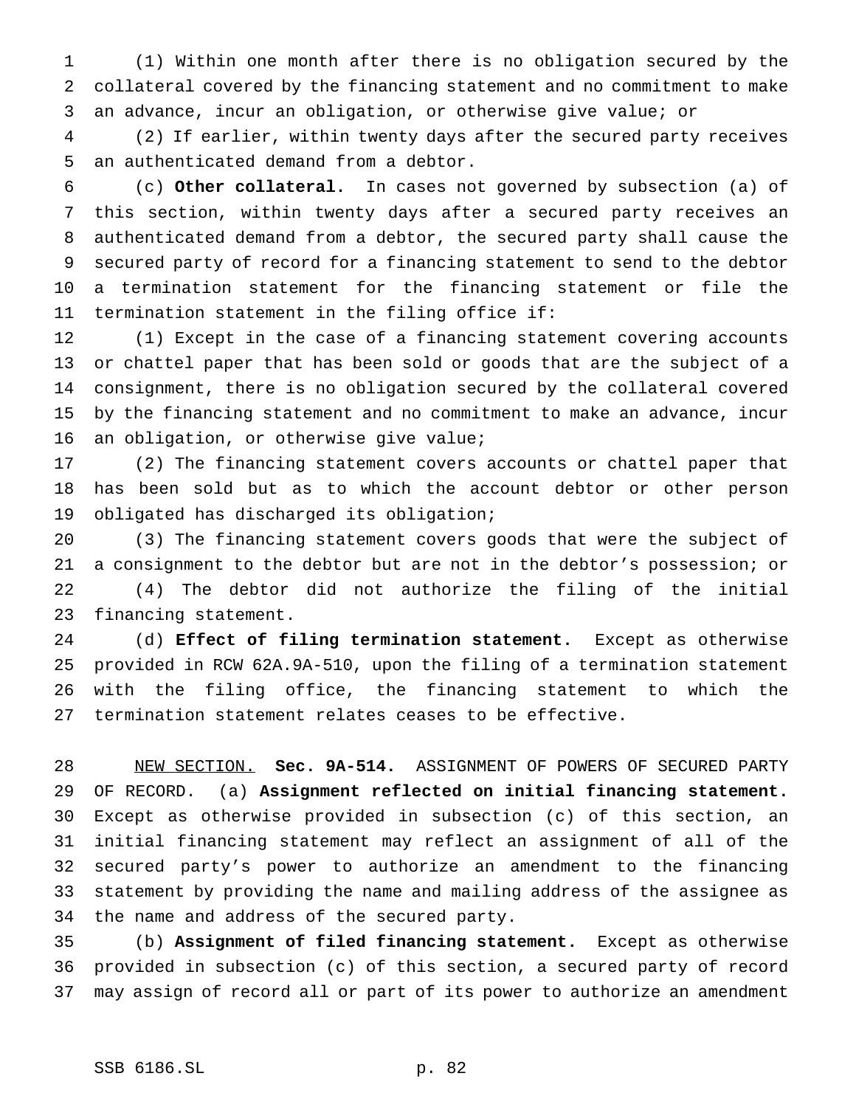(1) Within one month after there is no obligation secured by the collateral covered by the financing statement and no commitment to make an advance, incur an obligation, or otherwise give value; or

 (2) If earlier, within twenty days after the secured party receives an authenticated demand from a debtor.

 (c) **Other collateral.** In cases not governed by subsection (a) of this section, within twenty days after a secured party receives an authenticated demand from a debtor, the secured party shall cause the secured party of record for a financing statement to send to the debtor a termination statement for the financing statement or file the termination statement in the filing office if:

 (1) Except in the case of a financing statement covering accounts or chattel paper that has been sold or goods that are the subject of a consignment, there is no obligation secured by the collateral covered by the financing statement and no commitment to make an advance, incur 16 an obligation, or otherwise give value;

 (2) The financing statement covers accounts or chattel paper that has been sold but as to which the account debtor or other person obligated has discharged its obligation;

 (3) The financing statement covers goods that were the subject of a consignment to the debtor but are not in the debtor's possession; or (4) The debtor did not authorize the filing of the initial financing statement.

 (d) **Effect of filing termination statement.** Except as otherwise provided in RCW 62A.9A-510, upon the filing of a termination statement with the filing office, the financing statement to which the termination statement relates ceases to be effective.

 NEW SECTION. **Sec. 9A-514.** ASSIGNMENT OF POWERS OF SECURED PARTY OF RECORD. (a) **Assignment reflected on initial financing statement.** Except as otherwise provided in subsection (c) of this section, an initial financing statement may reflect an assignment of all of the secured party's power to authorize an amendment to the financing statement by providing the name and mailing address of the assignee as the name and address of the secured party.

 (b) **Assignment of filed financing statement.** Except as otherwise provided in subsection (c) of this section, a secured party of record may assign of record all or part of its power to authorize an amendment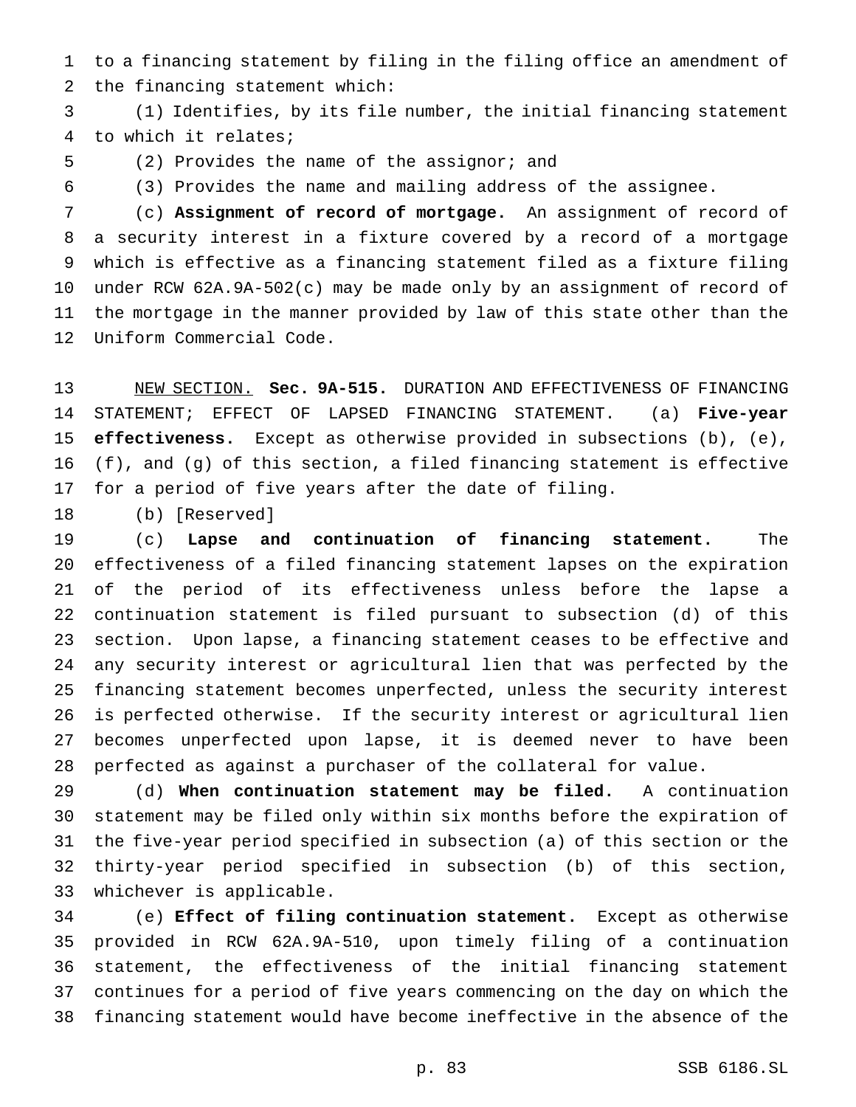to a financing statement by filing in the filing office an amendment of the financing statement which:

 (1) Identifies, by its file number, the initial financing statement to which it relates;

(2) Provides the name of the assignor; and

(3) Provides the name and mailing address of the assignee.

 (c) **Assignment of record of mortgage.** An assignment of record of a security interest in a fixture covered by a record of a mortgage which is effective as a financing statement filed as a fixture filing under RCW 62A.9A-502(c) may be made only by an assignment of record of the mortgage in the manner provided by law of this state other than the Uniform Commercial Code.

 NEW SECTION. **Sec. 9A-515.** DURATION AND EFFECTIVENESS OF FINANCING STATEMENT; EFFECT OF LAPSED FINANCING STATEMENT. (a) **Five-year effectiveness.** Except as otherwise provided in subsections (b), (e), (f), and (g) of this section, a filed financing statement is effective for a period of five years after the date of filing.

(b) [Reserved]

 (c) **Lapse and continuation of financing statement.** The effectiveness of a filed financing statement lapses on the expiration of the period of its effectiveness unless before the lapse a continuation statement is filed pursuant to subsection (d) of this section. Upon lapse, a financing statement ceases to be effective and any security interest or agricultural lien that was perfected by the financing statement becomes unperfected, unless the security interest is perfected otherwise. If the security interest or agricultural lien becomes unperfected upon lapse, it is deemed never to have been perfected as against a purchaser of the collateral for value.

 (d) **When continuation statement may be filed.** A continuation statement may be filed only within six months before the expiration of the five-year period specified in subsection (a) of this section or the thirty-year period specified in subsection (b) of this section, whichever is applicable.

 (e) **Effect of filing continuation statement.** Except as otherwise provided in RCW 62A.9A-510, upon timely filing of a continuation statement, the effectiveness of the initial financing statement continues for a period of five years commencing on the day on which the financing statement would have become ineffective in the absence of the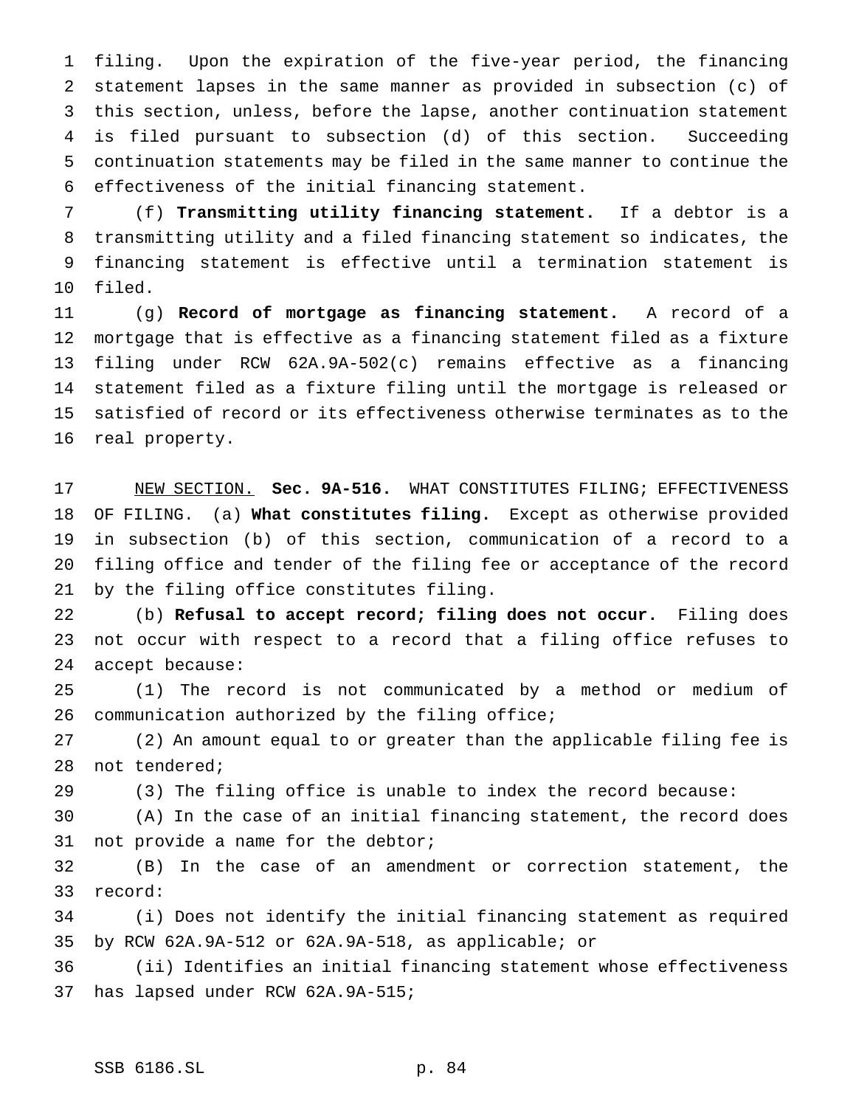filing. Upon the expiration of the five-year period, the financing statement lapses in the same manner as provided in subsection (c) of this section, unless, before the lapse, another continuation statement is filed pursuant to subsection (d) of this section. Succeeding continuation statements may be filed in the same manner to continue the effectiveness of the initial financing statement.

 (f) **Transmitting utility financing statement.** If a debtor is a transmitting utility and a filed financing statement so indicates, the financing statement is effective until a termination statement is filed.

 (g) **Record of mortgage as financing statement.** A record of a mortgage that is effective as a financing statement filed as a fixture filing under RCW 62A.9A-502(c) remains effective as a financing statement filed as a fixture filing until the mortgage is released or satisfied of record or its effectiveness otherwise terminates as to the real property.

 NEW SECTION. **Sec. 9A-516.** WHAT CONSTITUTES FILING; EFFECTIVENESS OF FILING. (a) **What constitutes filing.** Except as otherwise provided in subsection (b) of this section, communication of a record to a filing office and tender of the filing fee or acceptance of the record by the filing office constitutes filing.

 (b) **Refusal to accept record; filing does not occur.** Filing does not occur with respect to a record that a filing office refuses to accept because:

 (1) The record is not communicated by a method or medium of communication authorized by the filing office;

 (2) An amount equal to or greater than the applicable filing fee is not tendered;

(3) The filing office is unable to index the record because:

 (A) In the case of an initial financing statement, the record does not provide a name for the debtor;

 (B) In the case of an amendment or correction statement, the record:

 (i) Does not identify the initial financing statement as required by RCW 62A.9A-512 or 62A.9A-518, as applicable; or

 (ii) Identifies an initial financing statement whose effectiveness has lapsed under RCW 62A.9A-515;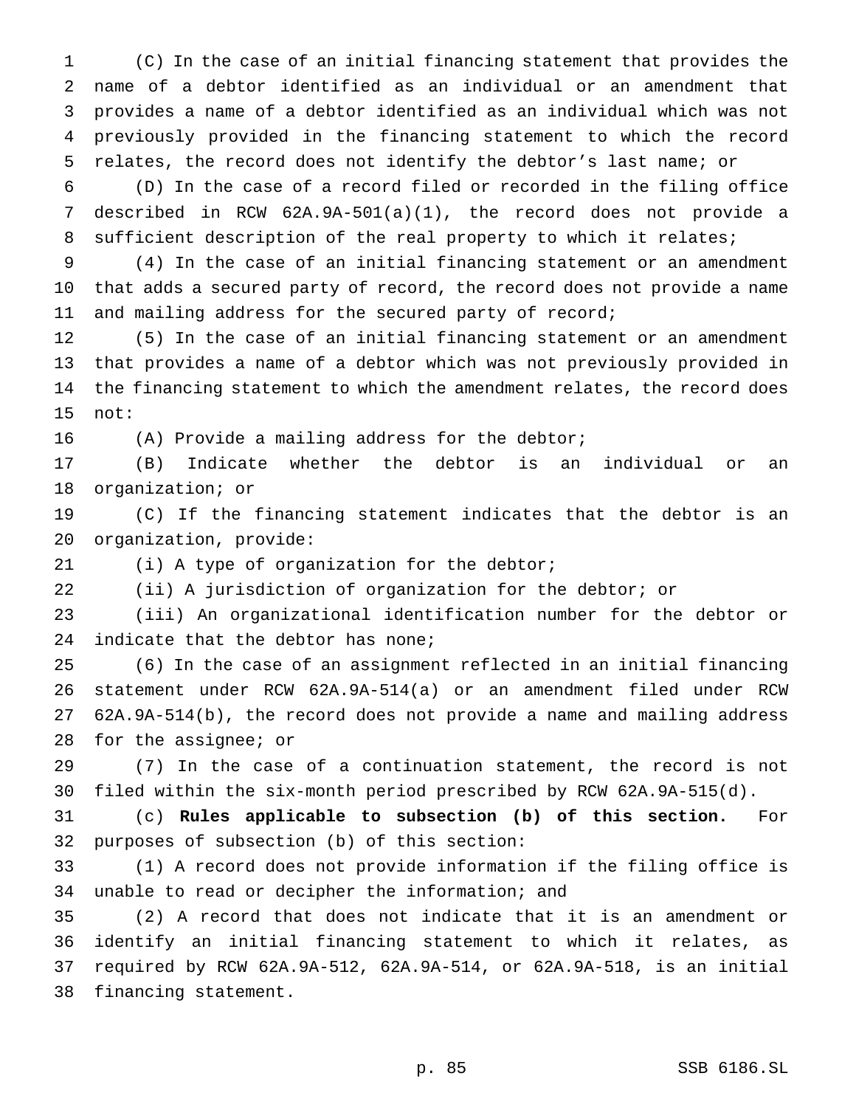(C) In the case of an initial financing statement that provides the name of a debtor identified as an individual or an amendment that provides a name of a debtor identified as an individual which was not previously provided in the financing statement to which the record relates, the record does not identify the debtor's last name; or

 (D) In the case of a record filed or recorded in the filing office described in RCW 62A.9A-501(a)(1), the record does not provide a 8 sufficient description of the real property to which it relates;

 (4) In the case of an initial financing statement or an amendment that adds a secured party of record, the record does not provide a name and mailing address for the secured party of record;

 (5) In the case of an initial financing statement or an amendment that provides a name of a debtor which was not previously provided in the financing statement to which the amendment relates, the record does not:

(A) Provide a mailing address for the debtor;

 (B) Indicate whether the debtor is an individual or an organization; or

 (C) If the financing statement indicates that the debtor is an organization, provide:

(i) A type of organization for the debtor;

(ii) A jurisdiction of organization for the debtor; or

 (iii) An organizational identification number for the debtor or indicate that the debtor has none;

 (6) In the case of an assignment reflected in an initial financing statement under RCW 62A.9A-514(a) or an amendment filed under RCW 62A.9A-514(b), the record does not provide a name and mailing address 28 for the assignee; or

 (7) In the case of a continuation statement, the record is not filed within the six-month period prescribed by RCW 62A.9A-515(d).

 (c) **Rules applicable to subsection (b) of this section.** For purposes of subsection (b) of this section:

 (1) A record does not provide information if the filing office is unable to read or decipher the information; and

 (2) A record that does not indicate that it is an amendment or identify an initial financing statement to which it relates, as required by RCW 62A.9A-512, 62A.9A-514, or 62A.9A-518, is an initial financing statement.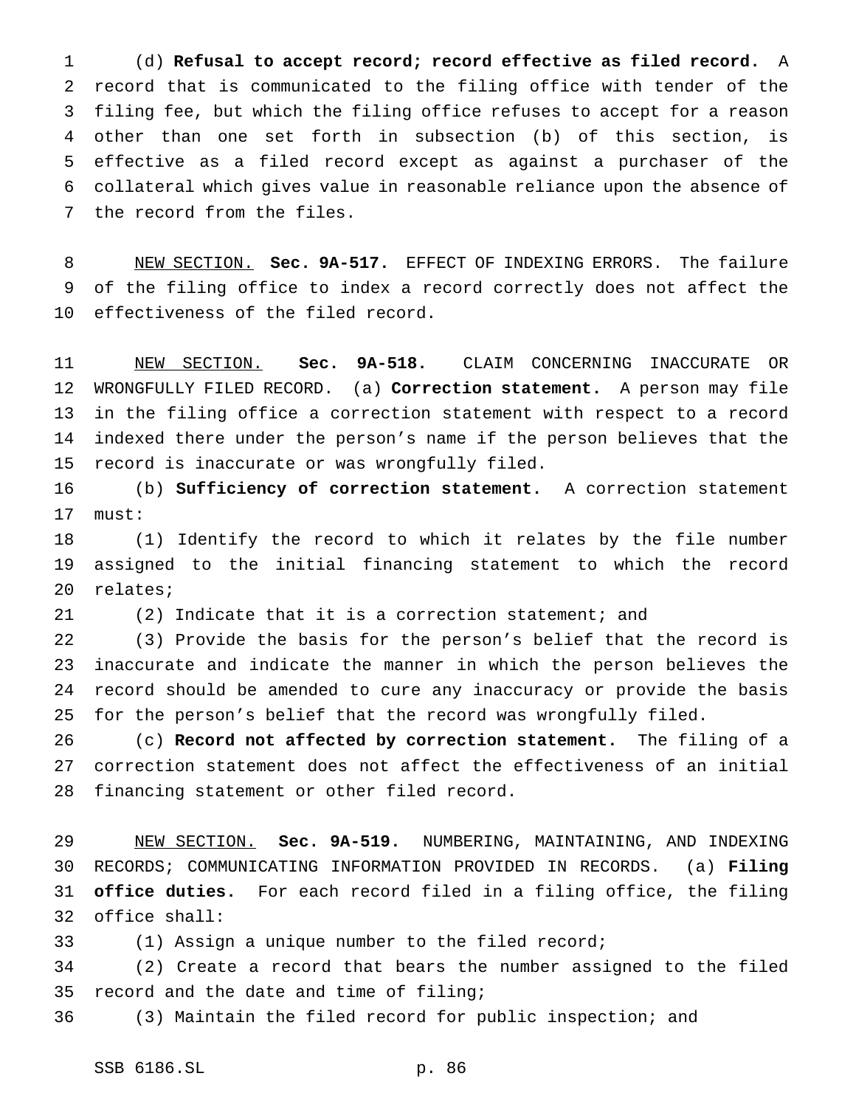(d) **Refusal to accept record; record effective as filed record.** A record that is communicated to the filing office with tender of the filing fee, but which the filing office refuses to accept for a reason other than one set forth in subsection (b) of this section, is effective as a filed record except as against a purchaser of the collateral which gives value in reasonable reliance upon the absence of the record from the files.

 NEW SECTION. **Sec. 9A-517.** EFFECT OF INDEXING ERRORS. The failure of the filing office to index a record correctly does not affect the effectiveness of the filed record.

 NEW SECTION. **Sec. 9A-518.** CLAIM CONCERNING INACCURATE OR WRONGFULLY FILED RECORD. (a) **Correction statement.** A person may file in the filing office a correction statement with respect to a record indexed there under the person's name if the person believes that the record is inaccurate or was wrongfully filed.

 (b) **Sufficiency of correction statement.** A correction statement must:

 (1) Identify the record to which it relates by the file number assigned to the initial financing statement to which the record relates;

(2) Indicate that it is a correction statement; and

 (3) Provide the basis for the person's belief that the record is inaccurate and indicate the manner in which the person believes the record should be amended to cure any inaccuracy or provide the basis for the person's belief that the record was wrongfully filed.

 (c) **Record not affected by correction statement.** The filing of a correction statement does not affect the effectiveness of an initial financing statement or other filed record.

 NEW SECTION. **Sec. 9A-519.** NUMBERING, MAINTAINING, AND INDEXING RECORDS; COMMUNICATING INFORMATION PROVIDED IN RECORDS. (a) **Filing office duties.** For each record filed in a filing office, the filing office shall:

(1) Assign a unique number to the filed record;

 (2) Create a record that bears the number assigned to the filed record and the date and time of filing;

(3) Maintain the filed record for public inspection; and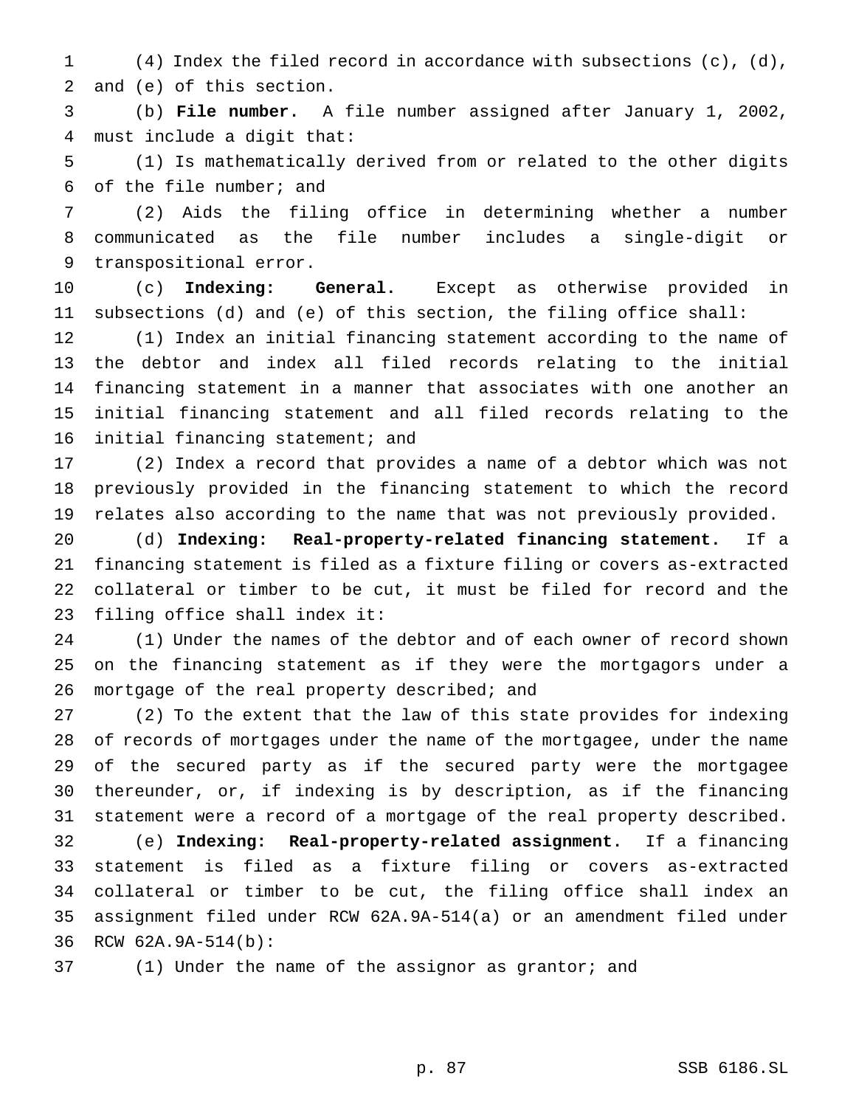(4) Index the filed record in accordance with subsections (c), (d), and (e) of this section.

 (b) **File number.** A file number assigned after January 1, 2002, must include a digit that:

 (1) Is mathematically derived from or related to the other digits of the file number; and

 (2) Aids the filing office in determining whether a number communicated as the file number includes a single-digit or transpositional error.

 (c) **Indexing: General.** Except as otherwise provided in subsections (d) and (e) of this section, the filing office shall:

 (1) Index an initial financing statement according to the name of the debtor and index all filed records relating to the initial financing statement in a manner that associates with one another an initial financing statement and all filed records relating to the initial financing statement; and

 (2) Index a record that provides a name of a debtor which was not previously provided in the financing statement to which the record relates also according to the name that was not previously provided.

 (d) **Indexing: Real-property-related financing statement.** If a financing statement is filed as a fixture filing or covers as-extracted collateral or timber to be cut, it must be filed for record and the filing office shall index it:

 (1) Under the names of the debtor and of each owner of record shown on the financing statement as if they were the mortgagors under a mortgage of the real property described; and

 (2) To the extent that the law of this state provides for indexing of records of mortgages under the name of the mortgagee, under the name of the secured party as if the secured party were the mortgagee thereunder, or, if indexing is by description, as if the financing statement were a record of a mortgage of the real property described.

 (e) **Indexing: Real-property-related assignment.** If a financing statement is filed as a fixture filing or covers as-extracted collateral or timber to be cut, the filing office shall index an assignment filed under RCW 62A.9A-514(a) or an amendment filed under RCW 62A.9A-514(b):

(1) Under the name of the assignor as grantor; and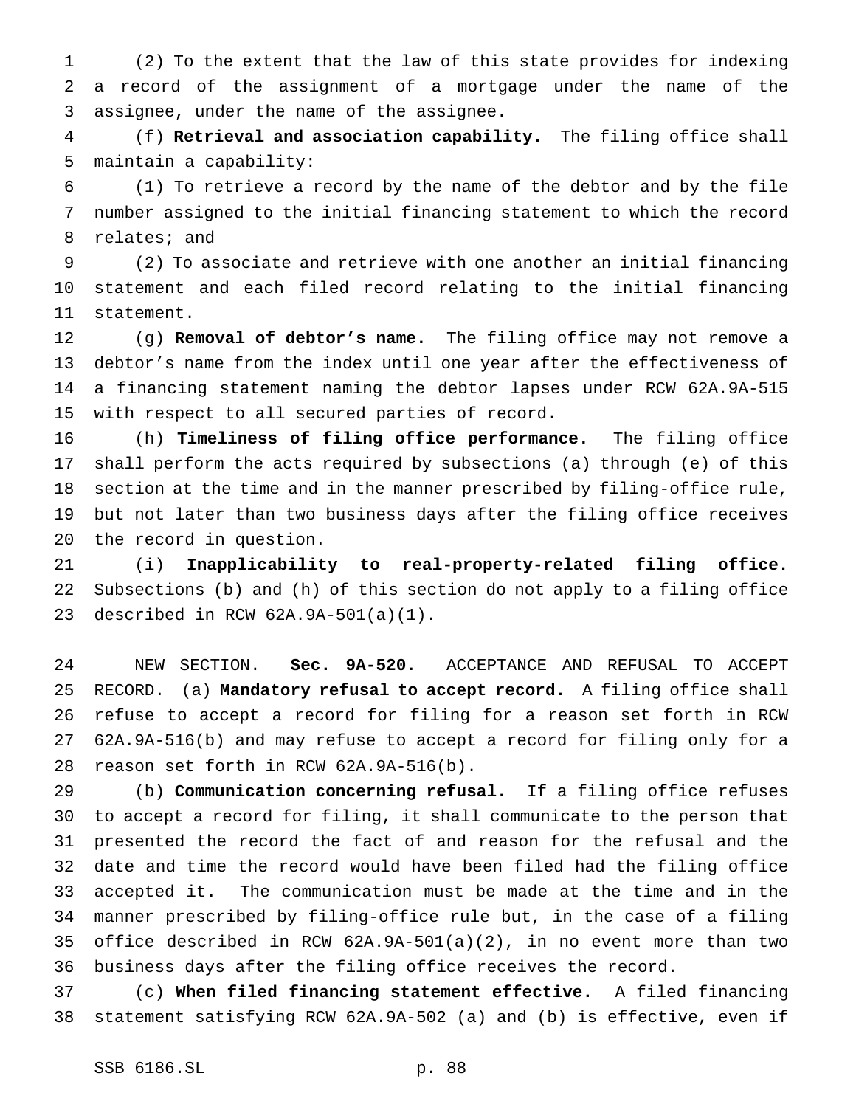(2) To the extent that the law of this state provides for indexing a record of the assignment of a mortgage under the name of the assignee, under the name of the assignee.

 (f) **Retrieval and association capability.** The filing office shall maintain a capability:

 (1) To retrieve a record by the name of the debtor and by the file number assigned to the initial financing statement to which the record relates; and

 (2) To associate and retrieve with one another an initial financing statement and each filed record relating to the initial financing statement.

 (g) **Removal of debtor's name.** The filing office may not remove a debtor's name from the index until one year after the effectiveness of a financing statement naming the debtor lapses under RCW 62A.9A-515 with respect to all secured parties of record.

 (h) **Timeliness of filing office performance.** The filing office shall perform the acts required by subsections (a) through (e) of this section at the time and in the manner prescribed by filing-office rule, but not later than two business days after the filing office receives the record in question.

 (i) **Inapplicability to real-property-related filing office.** Subsections (b) and (h) of this section do not apply to a filing office described in RCW 62A.9A-501(a)(1).

 NEW SECTION. **Sec. 9A-520.** ACCEPTANCE AND REFUSAL TO ACCEPT RECORD. (a) **Mandatory refusal to accept record.** A filing office shall refuse to accept a record for filing for a reason set forth in RCW 62A.9A-516(b) and may refuse to accept a record for filing only for a reason set forth in RCW 62A.9A-516(b).

 (b) **Communication concerning refusal.** If a filing office refuses to accept a record for filing, it shall communicate to the person that presented the record the fact of and reason for the refusal and the date and time the record would have been filed had the filing office accepted it. The communication must be made at the time and in the manner prescribed by filing-office rule but, in the case of a filing office described in RCW 62A.9A-501(a)(2), in no event more than two business days after the filing office receives the record.

 (c) **When filed financing statement effective.** A filed financing statement satisfying RCW 62A.9A-502 (a) and (b) is effective, even if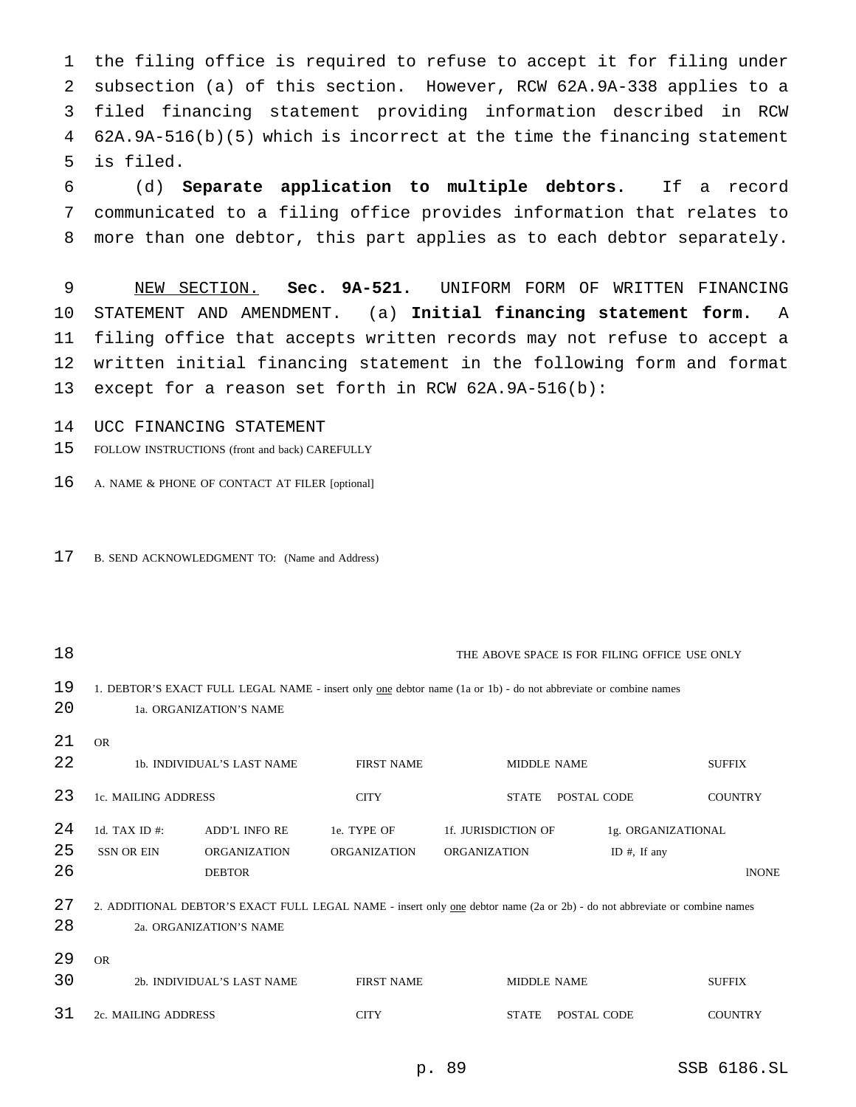the filing office is required to refuse to accept it for filing under subsection (a) of this section. However, RCW 62A.9A-338 applies to a filed financing statement providing information described in RCW 62A.9A-516(b)(5) which is incorrect at the time the financing statement is filed.

 (d) **Separate application to multiple debtors.** If a record communicated to a filing office provides information that relates to more than one debtor, this part applies as to each debtor separately.

 NEW SECTION. **Sec. 9A-521.** UNIFORM FORM OF WRITTEN FINANCING STATEMENT AND AMENDMENT. (a) **Initial financing statement form.** A filing office that accepts written records may not refuse to accept a written initial financing statement in the following form and format except for a reason set forth in RCW 62A.9A-516(b):

UCC FINANCING STATEMENT

FOLLOW INSTRUCTIONS (front and back) CAREFULLY

A. NAME & PHONE OF CONTACT AT FILER [optional]

B. SEND ACKNOWLEDGMENT TO: (Name and Address)

| 18             | THE ABOVE SPACE IS FOR FILING OFFICE USE ONLY                                                                                                                                          |                                      |                                    |                                            |                                       |                |  |  |
|----------------|----------------------------------------------------------------------------------------------------------------------------------------------------------------------------------------|--------------------------------------|------------------------------------|--------------------------------------------|---------------------------------------|----------------|--|--|
| 19<br>20       | 1. DEBTOR'S EXACT FULL LEGAL NAME - insert only one debtor name (1a or 1b) - do not abbreviate or combine names<br>1a. ORGANIZATION'S NAME                                             |                                      |                                    |                                            |                                       |                |  |  |
| 21<br>22       | <b>OR</b>                                                                                                                                                                              | 1b. INDIVIDUAL'S LAST NAME           | <b>FIRST NAME</b>                  | <b>MIDDLE NAME</b>                         |                                       | <b>SUFFIX</b>  |  |  |
| 23             | 1c. MAILING ADDRESS                                                                                                                                                                    |                                      | <b>CITY</b>                        | <b>STATE</b>                               | POSTAL CODE                           | <b>COUNTRY</b> |  |  |
| 24<br>25       | 1d. TAX ID #:<br><b>SSN OR EIN</b>                                                                                                                                                     | ADD'L INFO RE<br><b>ORGANIZATION</b> | 1e. TYPE OF<br><b>ORGANIZATION</b> | 1f. JURISDICTION OF<br><b>ORGANIZATION</b> | 1g. ORGANIZATIONAL<br>ID $#$ , If any |                |  |  |
| 26<br>27<br>28 | <b>INONE</b><br><b>DEBTOR</b><br>2. ADDITIONAL DEBTOR'S EXACT FULL LEGAL NAME - insert only one debtor name (2a or 2b) - do not abbreviate or combine names<br>2a. ORGANIZATION'S NAME |                                      |                                    |                                            |                                       |                |  |  |
| 29<br>30       | <b>OR</b>                                                                                                                                                                              | 2b. INDIVIDUAL'S LAST NAME           | <b>FIRST NAME</b>                  | <b>MIDDLE NAME</b>                         |                                       | <b>SUFFIX</b>  |  |  |
| 31             | 2c. MAILING ADDRESS                                                                                                                                                                    |                                      | <b>CITY</b>                        | <b>STATE</b>                               | POSTAL CODE                           | <b>COUNTRY</b> |  |  |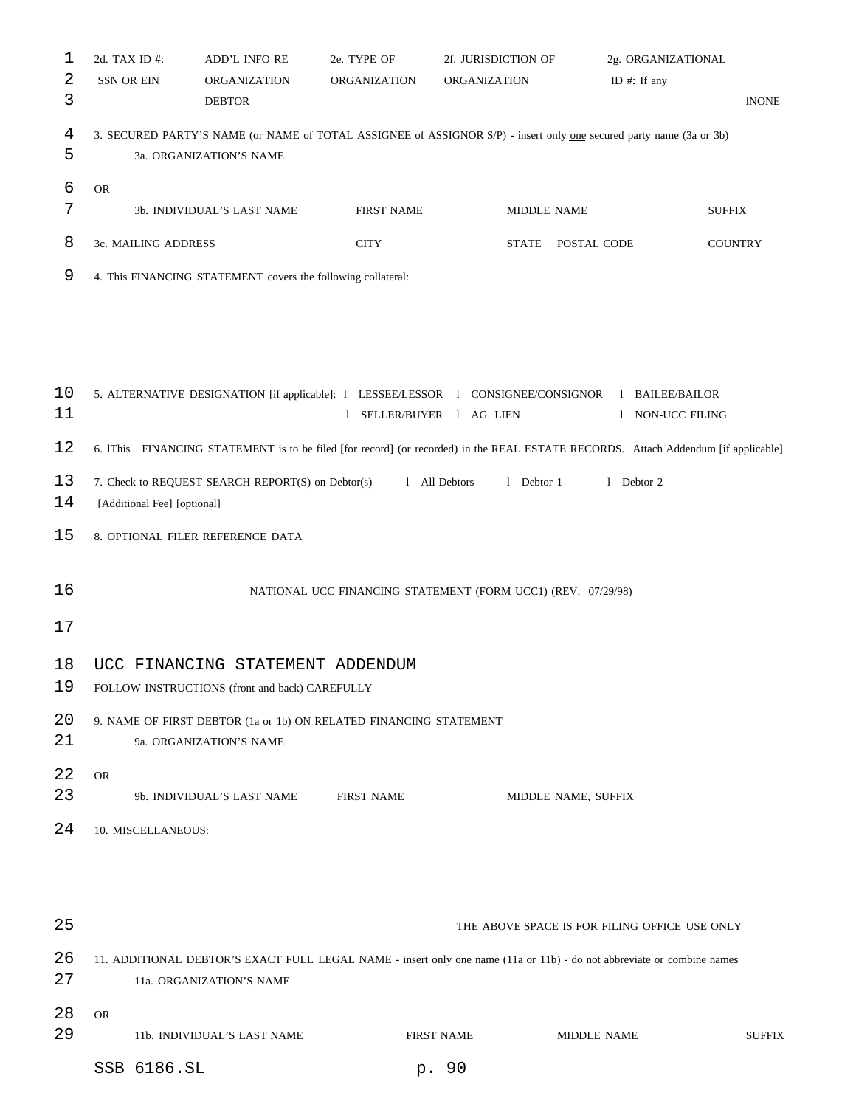| 1<br>2d. TAX ID #:  | ADD'L INFO RE                                                                                                                      | 2e. TYPE OF         | 2f. JURISDICTION OF                                          | 2g. ORGANIZATIONAL |                |
|---------------------|------------------------------------------------------------------------------------------------------------------------------------|---------------------|--------------------------------------------------------------|--------------------|----------------|
| 2<br>SSN OR EIN     | ORGANIZATION                                                                                                                       | <b>ORGANIZATION</b> | <b>ORGANIZATION</b>                                          | ID #: If any       |                |
| 3                   | <b>DEBTOR</b>                                                                                                                      |                     |                                                              |                    | <b>INONE</b>   |
| 4                   | 3. SECURED PARTY'S NAME (or NAME of TOTAL ASSIGNEE of ASSIGNOR S/P) - insert only one secured party name (3a or 3b)                |                     |                                                              |                    |                |
| 5                   | 3a. ORGANIZATION'S NAME                                                                                                            |                     |                                                              |                    |                |
|                     |                                                                                                                                    |                     |                                                              |                    |                |
| 6<br><b>OR</b><br>7 |                                                                                                                                    |                     |                                                              |                    |                |
|                     | 3b. INDIVIDUAL'S LAST NAME                                                                                                         | <b>FIRST NAME</b>   | MIDDLE NAME                                                  |                    | <b>SUFFIX</b>  |
| 8                   | 3c. MAILING ADDRESS                                                                                                                | <b>CITY</b>         | STATE                                                        | POSTAL CODE        | <b>COUNTRY</b> |
| 9                   | 4. This FINANCING STATEMENT covers the following collateral:                                                                       |                     |                                                              |                    |                |
|                     |                                                                                                                                    |                     |                                                              |                    |                |
|                     |                                                                                                                                    |                     |                                                              |                    |                |
| 10<br>11            | 5. ALTERNATIVE DESIGNATION [if applicable]: 1 LESSEE/LESSOR 1 CONSIGNEE/CONSIGNOR 1 BAILEE/BAILOR                                  |                     | 1 SELLER/BUYER 1 AG. LIEN                                    | 1 NON-UCC FILING   |                |
| 12                  | 6. IThis FINANCING STATEMENT is to be filed [for record] (or recorded) in the REAL ESTATE RECORDS. Attach Addendum [if applicable] |                     |                                                              |                    |                |
| 13                  | 7. Check to REQUEST SEARCH REPORT(S) on Debtor(s)                                                                                  |                     | 1 All Debtors<br>1 Debtor 1                                  | 1 Debtor 2         |                |
| 14                  | [Additional Fee] [optional]                                                                                                        |                     |                                                              |                    |                |
| 15                  | 8. OPTIONAL FILER REFERENCE DATA                                                                                                   |                     |                                                              |                    |                |
| 16                  |                                                                                                                                    |                     | NATIONAL UCC FINANCING STATEMENT (FORM UCC1) (REV. 07/29/98) |                    |                |
| 17                  |                                                                                                                                    |                     |                                                              |                    |                |
| 18                  | UCC FINANCING STATEMENT ADDENDUM                                                                                                   |                     |                                                              |                    |                |
| 19                  | FOLLOW INSTRUCTIONS (front and back) CAREFULLY                                                                                     |                     |                                                              |                    |                |
|                     |                                                                                                                                    |                     |                                                              |                    |                |
| 20<br>21            | 9. NAME OF FIRST DEBTOR (1a or 1b) ON RELATED FINANCING STATEMENT                                                                  |                     |                                                              |                    |                |
|                     | 9a. ORGANIZATION'S NAME                                                                                                            |                     |                                                              |                    |                |
| 22<br><b>OR</b>     |                                                                                                                                    |                     |                                                              |                    |                |
| 23                  | 9b. INDIVIDUAL'S LAST NAME                                                                                                         | <b>FIRST NAME</b>   | MIDDLE NAME, SUFFIX                                          |                    |                |
| 24                  | 10. MISCELLANEOUS:                                                                                                                 |                     |                                                              |                    |                |
|                     |                                                                                                                                    |                     |                                                              |                    |                |
|                     |                                                                                                                                    |                     |                                                              |                    |                |
| 25                  |                                                                                                                                    |                     | THE ABOVE SPACE IS FOR FILING OFFICE USE ONLY                |                    |                |
| 26                  | 11. ADDITIONAL DEBTOR'S EXACT FULL LEGAL NAME - insert only one name (11a or 11b) - do not abbreviate or combine names             |                     |                                                              |                    |                |
| 27                  | 11a. ORGANIZATION'S NAME                                                                                                           |                     |                                                              |                    |                |
| 28<br><b>OR</b>     |                                                                                                                                    |                     |                                                              |                    |                |
| 29                  | 11b. INDIVIDUAL'S LAST NAME                                                                                                        |                     | <b>FIRST NAME</b>                                            | MIDDLE NAME        | <b>SUFFIX</b>  |
|                     |                                                                                                                                    |                     |                                                              |                    |                |
|                     | SSB 6186.SL                                                                                                                        |                     | p. 90                                                        |                    |                |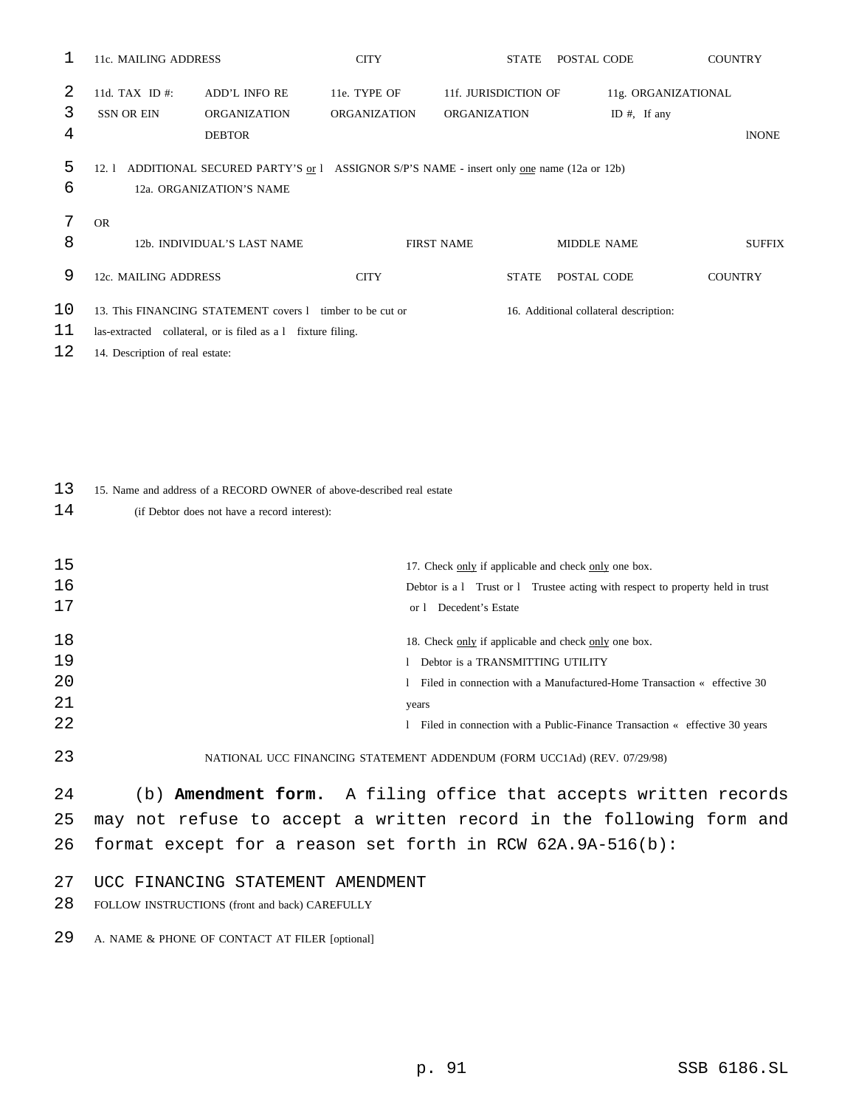|                | 11c. MAILING ADDRESS                   |                                                                                                                              | <b>CITY</b>                         | <b>STATE</b>                                | POSTAL CODE                            | <b>COUNTRY</b> |
|----------------|----------------------------------------|------------------------------------------------------------------------------------------------------------------------------|-------------------------------------|---------------------------------------------|----------------------------------------|----------------|
| 2<br>3<br>4    | 11d. TAX ID $#$ :<br><b>SSN OR EIN</b> | <b>ADD'L INFO RE</b><br><b>ORGANIZATION</b><br><b>DEBTOR</b>                                                                 | 11e. TYPE OF<br><b>ORGANIZATION</b> | 11f. JURISDICTION OF<br><b>ORGANIZATION</b> | 11g. ORGANIZATIONAL<br>ID #, If any    | <b>INONE</b>   |
| 5<br>6         | 12.1                                   | ADDITIONAL SECURED PARTY'S $or 1$ ASSIGNOR S/P'S NAME - insert only <u>one</u> name (12a or 12b)<br>12a. ORGANIZATION'S NAME |                                     |                                             |                                        |                |
| 7<br>8         | <b>OR</b>                              | 12b. INDIVIDUAL'S LAST NAME                                                                                                  |                                     | <b>FIRST NAME</b>                           | <b>MIDDLE NAME</b>                     | <b>SUFFIX</b>  |
| 9              | 12c. MAILING ADDRESS                   |                                                                                                                              | <b>CITY</b>                         | <b>STATE</b>                                | POSTAL CODE                            | <b>COUNTRY</b> |
| 10<br>11<br>12 | 14. Description of real estate:        | 13. This FINANCING STATEMENT covers 1 timber to be cut or<br>las-extracted collateral, or is filed as a 1 fixture filing.    |                                     |                                             | 16. Additional collateral description: |                |

| 13 | 15. Name and address of a RECORD OWNER of above-described real estate |                                                                                |
|----|-----------------------------------------------------------------------|--------------------------------------------------------------------------------|
| 14 | (if Debtor does not have a record interest):                          |                                                                                |
|    |                                                                       |                                                                                |
| 15 |                                                                       | 17. Check only if applicable and check only one box.                           |
| 16 |                                                                       | Debtor is a 1 Trust or 1 Trustee acting with respect to property held in trust |
| 17 |                                                                       | Decedent's Estate<br>or 1                                                      |
| 18 |                                                                       | 18. Check only if applicable and check only one box.                           |
| 19 |                                                                       | Debtor is a TRANSMITTING UTILITY                                               |
| 20 |                                                                       | Filed in connection with a Manufactured-Home Transaction « effective 30        |
| 21 |                                                                       | years                                                                          |
| 22 |                                                                       | 1 Filed in connection with a Public-Finance Transaction « effective 30 years   |
| 23 |                                                                       | NATIONAL UCC FINANCING STATEMENT ADDENDUM (FORM UCC1Ad) (REV. 07/29/98)        |

 (b) **Amendment form.** A filing office that accepts written records may not refuse to accept a written record in the following form and format except for a reason set forth in RCW 62A.9A-516(b):

- UCC FINANCING STATEMENT AMENDMENT
- FOLLOW INSTRUCTIONS (front and back) CAREFULLY
- A. NAME & PHONE OF CONTACT AT FILER [optional]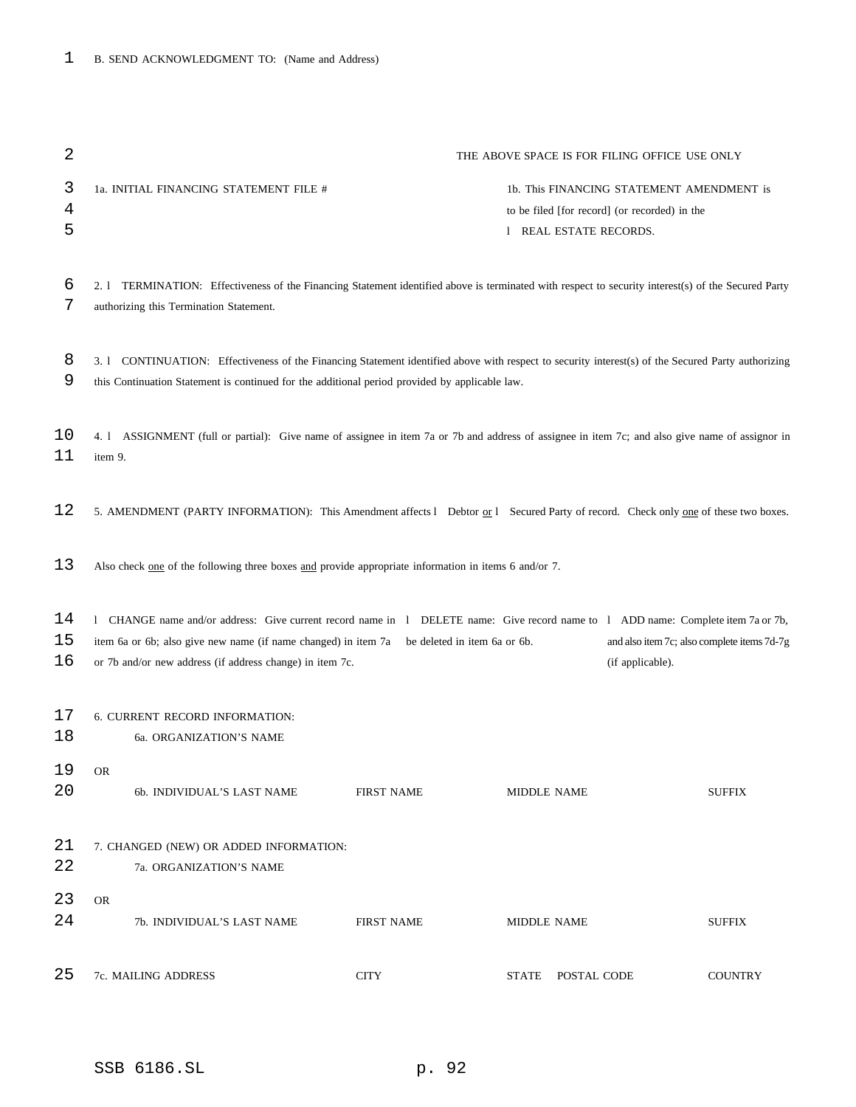| 2              |                                                                                                                                                                                                                                                                                             |                   | THE ABOVE SPACE IS FOR FILING OFFICE USE ONLY |                                                                                            |                |  |  |  |
|----------------|---------------------------------------------------------------------------------------------------------------------------------------------------------------------------------------------------------------------------------------------------------------------------------------------|-------------------|-----------------------------------------------|--------------------------------------------------------------------------------------------|----------------|--|--|--|
| 3<br>4<br>5    | 1a. INITIAL FINANCING STATEMENT FILE #                                                                                                                                                                                                                                                      |                   | 1 REAL ESTATE RECORDS.                        | 1b. This FINANCING STATEMENT AMENDMENT is<br>to be filed [for record] (or recorded) in the |                |  |  |  |
| 6<br>7         | 2.1 TERMINATION: Effectiveness of the Financing Statement identified above is terminated with respect to security interest(s) of the Secured Party<br>authorizing this Termination Statement.                                                                                               |                   |                                               |                                                                                            |                |  |  |  |
| 8<br>9         | 3.1 CONTINUATION: Effectiveness of the Financing Statement identified above with respect to security interest(s) of the Secured Party authorizing<br>this Continuation Statement is continued for the additional period provided by applicable law.                                         |                   |                                               |                                                                                            |                |  |  |  |
| 10<br>11       | 4. 1 ASSIGNMENT (full or partial): Give name of assignee in item 7a or 7b and address of assignee in item 7c; and also give name of assignor in<br>item 9.                                                                                                                                  |                   |                                               |                                                                                            |                |  |  |  |
| 12             | 5. AMENDMENT (PARTY INFORMATION): This Amendment affects 1 Debtor or 1 Secured Party of record. Check only one of these two boxes.                                                                                                                                                          |                   |                                               |                                                                                            |                |  |  |  |
| 13             | Also check one of the following three boxes and provide appropriate information in items 6 and/or 7.                                                                                                                                                                                        |                   |                                               |                                                                                            |                |  |  |  |
| 14<br>15<br>16 | 1 CHANGE name and/or address: Give current record name in 1 DELETE name: Give record name to 1 ADD name: Complete item 7a or 7b,<br>item 6a or 6b; also give new name (if name changed) in item 7a be deleted in item 6a or 6b.<br>or 7b and/or new address (if address change) in item 7c. |                   |                                               | and also item 7c; also complete items 7d-7g<br>(if applicable).                            |                |  |  |  |
| 17<br>18       | 6. CURRENT RECORD INFORMATION:<br>6a. ORGANIZATION'S NAME                                                                                                                                                                                                                                   |                   |                                               |                                                                                            |                |  |  |  |
| 19<br>20       | OR<br>6b. INDIVIDUAL'S LAST NAME                                                                                                                                                                                                                                                            | <b>FIRST NAME</b> | <b>MIDDLE NAME</b>                            |                                                                                            | <b>SUFFIX</b>  |  |  |  |
| 21<br>22       | 7. CHANGED (NEW) OR ADDED INFORMATION:<br>7a. ORGANIZATION'S NAME                                                                                                                                                                                                                           |                   |                                               |                                                                                            |                |  |  |  |
| 23<br>24       | <b>OR</b><br>7b. INDIVIDUAL'S LAST NAME                                                                                                                                                                                                                                                     | <b>FIRST NAME</b> | <b>MIDDLE NAME</b>                            |                                                                                            | <b>SUFFIX</b>  |  |  |  |
| 25             | 7c. MAILING ADDRESS                                                                                                                                                                                                                                                                         | <b>CITY</b>       | <b>STATE</b><br>POSTAL CODE                   |                                                                                            | <b>COUNTRY</b> |  |  |  |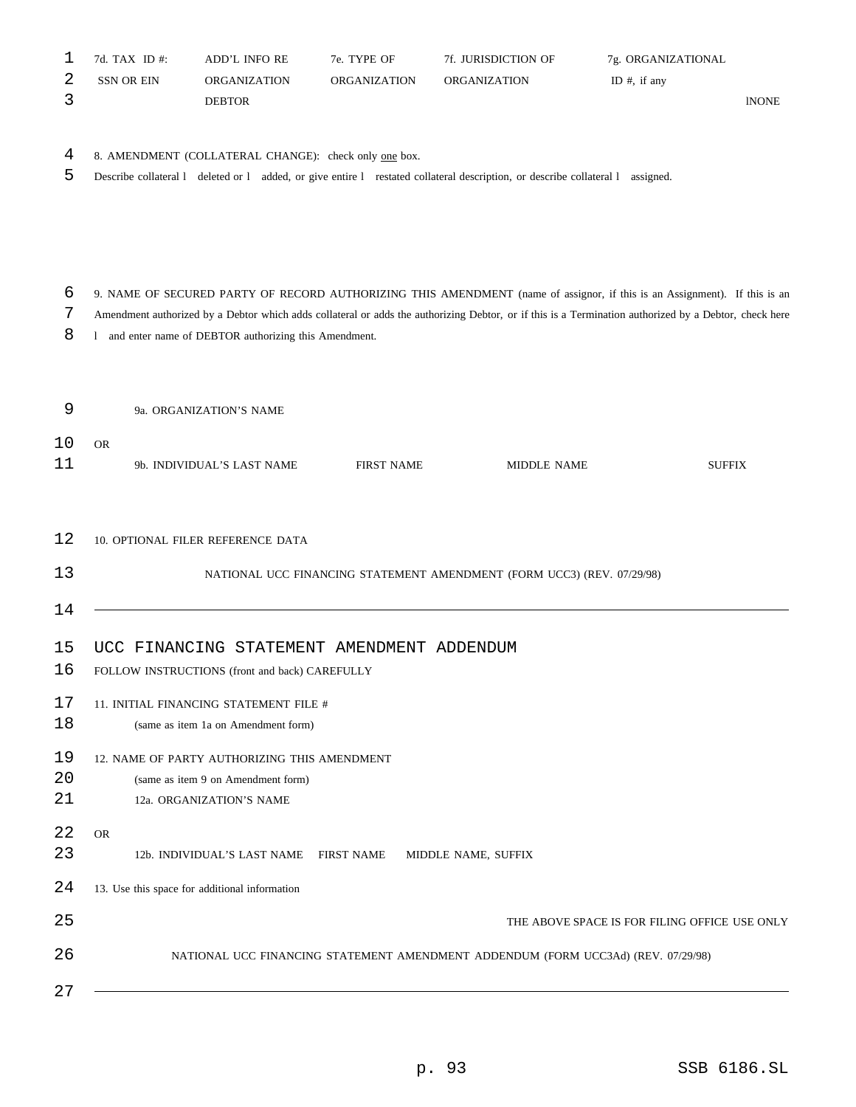| 1              | 7d. TAX ID #:                                                                                                  | ADD'L INFO RE                                                                                | 7e. TYPE OF       | 7f. JURISDICTION OF                                                                                                                                                                                                                                                                | 7g. ORGANIZATIONAL                            |               |
|----------------|----------------------------------------------------------------------------------------------------------------|----------------------------------------------------------------------------------------------|-------------------|------------------------------------------------------------------------------------------------------------------------------------------------------------------------------------------------------------------------------------------------------------------------------------|-----------------------------------------------|---------------|
| $\mathbf{2}$   | SSN OR EIN                                                                                                     | ORGANIZATION                                                                                 | ORGANIZATION      | <b>ORGANIZATION</b>                                                                                                                                                                                                                                                                | ID #, if any                                  |               |
| 3              |                                                                                                                | <b>DEBTOR</b>                                                                                |                   |                                                                                                                                                                                                                                                                                    |                                               | <b>INONE</b>  |
| 4<br>5         |                                                                                                                | 8. AMENDMENT (COLLATERAL CHANGE): check only one box.                                        |                   | Describe collateral 1 deleted or 1 added, or give entire 1 restated collateral description, or describe collateral 1 assigned.                                                                                                                                                     |                                               |               |
| 6<br>7<br>8    |                                                                                                                | 1 and enter name of DEBTOR authorizing this Amendment.                                       |                   | 9. NAME OF SECURED PARTY OF RECORD AUTHORIZING THIS AMENDMENT (name of assignor, if this is an Assignment). If this is an<br>Amendment authorized by a Debtor which adds collateral or adds the authorizing Debtor, or if this is a Termination authorized by a Debtor, check here |                                               |               |
| 9              |                                                                                                                | 9a. ORGANIZATION'S NAME                                                                      |                   |                                                                                                                                                                                                                                                                                    |                                               |               |
| 10<br>11       | <b>OR</b>                                                                                                      | 9b. INDIVIDUAL'S LAST NAME                                                                   | <b>FIRST NAME</b> | MIDDLE NAME                                                                                                                                                                                                                                                                        |                                               | <b>SUFFIX</b> |
| 12<br>13<br>14 |                                                                                                                | 10. OPTIONAL FILER REFERENCE DATA                                                            |                   | NATIONAL UCC FINANCING STATEMENT AMENDMENT (FORM UCC3) (REV. 07/29/98)                                                                                                                                                                                                             |                                               |               |
|                |                                                                                                                |                                                                                              |                   |                                                                                                                                                                                                                                                                                    |                                               |               |
| 15<br>16       |                                                                                                                | UCC FINANCING STATEMENT AMENDMENT ADDENDUM<br>FOLLOW INSTRUCTIONS (front and back) CAREFULLY |                   |                                                                                                                                                                                                                                                                                    |                                               |               |
| 17             |                                                                                                                | 11. INITIAL FINANCING STATEMENT FILE #                                                       |                   |                                                                                                                                                                                                                                                                                    |                                               |               |
| 18             |                                                                                                                | (same as item 1a on Amendment form)                                                          |                   |                                                                                                                                                                                                                                                                                    |                                               |               |
| 19<br>20<br>21 | 12. NAME OF PARTY AUTHORIZING THIS AMENDMENT<br>(same as item 9 on Amendment form)<br>12a. ORGANIZATION'S NAME |                                                                                              |                   |                                                                                                                                                                                                                                                                                    |                                               |               |
| 22             | <b>OR</b>                                                                                                      |                                                                                              |                   |                                                                                                                                                                                                                                                                                    |                                               |               |
| 23             |                                                                                                                | 12b. INDIVIDUAL'S LAST NAME FIRST NAME                                                       |                   | MIDDLE NAME, SUFFIX                                                                                                                                                                                                                                                                |                                               |               |
| 24             |                                                                                                                | 13. Use this space for additional information                                                |                   |                                                                                                                                                                                                                                                                                    |                                               |               |
| 25             |                                                                                                                |                                                                                              |                   |                                                                                                                                                                                                                                                                                    | THE ABOVE SPACE IS FOR FILING OFFICE USE ONLY |               |
| 26             |                                                                                                                |                                                                                              |                   | NATIONAL UCC FINANCING STATEMENT AMENDMENT ADDENDUM (FORM UCC3Ad) (REV. 07/29/98)                                                                                                                                                                                                  |                                               |               |
| 27             |                                                                                                                |                                                                                              |                   |                                                                                                                                                                                                                                                                                    |                                               |               |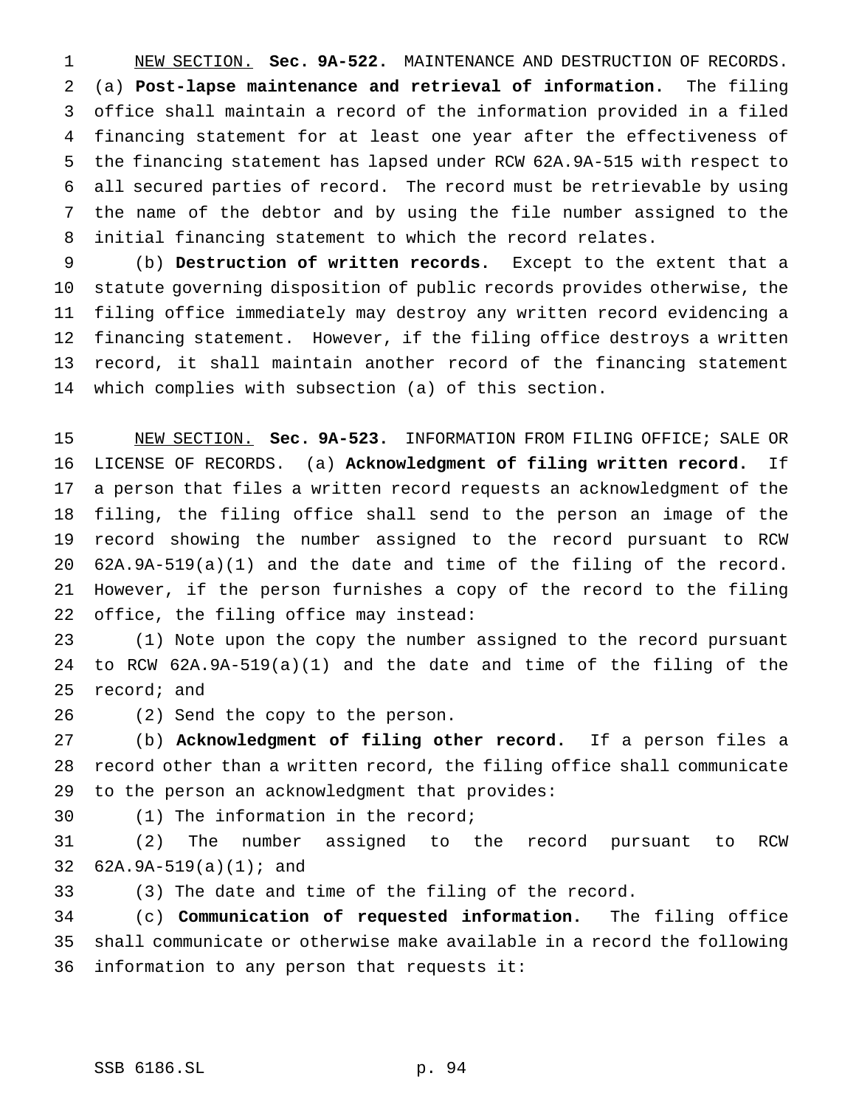NEW SECTION. **Sec. 9A-522.** MAINTENANCE AND DESTRUCTION OF RECORDS. (a) **Post-lapse maintenance and retrieval of information.** The filing office shall maintain a record of the information provided in a filed financing statement for at least one year after the effectiveness of the financing statement has lapsed under RCW 62A.9A-515 with respect to all secured parties of record. The record must be retrievable by using the name of the debtor and by using the file number assigned to the initial financing statement to which the record relates.

 (b) **Destruction of written records.** Except to the extent that a statute governing disposition of public records provides otherwise, the filing office immediately may destroy any written record evidencing a financing statement. However, if the filing office destroys a written record, it shall maintain another record of the financing statement which complies with subsection (a) of this section.

 NEW SECTION. **Sec. 9A-523.** INFORMATION FROM FILING OFFICE; SALE OR LICENSE OF RECORDS. (a) **Acknowledgment of filing written record.** If a person that files a written record requests an acknowledgment of the filing, the filing office shall send to the person an image of the record showing the number assigned to the record pursuant to RCW 62A.9A-519(a)(1) and the date and time of the filing of the record. However, if the person furnishes a copy of the record to the filing office, the filing office may instead:

 (1) Note upon the copy the number assigned to the record pursuant to RCW 62A.9A-519(a)(1) and the date and time of the filing of the record; and

(2) Send the copy to the person.

 (b) **Acknowledgment of filing other record.** If a person files a record other than a written record, the filing office shall communicate to the person an acknowledgment that provides:

(1) The information in the record;

 (2) The number assigned to the record pursuant to RCW 62A.9A-519(a)(1); and

(3) The date and time of the filing of the record.

 (c) **Communication of requested information.** The filing office shall communicate or otherwise make available in a record the following information to any person that requests it: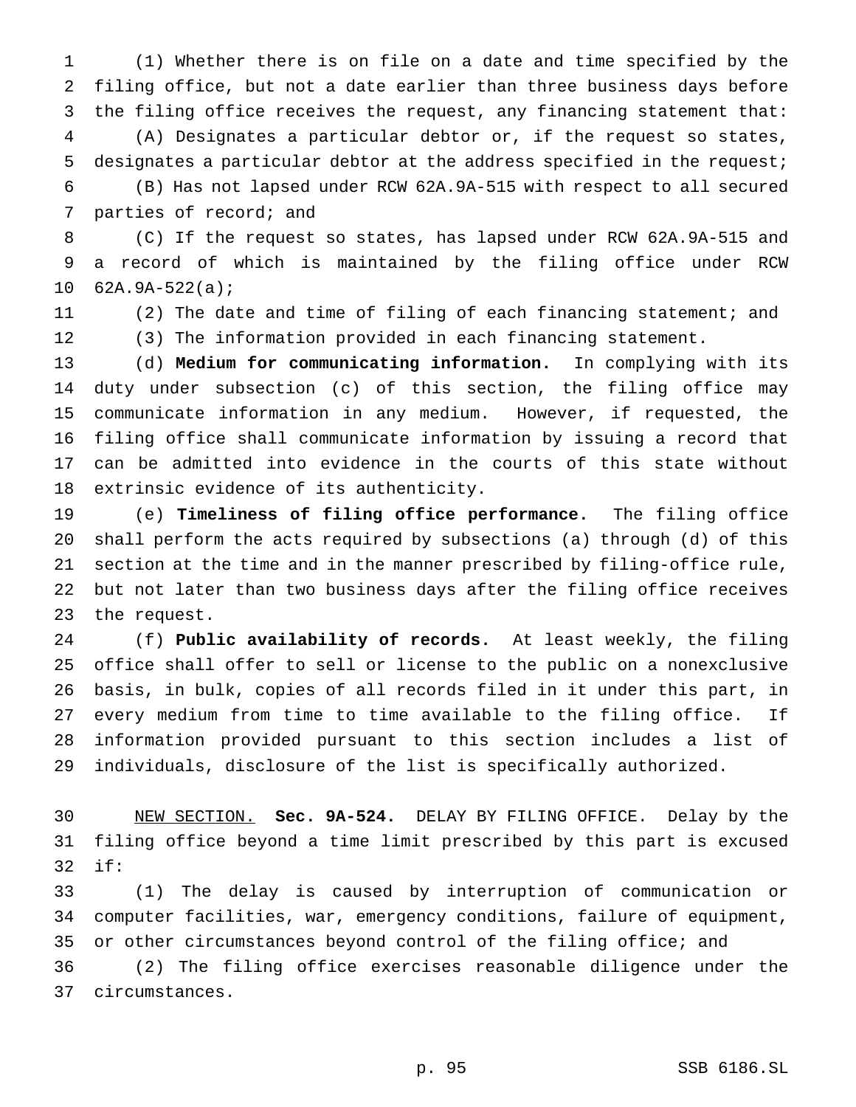(1) Whether there is on file on a date and time specified by the filing office, but not a date earlier than three business days before the filing office receives the request, any financing statement that: (A) Designates a particular debtor or, if the request so states,

designates a particular debtor at the address specified in the request;

 (B) Has not lapsed under RCW 62A.9A-515 with respect to all secured parties of record; and

 (C) If the request so states, has lapsed under RCW 62A.9A-515 and a record of which is maintained by the filing office under RCW 62A.9A-522(a);

 (2) The date and time of filing of each financing statement; and (3) The information provided in each financing statement.

 (d) **Medium for communicating information.** In complying with its duty under subsection (c) of this section, the filing office may communicate information in any medium. However, if requested, the filing office shall communicate information by issuing a record that can be admitted into evidence in the courts of this state without extrinsic evidence of its authenticity.

 (e) **Timeliness of filing office performance.** The filing office shall perform the acts required by subsections (a) through (d) of this section at the time and in the manner prescribed by filing-office rule, but not later than two business days after the filing office receives the request.

 (f) **Public availability of records.** At least weekly, the filing office shall offer to sell or license to the public on a nonexclusive basis, in bulk, copies of all records filed in it under this part, in every medium from time to time available to the filing office. If information provided pursuant to this section includes a list of individuals, disclosure of the list is specifically authorized.

 NEW SECTION. **Sec. 9A-524.** DELAY BY FILING OFFICE. Delay by the filing office beyond a time limit prescribed by this part is excused if:

 (1) The delay is caused by interruption of communication or computer facilities, war, emergency conditions, failure of equipment, or other circumstances beyond control of the filing office; and

 (2) The filing office exercises reasonable diligence under the circumstances.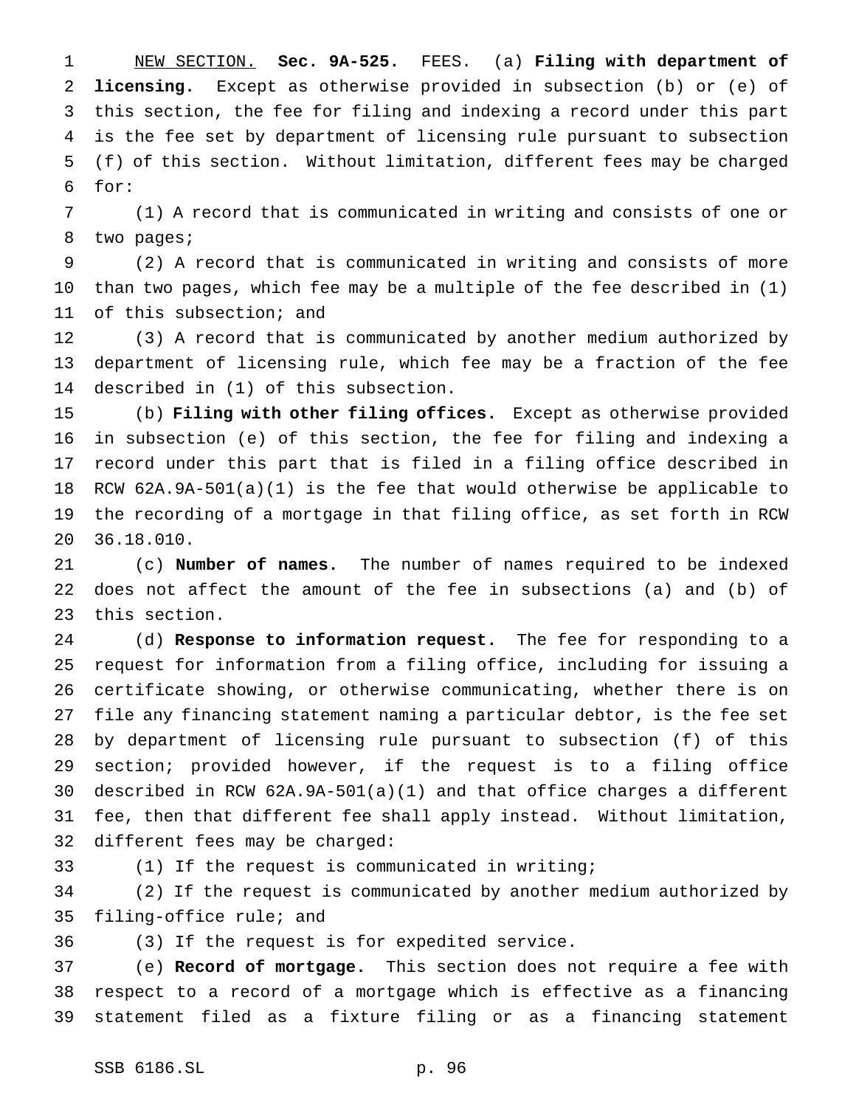NEW SECTION. **Sec. 9A-525.** FEES. (a) **Filing with department of licensing.** Except as otherwise provided in subsection (b) or (e) of this section, the fee for filing and indexing a record under this part is the fee set by department of licensing rule pursuant to subsection (f) of this section. Without limitation, different fees may be charged for:

 (1) A record that is communicated in writing and consists of one or two pages;

 (2) A record that is communicated in writing and consists of more than two pages, which fee may be a multiple of the fee described in (1) of this subsection; and

 (3) A record that is communicated by another medium authorized by department of licensing rule, which fee may be a fraction of the fee described in (1) of this subsection.

 (b) **Filing with other filing offices.** Except as otherwise provided in subsection (e) of this section, the fee for filing and indexing a record under this part that is filed in a filing office described in RCW 62A.9A-501(a)(1) is the fee that would otherwise be applicable to the recording of a mortgage in that filing office, as set forth in RCW 36.18.010.

 (c) **Number of names.** The number of names required to be indexed does not affect the amount of the fee in subsections (a) and (b) of this section.

 (d) **Response to information request.** The fee for responding to a request for information from a filing office, including for issuing a certificate showing, or otherwise communicating, whether there is on file any financing statement naming a particular debtor, is the fee set by department of licensing rule pursuant to subsection (f) of this section; provided however, if the request is to a filing office described in RCW 62A.9A-501(a)(1) and that office charges a different fee, then that different fee shall apply instead. Without limitation, different fees may be charged:

(1) If the request is communicated in writing;

 (2) If the request is communicated by another medium authorized by filing-office rule; and

(3) If the request is for expedited service.

 (e) **Record of mortgage.** This section does not require a fee with respect to a record of a mortgage which is effective as a financing statement filed as a fixture filing or as a financing statement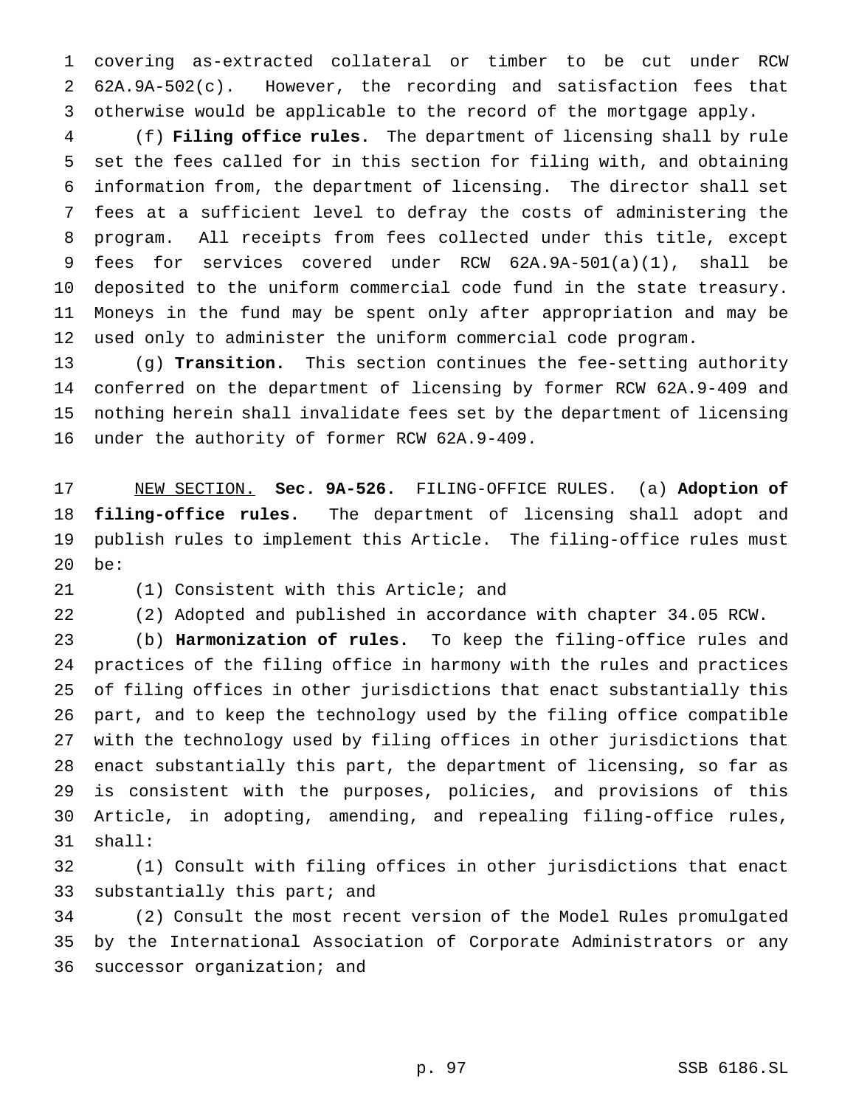covering as-extracted collateral or timber to be cut under RCW 62A.9A-502(c). However, the recording and satisfaction fees that otherwise would be applicable to the record of the mortgage apply.

 (f) **Filing office rules.** The department of licensing shall by rule set the fees called for in this section for filing with, and obtaining information from, the department of licensing. The director shall set fees at a sufficient level to defray the costs of administering the program. All receipts from fees collected under this title, except fees for services covered under RCW 62A.9A-501(a)(1), shall be deposited to the uniform commercial code fund in the state treasury. Moneys in the fund may be spent only after appropriation and may be used only to administer the uniform commercial code program.

 (g) **Transition.** This section continues the fee-setting authority conferred on the department of licensing by former RCW 62A.9-409 and nothing herein shall invalidate fees set by the department of licensing under the authority of former RCW 62A.9-409.

 NEW SECTION. **Sec. 9A-526.** FILING-OFFICE RULES. (a) **Adoption of filing-office rules.** The department of licensing shall adopt and publish rules to implement this Article. The filing-office rules must be:

(1) Consistent with this Article; and

(2) Adopted and published in accordance with chapter 34.05 RCW.

 (b) **Harmonization of rules.** To keep the filing-office rules and practices of the filing office in harmony with the rules and practices of filing offices in other jurisdictions that enact substantially this part, and to keep the technology used by the filing office compatible with the technology used by filing offices in other jurisdictions that enact substantially this part, the department of licensing, so far as is consistent with the purposes, policies, and provisions of this Article, in adopting, amending, and repealing filing-office rules, shall:

 (1) Consult with filing offices in other jurisdictions that enact substantially this part; and

 (2) Consult the most recent version of the Model Rules promulgated by the International Association of Corporate Administrators or any successor organization; and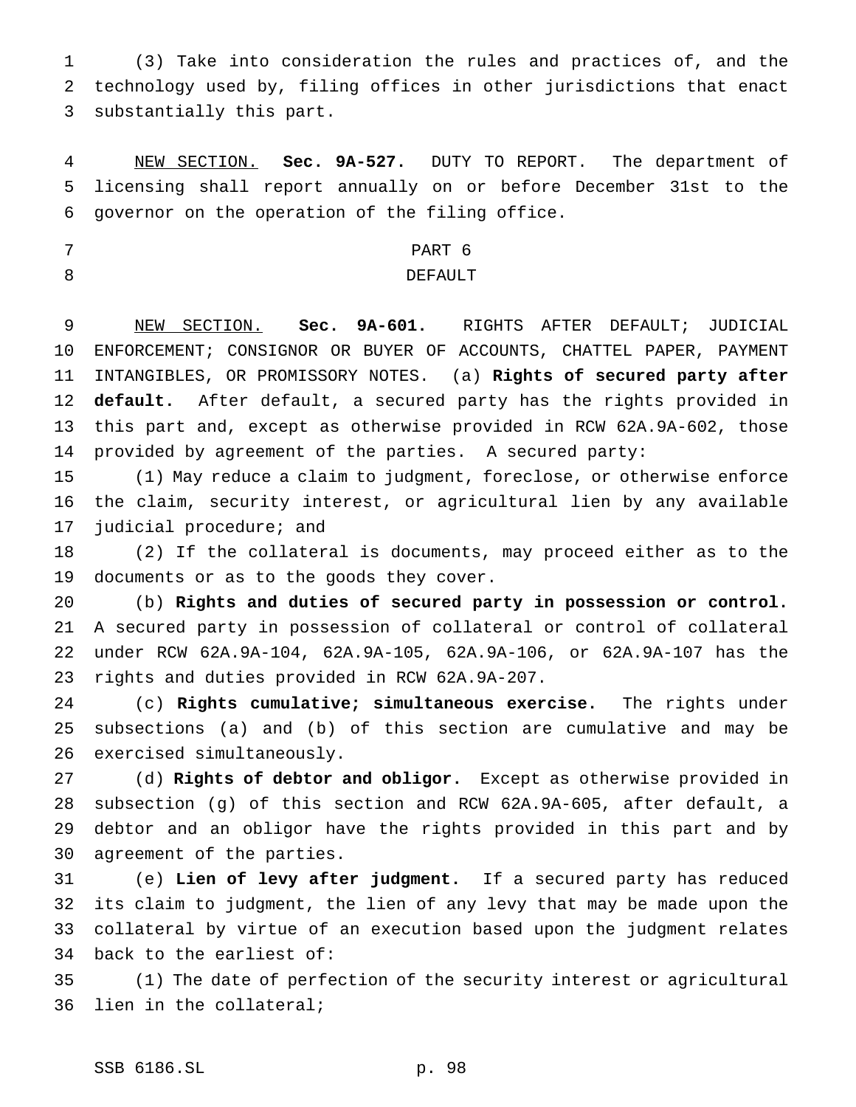(3) Take into consideration the rules and practices of, and the technology used by, filing offices in other jurisdictions that enact substantially this part.

 NEW SECTION. **Sec. 9A-527.** DUTY TO REPORT. The department of licensing shall report annually on or before December 31st to the governor on the operation of the filing office.

PART 6

## 8 DEFAULT

 NEW SECTION. **Sec. 9A-601.** RIGHTS AFTER DEFAULT; JUDICIAL ENFORCEMENT; CONSIGNOR OR BUYER OF ACCOUNTS, CHATTEL PAPER, PAYMENT INTANGIBLES, OR PROMISSORY NOTES. (a) **Rights of secured party after default.** After default, a secured party has the rights provided in this part and, except as otherwise provided in RCW 62A.9A-602, those provided by agreement of the parties. A secured party:

 (1) May reduce a claim to judgment, foreclose, or otherwise enforce the claim, security interest, or agricultural lien by any available judicial procedure; and

 (2) If the collateral is documents, may proceed either as to the documents or as to the goods they cover.

 (b) **Rights and duties of secured party in possession or control.** A secured party in possession of collateral or control of collateral under RCW 62A.9A-104, 62A.9A-105, 62A.9A-106, or 62A.9A-107 has the rights and duties provided in RCW 62A.9A-207.

 (c) **Rights cumulative; simultaneous exercise.** The rights under subsections (a) and (b) of this section are cumulative and may be exercised simultaneously.

 (d) **Rights of debtor and obligor.** Except as otherwise provided in subsection (g) of this section and RCW 62A.9A-605, after default, a debtor and an obligor have the rights provided in this part and by agreement of the parties.

 (e) **Lien of levy after judgment.** If a secured party has reduced its claim to judgment, the lien of any levy that may be made upon the collateral by virtue of an execution based upon the judgment relates back to the earliest of:

 (1) The date of perfection of the security interest or agricultural lien in the collateral;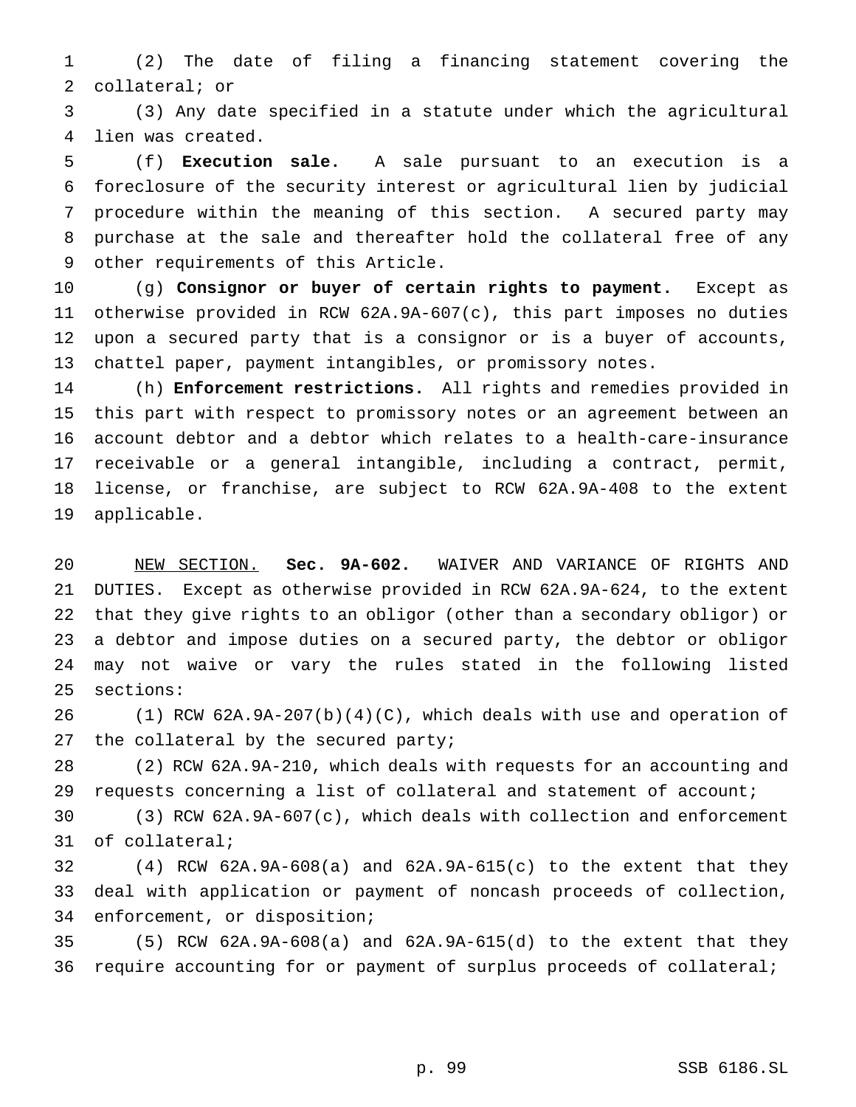(2) The date of filing a financing statement covering the collateral; or

 (3) Any date specified in a statute under which the agricultural lien was created.

 (f) **Execution sale.** A sale pursuant to an execution is a foreclosure of the security interest or agricultural lien by judicial procedure within the meaning of this section. A secured party may purchase at the sale and thereafter hold the collateral free of any other requirements of this Article.

 (g) **Consignor or buyer of certain rights to payment.** Except as otherwise provided in RCW 62A.9A-607(c), this part imposes no duties upon a secured party that is a consignor or is a buyer of accounts, chattel paper, payment intangibles, or promissory notes.

 (h) **Enforcement restrictions.** All rights and remedies provided in this part with respect to promissory notes or an agreement between an account debtor and a debtor which relates to a health-care-insurance receivable or a general intangible, including a contract, permit, license, or franchise, are subject to RCW 62A.9A-408 to the extent applicable.

 NEW SECTION. **Sec. 9A-602.** WAIVER AND VARIANCE OF RIGHTS AND DUTIES. Except as otherwise provided in RCW 62A.9A-624, to the extent that they give rights to an obligor (other than a secondary obligor) or a debtor and impose duties on a secured party, the debtor or obligor may not waive or vary the rules stated in the following listed sections:

 (1) RCW 62A.9A-207(b)(4)(C), which deals with use and operation of 27 the collateral by the secured party;

 (2) RCW 62A.9A-210, which deals with requests for an accounting and requests concerning a list of collateral and statement of account;

 (3) RCW 62A.9A-607(c), which deals with collection and enforcement of collateral;

 (4) RCW 62A.9A-608(a) and 62A.9A-615(c) to the extent that they deal with application or payment of noncash proceeds of collection, enforcement, or disposition;

 (5) RCW 62A.9A-608(a) and 62A.9A-615(d) to the extent that they require accounting for or payment of surplus proceeds of collateral;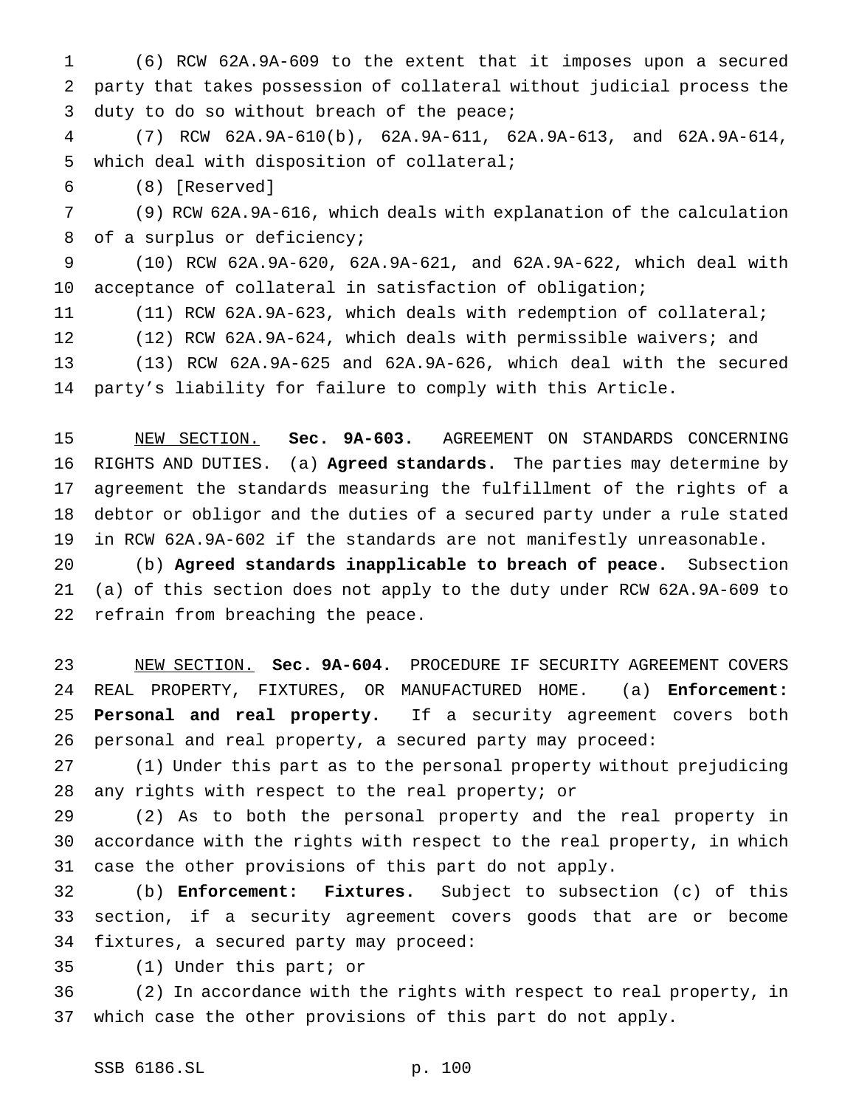(6) RCW 62A.9A-609 to the extent that it imposes upon a secured party that takes possession of collateral without judicial process the duty to do so without breach of the peace;

 (7) RCW 62A.9A-610(b), 62A.9A-611, 62A.9A-613, and 62A.9A-614, which deal with disposition of collateral;

(8) [Reserved]

 (9) RCW 62A.9A-616, which deals with explanation of the calculation of a surplus or deficiency;

 (10) RCW 62A.9A-620, 62A.9A-621, and 62A.9A-622, which deal with acceptance of collateral in satisfaction of obligation;

 (11) RCW 62A.9A-623, which deals with redemption of collateral; (12) RCW 62A.9A-624, which deals with permissible waivers; and (13) RCW 62A.9A-625 and 62A.9A-626, which deal with the secured party's liability for failure to comply with this Article.

 NEW SECTION. **Sec. 9A-603.** AGREEMENT ON STANDARDS CONCERNING RIGHTS AND DUTIES. (a) **Agreed standards.** The parties may determine by agreement the standards measuring the fulfillment of the rights of a debtor or obligor and the duties of a secured party under a rule stated in RCW 62A.9A-602 if the standards are not manifestly unreasonable.

 (b) **Agreed standards inapplicable to breach of peace.** Subsection (a) of this section does not apply to the duty under RCW 62A.9A-609 to refrain from breaching the peace.

 NEW SECTION. **Sec. 9A-604.** PROCEDURE IF SECURITY AGREEMENT COVERS REAL PROPERTY, FIXTURES, OR MANUFACTURED HOME. (a) **Enforcement: Personal and real property.** If a security agreement covers both personal and real property, a secured party may proceed:

 (1) Under this part as to the personal property without prejudicing any rights with respect to the real property; or

 (2) As to both the personal property and the real property in accordance with the rights with respect to the real property, in which case the other provisions of this part do not apply.

 (b) **Enforcement: Fixtures.** Subject to subsection (c) of this section, if a security agreement covers goods that are or become fixtures, a secured party may proceed:

(1) Under this part; or

 (2) In accordance with the rights with respect to real property, in which case the other provisions of this part do not apply.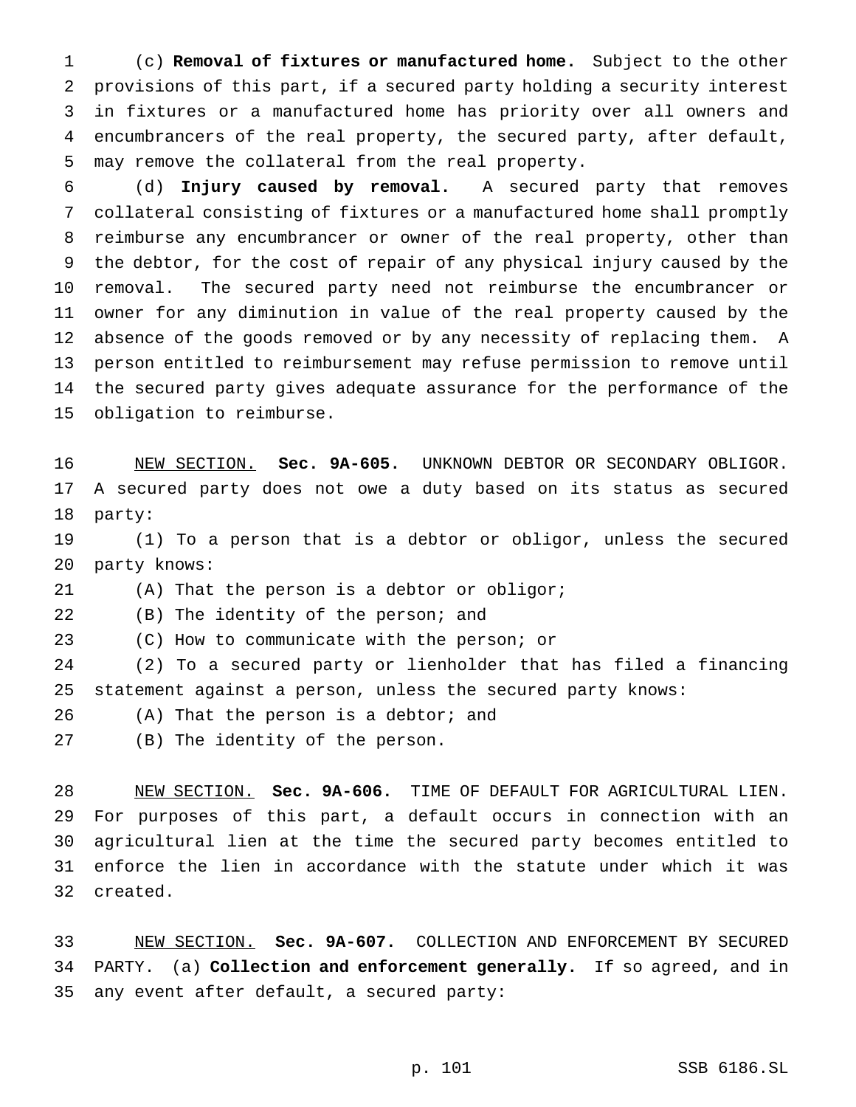(c) **Removal of fixtures or manufactured home.** Subject to the other provisions of this part, if a secured party holding a security interest in fixtures or a manufactured home has priority over all owners and encumbrancers of the real property, the secured party, after default, may remove the collateral from the real property.

 (d) **Injury caused by removal.** A secured party that removes collateral consisting of fixtures or a manufactured home shall promptly reimburse any encumbrancer or owner of the real property, other than the debtor, for the cost of repair of any physical injury caused by the removal. The secured party need not reimburse the encumbrancer or owner for any diminution in value of the real property caused by the absence of the goods removed or by any necessity of replacing them. A person entitled to reimbursement may refuse permission to remove until the secured party gives adequate assurance for the performance of the obligation to reimburse.

 NEW SECTION. **Sec. 9A-605.** UNKNOWN DEBTOR OR SECONDARY OBLIGOR. A secured party does not owe a duty based on its status as secured party:

 (1) To a person that is a debtor or obligor, unless the secured party knows:

(A) That the person is a debtor or obligor;

(B) The identity of the person; and

(C) How to communicate with the person; or

 (2) To a secured party or lienholder that has filed a financing statement against a person, unless the secured party knows:

(A) That the person is a debtor; and

(B) The identity of the person.

 NEW SECTION. **Sec. 9A-606.** TIME OF DEFAULT FOR AGRICULTURAL LIEN. For purposes of this part, a default occurs in connection with an agricultural lien at the time the secured party becomes entitled to enforce the lien in accordance with the statute under which it was created.

 NEW SECTION. **Sec. 9A-607.** COLLECTION AND ENFORCEMENT BY SECURED PARTY. (a) **Collection and enforcement generally.** If so agreed, and in any event after default, a secured party: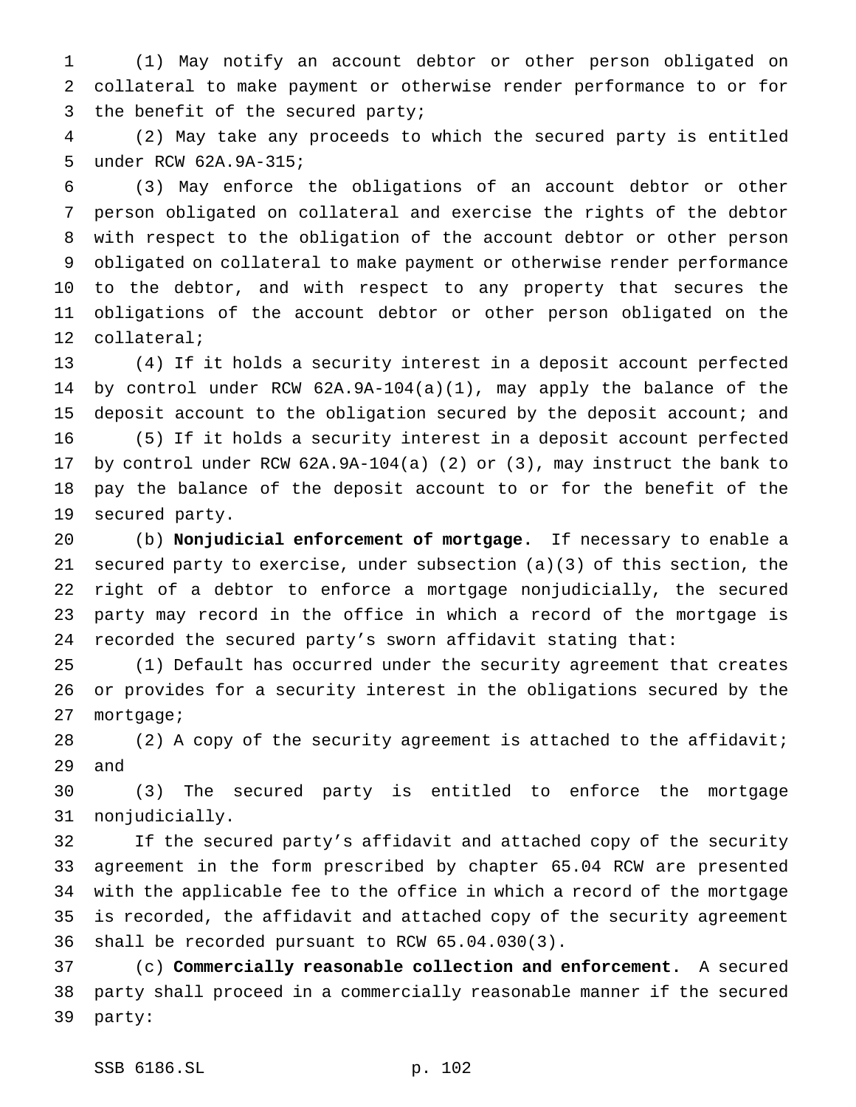(1) May notify an account debtor or other person obligated on collateral to make payment or otherwise render performance to or for the benefit of the secured party;

 (2) May take any proceeds to which the secured party is entitled under RCW 62A.9A-315;

 (3) May enforce the obligations of an account debtor or other person obligated on collateral and exercise the rights of the debtor with respect to the obligation of the account debtor or other person obligated on collateral to make payment or otherwise render performance to the debtor, and with respect to any property that secures the obligations of the account debtor or other person obligated on the collateral;

 (4) If it holds a security interest in a deposit account perfected by control under RCW 62A.9A-104(a)(1), may apply the balance of the deposit account to the obligation secured by the deposit account; and (5) If it holds a security interest in a deposit account perfected by control under RCW 62A.9A-104(a) (2) or (3), may instruct the bank to pay the balance of the deposit account to or for the benefit of the secured party.

 (b) **Nonjudicial enforcement of mortgage.** If necessary to enable a secured party to exercise, under subsection (a)(3) of this section, the right of a debtor to enforce a mortgage nonjudicially, the secured party may record in the office in which a record of the mortgage is recorded the secured party's sworn affidavit stating that:

 (1) Default has occurred under the security agreement that creates or provides for a security interest in the obligations secured by the mortgage;

28 (2) A copy of the security agreement is attached to the affidavit; and

 (3) The secured party is entitled to enforce the mortgage nonjudicially.

 If the secured party's affidavit and attached copy of the security agreement in the form prescribed by chapter 65.04 RCW are presented with the applicable fee to the office in which a record of the mortgage is recorded, the affidavit and attached copy of the security agreement shall be recorded pursuant to RCW 65.04.030(3).

 (c) **Commercially reasonable collection and enforcement.** A secured party shall proceed in a commercially reasonable manner if the secured party: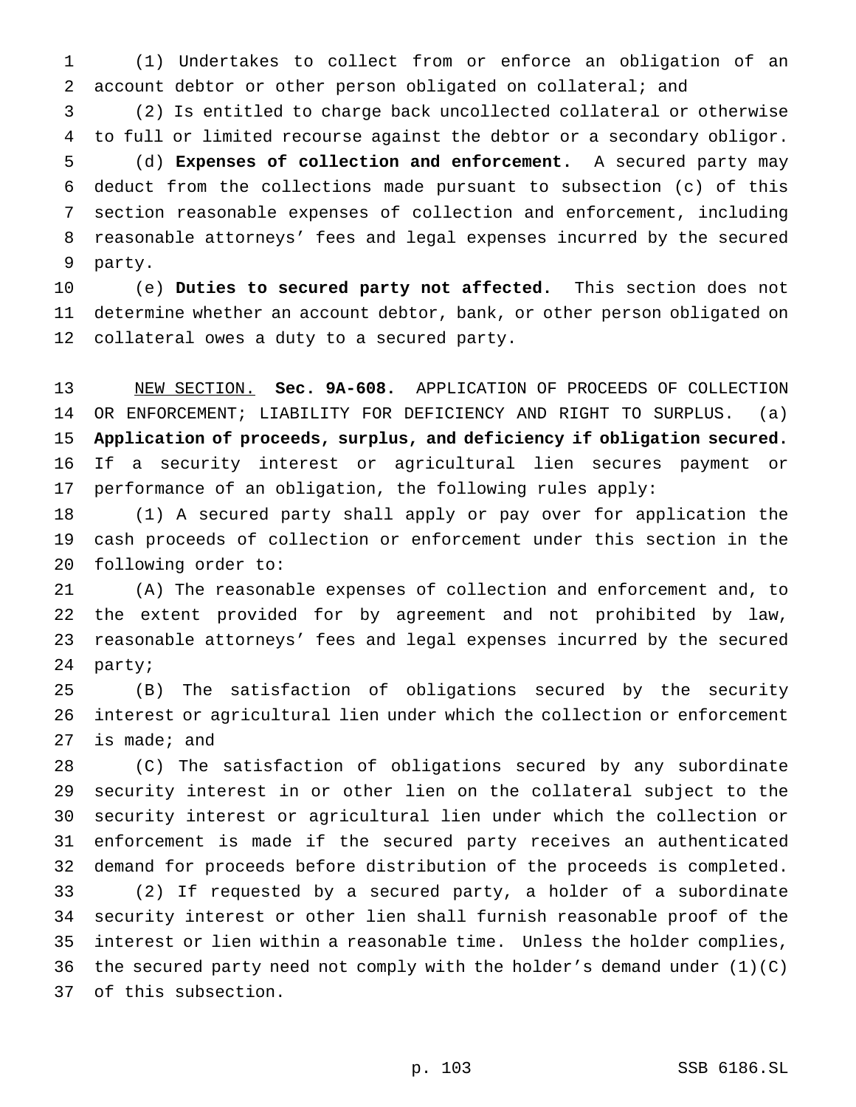(1) Undertakes to collect from or enforce an obligation of an account debtor or other person obligated on collateral; and

 (2) Is entitled to charge back uncollected collateral or otherwise to full or limited recourse against the debtor or a secondary obligor. (d) **Expenses of collection and enforcement.** A secured party may deduct from the collections made pursuant to subsection (c) of this section reasonable expenses of collection and enforcement, including reasonable attorneys' fees and legal expenses incurred by the secured party.

 (e) **Duties to secured party not affected.** This section does not determine whether an account debtor, bank, or other person obligated on collateral owes a duty to a secured party.

 NEW SECTION. **Sec. 9A-608.** APPLICATION OF PROCEEDS OF COLLECTION OR ENFORCEMENT; LIABILITY FOR DEFICIENCY AND RIGHT TO SURPLUS. (a) **Application of proceeds, surplus, and deficiency if obligation secured.** If a security interest or agricultural lien secures payment or performance of an obligation, the following rules apply:

 (1) A secured party shall apply or pay over for application the cash proceeds of collection or enforcement under this section in the following order to:

 (A) The reasonable expenses of collection and enforcement and, to the extent provided for by agreement and not prohibited by law, reasonable attorneys' fees and legal expenses incurred by the secured party;

 (B) The satisfaction of obligations secured by the security interest or agricultural lien under which the collection or enforcement is made; and

 (C) The satisfaction of obligations secured by any subordinate security interest in or other lien on the collateral subject to the security interest or agricultural lien under which the collection or enforcement is made if the secured party receives an authenticated demand for proceeds before distribution of the proceeds is completed. (2) If requested by a secured party, a holder of a subordinate security interest or other lien shall furnish reasonable proof of the interest or lien within a reasonable time. Unless the holder complies, the secured party need not comply with the holder's demand under (1)(C) of this subsection.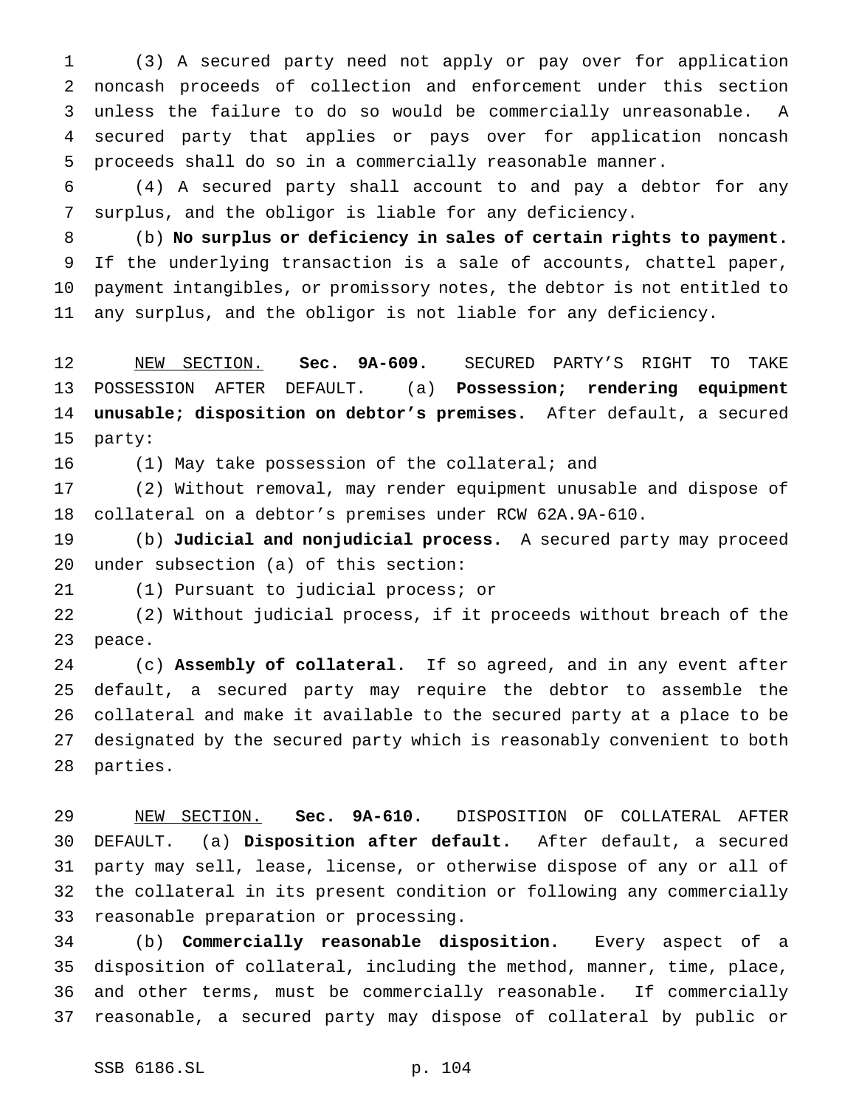(3) A secured party need not apply or pay over for application noncash proceeds of collection and enforcement under this section unless the failure to do so would be commercially unreasonable. A secured party that applies or pays over for application noncash proceeds shall do so in a commercially reasonable manner.

 (4) A secured party shall account to and pay a debtor for any surplus, and the obligor is liable for any deficiency.

 (b) **No surplus or deficiency in sales of certain rights to payment.** If the underlying transaction is a sale of accounts, chattel paper, payment intangibles, or promissory notes, the debtor is not entitled to any surplus, and the obligor is not liable for any deficiency.

 NEW SECTION. **Sec. 9A-609.** SECURED PARTY'S RIGHT TO TAKE POSSESSION AFTER DEFAULT. (a) **Possession; rendering equipment unusable; disposition on debtor's premises.** After default, a secured party:

(1) May take possession of the collateral; and

 (2) Without removal, may render equipment unusable and dispose of collateral on a debtor's premises under RCW 62A.9A-610.

 (b) **Judicial and nonjudicial process.** A secured party may proceed under subsection (a) of this section:

(1) Pursuant to judicial process; or

 (2) Without judicial process, if it proceeds without breach of the peace.

 (c) **Assembly of collateral.** If so agreed, and in any event after default, a secured party may require the debtor to assemble the collateral and make it available to the secured party at a place to be designated by the secured party which is reasonably convenient to both parties.

 NEW SECTION. **Sec. 9A-610.** DISPOSITION OF COLLATERAL AFTER DEFAULT. (a) **Disposition after default.** After default, a secured party may sell, lease, license, or otherwise dispose of any or all of the collateral in its present condition or following any commercially reasonable preparation or processing.

 (b) **Commercially reasonable disposition.** Every aspect of a disposition of collateral, including the method, manner, time, place, and other terms, must be commercially reasonable. If commercially reasonable, a secured party may dispose of collateral by public or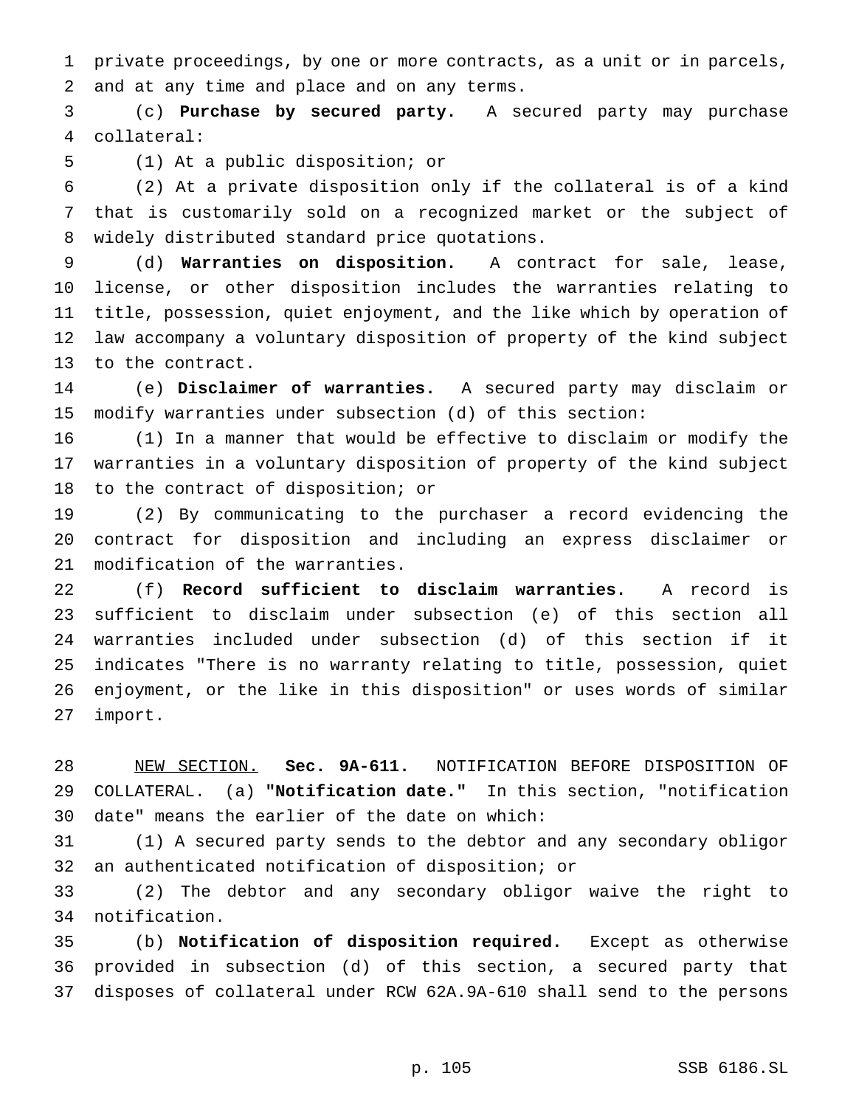private proceedings, by one or more contracts, as a unit or in parcels, and at any time and place and on any terms.

 (c) **Purchase by secured party.** A secured party may purchase collateral:

(1) At a public disposition; or

 (2) At a private disposition only if the collateral is of a kind that is customarily sold on a recognized market or the subject of widely distributed standard price quotations.

 (d) **Warranties on disposition.** A contract for sale, lease, license, or other disposition includes the warranties relating to title, possession, quiet enjoyment, and the like which by operation of law accompany a voluntary disposition of property of the kind subject to the contract.

 (e) **Disclaimer of warranties.** A secured party may disclaim or modify warranties under subsection (d) of this section:

 (1) In a manner that would be effective to disclaim or modify the warranties in a voluntary disposition of property of the kind subject to the contract of disposition; or

 (2) By communicating to the purchaser a record evidencing the contract for disposition and including an express disclaimer or modification of the warranties.

 (f) **Record sufficient to disclaim warranties.** A record is sufficient to disclaim under subsection (e) of this section all warranties included under subsection (d) of this section if it indicates "There is no warranty relating to title, possession, quiet enjoyment, or the like in this disposition" or uses words of similar import.

 NEW SECTION. **Sec. 9A-611.** NOTIFICATION BEFORE DISPOSITION OF COLLATERAL. (a) **"Notification date."** In this section, "notification date" means the earlier of the date on which:

 (1) A secured party sends to the debtor and any secondary obligor an authenticated notification of disposition; or

 (2) The debtor and any secondary obligor waive the right to notification.

 (b) **Notification of disposition required.** Except as otherwise provided in subsection (d) of this section, a secured party that disposes of collateral under RCW 62A.9A-610 shall send to the persons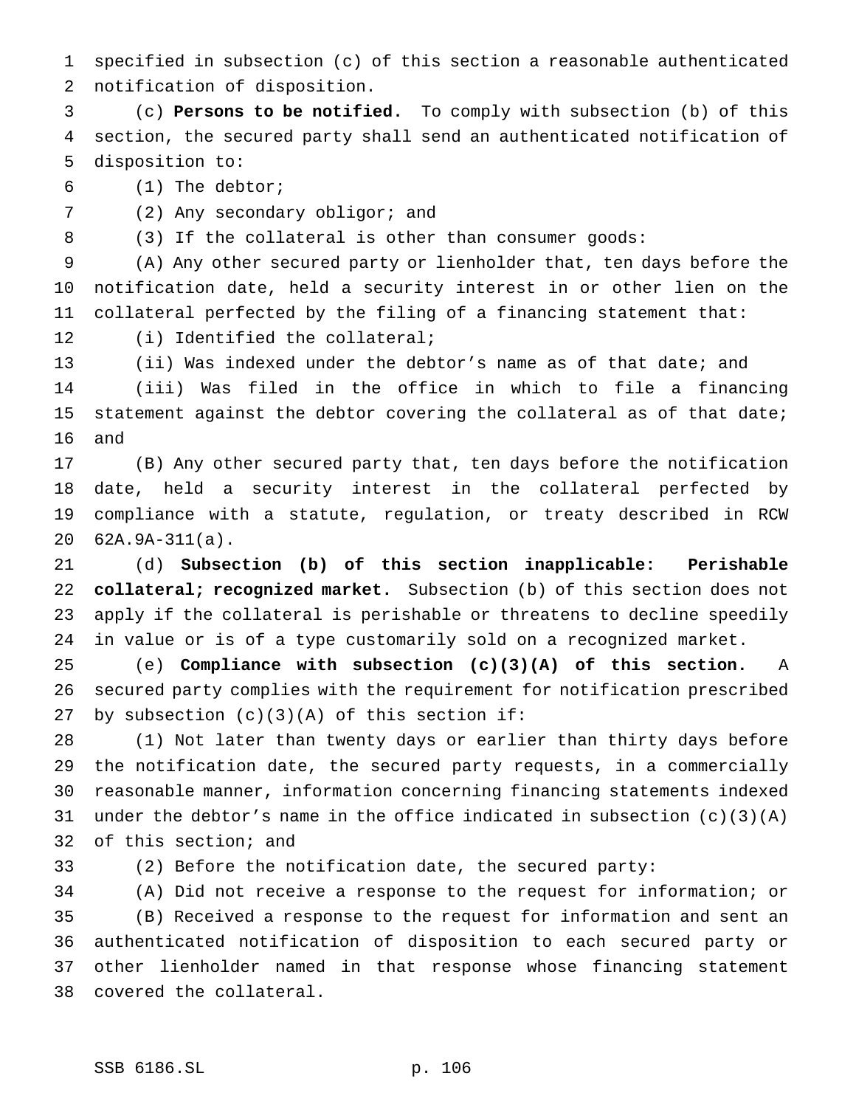specified in subsection (c) of this section a reasonable authenticated notification of disposition.

 (c) **Persons to be notified.** To comply with subsection (b) of this section, the secured party shall send an authenticated notification of disposition to:

(1) The debtor;

7 (2) Any secondary obligor; and

8 (3) If the collateral is other than consumer goods:

 (A) Any other secured party or lienholder that, ten days before the notification date, held a security interest in or other lien on the collateral perfected by the filing of a financing statement that:

(i) Identified the collateral;

 (ii) Was indexed under the debtor's name as of that date; and (iii) Was filed in the office in which to file a financing 15 statement against the debtor covering the collateral as of that date; and

 (B) Any other secured party that, ten days before the notification date, held a security interest in the collateral perfected by compliance with a statute, regulation, or treaty described in RCW 62A.9A-311(a).

 (d) **Subsection (b) of this section inapplicable: Perishable collateral; recognized market.** Subsection (b) of this section does not apply if the collateral is perishable or threatens to decline speedily in value or is of a type customarily sold on a recognized market.

 (e) **Compliance with subsection (c)(3)(A) of this section.** A secured party complies with the requirement for notification prescribed 27 by subsection  $(c)(3)(A)$  of this section if:

 (1) Not later than twenty days or earlier than thirty days before the notification date, the secured party requests, in a commercially reasonable manner, information concerning financing statements indexed under the debtor's name in the office indicated in subsection (c)(3)(A) of this section; and

(2) Before the notification date, the secured party:

 (A) Did not receive a response to the request for information; or (B) Received a response to the request for information and sent an authenticated notification of disposition to each secured party or other lienholder named in that response whose financing statement covered the collateral.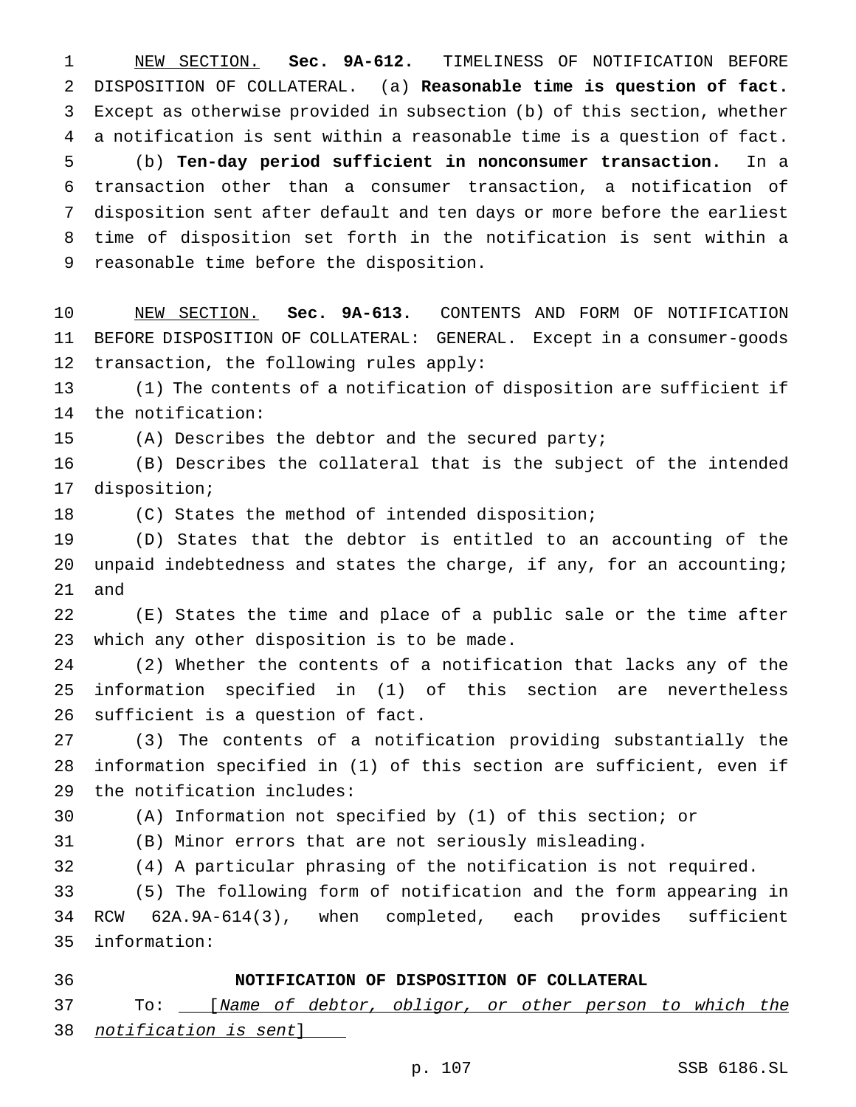NEW SECTION. **Sec. 9A-612.** TIMELINESS OF NOTIFICATION BEFORE DISPOSITION OF COLLATERAL. (a) **Reasonable time is question of fact.** Except as otherwise provided in subsection (b) of this section, whether a notification is sent within a reasonable time is a question of fact. (b) **Ten-day period sufficient in nonconsumer transaction.** In a transaction other than a consumer transaction, a notification of disposition sent after default and ten days or more before the earliest time of disposition set forth in the notification is sent within a reasonable time before the disposition.

 NEW SECTION. **Sec. 9A-613.** CONTENTS AND FORM OF NOTIFICATION BEFORE DISPOSITION OF COLLATERAL: GENERAL. Except in a consumer-goods transaction, the following rules apply:

 (1) The contents of a notification of disposition are sufficient if the notification:

(A) Describes the debtor and the secured party;

 (B) Describes the collateral that is the subject of the intended disposition;

(C) States the method of intended disposition;

 (D) States that the debtor is entitled to an accounting of the unpaid indebtedness and states the charge, if any, for an accounting; and

 (E) States the time and place of a public sale or the time after which any other disposition is to be made.

 (2) Whether the contents of a notification that lacks any of the information specified in (1) of this section are nevertheless sufficient is a question of fact.

 (3) The contents of a notification providing substantially the information specified in (1) of this section are sufficient, even if the notification includes:

(A) Information not specified by (1) of this section; or

(B) Minor errors that are not seriously misleading.

(4) A particular phrasing of the notification is not required.

 (5) The following form of notification and the form appearing in RCW 62A.9A-614(3), when completed, each provides sufficient information:

 **NOTIFICATION OF DISPOSITION OF COLLATERAL** 37 To: <u>[Name of debtor, obligor, or other person to which the</u> notification is sent]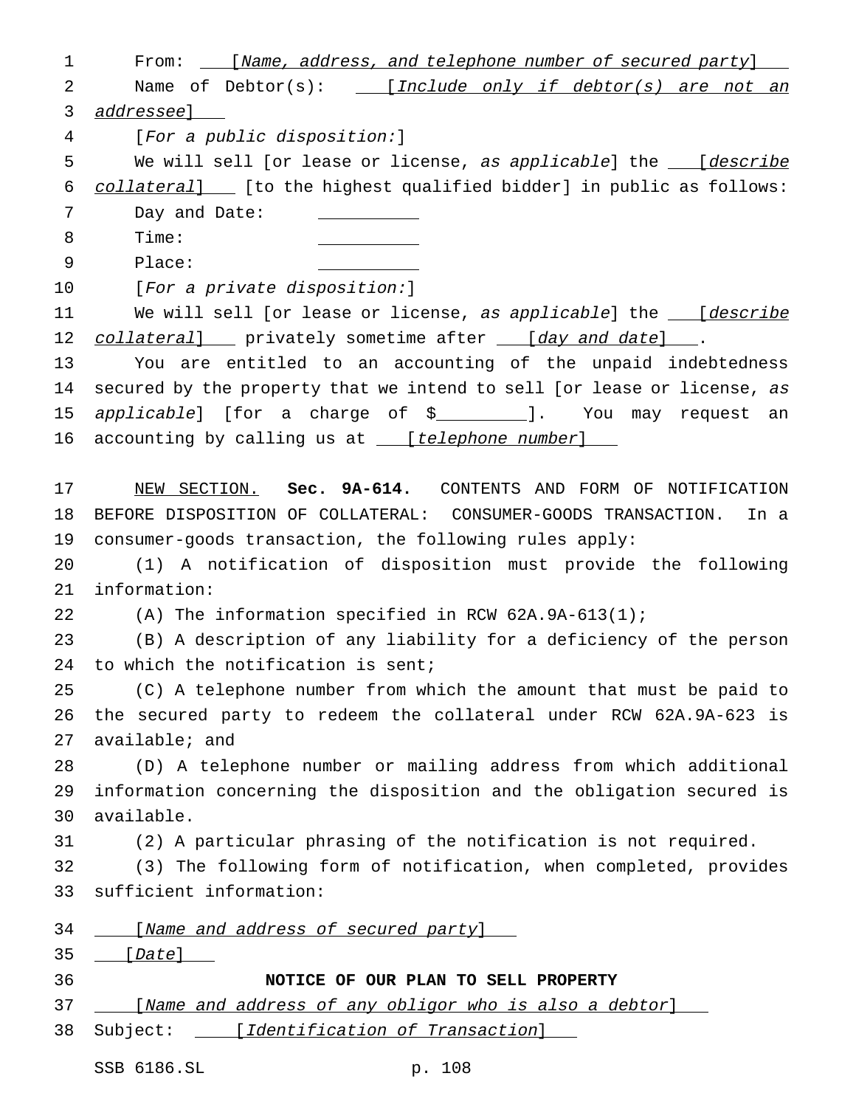1 From: *[Name, address, and telephone number of secured party]* 2 Name of Debtor(s): [Include only if debtor(s) are not an addressee] [For <sup>a</sup> public disposition:] 5 We will sell [or lease or license, as applicable] the *[describe* 6 collateral] [to the highest qualified bidder] in public as follows: Day and Date: Time: Place: 10 [For a private disposition:] 11 We will sell [or lease or license, *as applicable*] the <u>san aldescribe</u> 12 collateral] \_ privately sometime after \_ [day and date] You are entitled to an accounting of the unpaid indebtedness 14 secured by the property that we intend to sell [or lease or license, as 15 applicable] [for a charge of \$<br>15 applicable] [for a charge of \$<br>2011. You may request an 16 accounting by calling us at <u>[telephone number]</u> NEW SECTION. **Sec. 9A-614.** CONTENTS AND FORM OF NOTIFICATION BEFORE DISPOSITION OF COLLATERAL: CONSUMER-GOODS TRANSACTION. In a consumer-goods transaction, the following rules apply: (1) A notification of disposition must provide the following information: (A) The information specified in RCW 62A.9A-613(1); (B) A description of any liability for a deficiency of the person 24 to which the notification is sent; (C) A telephone number from which the amount that must be paid to the secured party to redeem the collateral under RCW 62A.9A-623 is available; and (D) A telephone number or mailing address from which additional information concerning the disposition and the obligation secured is available. (2) A particular phrasing of the notification is not required. (3) The following form of notification, when completed, provides sufficient information: 34 [Name and address of secured party] [Date] **NOTICE OF OUR PLAN TO SELL PROPERTY** 37 <u>[Name and address of any obligor who is also a debtor]</u> 38 Subject: [Identification of Transaction]

SSB 6186.SL p. 108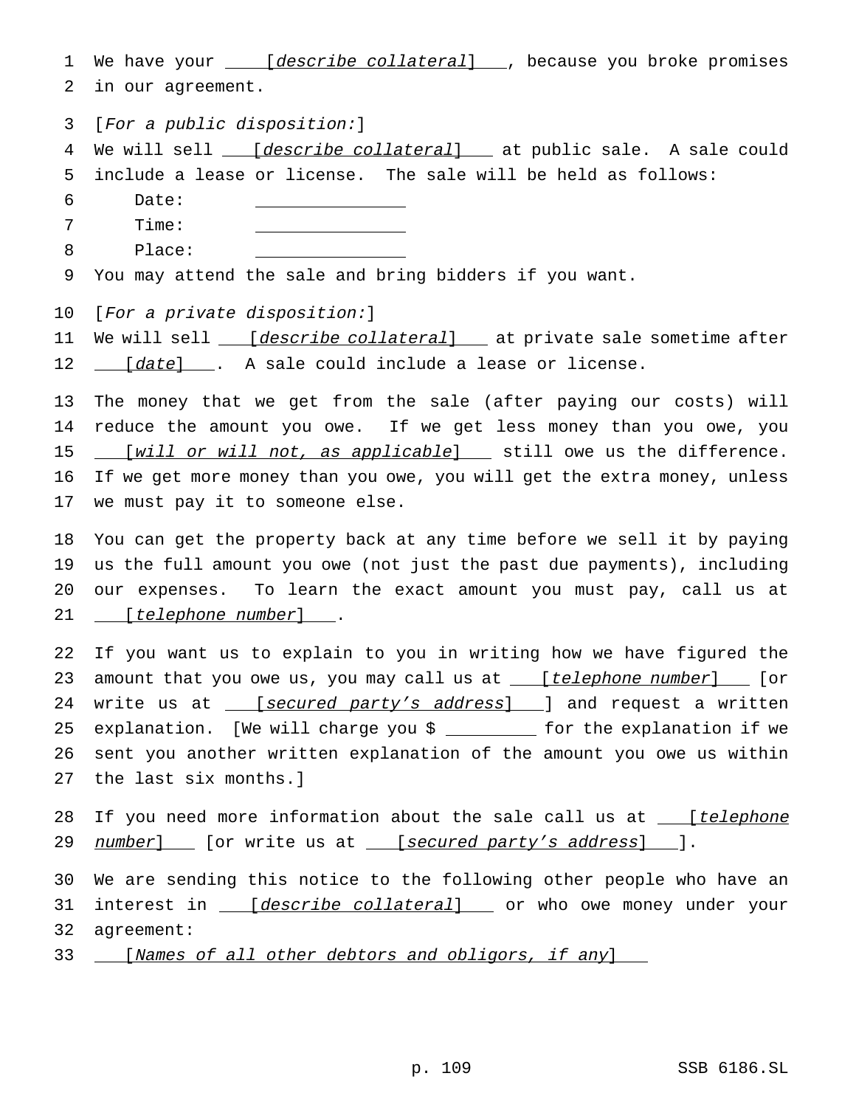1 We have your *[describe collateral]* , because you broke promises

2 in our agreement.

3 [For <sup>a</sup> public disposition:]

4 We will sell [describe collateral] at public sale. A sale could

5 include a lease or license. The sale will be held as follows:

6 Date:

7 Time:

8 Place:

9 You may attend the sale and bring bidders if you want.

10 [For <sup>a</sup> private disposition:]

11 We will sell \_\_ [describe collateral] \_\_ at private sale sometime after

12 [date] . A sale could include a lease or license.

 The money that we get from the sale (after paying our costs) will reduce the amount you owe. If we get less money than you owe, you 15 \_ [will or will not, as applicable] still owe us the difference. If we get more money than you owe, you will get the extra money, unless we must pay it to someone else.

 You can get the property back at any time before we sell it by paying us the full amount you owe (not just the past due payments), including our expenses. To learn the exact amount you must pay, call us at 21 [telephone number].

22 If you want us to explain to you in writing how we have figured the 23 amount that you owe us, you may call us at <u>[telephone number]</u> [or 24 write us at <u>[secured party's address]</u> ] and request a written 25 explanation. [We will charge you  $\frac{1}{2}$  for the explanation if we 26 sent you another written explanation of the amount you owe us within 27 the last six months.]

28 If you need more information about the sale call us at \_\_[telephone 29 number] [or write us at <u>[secured party's address]</u> ].

30 We are sending this notice to the following other people who have an 31 interest in \_ [describe collateral] \_ or who owe money under your 32 agreement:

33 [Names of all other debtors and obligors, if any]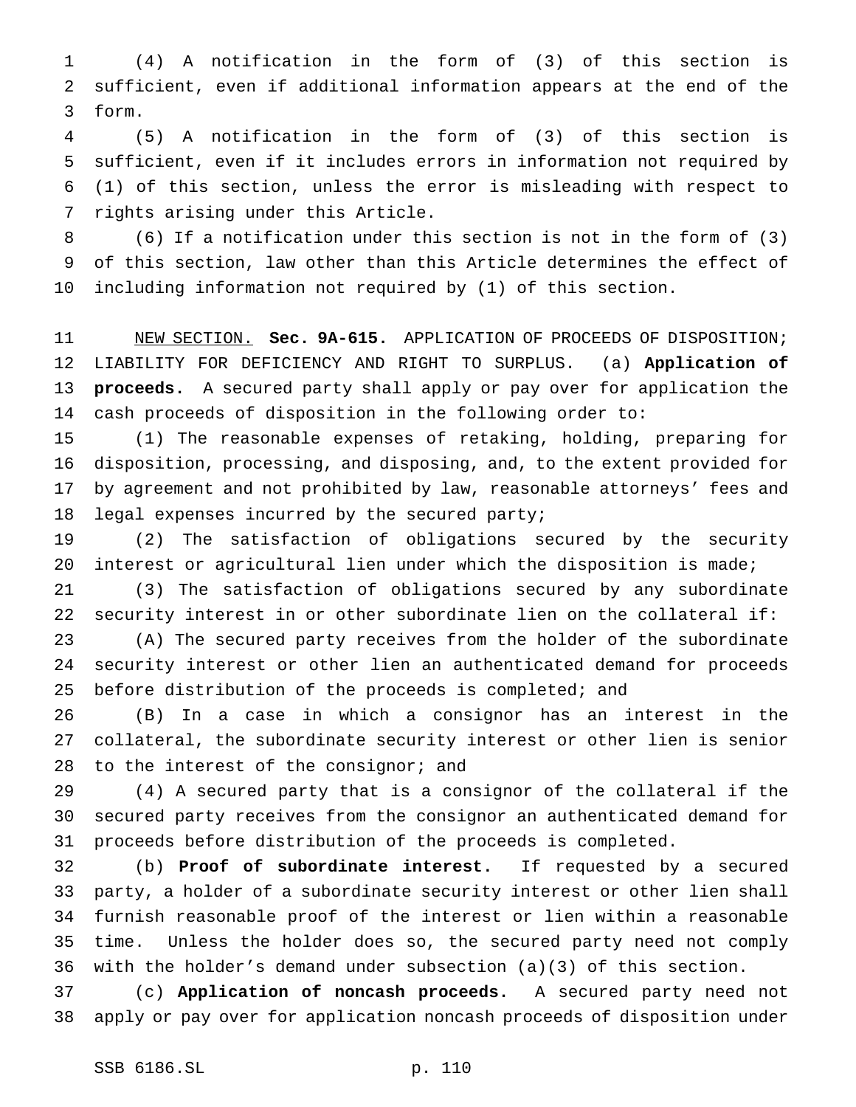(4) A notification in the form of (3) of this section is sufficient, even if additional information appears at the end of the form.

 (5) A notification in the form of (3) of this section is sufficient, even if it includes errors in information not required by (1) of this section, unless the error is misleading with respect to rights arising under this Article.

 (6) If a notification under this section is not in the form of (3) of this section, law other than this Article determines the effect of including information not required by (1) of this section.

 NEW SECTION. **Sec. 9A-615.** APPLICATION OF PROCEEDS OF DISPOSITION; LIABILITY FOR DEFICIENCY AND RIGHT TO SURPLUS. (a) **Application of proceeds.** A secured party shall apply or pay over for application the cash proceeds of disposition in the following order to:

 (1) The reasonable expenses of retaking, holding, preparing for disposition, processing, and disposing, and, to the extent provided for by agreement and not prohibited by law, reasonable attorneys' fees and legal expenses incurred by the secured party;

 (2) The satisfaction of obligations secured by the security interest or agricultural lien under which the disposition is made;

 (3) The satisfaction of obligations secured by any subordinate security interest in or other subordinate lien on the collateral if:

 (A) The secured party receives from the holder of the subordinate security interest or other lien an authenticated demand for proceeds 25 before distribution of the proceeds is completed; and

 (B) In a case in which a consignor has an interest in the collateral, the subordinate security interest or other lien is senior 28 to the interest of the consignor; and

 (4) A secured party that is a consignor of the collateral if the secured party receives from the consignor an authenticated demand for proceeds before distribution of the proceeds is completed.

 (b) **Proof of subordinate interest.** If requested by a secured party, a holder of a subordinate security interest or other lien shall furnish reasonable proof of the interest or lien within a reasonable time. Unless the holder does so, the secured party need not comply with the holder's demand under subsection (a)(3) of this section.

 (c) **Application of noncash proceeds.** A secured party need not apply or pay over for application noncash proceeds of disposition under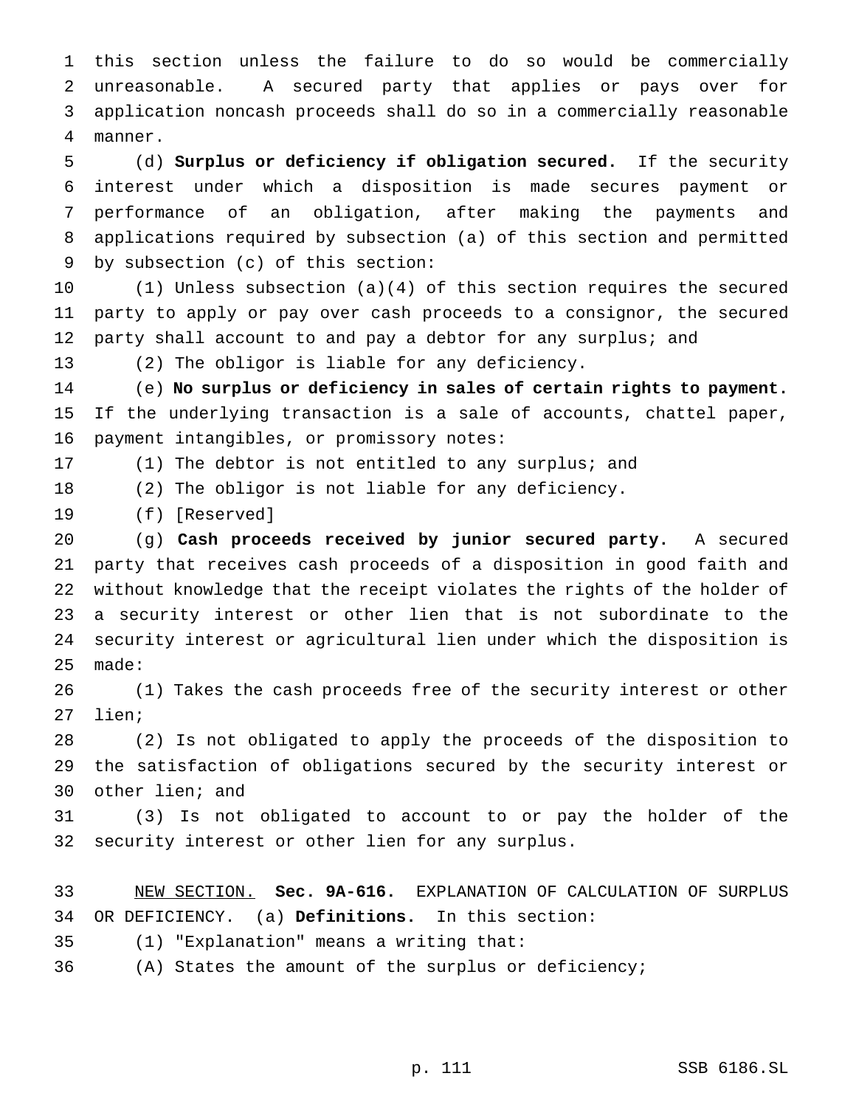this section unless the failure to do so would be commercially unreasonable. A secured party that applies or pays over for application noncash proceeds shall do so in a commercially reasonable manner.

 (d) **Surplus or deficiency if obligation secured.** If the security interest under which a disposition is made secures payment or performance of an obligation, after making the payments and applications required by subsection (a) of this section and permitted by subsection (c) of this section:

 (1) Unless subsection (a)(4) of this section requires the secured party to apply or pay over cash proceeds to a consignor, the secured 12 party shall account to and pay a debtor for any surplus; and

(2) The obligor is liable for any deficiency.

 (e) **No surplus or deficiency in sales of certain rights to payment.** If the underlying transaction is a sale of accounts, chattel paper, payment intangibles, or promissory notes:

(1) The debtor is not entitled to any surplus; and

(2) The obligor is not liable for any deficiency.

(f) [Reserved]

 (g) **Cash proceeds received by junior secured party.** A secured party that receives cash proceeds of a disposition in good faith and without knowledge that the receipt violates the rights of the holder of a security interest or other lien that is not subordinate to the security interest or agricultural lien under which the disposition is made:

 (1) Takes the cash proceeds free of the security interest or other lien;

 (2) Is not obligated to apply the proceeds of the disposition to the satisfaction of obligations secured by the security interest or other lien; and

 (3) Is not obligated to account to or pay the holder of the security interest or other lien for any surplus.

 NEW SECTION. **Sec. 9A-616.** EXPLANATION OF CALCULATION OF SURPLUS OR DEFICIENCY. (a) **Definitions.** In this section:

(1) "Explanation" means a writing that:

(A) States the amount of the surplus or deficiency;

p. 111 SSB 6186.SL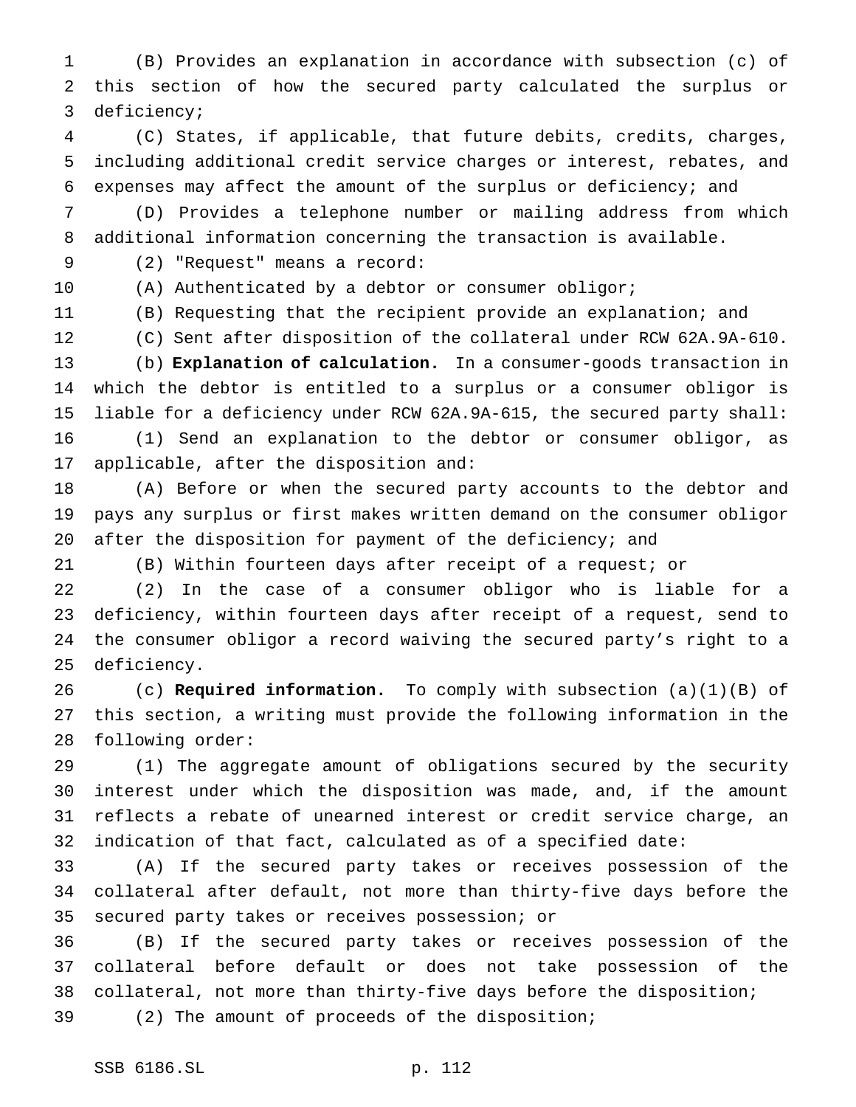(B) Provides an explanation in accordance with subsection (c) of this section of how the secured party calculated the surplus or deficiency;

 (C) States, if applicable, that future debits, credits, charges, including additional credit service charges or interest, rebates, and expenses may affect the amount of the surplus or deficiency; and

 (D) Provides a telephone number or mailing address from which additional information concerning the transaction is available.

(2) "Request" means a record:

(A) Authenticated by a debtor or consumer obligor;

(B) Requesting that the recipient provide an explanation; and

(C) Sent after disposition of the collateral under RCW 62A.9A-610.

 (b) **Explanation of calculation.** In a consumer-goods transaction in which the debtor is entitled to a surplus or a consumer obligor is liable for a deficiency under RCW 62A.9A-615, the secured party shall: (1) Send an explanation to the debtor or consumer obligor, as applicable, after the disposition and:

 (A) Before or when the secured party accounts to the debtor and pays any surplus or first makes written demand on the consumer obligor after the disposition for payment of the deficiency; and

(B) Within fourteen days after receipt of a request; or

 (2) In the case of a consumer obligor who is liable for a deficiency, within fourteen days after receipt of a request, send to the consumer obligor a record waiving the secured party's right to a deficiency.

 (c) **Required information.** To comply with subsection (a)(1)(B) of this section, a writing must provide the following information in the following order:

 (1) The aggregate amount of obligations secured by the security interest under which the disposition was made, and, if the amount reflects a rebate of unearned interest or credit service charge, an indication of that fact, calculated as of a specified date:

 (A) If the secured party takes or receives possession of the collateral after default, not more than thirty-five days before the secured party takes or receives possession; or

 (B) If the secured party takes or receives possession of the collateral before default or does not take possession of the collateral, not more than thirty-five days before the disposition;

(2) The amount of proceeds of the disposition;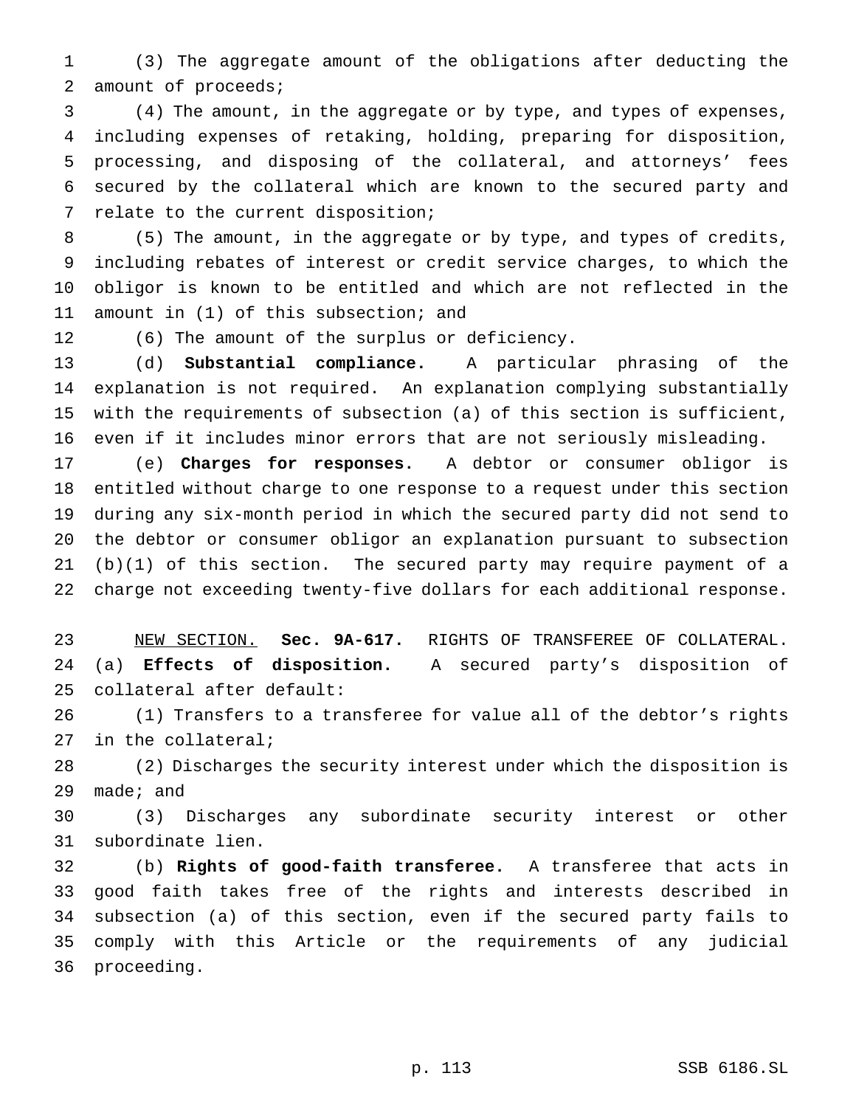(3) The aggregate amount of the obligations after deducting the amount of proceeds;

 (4) The amount, in the aggregate or by type, and types of expenses, including expenses of retaking, holding, preparing for disposition, processing, and disposing of the collateral, and attorneys' fees secured by the collateral which are known to the secured party and relate to the current disposition;

 (5) The amount, in the aggregate or by type, and types of credits, including rebates of interest or credit service charges, to which the obligor is known to be entitled and which are not reflected in the amount in (1) of this subsection; and

(6) The amount of the surplus or deficiency.

 (d) **Substantial compliance.** A particular phrasing of the explanation is not required. An explanation complying substantially with the requirements of subsection (a) of this section is sufficient, even if it includes minor errors that are not seriously misleading.

 (e) **Charges for responses.** A debtor or consumer obligor is entitled without charge to one response to a request under this section during any six-month period in which the secured party did not send to the debtor or consumer obligor an explanation pursuant to subsection (b)(1) of this section. The secured party may require payment of a charge not exceeding twenty-five dollars for each additional response.

 NEW SECTION. **Sec. 9A-617.** RIGHTS OF TRANSFEREE OF COLLATERAL. (a) **Effects of disposition.** A secured party's disposition of collateral after default:

 (1) Transfers to a transferee for value all of the debtor's rights in the collateral;

 (2) Discharges the security interest under which the disposition is made; and

 (3) Discharges any subordinate security interest or other subordinate lien.

 (b) **Rights of good-faith transferee.** A transferee that acts in good faith takes free of the rights and interests described in subsection (a) of this section, even if the secured party fails to comply with this Article or the requirements of any judicial proceeding.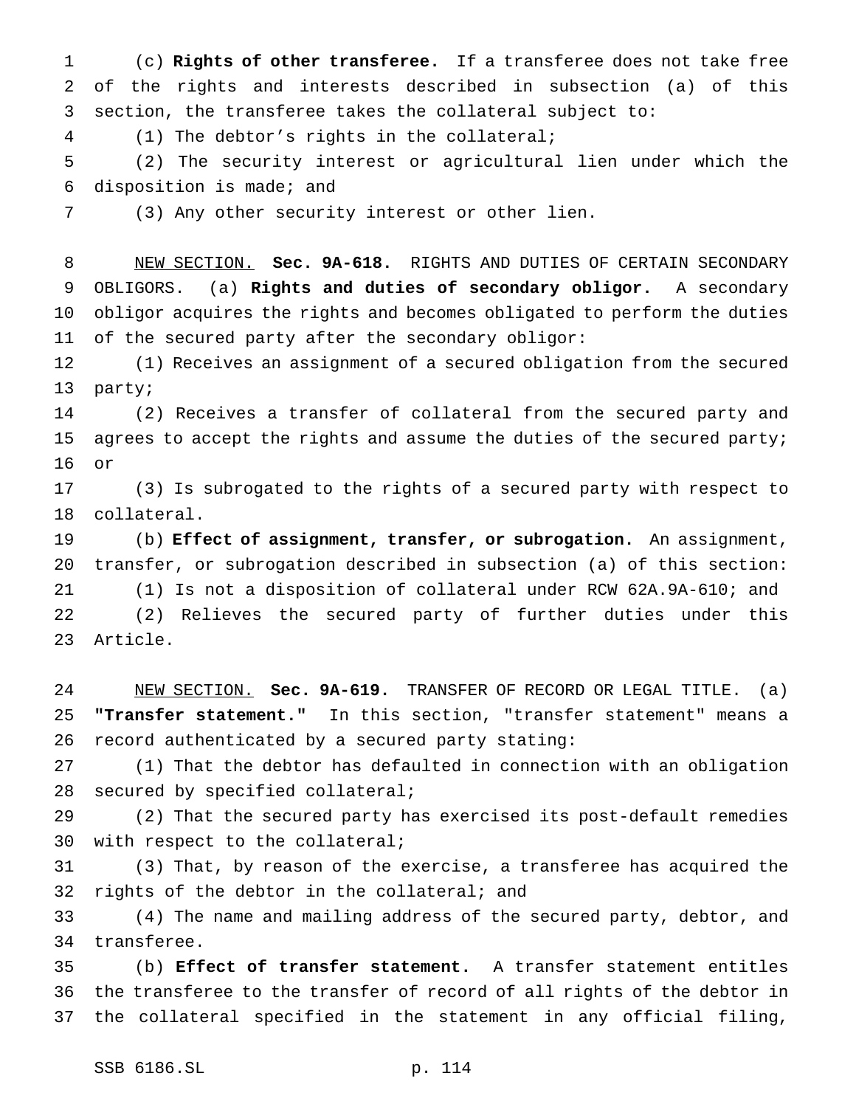(c) **Rights of other transferee.** If a transferee does not take free of the rights and interests described in subsection (a) of this section, the transferee takes the collateral subject to:

(1) The debtor's rights in the collateral;

 (2) The security interest or agricultural lien under which the disposition is made; and

(3) Any other security interest or other lien.

 NEW SECTION. **Sec. 9A-618.** RIGHTS AND DUTIES OF CERTAIN SECONDARY OBLIGORS. (a) **Rights and duties of secondary obligor.** A secondary obligor acquires the rights and becomes obligated to perform the duties of the secured party after the secondary obligor:

 (1) Receives an assignment of a secured obligation from the secured party;

 (2) Receives a transfer of collateral from the secured party and 15 agrees to accept the rights and assume the duties of the secured party; or

 (3) Is subrogated to the rights of a secured party with respect to collateral.

 (b) **Effect of assignment, transfer, or subrogation.** An assignment, transfer, or subrogation described in subsection (a) of this section: (1) Is not a disposition of collateral under RCW 62A.9A-610; and (2) Relieves the secured party of further duties under this Article.

 NEW SECTION. **Sec. 9A-619.** TRANSFER OF RECORD OR LEGAL TITLE. (a) **"Transfer statement."** In this section, "transfer statement" means a record authenticated by a secured party stating:

 (1) That the debtor has defaulted in connection with an obligation secured by specified collateral;

 (2) That the secured party has exercised its post-default remedies with respect to the collateral;

 (3) That, by reason of the exercise, a transferee has acquired the rights of the debtor in the collateral; and

 (4) The name and mailing address of the secured party, debtor, and transferee.

 (b) **Effect of transfer statement.** A transfer statement entitles the transferee to the transfer of record of all rights of the debtor in the collateral specified in the statement in any official filing,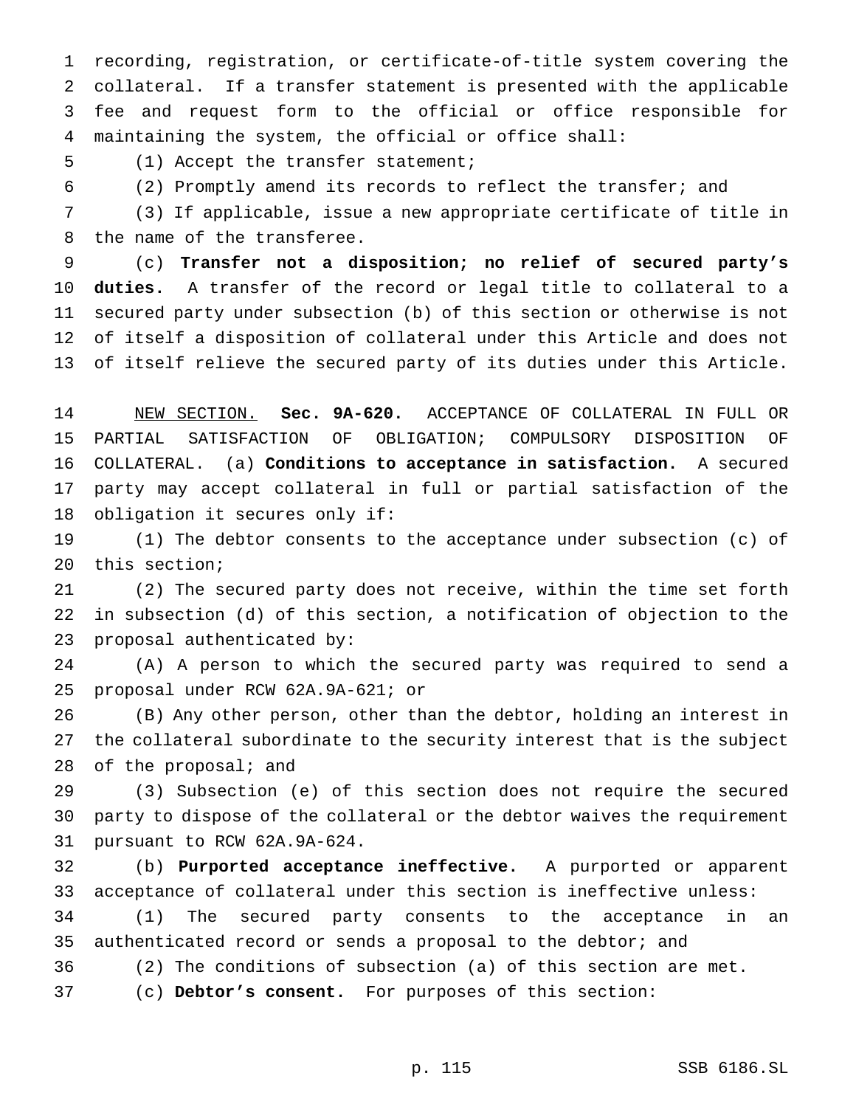recording, registration, or certificate-of-title system covering the collateral. If a transfer statement is presented with the applicable fee and request form to the official or office responsible for maintaining the system, the official or office shall:

(1) Accept the transfer statement;

(2) Promptly amend its records to reflect the transfer; and

 (3) If applicable, issue a new appropriate certificate of title in the name of the transferee.

 (c) **Transfer not a disposition; no relief of secured party's duties.** A transfer of the record or legal title to collateral to a secured party under subsection (b) of this section or otherwise is not of itself a disposition of collateral under this Article and does not of itself relieve the secured party of its duties under this Article.

 NEW SECTION. **Sec. 9A-620.** ACCEPTANCE OF COLLATERAL IN FULL OR PARTIAL SATISFACTION OF OBLIGATION; COMPULSORY DISPOSITION OF COLLATERAL. (a) **Conditions to acceptance in satisfaction.** A secured party may accept collateral in full or partial satisfaction of the obligation it secures only if:

 (1) The debtor consents to the acceptance under subsection (c) of this section;

 (2) The secured party does not receive, within the time set forth in subsection (d) of this section, a notification of objection to the proposal authenticated by:

 (A) A person to which the secured party was required to send a proposal under RCW 62A.9A-621; or

 (B) Any other person, other than the debtor, holding an interest in the collateral subordinate to the security interest that is the subject 28 of the proposal; and

 (3) Subsection (e) of this section does not require the secured party to dispose of the collateral or the debtor waives the requirement pursuant to RCW 62A.9A-624.

 (b) **Purported acceptance ineffective.** A purported or apparent acceptance of collateral under this section is ineffective unless:

 (1) The secured party consents to the acceptance in an authenticated record or sends a proposal to the debtor; and

(2) The conditions of subsection (a) of this section are met.

(c) **Debtor's consent.** For purposes of this section: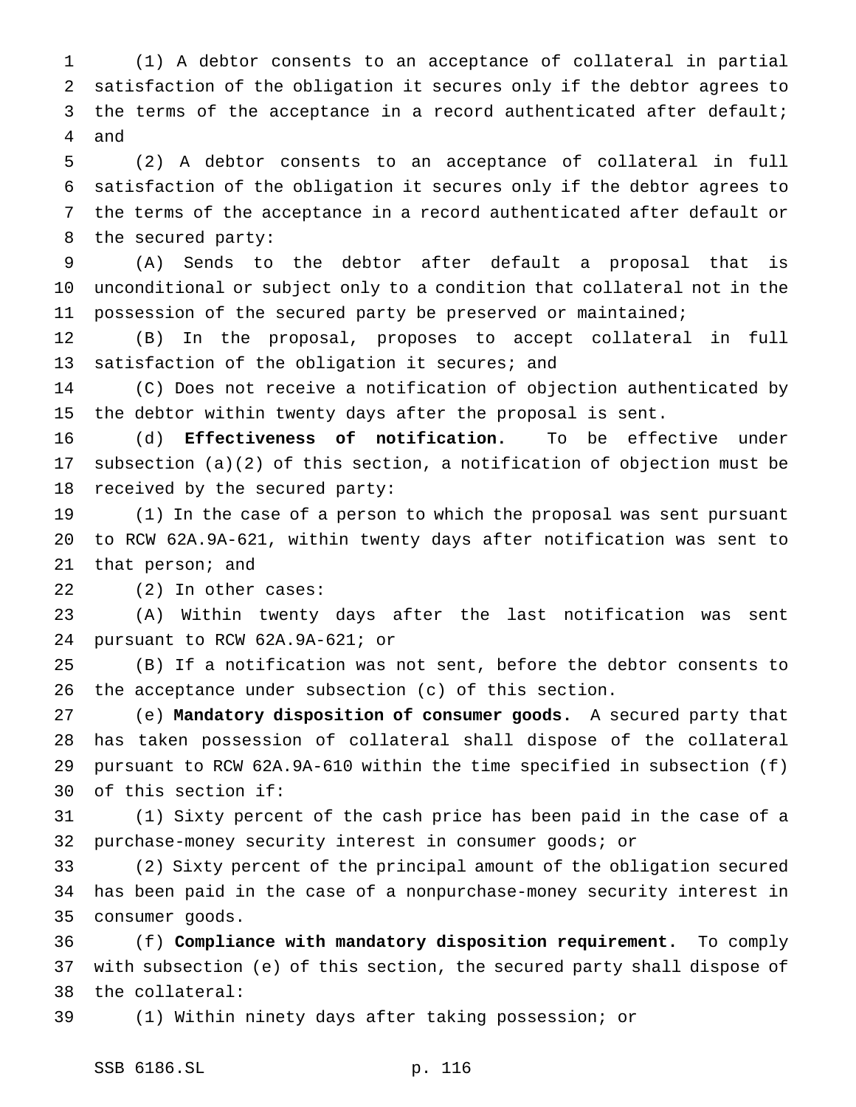(1) A debtor consents to an acceptance of collateral in partial satisfaction of the obligation it secures only if the debtor agrees to the terms of the acceptance in a record authenticated after default; and

 (2) A debtor consents to an acceptance of collateral in full satisfaction of the obligation it secures only if the debtor agrees to the terms of the acceptance in a record authenticated after default or the secured party:

 (A) Sends to the debtor after default a proposal that is unconditional or subject only to a condition that collateral not in the 11 possession of the secured party be preserved or maintained;

 (B) In the proposal, proposes to accept collateral in full 13 satisfaction of the obligation it secures; and

 (C) Does not receive a notification of objection authenticated by the debtor within twenty days after the proposal is sent.

 (d) **Effectiveness of notification.** To be effective under subsection (a)(2) of this section, a notification of objection must be received by the secured party:

 (1) In the case of a person to which the proposal was sent pursuant to RCW 62A.9A-621, within twenty days after notification was sent to that person; and

(2) In other cases:

 (A) Within twenty days after the last notification was sent pursuant to RCW 62A.9A-621; or

 (B) If a notification was not sent, before the debtor consents to the acceptance under subsection (c) of this section.

 (e) **Mandatory disposition of consumer goods.** A secured party that has taken possession of collateral shall dispose of the collateral pursuant to RCW 62A.9A-610 within the time specified in subsection (f) of this section if:

 (1) Sixty percent of the cash price has been paid in the case of a purchase-money security interest in consumer goods; or

 (2) Sixty percent of the principal amount of the obligation secured has been paid in the case of a nonpurchase-money security interest in consumer goods.

 (f) **Compliance with mandatory disposition requirement.** To comply with subsection (e) of this section, the secured party shall dispose of the collateral:

(1) Within ninety days after taking possession; or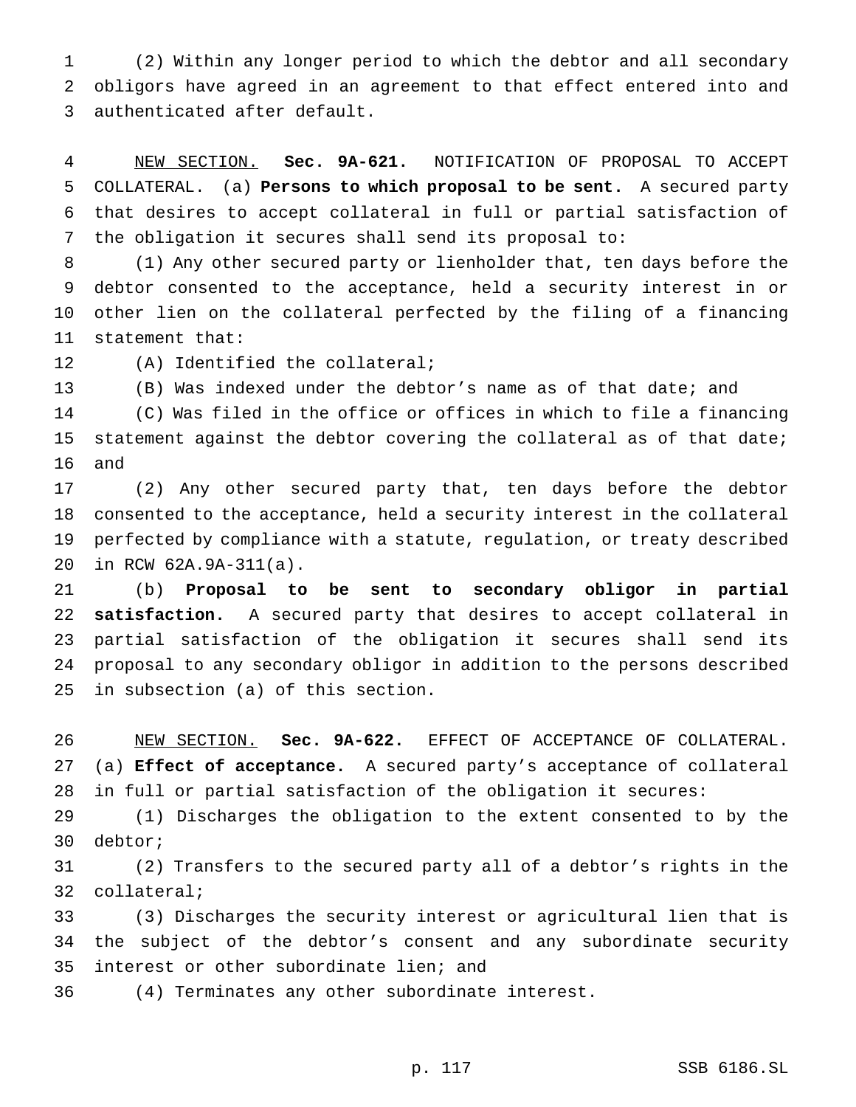(2) Within any longer period to which the debtor and all secondary obligors have agreed in an agreement to that effect entered into and authenticated after default.

 NEW SECTION. **Sec. 9A-621.** NOTIFICATION OF PROPOSAL TO ACCEPT COLLATERAL. (a) **Persons to which proposal to be sent.** A secured party that desires to accept collateral in full or partial satisfaction of the obligation it secures shall send its proposal to:

 (1) Any other secured party or lienholder that, ten days before the debtor consented to the acceptance, held a security interest in or other lien on the collateral perfected by the filing of a financing statement that:

(A) Identified the collateral;

(B) Was indexed under the debtor's name as of that date; and

 (C) Was filed in the office or offices in which to file a financing statement against the debtor covering the collateral as of that date; and

 (2) Any other secured party that, ten days before the debtor consented to the acceptance, held a security interest in the collateral perfected by compliance with a statute, regulation, or treaty described in RCW 62A.9A-311(a).

 (b) **Proposal to be sent to secondary obligor in partial satisfaction.** A secured party that desires to accept collateral in partial satisfaction of the obligation it secures shall send its proposal to any secondary obligor in addition to the persons described in subsection (a) of this section.

 NEW SECTION. **Sec. 9A-622.** EFFECT OF ACCEPTANCE OF COLLATERAL. (a) **Effect of acceptance.** A secured party's acceptance of collateral in full or partial satisfaction of the obligation it secures:

 (1) Discharges the obligation to the extent consented to by the debtor;

 (2) Transfers to the secured party all of a debtor's rights in the collateral;

 (3) Discharges the security interest or agricultural lien that is the subject of the debtor's consent and any subordinate security interest or other subordinate lien; and

(4) Terminates any other subordinate interest.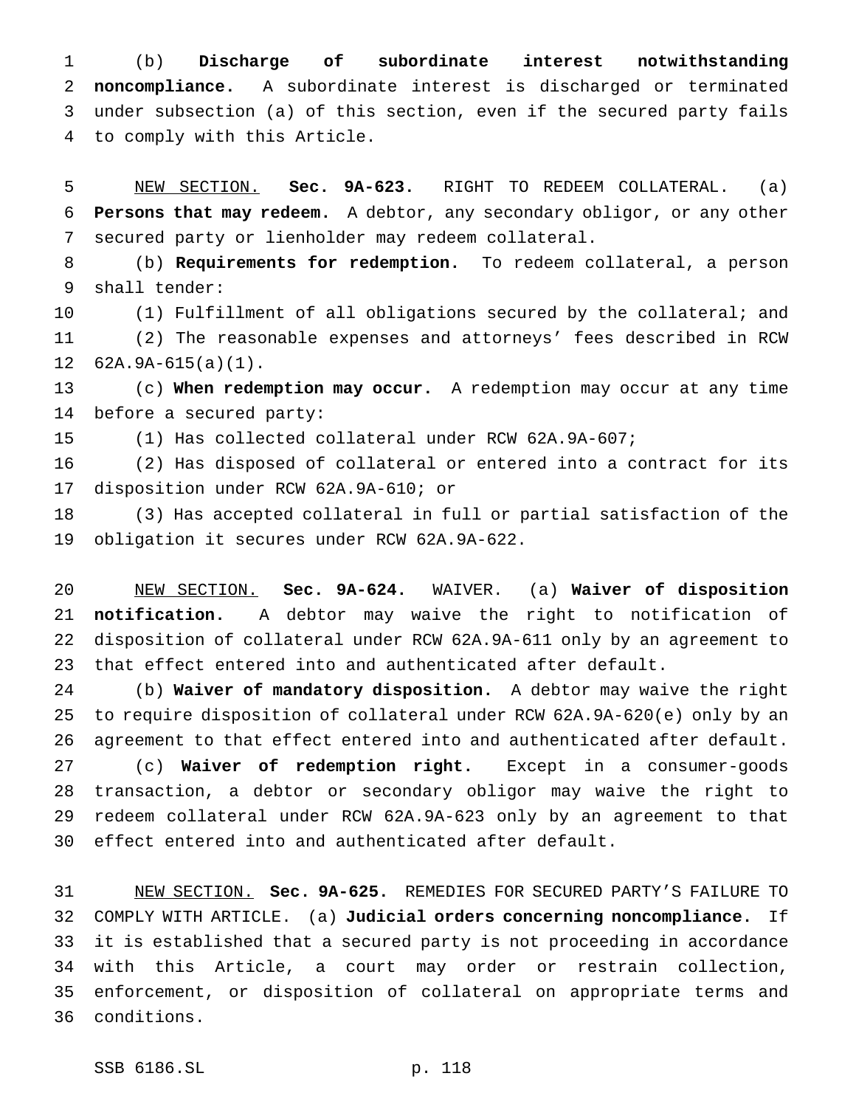(b) **Discharge of subordinate interest notwithstanding noncompliance.** A subordinate interest is discharged or terminated under subsection (a) of this section, even if the secured party fails to comply with this Article.

 NEW SECTION. **Sec. 9A-623.** RIGHT TO REDEEM COLLATERAL. (a) **Persons that may redeem.** A debtor, any secondary obligor, or any other secured party or lienholder may redeem collateral.

 (b) **Requirements for redemption.** To redeem collateral, a person shall tender:

 (1) Fulfillment of all obligations secured by the collateral; and (2) The reasonable expenses and attorneys' fees described in RCW 62A.9A-615(a)(1).

 (c) **When redemption may occur.** A redemption may occur at any time before a secured party:

(1) Has collected collateral under RCW 62A.9A-607;

 (2) Has disposed of collateral or entered into a contract for its disposition under RCW 62A.9A-610; or

 (3) Has accepted collateral in full or partial satisfaction of the obligation it secures under RCW 62A.9A-622.

 NEW SECTION. **Sec. 9A-624.** WAIVER. (a) **Waiver of disposition notification.** A debtor may waive the right to notification of disposition of collateral under RCW 62A.9A-611 only by an agreement to that effect entered into and authenticated after default.

 (b) **Waiver of mandatory disposition.** A debtor may waive the right to require disposition of collateral under RCW 62A.9A-620(e) only by an agreement to that effect entered into and authenticated after default. (c) **Waiver of redemption right.** Except in a consumer-goods

 transaction, a debtor or secondary obligor may waive the right to redeem collateral under RCW 62A.9A-623 only by an agreement to that effect entered into and authenticated after default.

 NEW SECTION. **Sec. 9A-625.** REMEDIES FOR SECURED PARTY'S FAILURE TO COMPLY WITH ARTICLE. (a) **Judicial orders concerning noncompliance.** If it is established that a secured party is not proceeding in accordance with this Article, a court may order or restrain collection, enforcement, or disposition of collateral on appropriate terms and conditions.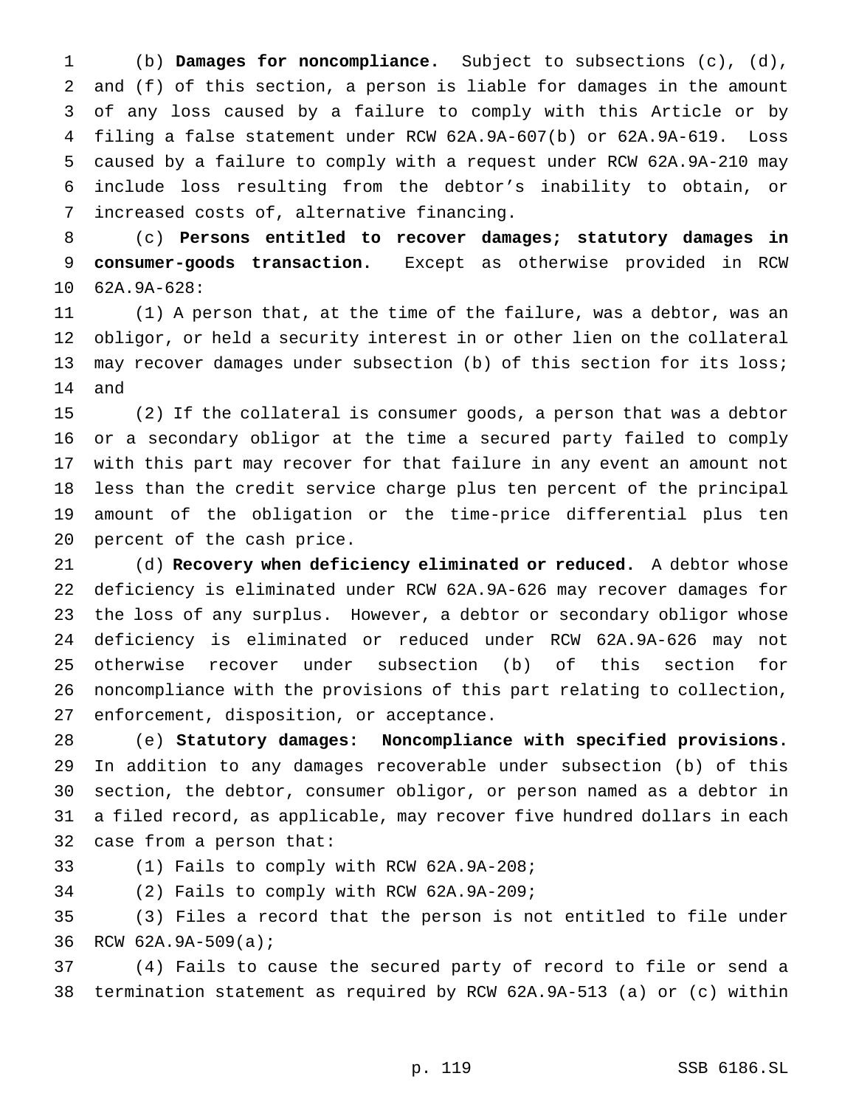(b) **Damages for noncompliance.** Subject to subsections (c), (d), and (f) of this section, a person is liable for damages in the amount of any loss caused by a failure to comply with this Article or by filing a false statement under RCW 62A.9A-607(b) or 62A.9A-619. Loss caused by a failure to comply with a request under RCW 62A.9A-210 may include loss resulting from the debtor's inability to obtain, or increased costs of, alternative financing.

 (c) **Persons entitled to recover damages; statutory damages in consumer-goods transaction.** Except as otherwise provided in RCW 62A.9A-628:

 (1) A person that, at the time of the failure, was a debtor, was an obligor, or held a security interest in or other lien on the collateral may recover damages under subsection (b) of this section for its loss; and

 (2) If the collateral is consumer goods, a person that was a debtor or a secondary obligor at the time a secured party failed to comply with this part may recover for that failure in any event an amount not less than the credit service charge plus ten percent of the principal amount of the obligation or the time-price differential plus ten percent of the cash price.

 (d) **Recovery when deficiency eliminated or reduced.** A debtor whose deficiency is eliminated under RCW 62A.9A-626 may recover damages for the loss of any surplus. However, a debtor or secondary obligor whose deficiency is eliminated or reduced under RCW 62A.9A-626 may not otherwise recover under subsection (b) of this section for noncompliance with the provisions of this part relating to collection, enforcement, disposition, or acceptance.

 (e) **Statutory damages: Noncompliance with specified provisions.** In addition to any damages recoverable under subsection (b) of this section, the debtor, consumer obligor, or person named as a debtor in a filed record, as applicable, may recover five hundred dollars in each case from a person that:

(1) Fails to comply with RCW 62A.9A-208;

(2) Fails to comply with RCW 62A.9A-209;

 (3) Files a record that the person is not entitled to file under RCW 62A.9A-509(a);

 (4) Fails to cause the secured party of record to file or send a termination statement as required by RCW 62A.9A-513 (a) or (c) within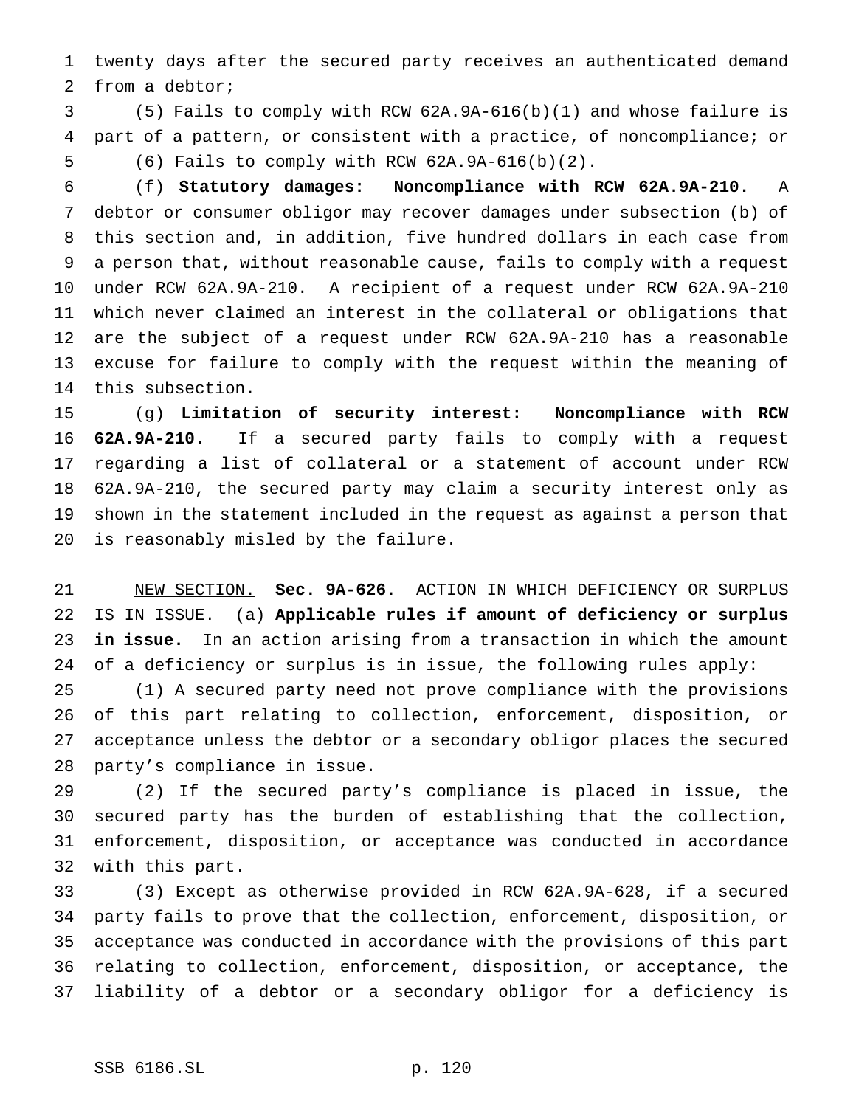twenty days after the secured party receives an authenticated demand from a debtor;

 (5) Fails to comply with RCW 62A.9A-616(b)(1) and whose failure is part of a pattern, or consistent with a practice, of noncompliance; or (6) Fails to comply with RCW 62A.9A-616(b)(2).

 (f) **Statutory damages: Noncompliance with RCW 62A.9A-210.** A debtor or consumer obligor may recover damages under subsection (b) of this section and, in addition, five hundred dollars in each case from a person that, without reasonable cause, fails to comply with a request under RCW 62A.9A-210. A recipient of a request under RCW 62A.9A-210 which never claimed an interest in the collateral or obligations that are the subject of a request under RCW 62A.9A-210 has a reasonable excuse for failure to comply with the request within the meaning of this subsection.

 (g) **Limitation of security interest: Noncompliance with RCW 62A.9A-210.** If a secured party fails to comply with a request regarding a list of collateral or a statement of account under RCW 62A.9A-210, the secured party may claim a security interest only as shown in the statement included in the request as against a person that is reasonably misled by the failure.

 NEW SECTION. **Sec. 9A-626.** ACTION IN WHICH DEFICIENCY OR SURPLUS IS IN ISSUE. (a) **Applicable rules if amount of deficiency or surplus in issue.** In an action arising from a transaction in which the amount of a deficiency or surplus is in issue, the following rules apply:

 (1) A secured party need not prove compliance with the provisions of this part relating to collection, enforcement, disposition, or acceptance unless the debtor or a secondary obligor places the secured party's compliance in issue.

 (2) If the secured party's compliance is placed in issue, the secured party has the burden of establishing that the collection, enforcement, disposition, or acceptance was conducted in accordance with this part.

 (3) Except as otherwise provided in RCW 62A.9A-628, if a secured party fails to prove that the collection, enforcement, disposition, or acceptance was conducted in accordance with the provisions of this part relating to collection, enforcement, disposition, or acceptance, the liability of a debtor or a secondary obligor for a deficiency is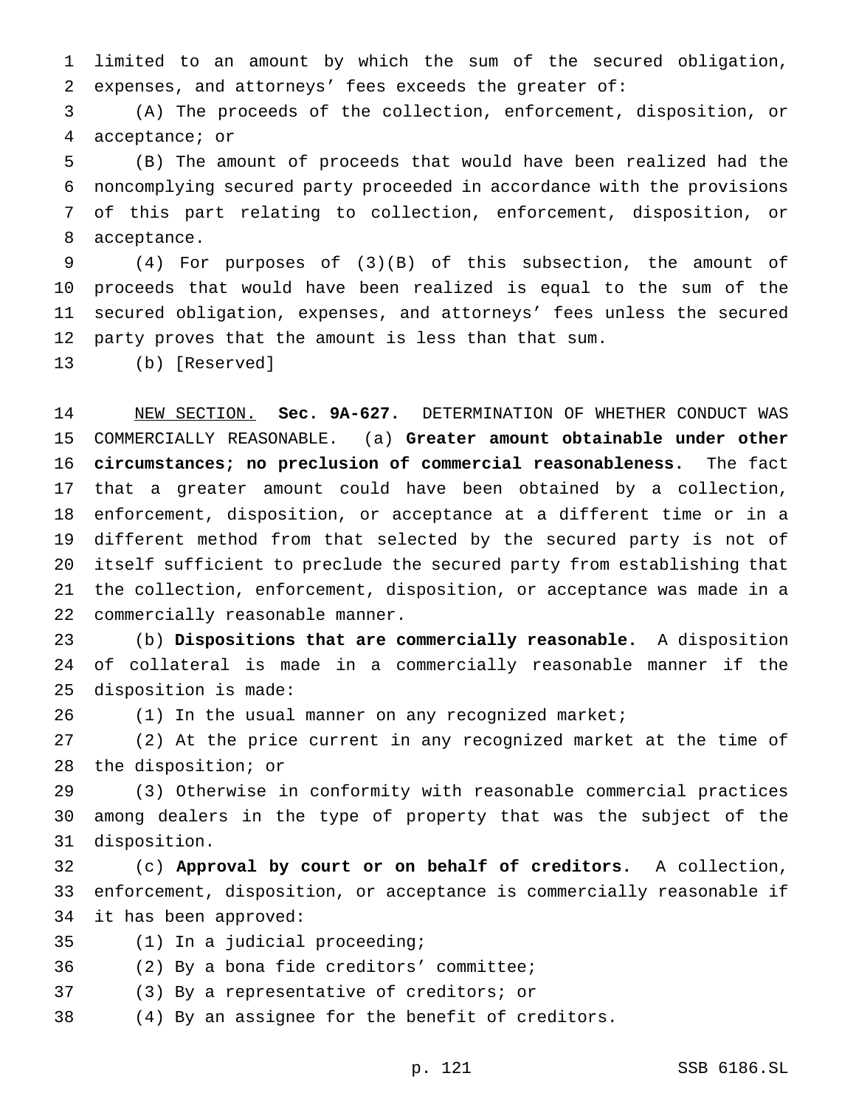limited to an amount by which the sum of the secured obligation, expenses, and attorneys' fees exceeds the greater of:

 (A) The proceeds of the collection, enforcement, disposition, or acceptance; or

 (B) The amount of proceeds that would have been realized had the noncomplying secured party proceeded in accordance with the provisions of this part relating to collection, enforcement, disposition, or acceptance.

 (4) For purposes of (3)(B) of this subsection, the amount of proceeds that would have been realized is equal to the sum of the secured obligation, expenses, and attorneys' fees unless the secured party proves that the amount is less than that sum.

(b) [Reserved]

 NEW SECTION. **Sec. 9A-627.** DETERMINATION OF WHETHER CONDUCT WAS COMMERCIALLY REASONABLE. (a) **Greater amount obtainable under other circumstances; no preclusion of commercial reasonableness.** The fact that a greater amount could have been obtained by a collection, enforcement, disposition, or acceptance at a different time or in a different method from that selected by the secured party is not of itself sufficient to preclude the secured party from establishing that the collection, enforcement, disposition, or acceptance was made in a commercially reasonable manner.

 (b) **Dispositions that are commercially reasonable.** A disposition of collateral is made in a commercially reasonable manner if the disposition is made:

(1) In the usual manner on any recognized market;

 (2) At the price current in any recognized market at the time of the disposition; or

 (3) Otherwise in conformity with reasonable commercial practices among dealers in the type of property that was the subject of the disposition.

 (c) **Approval by court or on behalf of creditors.** A collection, enforcement, disposition, or acceptance is commercially reasonable if it has been approved:

- (1) In a judicial proceeding;
- (2) By a bona fide creditors' committee;

(3) By a representative of creditors; or

(4) By an assignee for the benefit of creditors.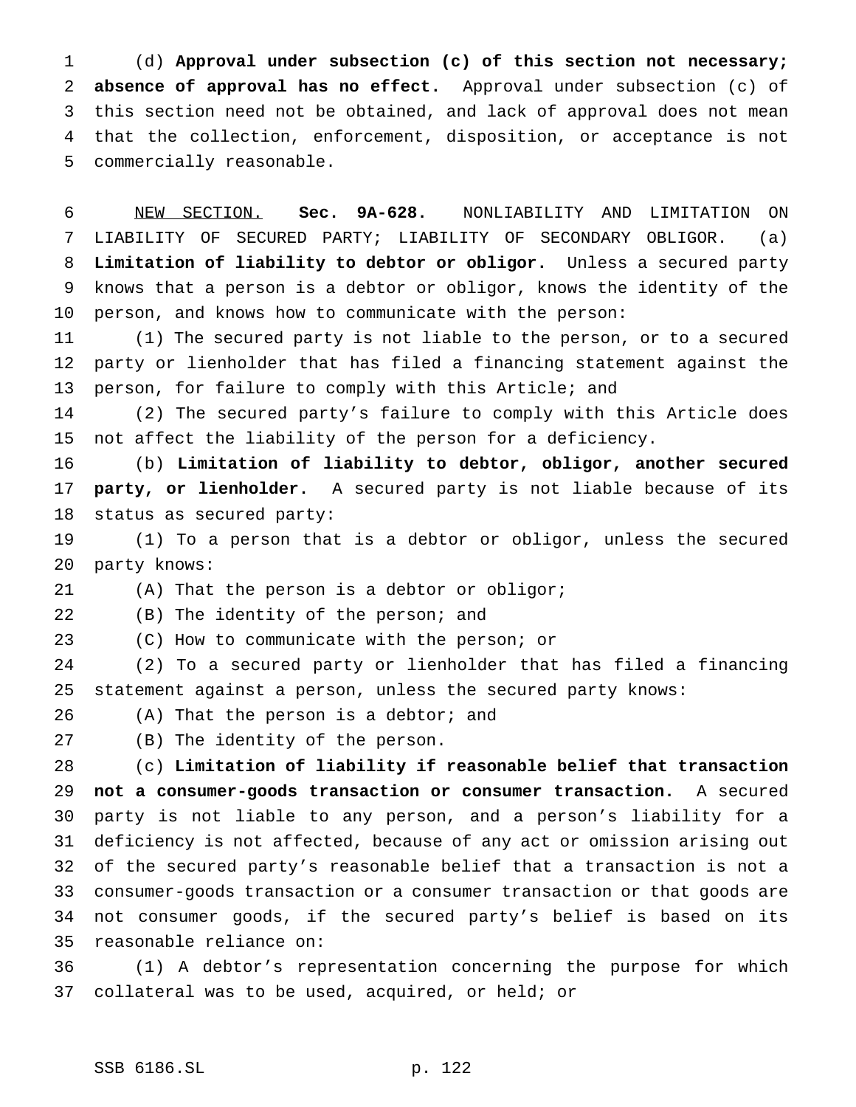(d) **Approval under subsection (c) of this section not necessary; absence of approval has no effect.** Approval under subsection (c) of this section need not be obtained, and lack of approval does not mean that the collection, enforcement, disposition, or acceptance is not commercially reasonable.

 NEW SECTION. **Sec. 9A-628.** NONLIABILITY AND LIMITATION ON LIABILITY OF SECURED PARTY; LIABILITY OF SECONDARY OBLIGOR. (a) **Limitation of liability to debtor or obligor.** Unless a secured party knows that a person is a debtor or obligor, knows the identity of the person, and knows how to communicate with the person:

 (1) The secured party is not liable to the person, or to a secured party or lienholder that has filed a financing statement against the person, for failure to comply with this Article; and

 (2) The secured party's failure to comply with this Article does not affect the liability of the person for a deficiency.

 (b) **Limitation of liability to debtor, obligor, another secured party, or lienholder.** A secured party is not liable because of its status as secured party:

 (1) To a person that is a debtor or obligor, unless the secured party knows:

(A) That the person is a debtor or obligor;

(B) The identity of the person; and

(C) How to communicate with the person; or

 (2) To a secured party or lienholder that has filed a financing statement against a person, unless the secured party knows:

(A) That the person is a debtor; and

(B) The identity of the person.

 (c) **Limitation of liability if reasonable belief that transaction not a consumer-goods transaction or consumer transaction.** A secured party is not liable to any person, and a person's liability for a deficiency is not affected, because of any act or omission arising out of the secured party's reasonable belief that a transaction is not a consumer-goods transaction or a consumer transaction or that goods are not consumer goods, if the secured party's belief is based on its reasonable reliance on:

 (1) A debtor's representation concerning the purpose for which collateral was to be used, acquired, or held; or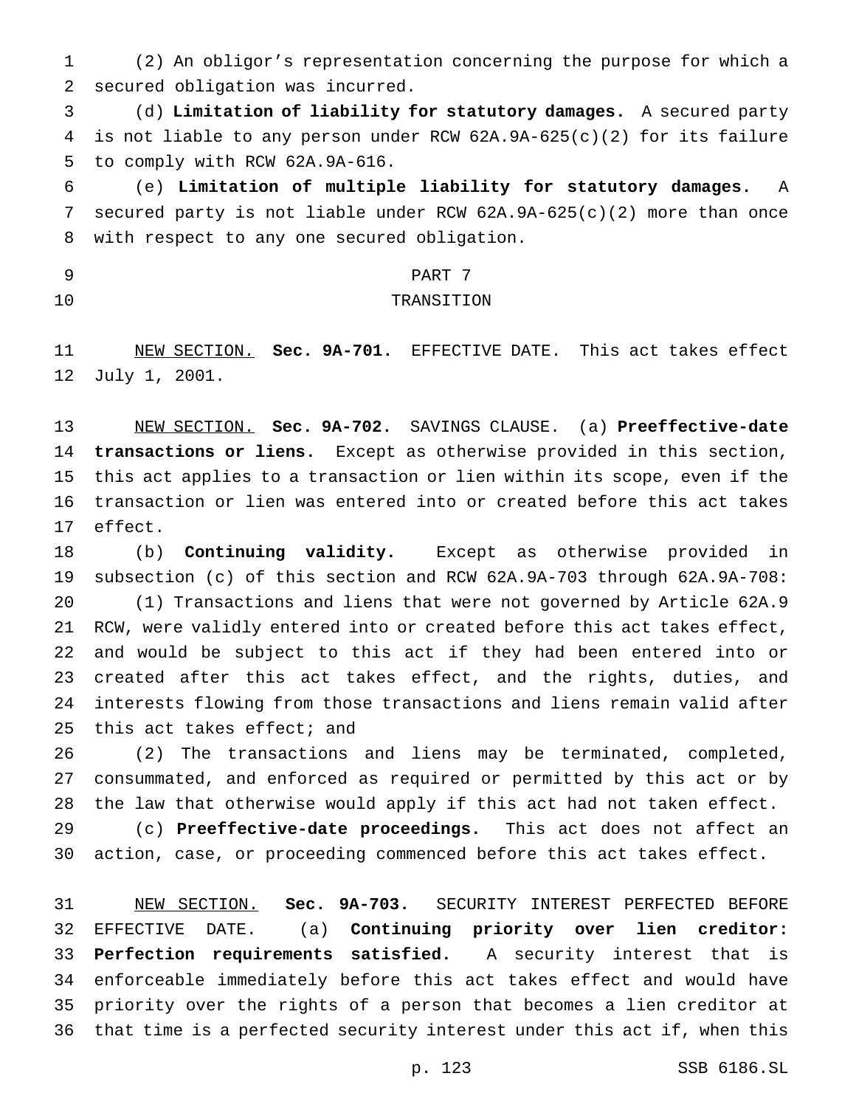(2) An obligor's representation concerning the purpose for which a secured obligation was incurred.

 (d) **Limitation of liability for statutory damages.** A secured party is not liable to any person under RCW 62A.9A-625(c)(2) for its failure to comply with RCW 62A.9A-616.

 (e) **Limitation of multiple liability for statutory damages.** A secured party is not liable under RCW 62A.9A-625(c)(2) more than once with respect to any one secured obligation.

## PART 7

## 10 TRANSITION

 NEW SECTION. **Sec. 9A-701.** EFFECTIVE DATE. This act takes effect July 1, 2001.

 NEW SECTION. **Sec. 9A-702.** SAVINGS CLAUSE. (a) **Preeffective-date transactions or liens.** Except as otherwise provided in this section, this act applies to a transaction or lien within its scope, even if the transaction or lien was entered into or created before this act takes effect.

 (b) **Continuing validity.** Except as otherwise provided in subsection (c) of this section and RCW 62A.9A-703 through 62A.9A-708: (1) Transactions and liens that were not governed by Article 62A.9 RCW, were validly entered into or created before this act takes effect, and would be subject to this act if they had been entered into or created after this act takes effect, and the rights, duties, and interests flowing from those transactions and liens remain valid after this act takes effect; and

 (2) The transactions and liens may be terminated, completed, consummated, and enforced as required or permitted by this act or by the law that otherwise would apply if this act had not taken effect.

 (c) **Preeffective-date proceedings.** This act does not affect an action, case, or proceeding commenced before this act takes effect.

 NEW SECTION. **Sec. 9A-703.** SECURITY INTEREST PERFECTED BEFORE EFFECTIVE DATE. (a) **Continuing priority over lien creditor: Perfection requirements satisfied.** A security interest that is enforceable immediately before this act takes effect and would have priority over the rights of a person that becomes a lien creditor at that time is a perfected security interest under this act if, when this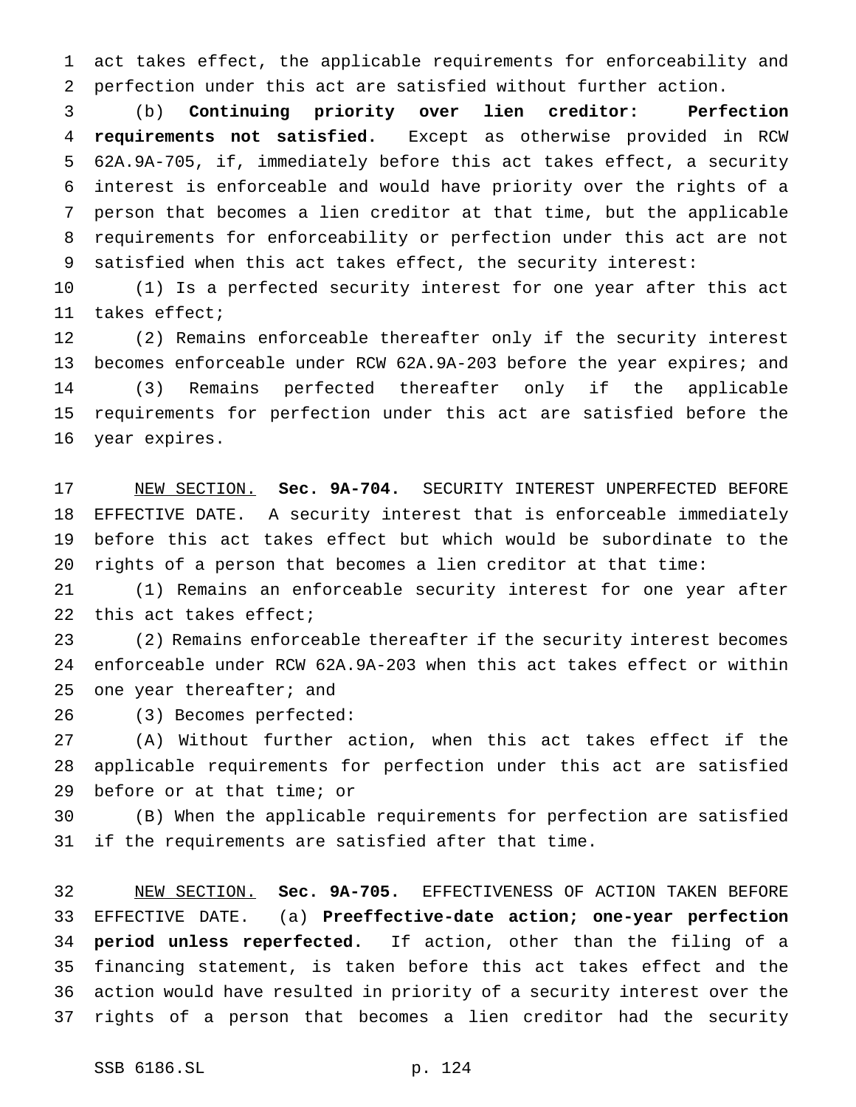act takes effect, the applicable requirements for enforceability and perfection under this act are satisfied without further action.

 (b) **Continuing priority over lien creditor: Perfection requirements not satisfied.** Except as otherwise provided in RCW 62A.9A-705, if, immediately before this act takes effect, a security interest is enforceable and would have priority over the rights of a person that becomes a lien creditor at that time, but the applicable requirements for enforceability or perfection under this act are not satisfied when this act takes effect, the security interest:

 (1) Is a perfected security interest for one year after this act takes effect;

 (2) Remains enforceable thereafter only if the security interest becomes enforceable under RCW 62A.9A-203 before the year expires; and (3) Remains perfected thereafter only if the applicable requirements for perfection under this act are satisfied before the year expires.

 NEW SECTION. **Sec. 9A-704.** SECURITY INTEREST UNPERFECTED BEFORE EFFECTIVE DATE. A security interest that is enforceable immediately before this act takes effect but which would be subordinate to the rights of a person that becomes a lien creditor at that time:

 (1) Remains an enforceable security interest for one year after this act takes effect;

 (2) Remains enforceable thereafter if the security interest becomes enforceable under RCW 62A.9A-203 when this act takes effect or within 25 one year thereafter; and

(3) Becomes perfected:

 (A) Without further action, when this act takes effect if the applicable requirements for perfection under this act are satisfied before or at that time; or

 (B) When the applicable requirements for perfection are satisfied if the requirements are satisfied after that time.

 NEW SECTION. **Sec. 9A-705.** EFFECTIVENESS OF ACTION TAKEN BEFORE EFFECTIVE DATE. (a) **Preeffective-date action; one-year perfection period unless reperfected.** If action, other than the filing of a financing statement, is taken before this act takes effect and the action would have resulted in priority of a security interest over the rights of a person that becomes a lien creditor had the security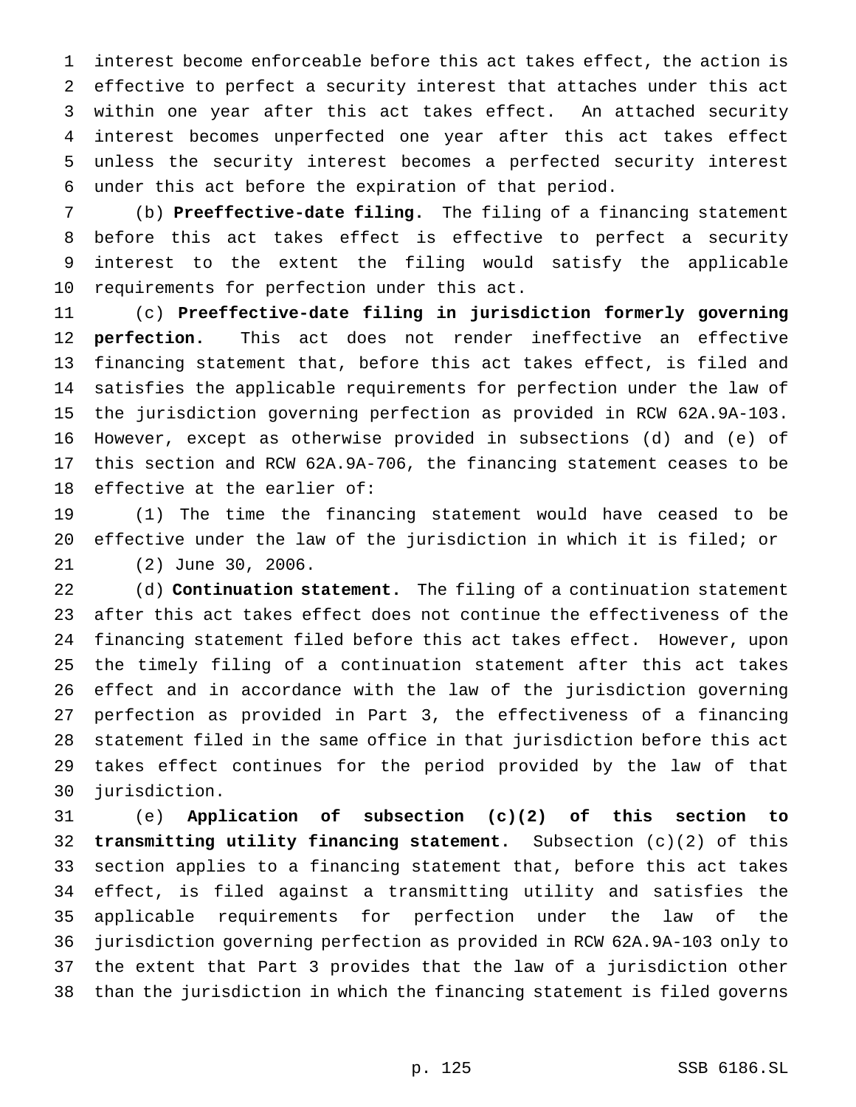interest become enforceable before this act takes effect, the action is effective to perfect a security interest that attaches under this act within one year after this act takes effect. An attached security interest becomes unperfected one year after this act takes effect unless the security interest becomes a perfected security interest under this act before the expiration of that period.

 (b) **Preeffective-date filing.** The filing of a financing statement before this act takes effect is effective to perfect a security interest to the extent the filing would satisfy the applicable requirements for perfection under this act.

 (c) **Preeffective-date filing in jurisdiction formerly governing perfection.** This act does not render ineffective an effective financing statement that, before this act takes effect, is filed and satisfies the applicable requirements for perfection under the law of the jurisdiction governing perfection as provided in RCW 62A.9A-103. However, except as otherwise provided in subsections (d) and (e) of this section and RCW 62A.9A-706, the financing statement ceases to be effective at the earlier of:

 (1) The time the financing statement would have ceased to be effective under the law of the jurisdiction in which it is filed; or (2) June 30, 2006.

 (d) **Continuation statement.** The filing of a continuation statement after this act takes effect does not continue the effectiveness of the financing statement filed before this act takes effect. However, upon the timely filing of a continuation statement after this act takes effect and in accordance with the law of the jurisdiction governing perfection as provided in Part 3, the effectiveness of a financing statement filed in the same office in that jurisdiction before this act takes effect continues for the period provided by the law of that jurisdiction.

 (e) **Application of subsection (c)(2) of this section to transmitting utility financing statement.** Subsection (c)(2) of this section applies to a financing statement that, before this act takes effect, is filed against a transmitting utility and satisfies the applicable requirements for perfection under the law of the jurisdiction governing perfection as provided in RCW 62A.9A-103 only to the extent that Part 3 provides that the law of a jurisdiction other than the jurisdiction in which the financing statement is filed governs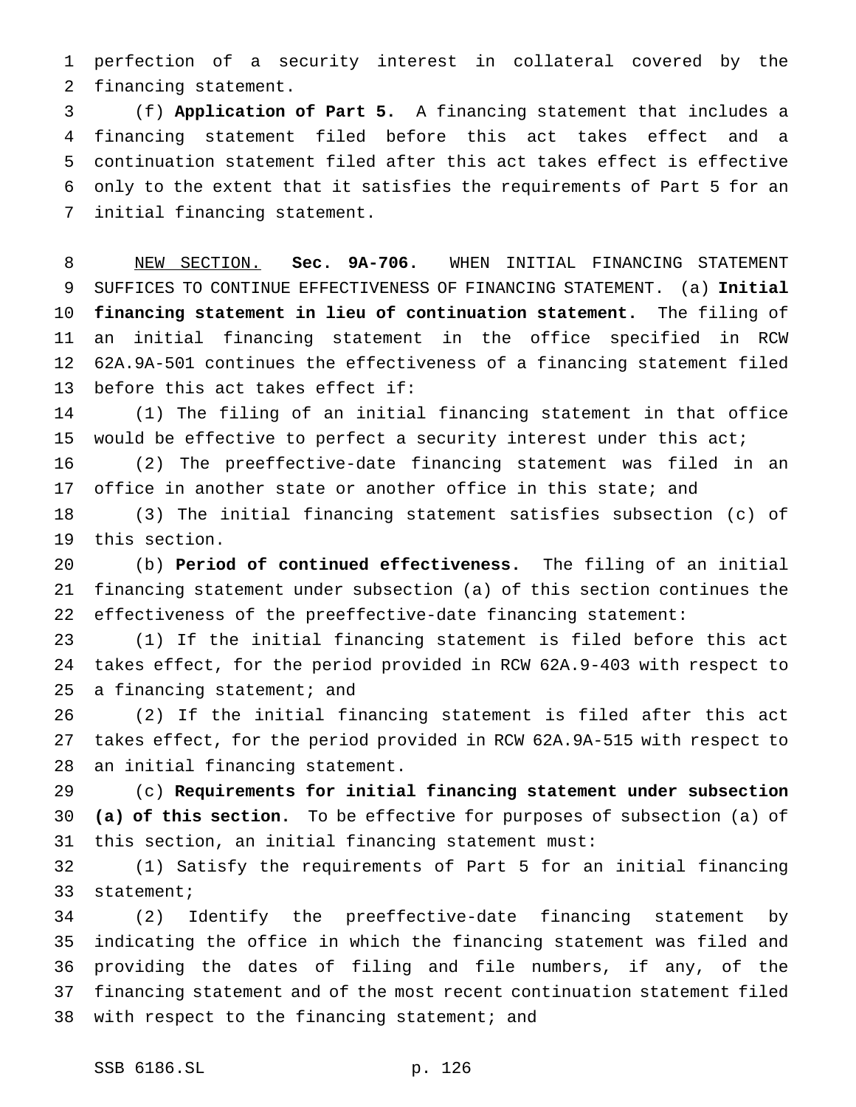perfection of a security interest in collateral covered by the financing statement.

 (f) **Application of Part 5.** A financing statement that includes a financing statement filed before this act takes effect and a continuation statement filed after this act takes effect is effective only to the extent that it satisfies the requirements of Part 5 for an initial financing statement.

 NEW SECTION. **Sec. 9A-706.** WHEN INITIAL FINANCING STATEMENT SUFFICES TO CONTINUE EFFECTIVENESS OF FINANCING STATEMENT. (a) **Initial financing statement in lieu of continuation statement.** The filing of an initial financing statement in the office specified in RCW 62A.9A-501 continues the effectiveness of a financing statement filed before this act takes effect if:

 (1) The filing of an initial financing statement in that office would be effective to perfect a security interest under this act;

 (2) The preeffective-date financing statement was filed in an office in another state or another office in this state; and

 (3) The initial financing statement satisfies subsection (c) of this section.

 (b) **Period of continued effectiveness.** The filing of an initial financing statement under subsection (a) of this section continues the effectiveness of the preeffective-date financing statement:

 (1) If the initial financing statement is filed before this act takes effect, for the period provided in RCW 62A.9-403 with respect to 25 a financing statement; and

 (2) If the initial financing statement is filed after this act takes effect, for the period provided in RCW 62A.9A-515 with respect to an initial financing statement.

 (c) **Requirements for initial financing statement under subsection (a) of this section.** To be effective for purposes of subsection (a) of this section, an initial financing statement must:

 (1) Satisfy the requirements of Part 5 for an initial financing statement;

 (2) Identify the preeffective-date financing statement by indicating the office in which the financing statement was filed and providing the dates of filing and file numbers, if any, of the financing statement and of the most recent continuation statement filed with respect to the financing statement; and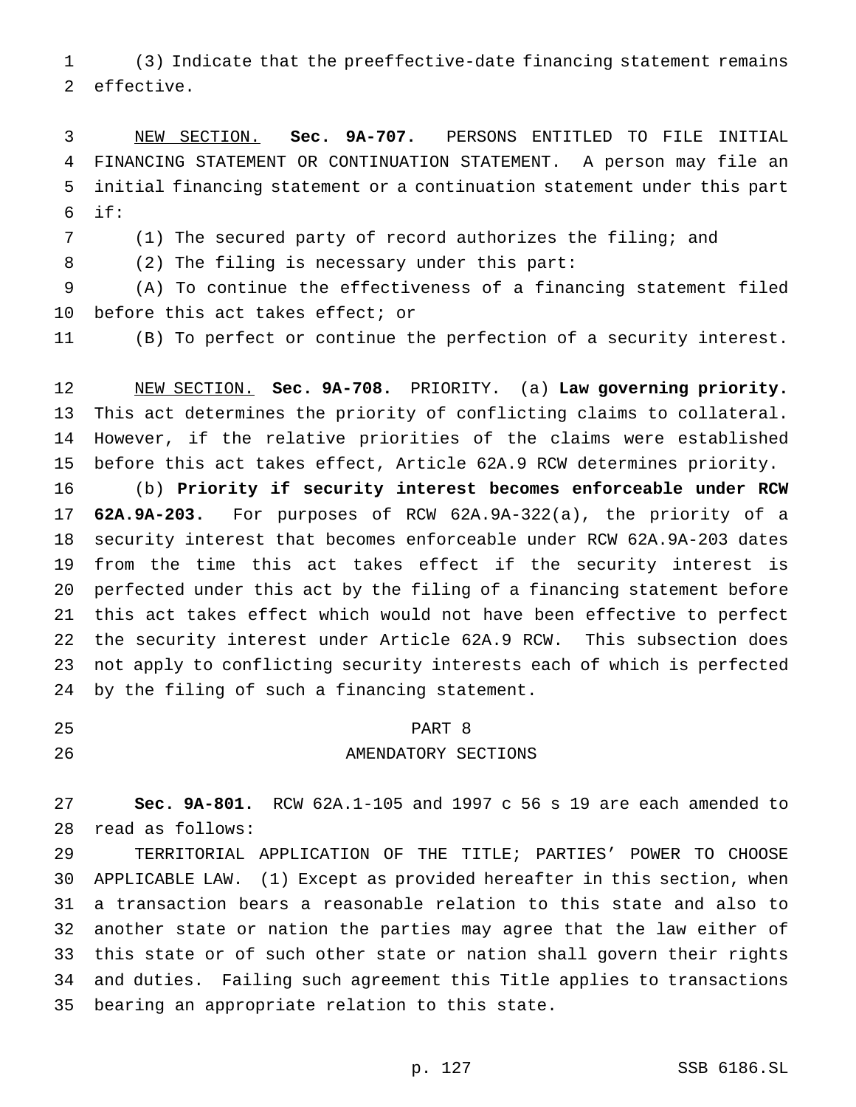(3) Indicate that the preeffective-date financing statement remains effective.

 NEW SECTION. **Sec. 9A-707.** PERSONS ENTITLED TO FILE INITIAL FINANCING STATEMENT OR CONTINUATION STATEMENT. A person may file an initial financing statement or a continuation statement under this part if:

(1) The secured party of record authorizes the filing; and

(2) The filing is necessary under this part:

 (A) To continue the effectiveness of a financing statement filed before this act takes effect; or

(B) To perfect or continue the perfection of a security interest.

 NEW SECTION. **Sec. 9A-708.** PRIORITY. (a) **Law governing priority.** This act determines the priority of conflicting claims to collateral. However, if the relative priorities of the claims were established before this act takes effect, Article 62A.9 RCW determines priority.

 (b) **Priority if security interest becomes enforceable under RCW 62A.9A-203.** For purposes of RCW 62A.9A-322(a), the priority of a security interest that becomes enforceable under RCW 62A.9A-203 dates from the time this act takes effect if the security interest is perfected under this act by the filing of a financing statement before this act takes effect which would not have been effective to perfect the security interest under Article 62A.9 RCW. This subsection does not apply to conflicting security interests each of which is perfected by the filing of such a financing statement.

## PART 8

## AMENDATORY SECTIONS

 **Sec. 9A-801.** RCW 62A.1-105 and 1997 c 56 s 19 are each amended to read as follows:

 TERRITORIAL APPLICATION OF THE TITLE; PARTIES' POWER TO CHOOSE APPLICABLE LAW. (1) Except as provided hereafter in this section, when a transaction bears a reasonable relation to this state and also to another state or nation the parties may agree that the law either of this state or of such other state or nation shall govern their rights and duties. Failing such agreement this Title applies to transactions bearing an appropriate relation to this state.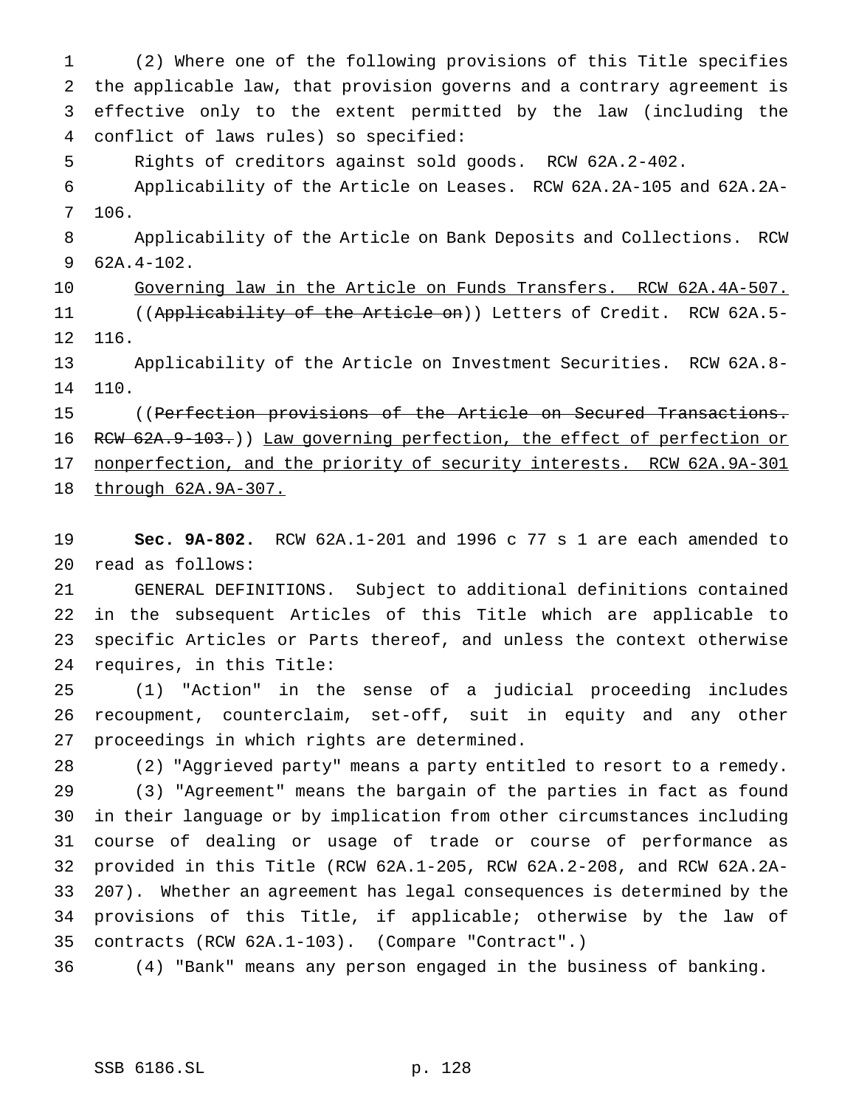(2) Where one of the following provisions of this Title specifies the applicable law, that provision governs and a contrary agreement is effective only to the extent permitted by the law (including the conflict of laws rules) so specified: Rights of creditors against sold goods. RCW 62A.2-402. Applicability of the Article on Leases. RCW 62A.2A-105 and 62A.2A- 106. Applicability of the Article on Bank Deposits and Collections. RCW 62A.4-102. Governing law in the Article on Funds Transfers. RCW 62A.4A-507. 11 ((Applicability of the Article on)) Letters of Credit. RCW 62A.5- 116. Applicability of the Article on Investment Securities. RCW 62A.8- 110. ((Perfection provisions of the Article on Secured Transactions. 16 RCW 62A.9-103.)) Law governing perfection, the effect of perfection or nonperfection, and the priority of security interests. RCW 62A.9A-301 through 62A.9A-307.

 **Sec. 9A-802.** RCW 62A.1-201 and 1996 c 77 s 1 are each amended to read as follows:

 GENERAL DEFINITIONS. Subject to additional definitions contained in the subsequent Articles of this Title which are applicable to specific Articles or Parts thereof, and unless the context otherwise requires, in this Title:

 (1) "Action" in the sense of a judicial proceeding includes recoupment, counterclaim, set-off, suit in equity and any other proceedings in which rights are determined.

 (2) "Aggrieved party" means a party entitled to resort to a remedy. (3) "Agreement" means the bargain of the parties in fact as found in their language or by implication from other circumstances including course of dealing or usage of trade or course of performance as provided in this Title (RCW 62A.1-205, RCW 62A.2-208, and RCW 62A.2A- 207). Whether an agreement has legal consequences is determined by the provisions of this Title, if applicable; otherwise by the law of contracts (RCW 62A.1-103). (Compare "Contract".)

(4) "Bank" means any person engaged in the business of banking.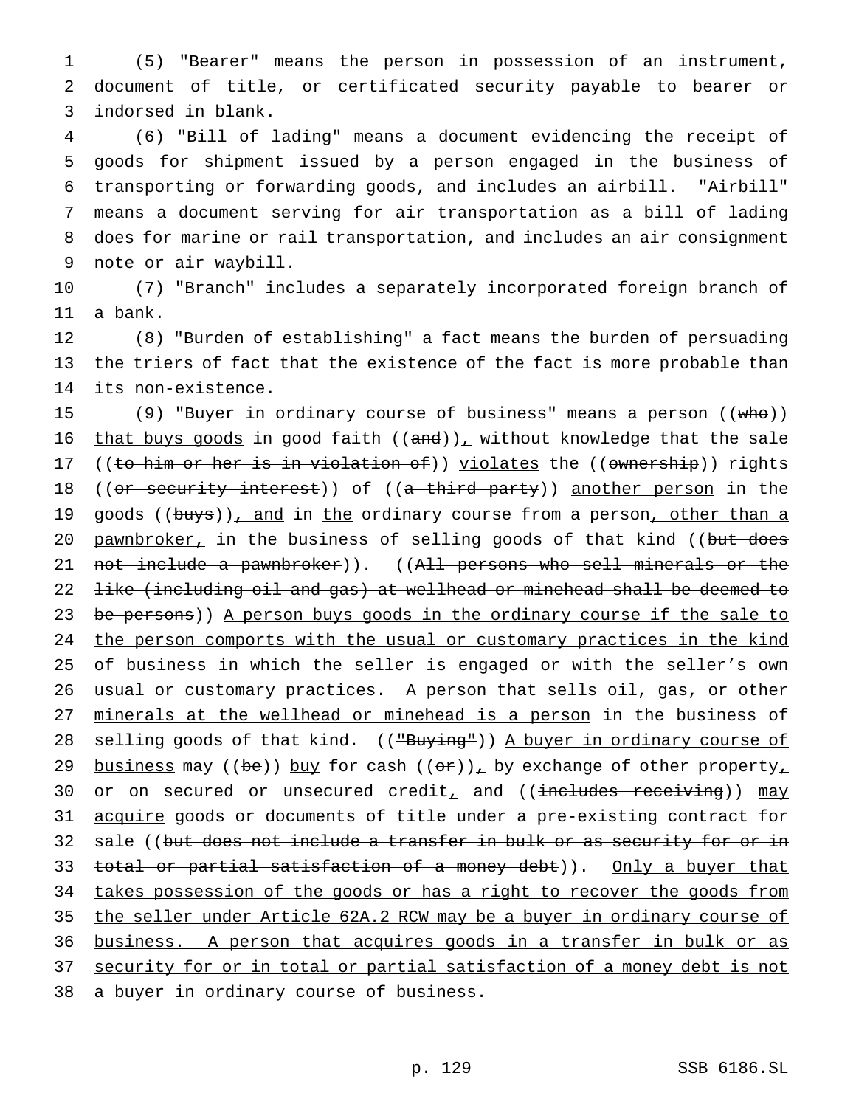1 (5) "Bearer" means the person in possession of an instrument, 2 document of title, or certificated security payable to bearer or 3 indorsed in blank.

 (6) "Bill of lading" means a document evidencing the receipt of goods for shipment issued by a person engaged in the business of transporting or forwarding goods, and includes an airbill. "Airbill" means a document serving for air transportation as a bill of lading does for marine or rail transportation, and includes an air consignment note or air waybill.

10 (7) "Branch" includes a separately incorporated foreign branch of 11 a bank.

12 (8) "Burden of establishing" a fact means the burden of persuading 13 the triers of fact that the existence of the fact is more probable than 14 its non-existence.

15 (9) "Buyer in ordinary course of business" means a person ((who)) 16 that buys goods in good faith  $((and))_L$  without knowledge that the sale 17 ((to him or her is in violation of)) violates the ((ownership)) rights 18 ((or security interest)) of ((a third party)) another person in the 19 goods ((buys)), and in the ordinary course from a person, other than a 20 pawnbroker, in the business of selling goods of that kind ((but does 21 not include a pawnbroker)). ((All persons who sell minerals or the 22 like (including oil and gas) at wellhead or minehead shall be deemed to 23 be persons)) A person buys goods in the ordinary course if the sale to 24 the person comports with the usual or customary practices in the kind 25 of business in which the seller is engaged or with the seller's own 26 usual or customary practices. A person that sells oil, gas, or other 27 minerals at the wellhead or minehead is a person in the business of 28 selling goods of that kind. (("Buying")) A buyer in ordinary course of 29 business may ((be)) buy for cash ((or)), by exchange of other property, 30 or on secured or unsecured credit<sub> $<sub>L</sub>$  and ((includes receiving)) may</sub></sub> 31 acquire goods or documents of title under a pre-existing contract for 32 sale ((but does not include a transfer in bulk or as security for or in 33 total or partial satisfaction of a money debt)). Only a buyer that 34 takes possession of the goods or has a right to recover the goods from 35 the seller under Article 62A.2 RCW may be a buyer in ordinary course of 36 business. A person that acquires goods in a transfer in bulk or as 37 security for or in total or partial satisfaction of a money debt is not 38 a buyer in ordinary course of business.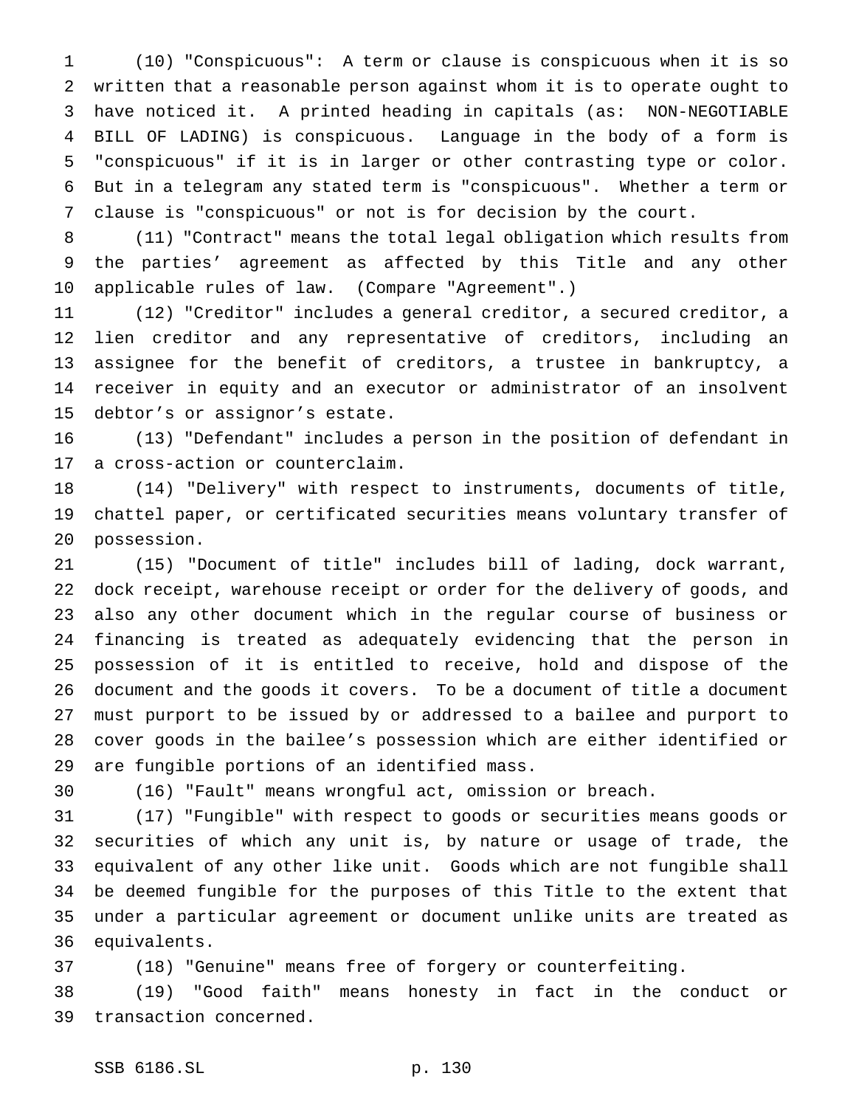(10) "Conspicuous": A term or clause is conspicuous when it is so written that a reasonable person against whom it is to operate ought to have noticed it. A printed heading in capitals (as: NON-NEGOTIABLE BILL OF LADING) is conspicuous. Language in the body of a form is "conspicuous" if it is in larger or other contrasting type or color. But in a telegram any stated term is "conspicuous". Whether a term or clause is "conspicuous" or not is for decision by the court.

 (11) "Contract" means the total legal obligation which results from the parties' agreement as affected by this Title and any other applicable rules of law. (Compare "Agreement".)

 (12) "Creditor" includes a general creditor, a secured creditor, a lien creditor and any representative of creditors, including an assignee for the benefit of creditors, a trustee in bankruptcy, a receiver in equity and an executor or administrator of an insolvent debtor's or assignor's estate.

 (13) "Defendant" includes a person in the position of defendant in a cross-action or counterclaim.

 (14) "Delivery" with respect to instruments, documents of title, chattel paper, or certificated securities means voluntary transfer of possession.

 (15) "Document of title" includes bill of lading, dock warrant, dock receipt, warehouse receipt or order for the delivery of goods, and also any other document which in the regular course of business or financing is treated as adequately evidencing that the person in possession of it is entitled to receive, hold and dispose of the document and the goods it covers. To be a document of title a document must purport to be issued by or addressed to a bailee and purport to cover goods in the bailee's possession which are either identified or are fungible portions of an identified mass.

(16) "Fault" means wrongful act, omission or breach.

 (17) "Fungible" with respect to goods or securities means goods or securities of which any unit is, by nature or usage of trade, the equivalent of any other like unit. Goods which are not fungible shall be deemed fungible for the purposes of this Title to the extent that under a particular agreement or document unlike units are treated as equivalents.

(18) "Genuine" means free of forgery or counterfeiting.

 (19) "Good faith" means honesty in fact in the conduct or transaction concerned.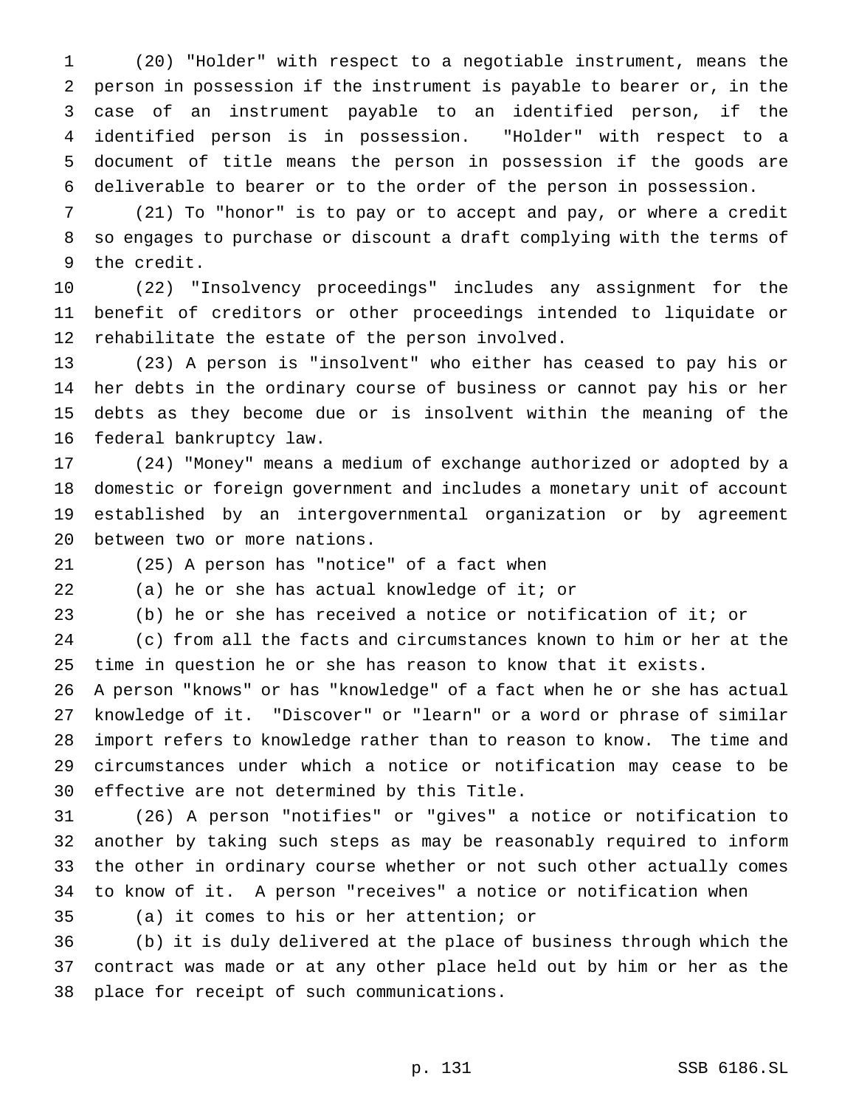(20) "Holder" with respect to a negotiable instrument, means the person in possession if the instrument is payable to bearer or, in the case of an instrument payable to an identified person, if the identified person is in possession. "Holder" with respect to a document of title means the person in possession if the goods are deliverable to bearer or to the order of the person in possession.

 (21) To "honor" is to pay or to accept and pay, or where a credit so engages to purchase or discount a draft complying with the terms of the credit.

 (22) "Insolvency proceedings" includes any assignment for the benefit of creditors or other proceedings intended to liquidate or rehabilitate the estate of the person involved.

 (23) A person is "insolvent" who either has ceased to pay his or her debts in the ordinary course of business or cannot pay his or her debts as they become due or is insolvent within the meaning of the federal bankruptcy law.

 (24) "Money" means a medium of exchange authorized or adopted by a domestic or foreign government and includes a monetary unit of account established by an intergovernmental organization or by agreement between two or more nations.

(25) A person has "notice" of a fact when

(a) he or she has actual knowledge of it; or

(b) he or she has received a notice or notification of it; or

 (c) from all the facts and circumstances known to him or her at the time in question he or she has reason to know that it exists.

 A person "knows" or has "knowledge" of a fact when he or she has actual knowledge of it. "Discover" or "learn" or a word or phrase of similar import refers to knowledge rather than to reason to know. The time and circumstances under which a notice or notification may cease to be effective are not determined by this Title.

 (26) A person "notifies" or "gives" a notice or notification to another by taking such steps as may be reasonably required to inform the other in ordinary course whether or not such other actually comes to know of it. A person "receives" a notice or notification when

(a) it comes to his or her attention; or

 (b) it is duly delivered at the place of business through which the contract was made or at any other place held out by him or her as the place for receipt of such communications.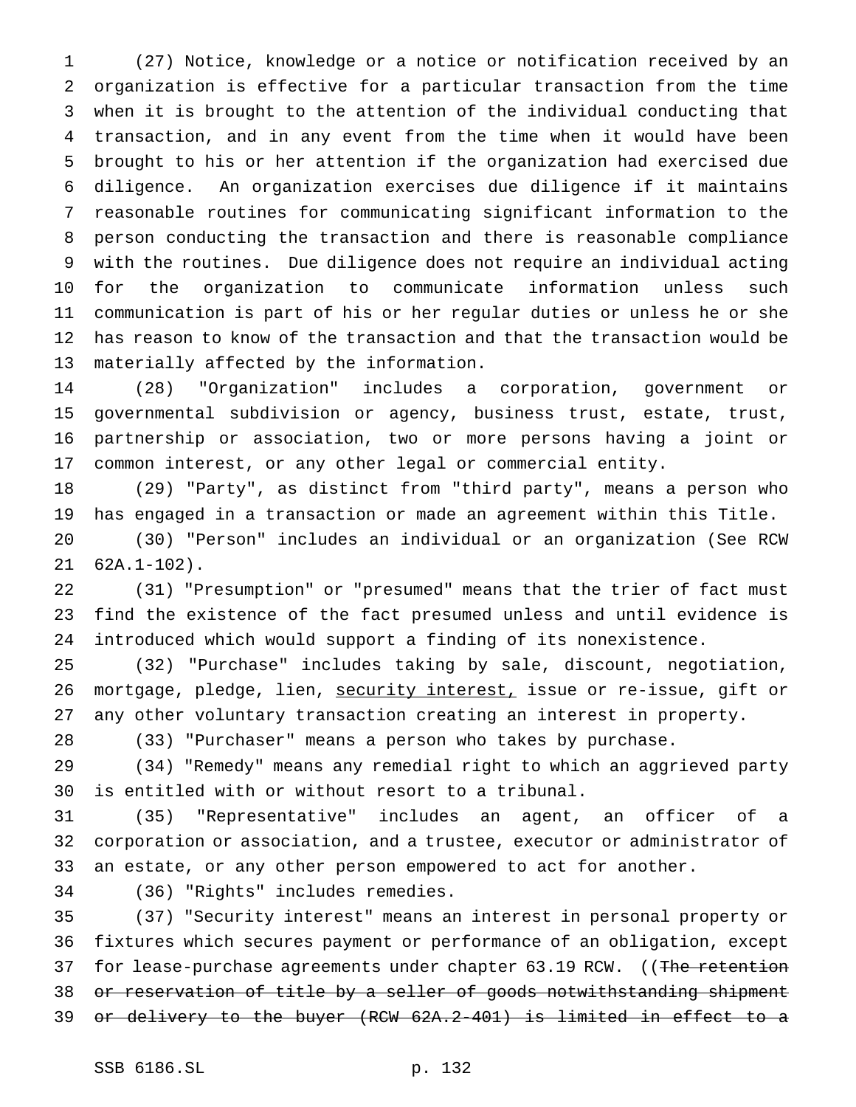(27) Notice, knowledge or a notice or notification received by an organization is effective for a particular transaction from the time when it is brought to the attention of the individual conducting that transaction, and in any event from the time when it would have been brought to his or her attention if the organization had exercised due diligence. An organization exercises due diligence if it maintains reasonable routines for communicating significant information to the person conducting the transaction and there is reasonable compliance with the routines. Due diligence does not require an individual acting for the organization to communicate information unless such communication is part of his or her regular duties or unless he or she has reason to know of the transaction and that the transaction would be materially affected by the information.

 (28) "Organization" includes a corporation, government or governmental subdivision or agency, business trust, estate, trust, partnership or association, two or more persons having a joint or common interest, or any other legal or commercial entity.

 (29) "Party", as distinct from "third party", means a person who has engaged in a transaction or made an agreement within this Title.

 (30) "Person" includes an individual or an organization (See RCW 62A.1-102).

 (31) "Presumption" or "presumed" means that the trier of fact must find the existence of the fact presumed unless and until evidence is introduced which would support a finding of its nonexistence.

 (32) "Purchase" includes taking by sale, discount, negotiation, 26 mortgage, pledge, lien, security interest, issue or re-issue, gift or any other voluntary transaction creating an interest in property.

(33) "Purchaser" means a person who takes by purchase.

 (34) "Remedy" means any remedial right to which an aggrieved party is entitled with or without resort to a tribunal.

 (35) "Representative" includes an agent, an officer of a corporation or association, and a trustee, executor or administrator of an estate, or any other person empowered to act for another.

(36) "Rights" includes remedies.

 (37) "Security interest" means an interest in personal property or fixtures which secures payment or performance of an obligation, except 37 for lease-purchase agreements under chapter 63.19 RCW. ((The retention 38 or reservation of title by a seller of goods notwithstanding shipment or delivery to the buyer (RCW 62A.2-401) is limited in effect to a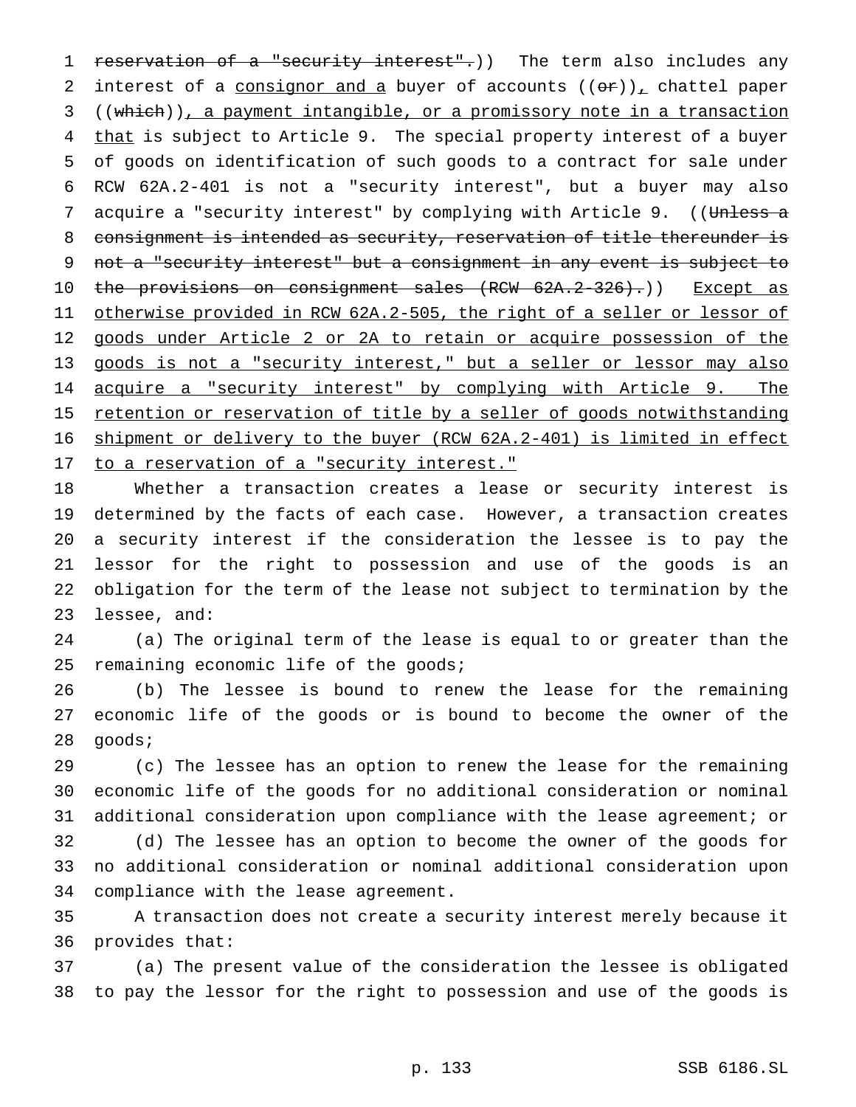1 reservation of a "security interest".)) The term also includes any 2 interest of a consignor and a buyer of accounts  $((\theta \cdot \tau))_+$  chattel paper ((which)), a payment intangible, or a promissory note in a transaction 4 that is subject to Article 9. The special property interest of a buyer of goods on identification of such goods to a contract for sale under RCW 62A.2-401 is not a "security interest", but a buyer may also 7 acquire a "security interest" by complying with Article 9. ((Unless a consignment is intended as security, reservation of title thereunder is not a "security interest" but a consignment in any event is subject to 10 the provisions on consignment sales (RCW 62A.2-326).)) Except as otherwise provided in RCW 62A.2-505, the right of a seller or lessor of 12 goods under Article 2 or 2A to retain or acquire possession of the goods is not a "security interest," but a seller or lessor may also acquire a "security interest" by complying with Article 9. The 15 retention or reservation of title by a seller of goods notwithstanding shipment or delivery to the buyer (RCW 62A.2-401) is limited in effect 17 to a reservation of a "security interest."

 Whether a transaction creates a lease or security interest is determined by the facts of each case. However, a transaction creates a security interest if the consideration the lessee is to pay the lessor for the right to possession and use of the goods is an obligation for the term of the lease not subject to termination by the lessee, and:

 (a) The original term of the lease is equal to or greater than the 25 remaining economic life of the goods;

 (b) The lessee is bound to renew the lease for the remaining economic life of the goods or is bound to become the owner of the goods;

 (c) The lessee has an option to renew the lease for the remaining economic life of the goods for no additional consideration or nominal additional consideration upon compliance with the lease agreement; or

 (d) The lessee has an option to become the owner of the goods for no additional consideration or nominal additional consideration upon compliance with the lease agreement.

 A transaction does not create a security interest merely because it provides that:

 (a) The present value of the consideration the lessee is obligated to pay the lessor for the right to possession and use of the goods is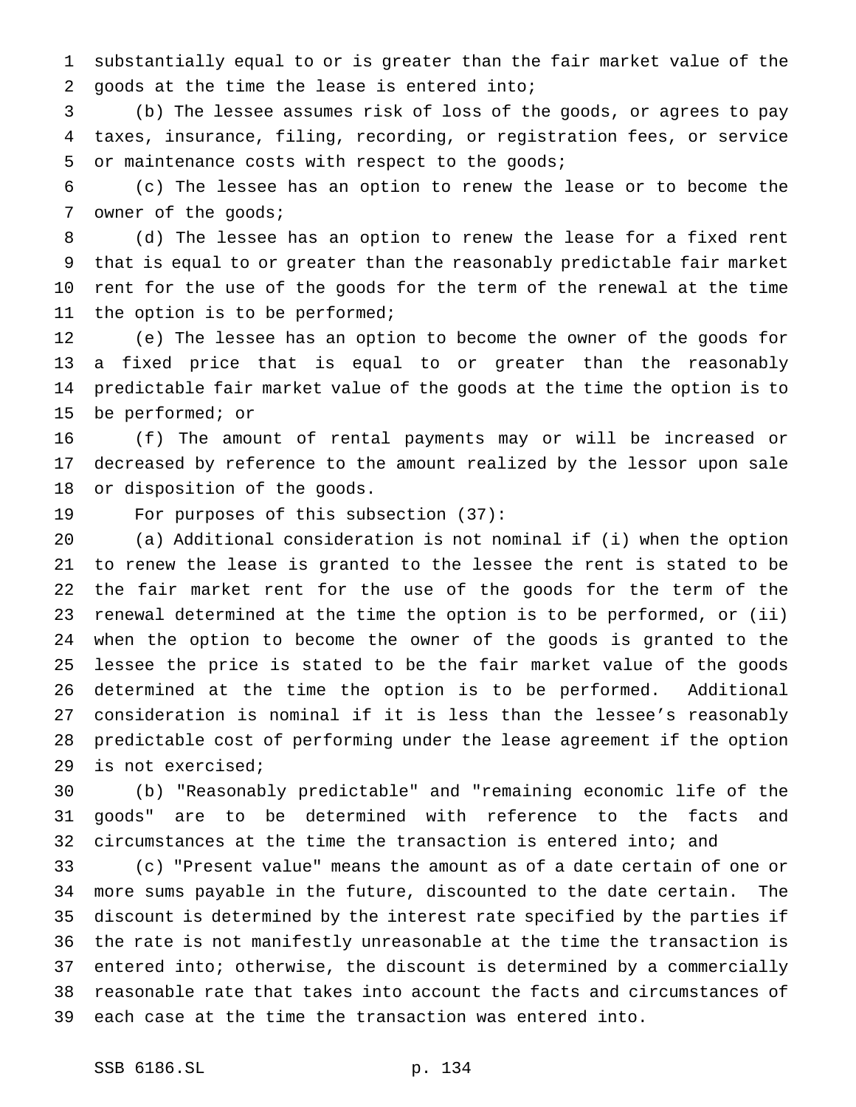substantially equal to or is greater than the fair market value of the goods at the time the lease is entered into;

 (b) The lessee assumes risk of loss of the goods, or agrees to pay taxes, insurance, filing, recording, or registration fees, or service or maintenance costs with respect to the goods;

 (c) The lessee has an option to renew the lease or to become the 7 owner of the goods;

 (d) The lessee has an option to renew the lease for a fixed rent that is equal to or greater than the reasonably predictable fair market rent for the use of the goods for the term of the renewal at the time the option is to be performed;

 (e) The lessee has an option to become the owner of the goods for a fixed price that is equal to or greater than the reasonably predictable fair market value of the goods at the time the option is to be performed; or

 (f) The amount of rental payments may or will be increased or decreased by reference to the amount realized by the lessor upon sale or disposition of the goods.

For purposes of this subsection (37):

 (a) Additional consideration is not nominal if (i) when the option to renew the lease is granted to the lessee the rent is stated to be the fair market rent for the use of the goods for the term of the renewal determined at the time the option is to be performed, or (ii) when the option to become the owner of the goods is granted to the lessee the price is stated to be the fair market value of the goods determined at the time the option is to be performed. Additional consideration is nominal if it is less than the lessee's reasonably predictable cost of performing under the lease agreement if the option is not exercised;

 (b) "Reasonably predictable" and "remaining economic life of the goods" are to be determined with reference to the facts and circumstances at the time the transaction is entered into; and

 (c) "Present value" means the amount as of a date certain of one or more sums payable in the future, discounted to the date certain. The discount is determined by the interest rate specified by the parties if the rate is not manifestly unreasonable at the time the transaction is entered into; otherwise, the discount is determined by a commercially reasonable rate that takes into account the facts and circumstances of each case at the time the transaction was entered into.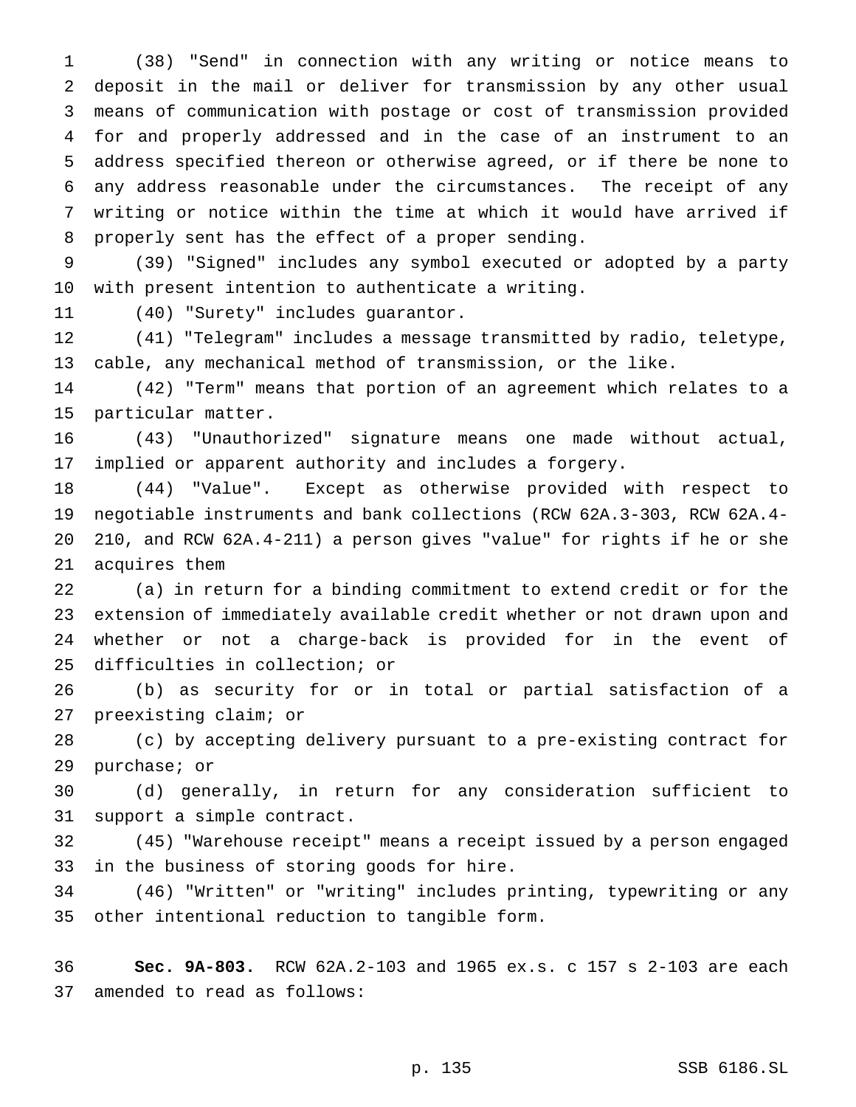(38) "Send" in connection with any writing or notice means to deposit in the mail or deliver for transmission by any other usual means of communication with postage or cost of transmission provided for and properly addressed and in the case of an instrument to an address specified thereon or otherwise agreed, or if there be none to any address reasonable under the circumstances. The receipt of any writing or notice within the time at which it would have arrived if properly sent has the effect of a proper sending.

 (39) "Signed" includes any symbol executed or adopted by a party with present intention to authenticate a writing.

(40) "Surety" includes guarantor.

 (41) "Telegram" includes a message transmitted by radio, teletype, cable, any mechanical method of transmission, or the like.

 (42) "Term" means that portion of an agreement which relates to a particular matter.

 (43) "Unauthorized" signature means one made without actual, implied or apparent authority and includes a forgery.

 (44) "Value". Except as otherwise provided with respect to negotiable instruments and bank collections (RCW 62A.3-303, RCW 62A.4- 210, and RCW 62A.4-211) a person gives "value" for rights if he or she acquires them

 (a) in return for a binding commitment to extend credit or for the extension of immediately available credit whether or not drawn upon and whether or not a charge-back is provided for in the event of difficulties in collection; or

 (b) as security for or in total or partial satisfaction of a preexisting claim; or

 (c) by accepting delivery pursuant to a pre-existing contract for purchase; or

 (d) generally, in return for any consideration sufficient to support a simple contract.

 (45) "Warehouse receipt" means a receipt issued by a person engaged in the business of storing goods for hire.

 (46) "Written" or "writing" includes printing, typewriting or any other intentional reduction to tangible form.

 **Sec. 9A-803.** RCW 62A.2-103 and 1965 ex.s. c 157 s 2-103 are each amended to read as follows: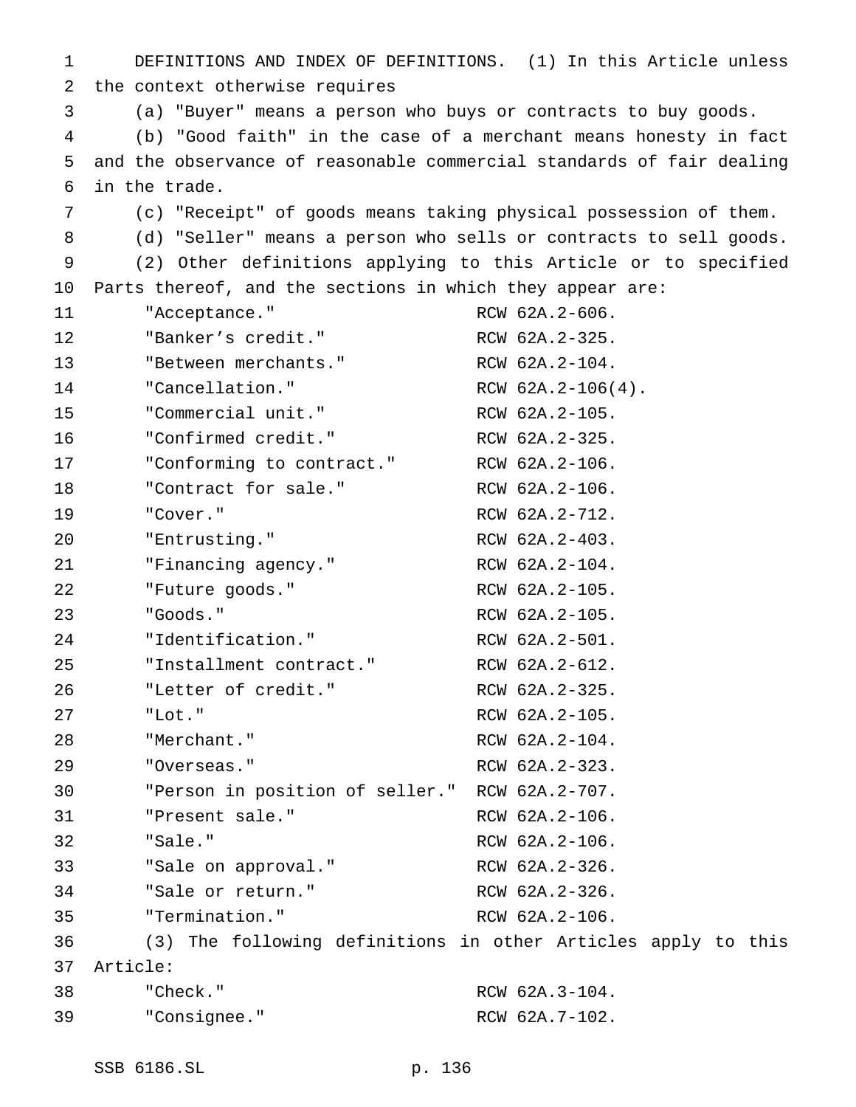DEFINITIONS AND INDEX OF DEFINITIONS. (1) In this Article unless the context otherwise requires

(a) "Buyer" means a person who buys or contracts to buy goods.

 (b) "Good faith" in the case of a merchant means honesty in fact and the observance of reasonable commercial standards of fair dealing in the trade.

 (c) "Receipt" of goods means taking physical possession of them. (d) "Seller" means a person who sells or contracts to sell goods. (2) Other definitions applying to this Article or to specified

Parts thereof, and the sections in which they appear are:

"Acceptance." RCW 62A.2-606.

| 12 | "Banker's credit."                                            | RCW 62A.2-325.       |  |  |
|----|---------------------------------------------------------------|----------------------|--|--|
| 13 | "Between merchants."                                          | RCW 62A.2-104.       |  |  |
| 14 | "Cancellation."                                               | RCW $62A.2-106(4)$ . |  |  |
| 15 | "Commercial unit."                                            | RCW 62A.2-105.       |  |  |
| 16 | "Confirmed credit."                                           | RCW 62A.2-325.       |  |  |
| 17 | "Conforming to contract."                                     | RCW 62A.2-106.       |  |  |
| 18 | "Contract for sale."                                          | RCW 62A.2-106.       |  |  |
| 19 | "Cover."                                                      | RCW 62A.2-712.       |  |  |
| 20 | "Entrusting."                                                 | RCW 62A.2-403.       |  |  |
| 21 | "Financing agency."                                           | RCW 62A.2-104.       |  |  |
| 22 | "Future goods."                                               | RCW 62A.2-105.       |  |  |
| 23 | "Goods."                                                      | RCW 62A.2-105.       |  |  |
| 24 | "Identification."                                             | RCW 62A.2-501.       |  |  |
| 25 | "Installment contract."                                       | RCW 62A.2-612.       |  |  |
| 26 | "Letter of credit."                                           | RCW 62A.2-325.       |  |  |
| 27 | "Lot."                                                        | RCW 62A.2-105.       |  |  |
| 28 | "Merchant."                                                   | RCW 62A.2-104.       |  |  |
| 29 | "Overseas."                                                   | RCW 62A.2-323.       |  |  |
| 30 | "Person in position of seller."                               | RCW 62A.2-707.       |  |  |
| 31 | "Present sale."                                               | RCW 62A.2-106.       |  |  |
| 32 | "Sale."                                                       | RCW 62A.2-106.       |  |  |
| 33 | "Sale on approval."                                           | RCW 62A.2-326.       |  |  |
| 34 | "Sale or return."                                             | RCW 62A.2-326.       |  |  |
| 35 | "Termination."                                                | RCW 62A.2-106.       |  |  |
| 36 | (3) The following definitions in other Articles apply to this |                      |  |  |
| 37 | Article:                                                      |                      |  |  |
| 38 | "Check."                                                      | RCW 62A.3-104.       |  |  |
| 39 | "Consignee."                                                  | RCW 62A.7-102.       |  |  |
|    |                                                               |                      |  |  |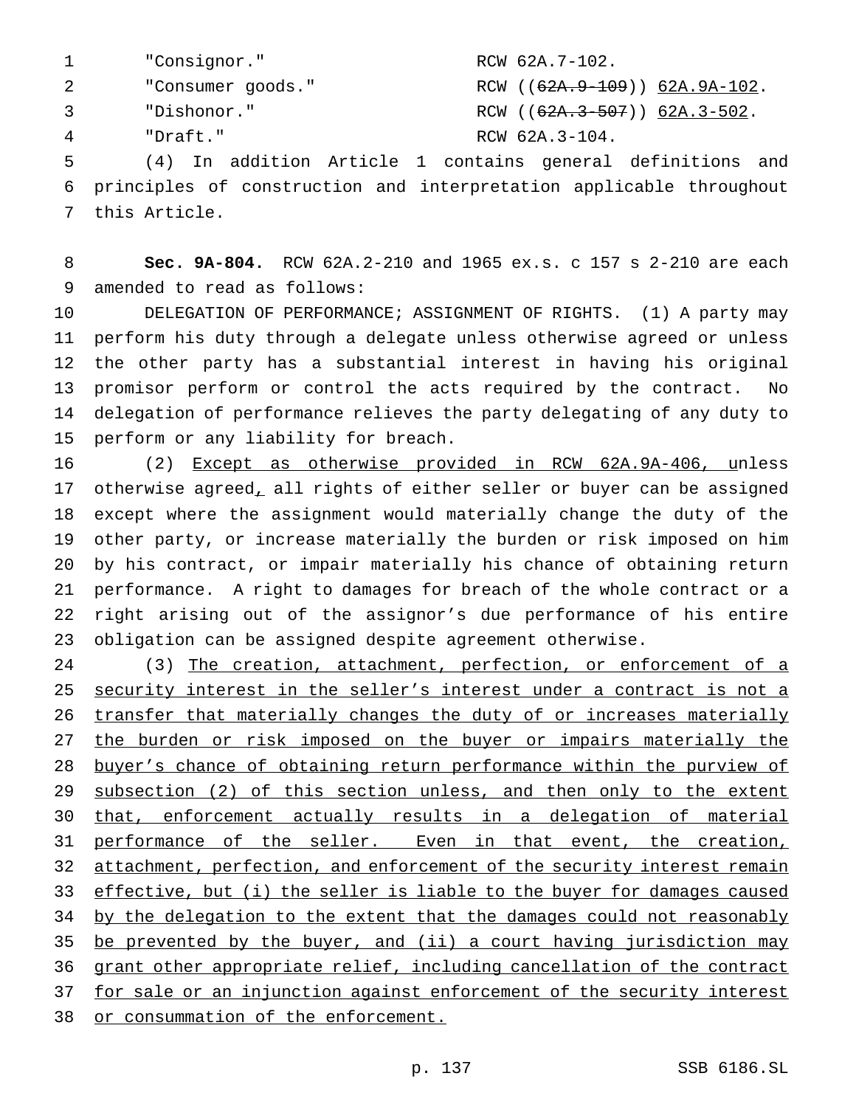|    | "Consignor."      | RCW 62A.7-102.                             |  |
|----|-------------------|--------------------------------------------|--|
| -2 | "Consumer goods." | RCW (( <del>62A.9-109</del> )) 62A.9A-102. |  |
| 3  | "Dishonor."       | RCW $(62A.3-507)$ 62A.3-502.               |  |
| 4  | "Draft."          | RCW 62A.3-104.                             |  |
|    |                   |                                            |  |

 (4) In addition Article 1 contains general definitions and principles of construction and interpretation applicable throughout this Article.

 **Sec. 9A-804.** RCW 62A.2-210 and 1965 ex.s. c 157 s 2-210 are each amended to read as follows:

 DELEGATION OF PERFORMANCE; ASSIGNMENT OF RIGHTS. (1) A party may perform his duty through a delegate unless otherwise agreed or unless the other party has a substantial interest in having his original promisor perform or control the acts required by the contract. No delegation of performance relieves the party delegating of any duty to perform or any liability for breach.

 (2) Except as otherwise provided in RCW 62A.9A-406, unless 17 otherwise agreed, all rights of either seller or buyer can be assigned except where the assignment would materially change the duty of the other party, or increase materially the burden or risk imposed on him by his contract, or impair materially his chance of obtaining return performance. A right to damages for breach of the whole contract or a right arising out of the assignor's due performance of his entire obligation can be assigned despite agreement otherwise.

 (3) The creation, attachment, perfection, or enforcement of a 25 security interest in the seller's interest under a contract is not a transfer that materially changes the duty of or increases materially the burden or risk imposed on the buyer or impairs materially the buyer's chance of obtaining return performance within the purview of 29 subsection (2) of this section unless, and then only to the extent that, enforcement actually results in a delegation of material 31 performance of the seller. Even in that event, the creation, 32 attachment, perfection, and enforcement of the security interest remain 33 effective, but (i) the seller is liable to the buyer for damages caused by the delegation to the extent that the damages could not reasonably 35 be prevented by the buyer, and (ii) a court having jurisdiction may grant other appropriate relief, including cancellation of the contract for sale or an injunction against enforcement of the security interest or consummation of the enforcement.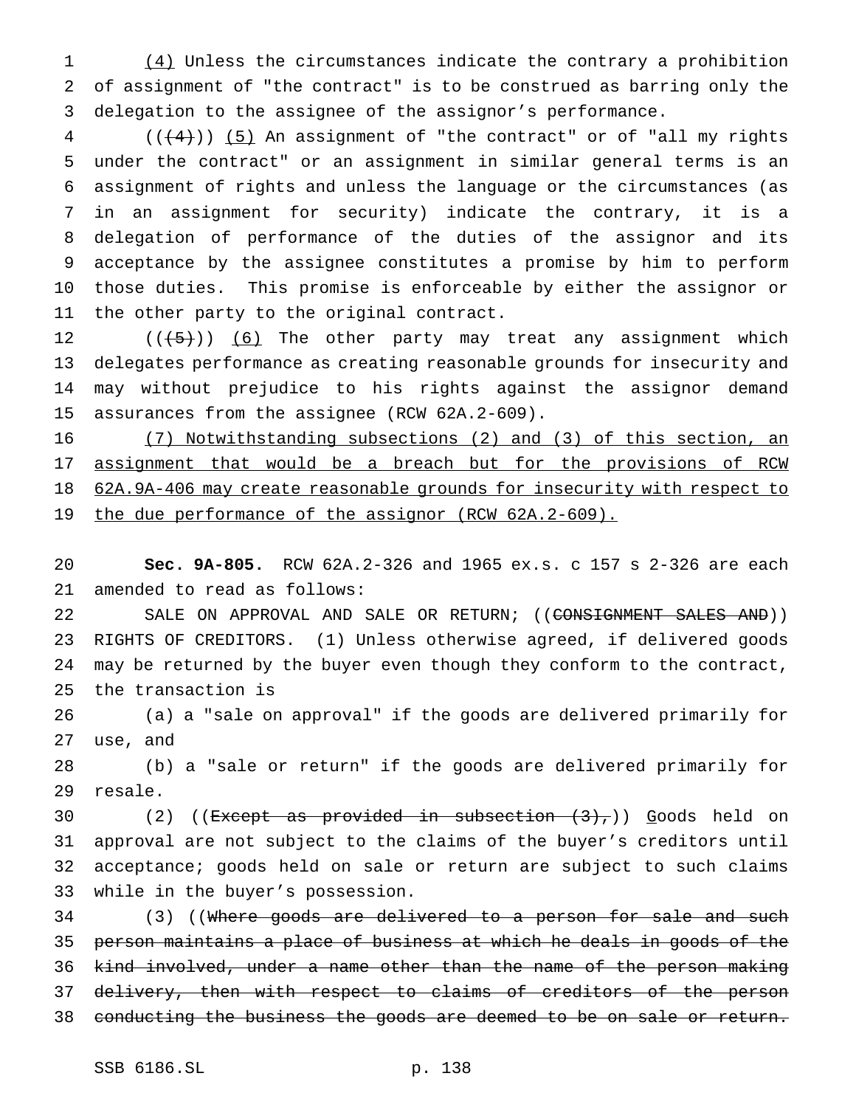(4) Unless the circumstances indicate the contrary a prohibition of assignment of "the contract" is to be construed as barring only the delegation to the assignee of the assignor's performance.

 (( $(4)$ )) (5) An assignment of "the contract" or of "all my rights under the contract" or an assignment in similar general terms is an assignment of rights and unless the language or the circumstances (as in an assignment for security) indicate the contrary, it is a delegation of performance of the duties of the assignor and its acceptance by the assignee constitutes a promise by him to perform those duties. This promise is enforceable by either the assignor or the other party to the original contract.

 $((+5))$   $(6)$  The other party may treat any assignment which delegates performance as creating reasonable grounds for insecurity and may without prejudice to his rights against the assignor demand assurances from the assignee (RCW 62A.2-609).

 (7) Notwithstanding subsections (2) and (3) of this section, an 17 assignment that would be a breach but for the provisions of RCW 62A.9A-406 may create reasonable grounds for insecurity with respect to 19 the due performance of the assignor (RCW 62A.2-609).

 **Sec. 9A-805.** RCW 62A.2-326 and 1965 ex.s. c 157 s 2-326 are each amended to read as follows:

22 SALE ON APPROVAL AND SALE OR RETURN; ((CONSIGNMENT SALES AND)) RIGHTS OF CREDITORS. (1) Unless otherwise agreed, if delivered goods may be returned by the buyer even though they conform to the contract, the transaction is

 (a) a "sale on approval" if the goods are delivered primarily for use, and

 (b) a "sale or return" if the goods are delivered primarily for resale.

30 (2) ((Except as provided in subsection  $(3)$ ,)) Goods held on approval are not subject to the claims of the buyer's creditors until acceptance; goods held on sale or return are subject to such claims while in the buyer's possession.

34 (3) ((<del>Where goods are delivered to a person for sale and such</del> person maintains a place of business at which he deals in goods of the kind involved, under a name other than the name of the person making 37 delivery, then with respect to claims of creditors of the person 38 conducting the business the goods are deemed to be on sale or return.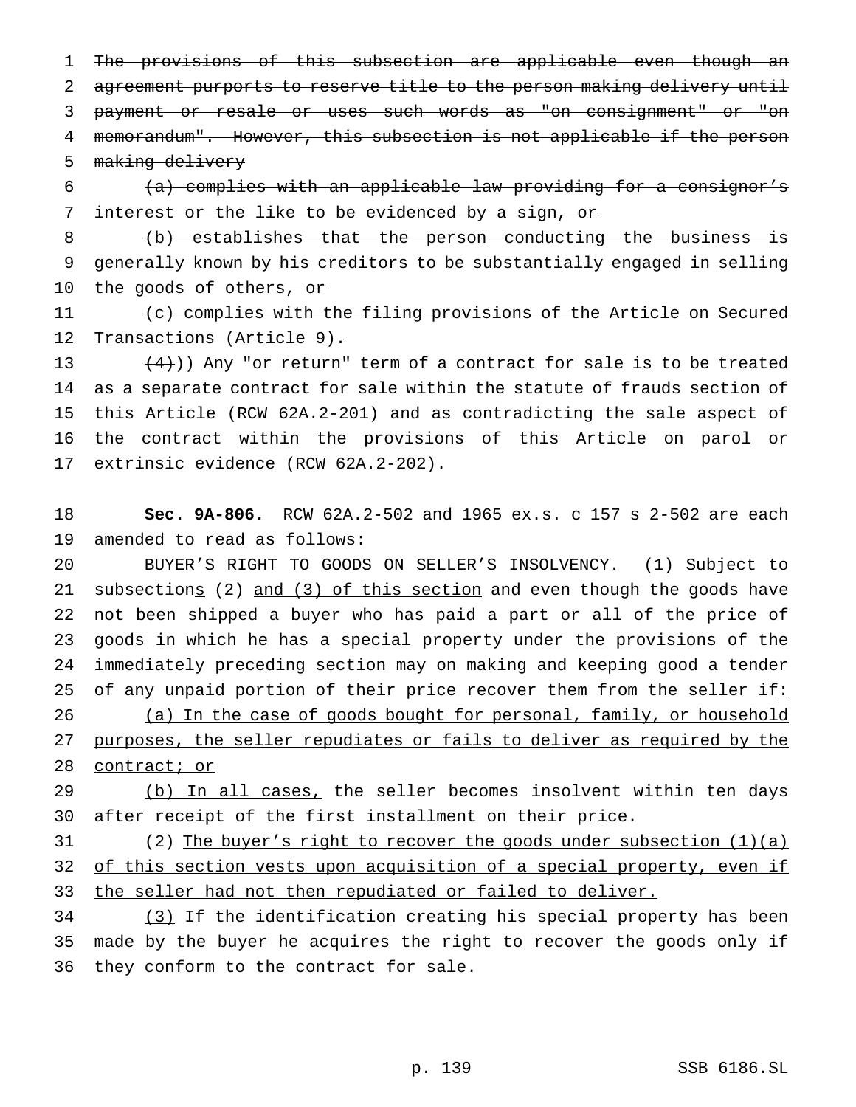The provisions of this subsection are applicable even though an agreement purports to reserve title to the person making delivery until payment or resale or uses such words as "on consignment" or "on memorandum". However, this subsection is not applicable if the person making delivery

 $(a)$  complies with an applicable law providing for a consignor's interest or the like to be evidenced by a sign, or

 (b) establishes that the person conducting the business is generally known by his creditors to be substantially engaged in selling 10 the goods of others, or

11 (e) complies with the filing provisions of the Article on Secured 12 Transactions (Article 9).

 $(4)$ ) Any "or return" term of a contract for sale is to be treated as a separate contract for sale within the statute of frauds section of this Article (RCW 62A.2-201) and as contradicting the sale aspect of the contract within the provisions of this Article on parol or extrinsic evidence (RCW 62A.2-202).

 **Sec. 9A-806.** RCW 62A.2-502 and 1965 ex.s. c 157 s 2-502 are each amended to read as follows:

 BUYER'S RIGHT TO GOODS ON SELLER'S INSOLVENCY. (1) Subject to 21 subsections (2) and (3) of this section and even though the goods have not been shipped a buyer who has paid a part or all of the price of goods in which he has a special property under the provisions of the immediately preceding section may on making and keeping good a tender 25 of any unpaid portion of their price recover them from the seller if: (a) In the case of goods bought for personal, family, or household purposes, the seller repudiates or fails to deliver as required by the 28 contract; or

29 (b) In all cases, the seller becomes insolvent within ten days after receipt of the first installment on their price.

 (2) The buyer's right to recover the goods under subsection (1)(a) 32 of this section vests upon acquisition of a special property, even if 33 the seller had not then repudiated or failed to deliver.

 (3) If the identification creating his special property has been made by the buyer he acquires the right to recover the goods only if they conform to the contract for sale.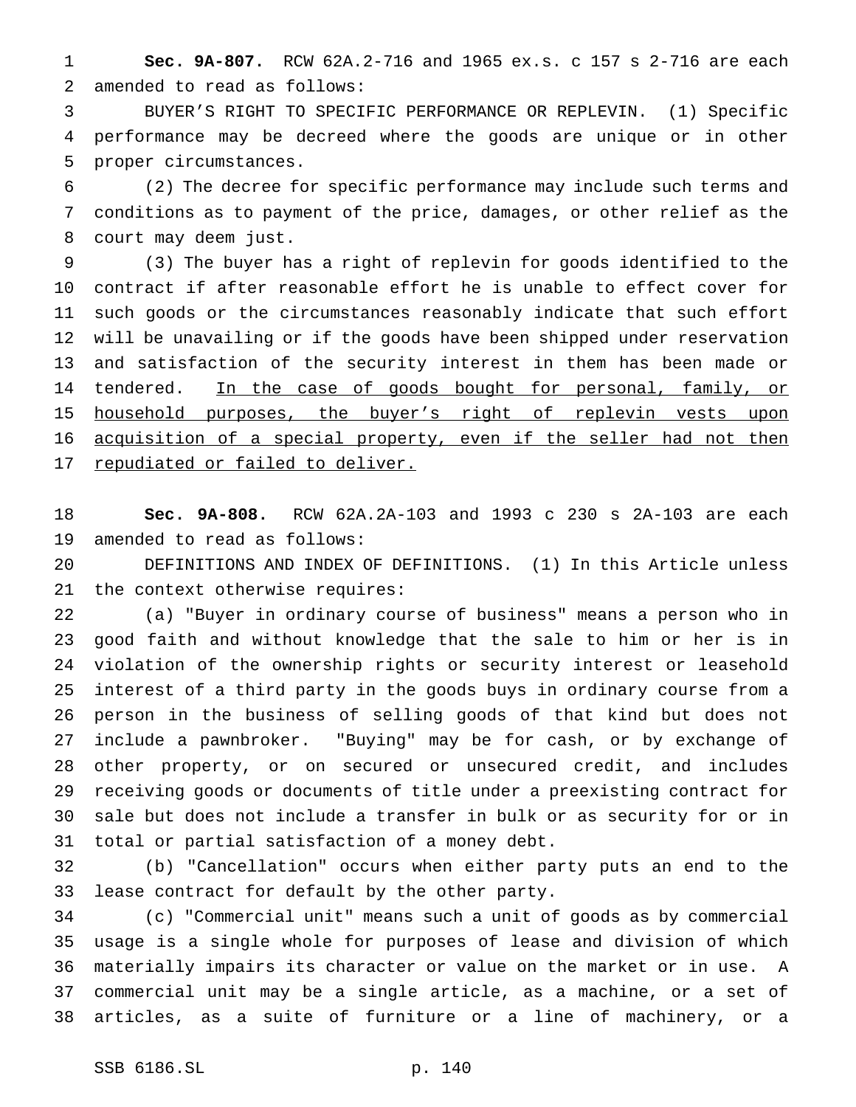**Sec. 9A-807.** RCW 62A.2-716 and 1965 ex.s. c 157 s 2-716 are each amended to read as follows:

 BUYER'S RIGHT TO SPECIFIC PERFORMANCE OR REPLEVIN. (1) Specific performance may be decreed where the goods are unique or in other proper circumstances.

 (2) The decree for specific performance may include such terms and conditions as to payment of the price, damages, or other relief as the court may deem just.

 (3) The buyer has a right of replevin for goods identified to the contract if after reasonable effort he is unable to effect cover for such goods or the circumstances reasonably indicate that such effort will be unavailing or if the goods have been shipped under reservation and satisfaction of the security interest in them has been made or 14 tendered. In the case of goods bought for personal, family, or 15 household purposes, the buyer's right of replevin vests upon 16 acquisition of a special property, even if the seller had not then 17 repudiated or failed to deliver.

 **Sec. 9A-808.** RCW 62A.2A-103 and 1993 c 230 s 2A-103 are each amended to read as follows:

 DEFINITIONS AND INDEX OF DEFINITIONS. (1) In this Article unless the context otherwise requires:

 (a) "Buyer in ordinary course of business" means a person who in good faith and without knowledge that the sale to him or her is in violation of the ownership rights or security interest or leasehold interest of a third party in the goods buys in ordinary course from a person in the business of selling goods of that kind but does not include a pawnbroker. "Buying" may be for cash, or by exchange of other property, or on secured or unsecured credit, and includes receiving goods or documents of title under a preexisting contract for sale but does not include a transfer in bulk or as security for or in total or partial satisfaction of a money debt.

 (b) "Cancellation" occurs when either party puts an end to the lease contract for default by the other party.

 (c) "Commercial unit" means such a unit of goods as by commercial usage is a single whole for purposes of lease and division of which materially impairs its character or value on the market or in use. A commercial unit may be a single article, as a machine, or a set of articles, as a suite of furniture or a line of machinery, or a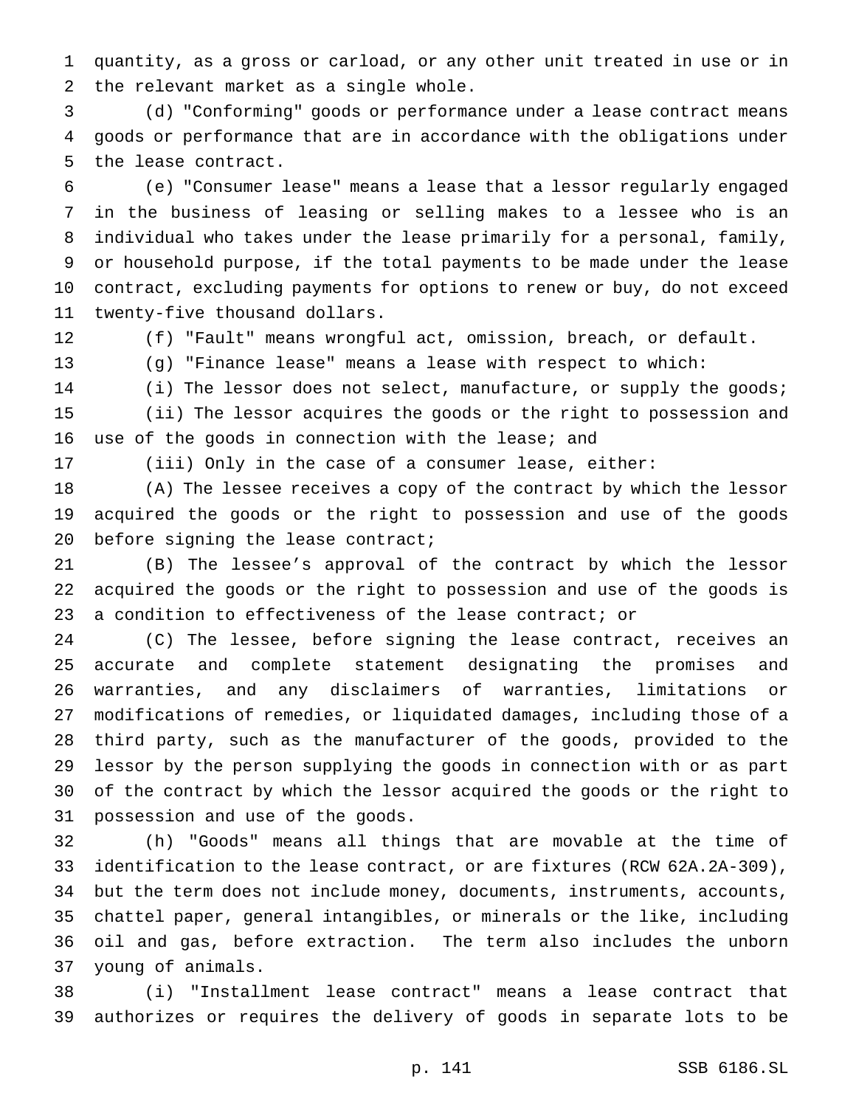quantity, as a gross or carload, or any other unit treated in use or in the relevant market as a single whole.

 (d) "Conforming" goods or performance under a lease contract means goods or performance that are in accordance with the obligations under the lease contract.

 (e) "Consumer lease" means a lease that a lessor regularly engaged in the business of leasing or selling makes to a lessee who is an individual who takes under the lease primarily for a personal, family, or household purpose, if the total payments to be made under the lease contract, excluding payments for options to renew or buy, do not exceed twenty-five thousand dollars.

(f) "Fault" means wrongful act, omission, breach, or default.

(g) "Finance lease" means a lease with respect to which:

14 (i) The lessor does not select, manufacture, or supply the goods; (ii) The lessor acquires the goods or the right to possession and use of the goods in connection with the lease; and

(iii) Only in the case of a consumer lease, either:

 (A) The lessee receives a copy of the contract by which the lessor acquired the goods or the right to possession and use of the goods 20 before signing the lease contract;

 (B) The lessee's approval of the contract by which the lessor acquired the goods or the right to possession and use of the goods is a condition to effectiveness of the lease contract; or

 (C) The lessee, before signing the lease contract, receives an accurate and complete statement designating the promises and warranties, and any disclaimers of warranties, limitations or modifications of remedies, or liquidated damages, including those of a third party, such as the manufacturer of the goods, provided to the lessor by the person supplying the goods in connection with or as part of the contract by which the lessor acquired the goods or the right to possession and use of the goods.

 (h) "Goods" means all things that are movable at the time of identification to the lease contract, or are fixtures (RCW 62A.2A-309), but the term does not include money, documents, instruments, accounts, chattel paper, general intangibles, or minerals or the like, including oil and gas, before extraction. The term also includes the unborn young of animals.

 (i) "Installment lease contract" means a lease contract that authorizes or requires the delivery of goods in separate lots to be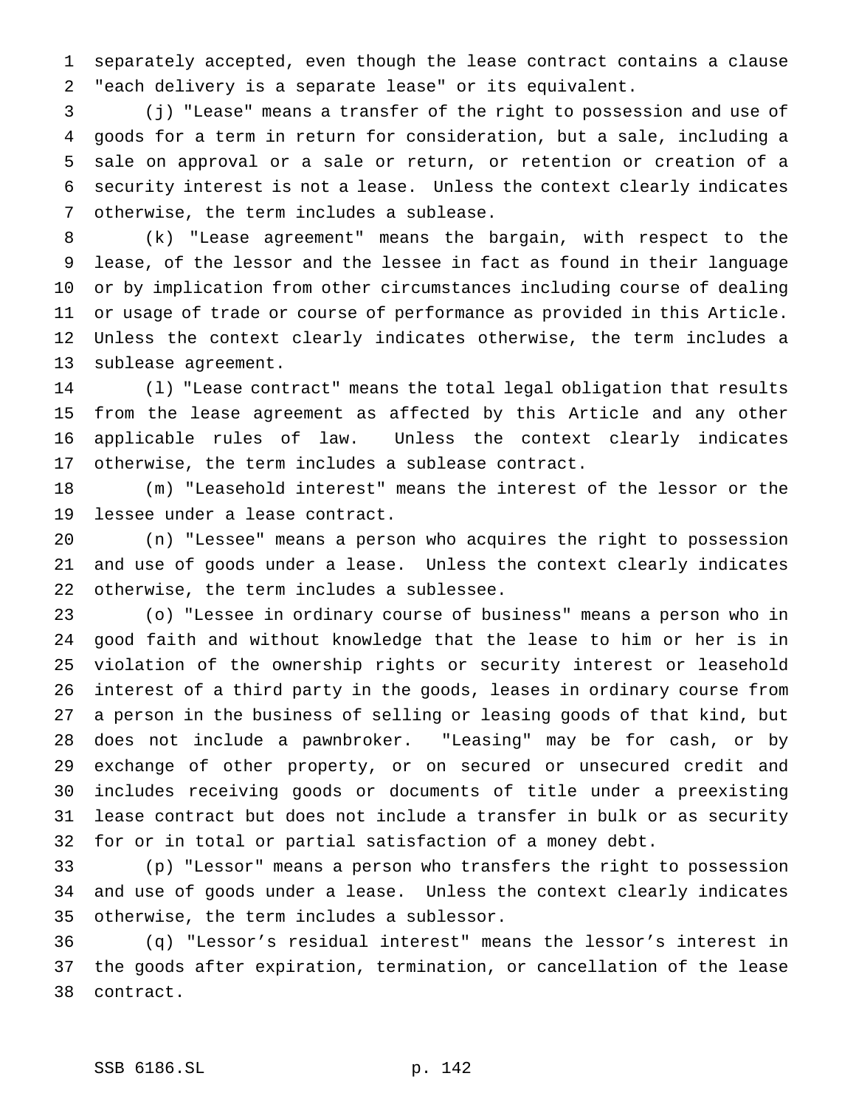separately accepted, even though the lease contract contains a clause "each delivery is a separate lease" or its equivalent.

 (j) "Lease" means a transfer of the right to possession and use of goods for a term in return for consideration, but a sale, including a sale on approval or a sale or return, or retention or creation of a security interest is not a lease. Unless the context clearly indicates otherwise, the term includes a sublease.

 (k) "Lease agreement" means the bargain, with respect to the lease, of the lessor and the lessee in fact as found in their language or by implication from other circumstances including course of dealing or usage of trade or course of performance as provided in this Article. Unless the context clearly indicates otherwise, the term includes a sublease agreement.

 (l) "Lease contract" means the total legal obligation that results from the lease agreement as affected by this Article and any other applicable rules of law. Unless the context clearly indicates otherwise, the term includes a sublease contract.

 (m) "Leasehold interest" means the interest of the lessor or the lessee under a lease contract.

 (n) "Lessee" means a person who acquires the right to possession and use of goods under a lease. Unless the context clearly indicates otherwise, the term includes a sublessee.

 (o) "Lessee in ordinary course of business" means a person who in good faith and without knowledge that the lease to him or her is in violation of the ownership rights or security interest or leasehold interest of a third party in the goods, leases in ordinary course from a person in the business of selling or leasing goods of that kind, but does not include a pawnbroker. "Leasing" may be for cash, or by exchange of other property, or on secured or unsecured credit and includes receiving goods or documents of title under a preexisting lease contract but does not include a transfer in bulk or as security for or in total or partial satisfaction of a money debt.

 (p) "Lessor" means a person who transfers the right to possession and use of goods under a lease. Unless the context clearly indicates otherwise, the term includes a sublessor.

 (q) "Lessor's residual interest" means the lessor's interest in the goods after expiration, termination, or cancellation of the lease contract.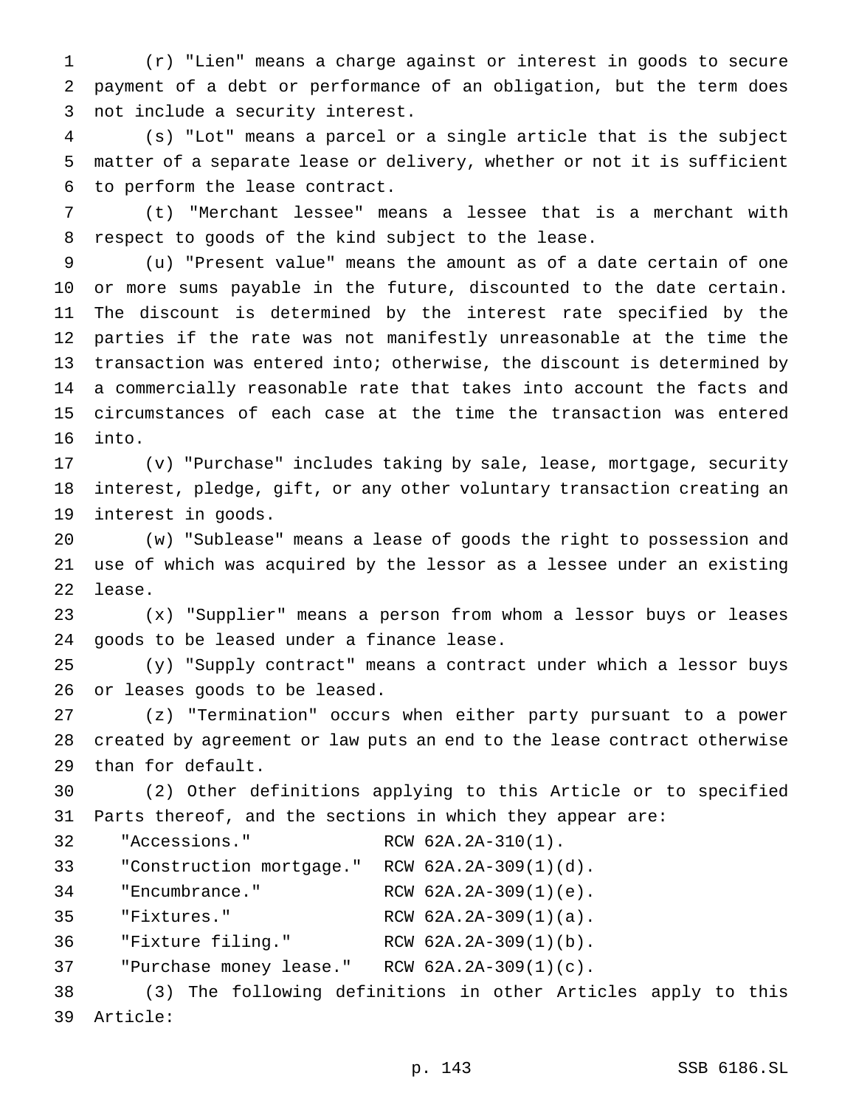(r) "Lien" means a charge against or interest in goods to secure payment of a debt or performance of an obligation, but the term does not include a security interest.

 (s) "Lot" means a parcel or a single article that is the subject matter of a separate lease or delivery, whether or not it is sufficient to perform the lease contract.

 (t) "Merchant lessee" means a lessee that is a merchant with respect to goods of the kind subject to the lease.

 (u) "Present value" means the amount as of a date certain of one or more sums payable in the future, discounted to the date certain. The discount is determined by the interest rate specified by the parties if the rate was not manifestly unreasonable at the time the transaction was entered into; otherwise, the discount is determined by a commercially reasonable rate that takes into account the facts and circumstances of each case at the time the transaction was entered into.

 (v) "Purchase" includes taking by sale, lease, mortgage, security interest, pledge, gift, or any other voluntary transaction creating an interest in goods.

 (w) "Sublease" means a lease of goods the right to possession and use of which was acquired by the lessor as a lessee under an existing lease.

 (x) "Supplier" means a person from whom a lessor buys or leases goods to be leased under a finance lease.

 (y) "Supply contract" means a contract under which a lessor buys or leases goods to be leased.

 (z) "Termination" occurs when either party pursuant to a power created by agreement or law puts an end to the lease contract otherwise than for default.

 (2) Other definitions applying to this Article or to specified Parts thereof, and the sections in which they appear are:

| 32 | "Accessions."            | RCW 62A.2A-310(1).       |
|----|--------------------------|--------------------------|
| 33 | "Construction mortgage." | RCW $62A.2A-309(1)(d)$ . |
| 34 | "Encumbrance."           | RCW $62A.2A-309(1)(e)$ . |
| 35 | "Fixtures."              | RCW $62A.2A-309(1)(a)$ . |
| 36 | "Fixture filing."        | RCW $62A.2A-309(1)(b)$ . |
| 37 | "Purchase money lease."  | RCW $62A.2A-309(1)(c)$ . |
|    |                          |                          |

 (3) The following definitions in other Articles apply to this Article: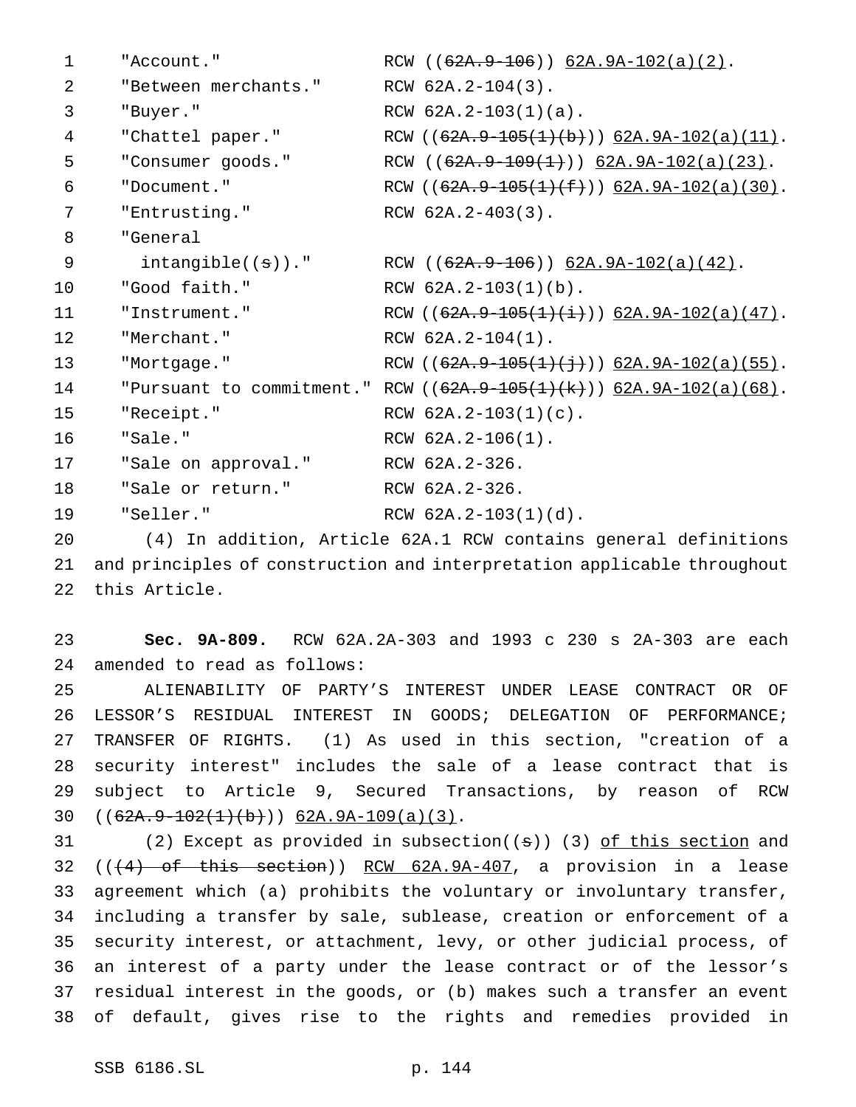| $\mathbf 1$   | "Account."                    | RCW $((62A.9-106)) 62A.9A-102(a)(2)$ .                               |
|---------------|-------------------------------|----------------------------------------------------------------------|
| 2             | "Between merchants."          | RCW $62A.2-104(3)$ .                                                 |
| 3             | "Buyer."                      | RCW $62A.2-103(1)(a)$ .                                              |
| 4             | "Chattel paper."              | RCW $((62A.9-105(1)(b))) 62A.9A-102(a)(11)$ .                        |
| 5             | "Consumer goods."             | RCW $((62A.9-109(1))) 62A.9A-102(a)(23)$ .                           |
| 6             | "Document."                   | RCW $((62A.9-105(1)(f))$ $62A.9A-102(a)(30)$ .                       |
| 7             | "Entrusting."                 | RCW $62A.2-403(3)$ .                                                 |
| 8             | "General                      |                                                                      |
| 9             | $intangible((\mathbf{s}))$ ." | RCW $(62A.9-106)$ $62A.9A-102(a)(42)$ .                              |
| 10            | "Good faith."                 | RCW $62A.2-103(1)(b)$ .                                              |
| 11            | "Instrument."                 | RCW $((62A.9-105(1)(i+)) 62A.9A-102(a)(47)).$                        |
| 12            | "Merchant."                   | RCW $62A.2-104(1)$ .                                                 |
| 13            | "Mortgage."                   | RCW $((62A.9-105(1)(j)))$ $62A.9A-102(a)(55)$ .                      |
| 14            |                               | "Pursuant to commitment." RCW ((62A.9-105(1)(k))) 62A.9A-102(a)(68). |
| 15            | "Receipt."                    | RCW $62A.2-103(1)(c)$ .                                              |
| 16            | "Sale."                       | RCW $62A.2-106(1)$ .                                                 |
| 17            | "Sale on approval."           | RCW 62A.2-326.                                                       |
| 18            | "Sale or return."             | RCW 62A.2-326.                                                       |
| 19            | "Seller."                     | RCW $62A.2-103(1)(d)$ .                                              |
| $\sim$ $\sim$ |                               |                                                                      |

 (4) In addition, Article 62A.1 RCW contains general definitions and principles of construction and interpretation applicable throughout this Article.

 **Sec. 9A-809.** RCW 62A.2A-303 and 1993 c 230 s 2A-303 are each amended to read as follows:

 ALIENABILITY OF PARTY'S INTEREST UNDER LEASE CONTRACT OR OF LESSOR'S RESIDUAL INTEREST IN GOODS; DELEGATION OF PERFORMANCE; TRANSFER OF RIGHTS. (1) As used in this section, "creation of a security interest" includes the sale of a lease contract that is subject to Article 9, Secured Transactions, by reason of RCW  $((62A.9-102(1)(b))) 62A.9A-109(a)(3).$ 

31 (2) Except as provided in subsection((s)) (3) of this section and 32 ( $(\overline{(4)}$  of this section)) RCW  $62A.9A-407$ , a provision in a lease agreement which (a) prohibits the voluntary or involuntary transfer, including a transfer by sale, sublease, creation or enforcement of a security interest, or attachment, levy, or other judicial process, of an interest of a party under the lease contract or of the lessor's residual interest in the goods, or (b) makes such a transfer an event of default, gives rise to the rights and remedies provided in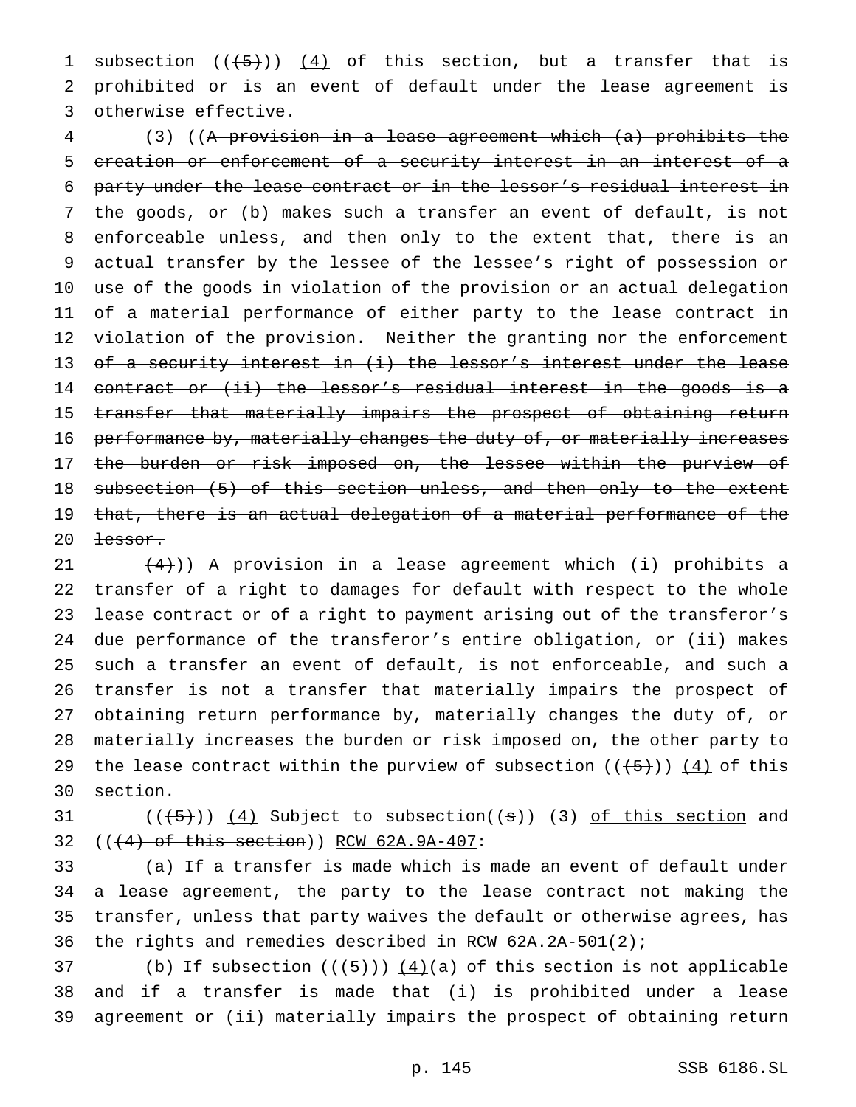1 subsection  $((+5))$   $(4)$  of this section, but a transfer that is 2 prohibited or is an event of default under the lease agreement is 3 otherwise effective.

4 (3) ((A provision in a lease agreement which (a) prohibits the 5 creation or enforcement of a security interest in an interest of a 6 party under the lease contract or in the lessor's residual interest in 7 the goods, or (b) makes such a transfer an event of default, is not 8 enforceable unless, and then only to the extent that, there is an 9 actual transfer by the lessee of the lessee's right of possession or 10 use of the goods in violation of the provision or an actual delegation 11 of a material performance of either party to the lease contract in 12 violation of the provision. Neither the granting nor the enforcement 13 of a security interest in (i) the lessor's interest under the lease 14 contract or (ii) the lessor's residual interest in the goods is a 15 transfer that materially impairs the prospect of obtaining return 16 performance by, materially changes the duty of, or materially increases 17 the burden or risk imposed on, the lessee within the purview of 18 subsection (5) of this section unless, and then only to the extent 19 that, there is an actual delegation of a material performance of the 20 <del>lessor.</del>

 $(4)$ )) A provision in a lease agreement which (i) prohibits a transfer of a right to damages for default with respect to the whole lease contract or of a right to payment arising out of the transferor's due performance of the transferor's entire obligation, or (ii) makes such a transfer an event of default, is not enforceable, and such a transfer is not a transfer that materially impairs the prospect of obtaining return performance by, materially changes the duty of, or materially increases the burden or risk imposed on, the other party to 29 the lease contract within the purview of subsection  $((+5))$   $(4)$  of this 30 section.

31  $((+5))$   $(4)$  Subject to subsection((s)) (3) of this section and 32  $((4)$  of this section)) RCW 62A.9A-407:

 (a) If a transfer is made which is made an event of default under a lease agreement, the party to the lease contract not making the transfer, unless that party waives the default or otherwise agrees, has the rights and remedies described in RCW 62A.2A-501(2);

37 (b) If subsection  $((+5))$   $(4)(a)$  of this section is not applicable 38 and if a transfer is made that (i) is prohibited under a lease 39 agreement or (ii) materially impairs the prospect of obtaining return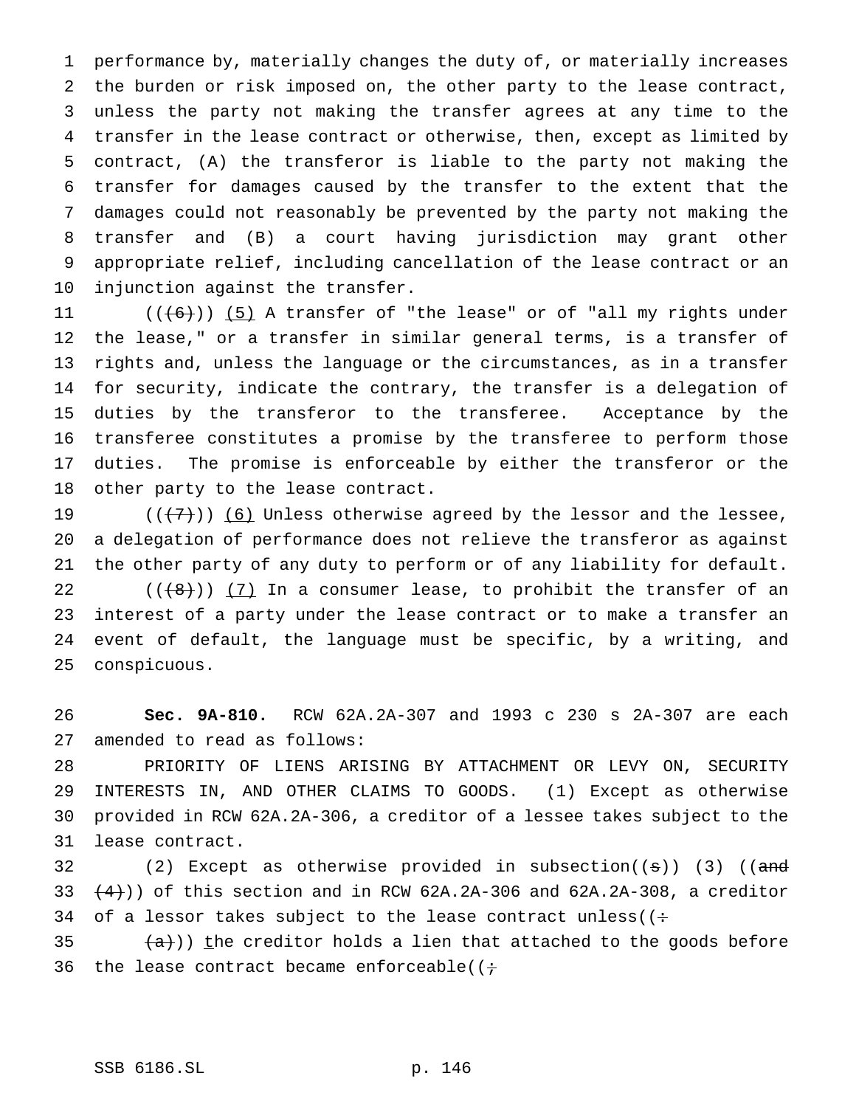performance by, materially changes the duty of, or materially increases the burden or risk imposed on, the other party to the lease contract, unless the party not making the transfer agrees at any time to the transfer in the lease contract or otherwise, then, except as limited by contract, (A) the transferor is liable to the party not making the transfer for damages caused by the transfer to the extent that the damages could not reasonably be prevented by the party not making the transfer and (B) a court having jurisdiction may grant other appropriate relief, including cancellation of the lease contract or an injunction against the transfer.

 $((+6+))$  (5) A transfer of "the lease" or of "all my rights under the lease," or a transfer in similar general terms, is a transfer of rights and, unless the language or the circumstances, as in a transfer for security, indicate the contrary, the transfer is a delegation of duties by the transferor to the transferee. Acceptance by the transferee constitutes a promise by the transferee to perform those duties. The promise is enforceable by either the transferor or the other party to the lease contract.

 $((+7))$  (6) Unless otherwise agreed by the lessor and the lessee, a delegation of performance does not relieve the transferor as against the other party of any duty to perform or of any liability for default.  $((+8))$   $(7)$  In a consumer lease, to prohibit the transfer of an interest of a party under the lease contract or to make a transfer an event of default, the language must be specific, by a writing, and conspicuous.

 **Sec. 9A-810.** RCW 62A.2A-307 and 1993 c 230 s 2A-307 are each amended to read as follows:

 PRIORITY OF LIENS ARISING BY ATTACHMENT OR LEVY ON, SECURITY INTERESTS IN, AND OTHER CLAIMS TO GOODS. (1) Except as otherwise provided in RCW 62A.2A-306, a creditor of a lessee takes subject to the lease contract.

32 (2) Except as otherwise provided in subsection((<del>s</del>)) (3) ((and 33  $(4)$ )) of this section and in RCW 62A.2A-306 and 62A.2A-308, a creditor 34 of a lessor takes subject to the lease contract unless ( $(-1)$ 

 $(a)$ )) the creditor holds a lien that attached to the goods before 36 the lease contract became enforceable( $(i+$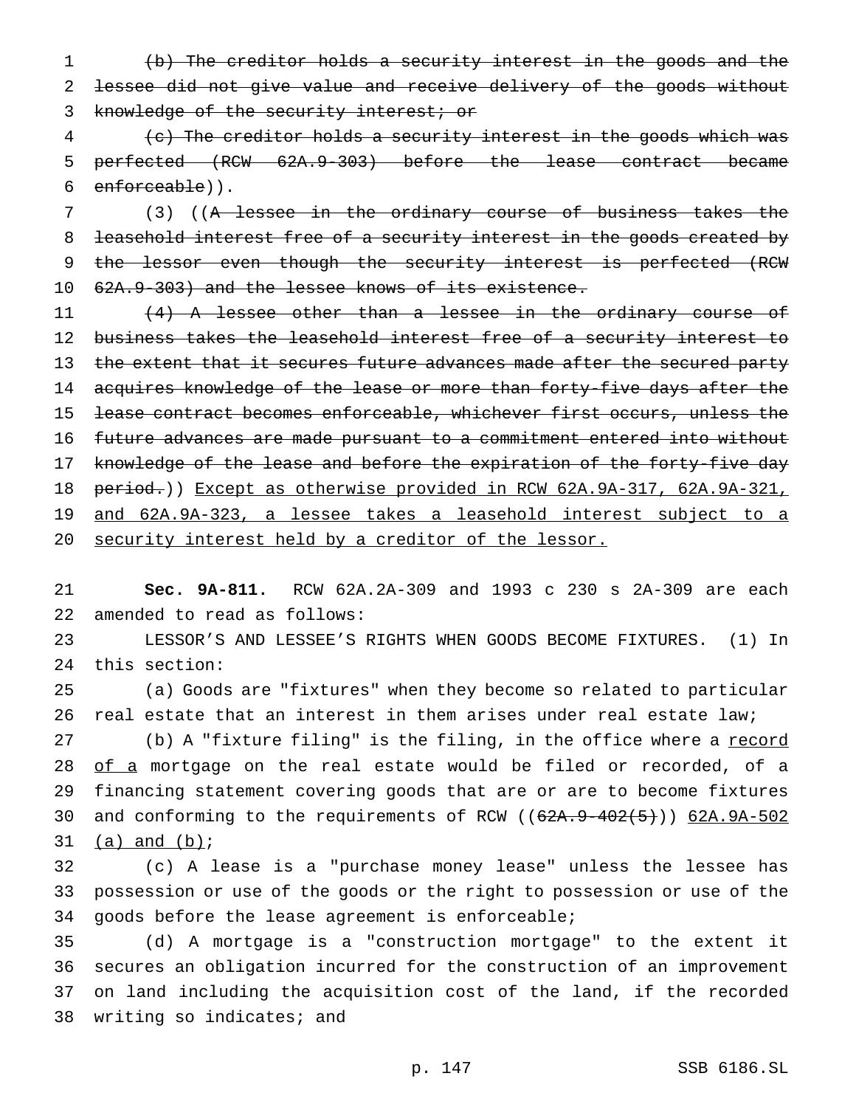(b) The creditor holds a security interest in the goods and the lessee did not give value and receive delivery of the goods without 3 knowledge of the security interest; or

 (c) The creditor holds a security interest in the goods which was perfected (RCW 62A.9-303) before the lease contract became enforceable)).

 (3) ((A lessee in the ordinary course of business takes the 8 leasehold interest free of a security interest in the goods created by 9 the lessor even though the security interest is perfected (RCW 62A.9-303) and the lessee knows of its existence.

 $(4)$  A lessee other than a lessee in the ordinary course of 12 business takes the leasehold interest free of a security interest to 13 the extent that it secures future advances made after the secured party 14 a<del>cquires knowledge of the lease or more than forty-five days after the</del> lease contract becomes enforceable, whichever first occurs, unless the 16 future advances are made pursuant to a commitment entered into without 17 knowledge of the lease and before the expiration of the forty-five day 18 period.)) Except as otherwise provided in RCW 62A.9A-317, 62A.9A-321, and 62A.9A-323, a lessee takes a leasehold interest subject to a security interest held by a creditor of the lessor.

 **Sec. 9A-811.** RCW 62A.2A-309 and 1993 c 230 s 2A-309 are each amended to read as follows:

 LESSOR'S AND LESSEE'S RIGHTS WHEN GOODS BECOME FIXTURES. (1) In this section:

 (a) Goods are "fixtures" when they become so related to particular real estate that an interest in them arises under real estate law;

27 (b) A "fixture filing" is the filing, in the office where a record 28 of a mortgage on the real estate would be filed or recorded, of a financing statement covering goods that are or are to become fixtures 30 and conforming to the requirements of RCW ((62A.9-402(5))) 62A.9A-502 (a) and  $(b)$ ;

 (c) A lease is a "purchase money lease" unless the lessee has possession or use of the goods or the right to possession or use of the goods before the lease agreement is enforceable;

 (d) A mortgage is a "construction mortgage" to the extent it secures an obligation incurred for the construction of an improvement on land including the acquisition cost of the land, if the recorded writing so indicates; and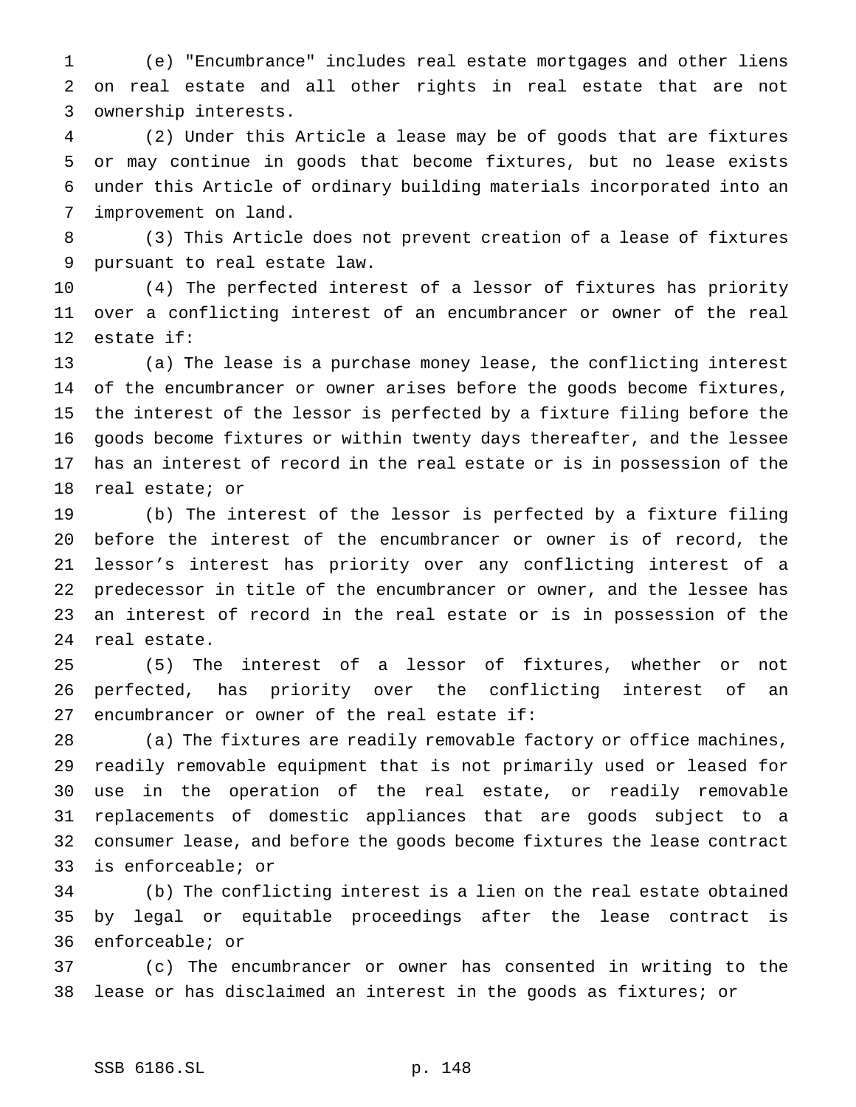(e) "Encumbrance" includes real estate mortgages and other liens on real estate and all other rights in real estate that are not ownership interests.

 (2) Under this Article a lease may be of goods that are fixtures or may continue in goods that become fixtures, but no lease exists under this Article of ordinary building materials incorporated into an improvement on land.

 (3) This Article does not prevent creation of a lease of fixtures pursuant to real estate law.

 (4) The perfected interest of a lessor of fixtures has priority over a conflicting interest of an encumbrancer or owner of the real estate if:

 (a) The lease is a purchase money lease, the conflicting interest of the encumbrancer or owner arises before the goods become fixtures, the interest of the lessor is perfected by a fixture filing before the goods become fixtures or within twenty days thereafter, and the lessee has an interest of record in the real estate or is in possession of the real estate; or

 (b) The interest of the lessor is perfected by a fixture filing before the interest of the encumbrancer or owner is of record, the lessor's interest has priority over any conflicting interest of a predecessor in title of the encumbrancer or owner, and the lessee has an interest of record in the real estate or is in possession of the real estate.

 (5) The interest of a lessor of fixtures, whether or not perfected, has priority over the conflicting interest of an encumbrancer or owner of the real estate if:

 (a) The fixtures are readily removable factory or office machines, readily removable equipment that is not primarily used or leased for use in the operation of the real estate, or readily removable replacements of domestic appliances that are goods subject to a consumer lease, and before the goods become fixtures the lease contract is enforceable; or

 (b) The conflicting interest is a lien on the real estate obtained by legal or equitable proceedings after the lease contract is enforceable; or

 (c) The encumbrancer or owner has consented in writing to the lease or has disclaimed an interest in the goods as fixtures; or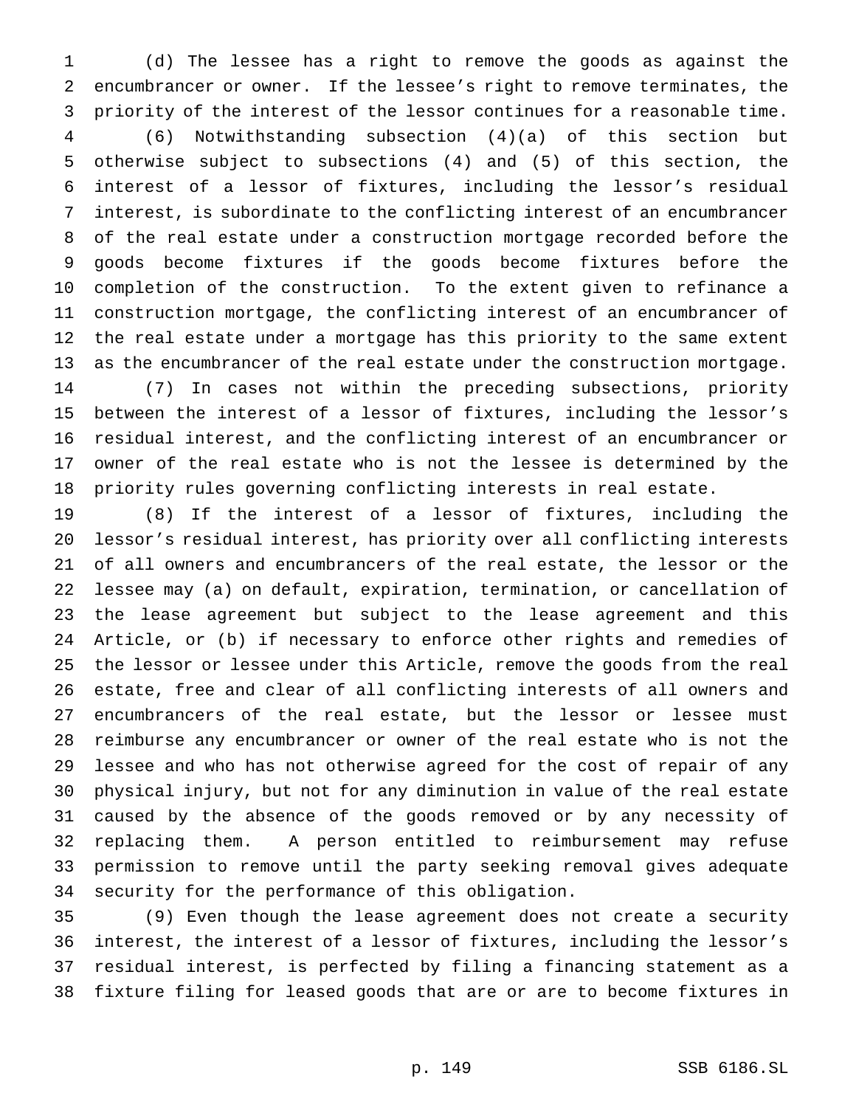(d) The lessee has a right to remove the goods as against the encumbrancer or owner. If the lessee's right to remove terminates, the priority of the interest of the lessor continues for a reasonable time.

 (6) Notwithstanding subsection (4)(a) of this section but otherwise subject to subsections (4) and (5) of this section, the interest of a lessor of fixtures, including the lessor's residual interest, is subordinate to the conflicting interest of an encumbrancer of the real estate under a construction mortgage recorded before the goods become fixtures if the goods become fixtures before the completion of the construction. To the extent given to refinance a construction mortgage, the conflicting interest of an encumbrancer of the real estate under a mortgage has this priority to the same extent as the encumbrancer of the real estate under the construction mortgage. (7) In cases not within the preceding subsections, priority between the interest of a lessor of fixtures, including the lessor's residual interest, and the conflicting interest of an encumbrancer or owner of the real estate who is not the lessee is determined by the priority rules governing conflicting interests in real estate.

 (8) If the interest of a lessor of fixtures, including the lessor's residual interest, has priority over all conflicting interests of all owners and encumbrancers of the real estate, the lessor or the lessee may (a) on default, expiration, termination, or cancellation of the lease agreement but subject to the lease agreement and this Article, or (b) if necessary to enforce other rights and remedies of the lessor or lessee under this Article, remove the goods from the real estate, free and clear of all conflicting interests of all owners and encumbrancers of the real estate, but the lessor or lessee must reimburse any encumbrancer or owner of the real estate who is not the lessee and who has not otherwise agreed for the cost of repair of any physical injury, but not for any diminution in value of the real estate caused by the absence of the goods removed or by any necessity of replacing them. A person entitled to reimbursement may refuse permission to remove until the party seeking removal gives adequate security for the performance of this obligation.

 (9) Even though the lease agreement does not create a security interest, the interest of a lessor of fixtures, including the lessor's residual interest, is perfected by filing a financing statement as a fixture filing for leased goods that are or are to become fixtures in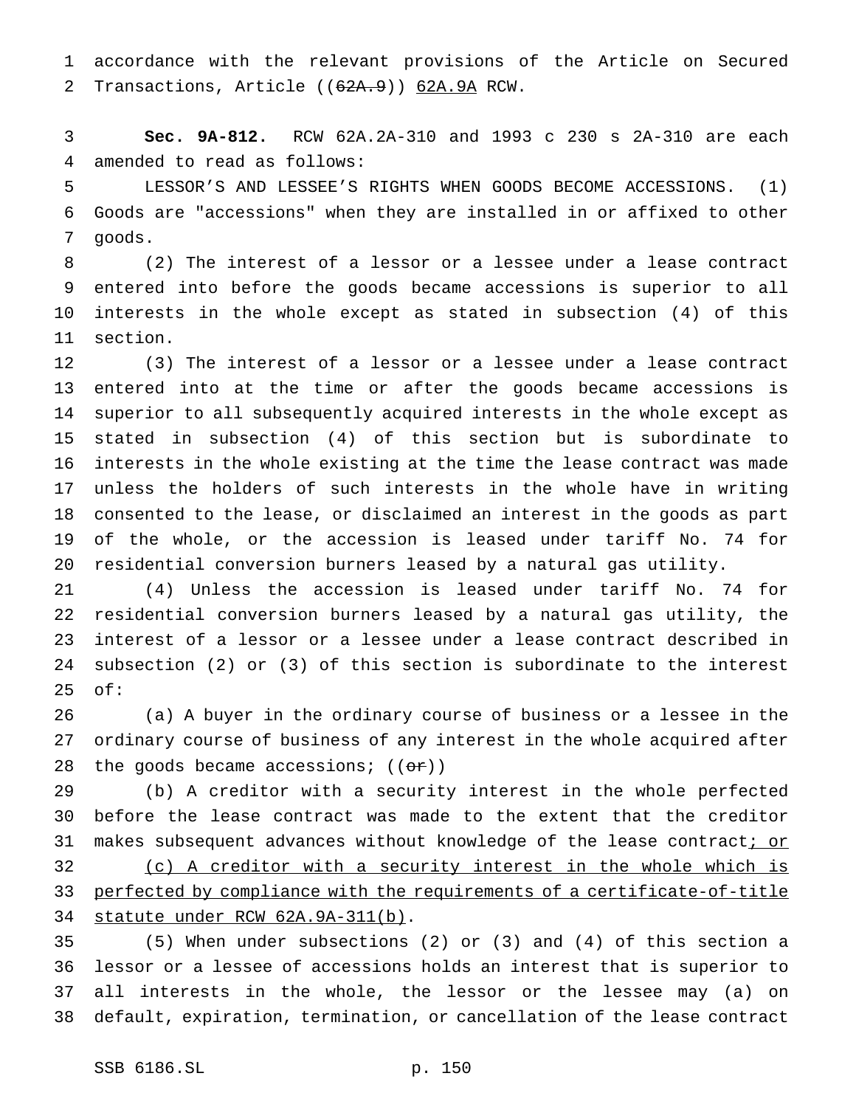accordance with the relevant provisions of the Article on Secured 2 Transactions, Article ((62A.9)) 62A.9A RCW.

 **Sec. 9A-812.** RCW 62A.2A-310 and 1993 c 230 s 2A-310 are each amended to read as follows:

 LESSOR'S AND LESSEE'S RIGHTS WHEN GOODS BECOME ACCESSIONS. (1) Goods are "accessions" when they are installed in or affixed to other goods.

 (2) The interest of a lessor or a lessee under a lease contract entered into before the goods became accessions is superior to all interests in the whole except as stated in subsection (4) of this section.

 (3) The interest of a lessor or a lessee under a lease contract entered into at the time or after the goods became accessions is superior to all subsequently acquired interests in the whole except as stated in subsection (4) of this section but is subordinate to interests in the whole existing at the time the lease contract was made unless the holders of such interests in the whole have in writing consented to the lease, or disclaimed an interest in the goods as part of the whole, or the accession is leased under tariff No. 74 for residential conversion burners leased by a natural gas utility.

 (4) Unless the accession is leased under tariff No. 74 for residential conversion burners leased by a natural gas utility, the interest of a lessor or a lessee under a lease contract described in subsection (2) or (3) of this section is subordinate to the interest of:

 (a) A buyer in the ordinary course of business or a lessee in the ordinary course of business of any interest in the whole acquired after 28 the goods became accessions;  $((\theta \cdot \hat{r}))$ 

 (b) A creditor with a security interest in the whole perfected before the lease contract was made to the extent that the creditor 31 makes subsequent advances without knowledge of the lease contract; or (c) A creditor with a security interest in the whole which is perfected by compliance with the requirements of a certificate-of-title statute under RCW 62A.9A-311(b).

 (5) When under subsections (2) or (3) and (4) of this section a lessor or a lessee of accessions holds an interest that is superior to all interests in the whole, the lessor or the lessee may (a) on default, expiration, termination, or cancellation of the lease contract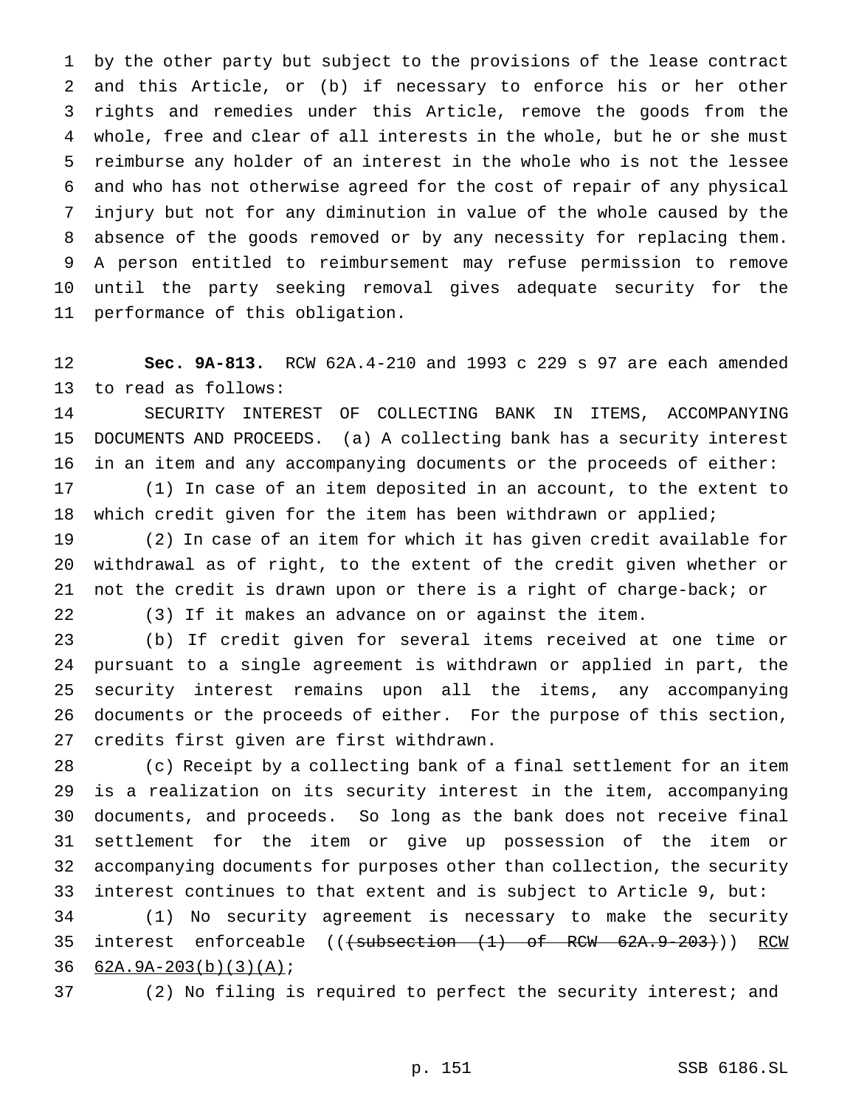by the other party but subject to the provisions of the lease contract and this Article, or (b) if necessary to enforce his or her other rights and remedies under this Article, remove the goods from the whole, free and clear of all interests in the whole, but he or she must reimburse any holder of an interest in the whole who is not the lessee and who has not otherwise agreed for the cost of repair of any physical injury but not for any diminution in value of the whole caused by the absence of the goods removed or by any necessity for replacing them. A person entitled to reimbursement may refuse permission to remove until the party seeking removal gives adequate security for the performance of this obligation.

 **Sec. 9A-813.** RCW 62A.4-210 and 1993 c 229 s 97 are each amended to read as follows:

 SECURITY INTEREST OF COLLECTING BANK IN ITEMS, ACCOMPANYING DOCUMENTS AND PROCEEDS. (a) A collecting bank has a security interest in an item and any accompanying documents or the proceeds of either:

 (1) In case of an item deposited in an account, to the extent to which credit given for the item has been withdrawn or applied;

 (2) In case of an item for which it has given credit available for withdrawal as of right, to the extent of the credit given whether or not the credit is drawn upon or there is a right of charge-back; or (3) If it makes an advance on or against the item.

 (b) If credit given for several items received at one time or pursuant to a single agreement is withdrawn or applied in part, the security interest remains upon all the items, any accompanying documents or the proceeds of either. For the purpose of this section, credits first given are first withdrawn.

 (c) Receipt by a collecting bank of a final settlement for an item is a realization on its security interest in the item, accompanying documents, and proceeds. So long as the bank does not receive final settlement for the item or give up possession of the item or accompanying documents for purposes other than collection, the security interest continues to that extent and is subject to Article 9, but:

 (1) No security agreement is necessary to make the security 35 interest enforceable (((subsection (1) of RCW 62A.9-203))) RCW 62A.9A-203(b)(3)(A);

(2) No filing is required to perfect the security interest; and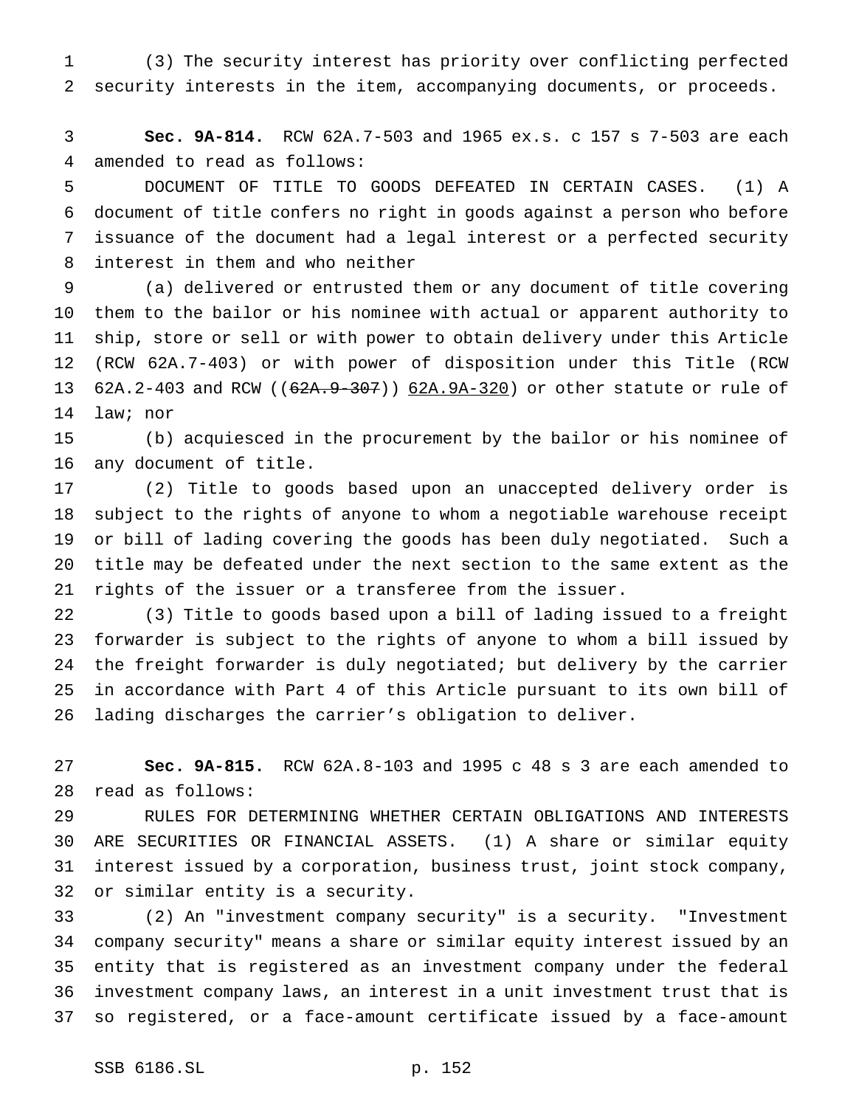(3) The security interest has priority over conflicting perfected security interests in the item, accompanying documents, or proceeds.

 **Sec. 9A-814.** RCW 62A.7-503 and 1965 ex.s. c 157 s 7-503 are each amended to read as follows:

 DOCUMENT OF TITLE TO GOODS DEFEATED IN CERTAIN CASES. (1) A document of title confers no right in goods against a person who before issuance of the document had a legal interest or a perfected security interest in them and who neither

 (a) delivered or entrusted them or any document of title covering them to the bailor or his nominee with actual or apparent authority to ship, store or sell or with power to obtain delivery under this Article (RCW 62A.7-403) or with power of disposition under this Title (RCW 13 62A.2-403 and RCW ((62A.9-307)) 62A.9A-320) or other statute or rule of law; nor

 (b) acquiesced in the procurement by the bailor or his nominee of any document of title.

 (2) Title to goods based upon an unaccepted delivery order is subject to the rights of anyone to whom a negotiable warehouse receipt or bill of lading covering the goods has been duly negotiated. Such a title may be defeated under the next section to the same extent as the rights of the issuer or a transferee from the issuer.

 (3) Title to goods based upon a bill of lading issued to a freight forwarder is subject to the rights of anyone to whom a bill issued by the freight forwarder is duly negotiated; but delivery by the carrier in accordance with Part 4 of this Article pursuant to its own bill of lading discharges the carrier's obligation to deliver.

 **Sec. 9A-815.** RCW 62A.8-103 and 1995 c 48 s 3 are each amended to read as follows:

 RULES FOR DETERMINING WHETHER CERTAIN OBLIGATIONS AND INTERESTS ARE SECURITIES OR FINANCIAL ASSETS. (1) A share or similar equity interest issued by a corporation, business trust, joint stock company, or similar entity is a security.

 (2) An "investment company security" is a security. "Investment company security" means a share or similar equity interest issued by an entity that is registered as an investment company under the federal investment company laws, an interest in a unit investment trust that is so registered, or a face-amount certificate issued by a face-amount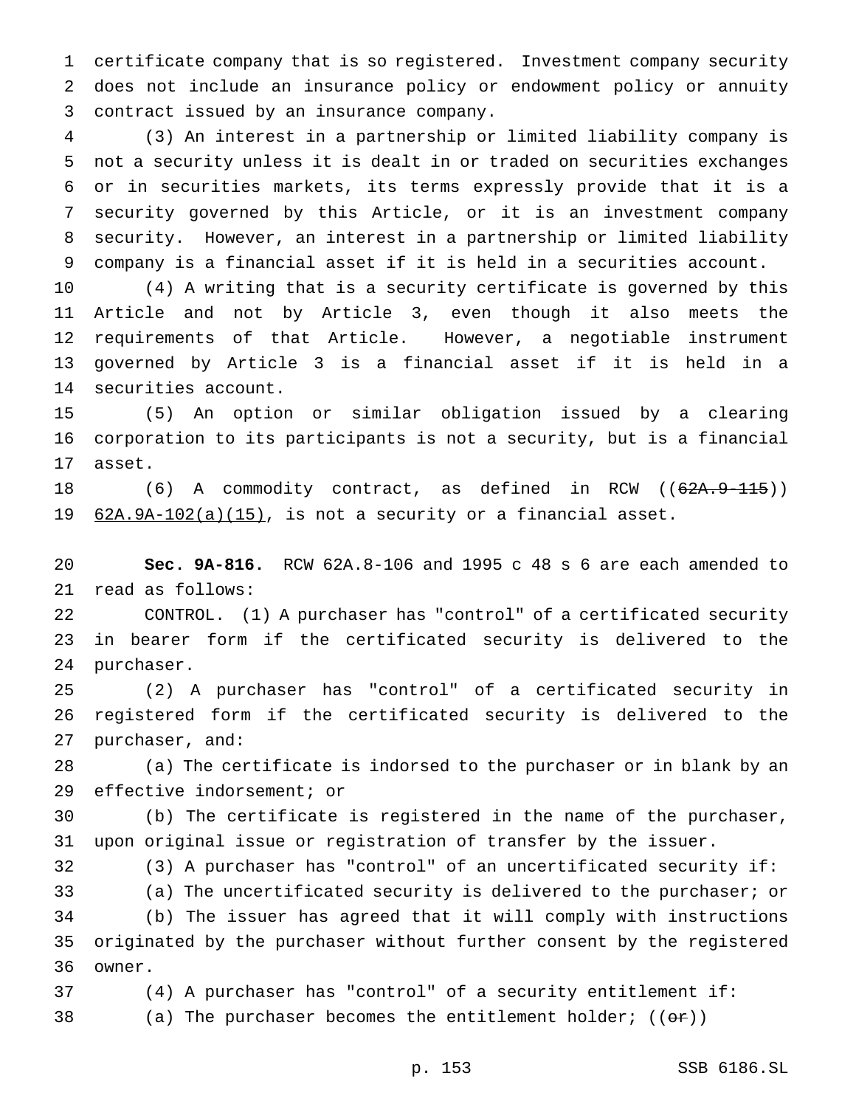certificate company that is so registered. Investment company security does not include an insurance policy or endowment policy or annuity contract issued by an insurance company.

 (3) An interest in a partnership or limited liability company is not a security unless it is dealt in or traded on securities exchanges or in securities markets, its terms expressly provide that it is a security governed by this Article, or it is an investment company security. However, an interest in a partnership or limited liability company is a financial asset if it is held in a securities account.

 (4) A writing that is a security certificate is governed by this Article and not by Article 3, even though it also meets the requirements of that Article. However, a negotiable instrument governed by Article 3 is a financial asset if it is held in a securities account.

 (5) An option or similar obligation issued by a clearing corporation to its participants is not a security, but is a financial asset.

18 (6) A commodity contract, as defined in RCW ((62A.9-115)) 19 62A.9A-102(a)(15), is not a security or a financial asset.

 **Sec. 9A-816.** RCW 62A.8-106 and 1995 c 48 s 6 are each amended to read as follows:

 CONTROL. (1) A purchaser has "control" of a certificated security in bearer form if the certificated security is delivered to the purchaser.

 (2) A purchaser has "control" of a certificated security in registered form if the certificated security is delivered to the purchaser, and:

 (a) The certificate is indorsed to the purchaser or in blank by an effective indorsement; or

 (b) The certificate is registered in the name of the purchaser, upon original issue or registration of transfer by the issuer.

(3) A purchaser has "control" of an uncertificated security if:

 (a) The uncertificated security is delivered to the purchaser; or (b) The issuer has agreed that it will comply with instructions originated by the purchaser without further consent by the registered owner.

 (4) A purchaser has "control" of a security entitlement if: 38 (a) The purchaser becomes the entitlement holder;  $((\theta \cdot \mathbf{r}))$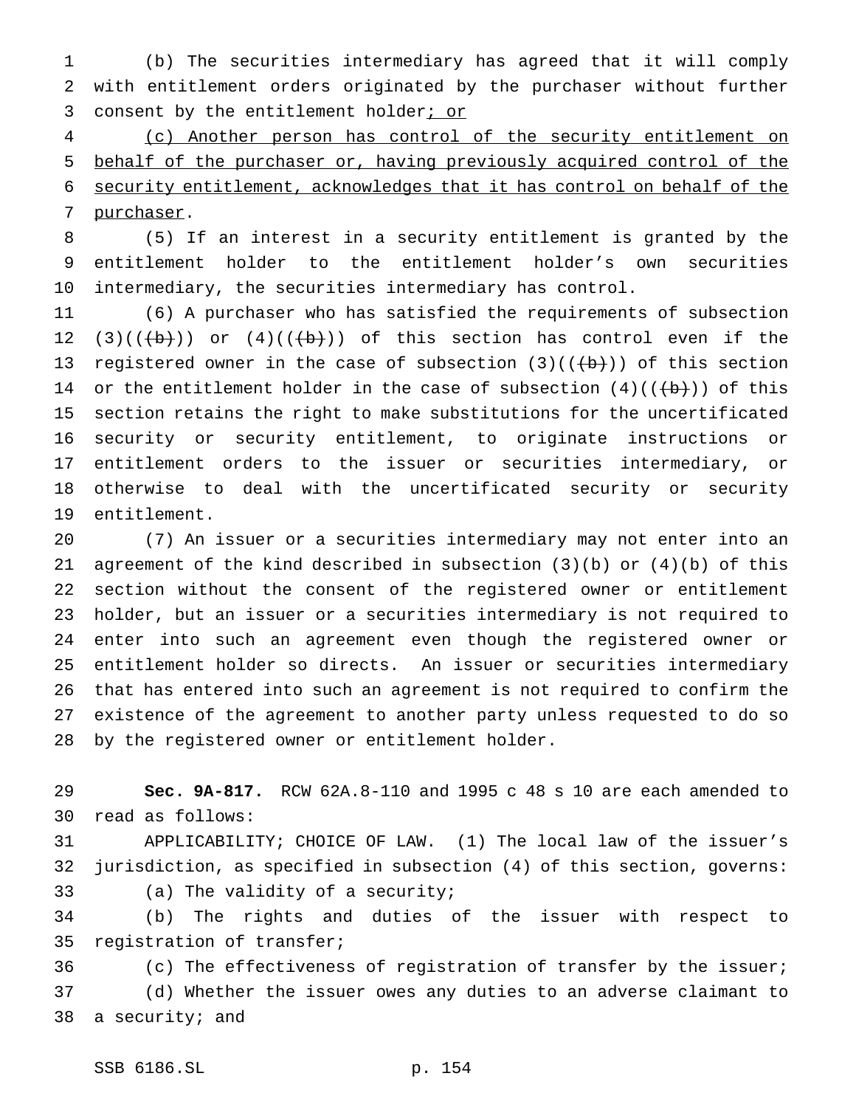(b) The securities intermediary has agreed that it will comply with entitlement orders originated by the purchaser without further 3 consent by the entitlement holder; or

 (c) Another person has control of the security entitlement on behalf of the purchaser or, having previously acquired control of the security entitlement, acknowledges that it has control on behalf of the purchaser.

 (5) If an interest in a security entitlement is granted by the entitlement holder to the entitlement holder's own securities intermediary, the securities intermediary has control.

 (6) A purchaser who has satisfied the requirements of subsection 12 (3)( $(\overline{b})$ ) or  $(4)((\overline{b}))$  of this section has control even if the 13 registered owner in the case of subsection  $(3)((\theta)+))$  of this section 14 or the entitlement holder in the case of subsection  $(4)((\theta)')$  of this section retains the right to make substitutions for the uncertificated security or security entitlement, to originate instructions or entitlement orders to the issuer or securities intermediary, or otherwise to deal with the uncertificated security or security entitlement.

 (7) An issuer or a securities intermediary may not enter into an agreement of the kind described in subsection (3)(b) or (4)(b) of this section without the consent of the registered owner or entitlement holder, but an issuer or a securities intermediary is not required to enter into such an agreement even though the registered owner or entitlement holder so directs. An issuer or securities intermediary that has entered into such an agreement is not required to confirm the existence of the agreement to another party unless requested to do so by the registered owner or entitlement holder.

 **Sec. 9A-817.** RCW 62A.8-110 and 1995 c 48 s 10 are each amended to read as follows:

 APPLICABILITY; CHOICE OF LAW. (1) The local law of the issuer's jurisdiction, as specified in subsection (4) of this section, governs: (a) The validity of a security;

 (b) The rights and duties of the issuer with respect to registration of transfer;

 (c) The effectiveness of registration of transfer by the issuer; (d) Whether the issuer owes any duties to an adverse claimant to a security; and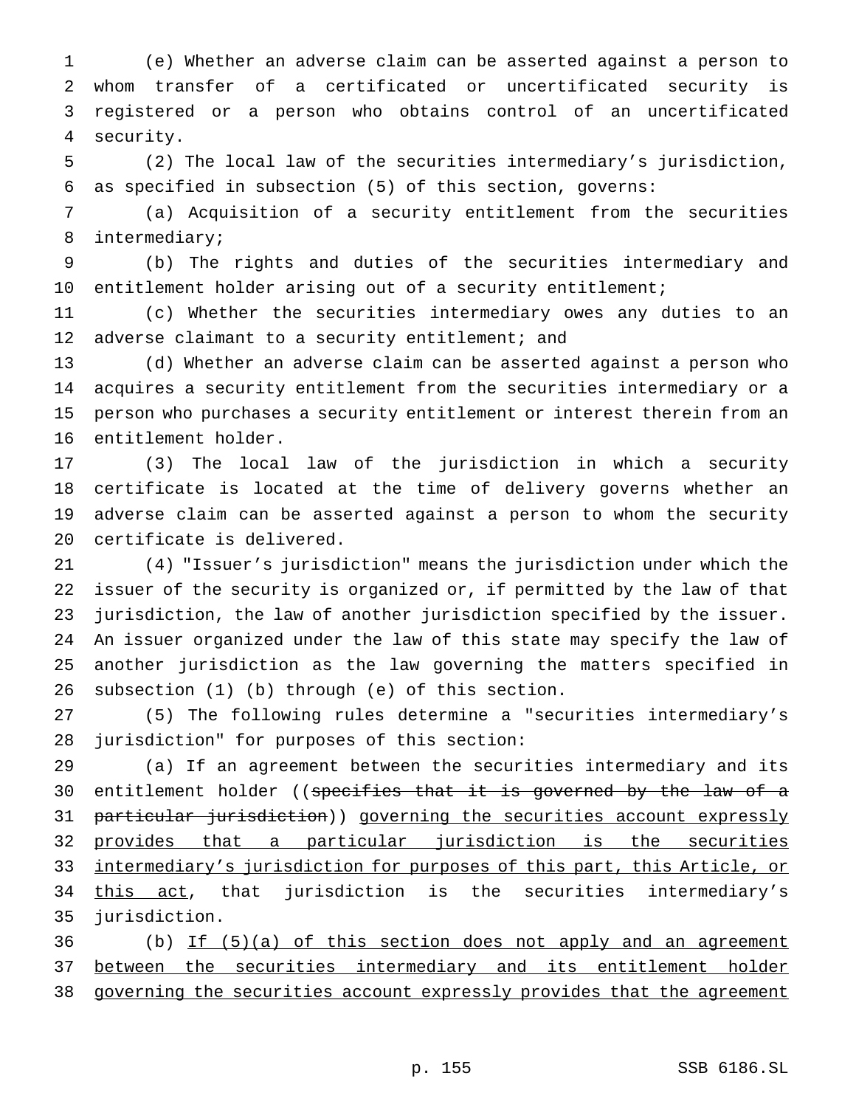(e) Whether an adverse claim can be asserted against a person to whom transfer of a certificated or uncertificated security is registered or a person who obtains control of an uncertificated security.

 (2) The local law of the securities intermediary's jurisdiction, as specified in subsection (5) of this section, governs:

 (a) Acquisition of a security entitlement from the securities intermediary;

 (b) The rights and duties of the securities intermediary and entitlement holder arising out of a security entitlement;

 (c) Whether the securities intermediary owes any duties to an 12 adverse claimant to a security entitlement; and

 (d) Whether an adverse claim can be asserted against a person who acquires a security entitlement from the securities intermediary or a person who purchases a security entitlement or interest therein from an entitlement holder.

 (3) The local law of the jurisdiction in which a security certificate is located at the time of delivery governs whether an adverse claim can be asserted against a person to whom the security certificate is delivered.

 (4) "Issuer's jurisdiction" means the jurisdiction under which the issuer of the security is organized or, if permitted by the law of that jurisdiction, the law of another jurisdiction specified by the issuer. An issuer organized under the law of this state may specify the law of another jurisdiction as the law governing the matters specified in subsection (1) (b) through (e) of this section.

 (5) The following rules determine a "securities intermediary's jurisdiction" for purposes of this section:

 (a) If an agreement between the securities intermediary and its 30 entitlement holder ((specifies that it is governed by the law of a particular jurisdiction)) governing the securities account expressly provides that a particular jurisdiction is the securities intermediary's jurisdiction for purposes of this part, this Article, or 34 this act, that jurisdiction is the securities intermediary's jurisdiction.

 (b) If (5)(a) of this section does not apply and an agreement 37 between the securities intermediary and its entitlement holder 38 governing the securities account expressly provides that the agreement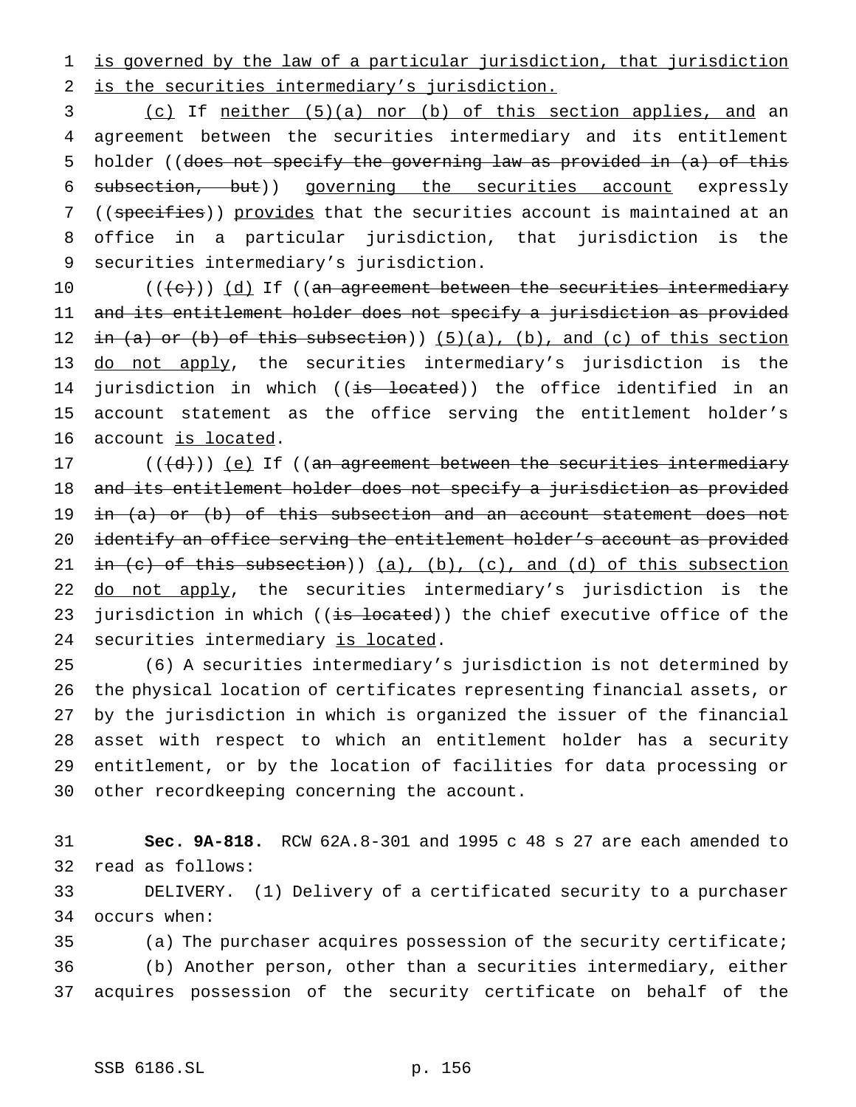is governed by the law of a particular jurisdiction, that jurisdiction is the securities intermediary's jurisdiction.

 (c) If neither (5)(a) nor (b) of this section applies, and an agreement between the securities intermediary and its entitlement 5 holder ((does not specify the governing law as provided in (a) of this subsection, but)) governing the securities account expressly 7 ((specifies)) provides that the securities account is maintained at an office in a particular jurisdiction, that jurisdiction is the securities intermediary's jurisdiction.

 $((\{e\}) \ (d)$  If  $((an agreement between the securities intermediary$  and its entitlement holder does not specify a jurisdiction as provided 12 in  $(a)$  or  $(b)$  of this subsection))  $(5)(a)$ ,  $(b)$ , and  $(c)$  of this section 13 do not apply, the securities intermediary's jurisdiction is the 14 jurisdiction in which ((is located)) the office identified in an account statement as the office serving the entitlement holder's 16 account is located.

 $((\{d\})\)$  <u>(e)</u> If ((<del>an agreement between the securities intermediary</del> 18 and its entitlement holder does not specify a jurisdiction as provided 19 in (a) or (b) of this subsection and an account statement does not 20 identify an office serving the entitlement holder's account as provided 21 in  $(e)$  of this subsection))  $(a)$ ,  $(b)$ ,  $(c)$ , and  $(d)$  of this subsection 22 do not apply, the securities intermediary's jurisdiction is the 23 jurisdiction in which ((is located)) the chief executive office of the 24 securities intermediary is located.

 (6) A securities intermediary's jurisdiction is not determined by the physical location of certificates representing financial assets, or by the jurisdiction in which is organized the issuer of the financial asset with respect to which an entitlement holder has a security entitlement, or by the location of facilities for data processing or other recordkeeping concerning the account.

 **Sec. 9A-818.** RCW 62A.8-301 and 1995 c 48 s 27 are each amended to read as follows:

 DELIVERY. (1) Delivery of a certificated security to a purchaser occurs when:

 (a) The purchaser acquires possession of the security certificate; (b) Another person, other than a securities intermediary, either acquires possession of the security certificate on behalf of the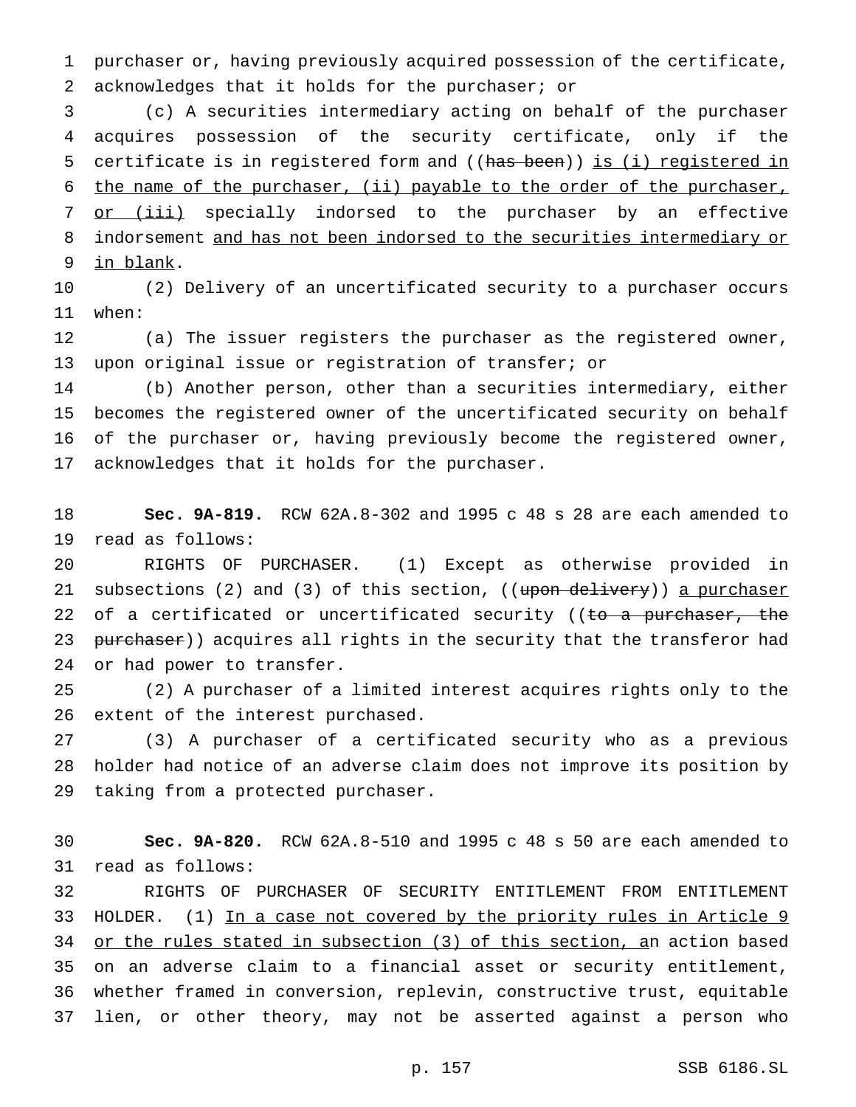purchaser or, having previously acquired possession of the certificate, acknowledges that it holds for the purchaser; or

 (c) A securities intermediary acting on behalf of the purchaser acquires possession of the security certificate, only if the 5 certificate is in registered form and ((has been)) is (i) registered in the name of the purchaser, (ii) payable to the order of the purchaser, 7 or (iii) specially indorsed to the purchaser by an effective 8 indorsement and has not been indorsed to the securities intermediary or in blank.

 (2) Delivery of an uncertificated security to a purchaser occurs when:

 (a) The issuer registers the purchaser as the registered owner, upon original issue or registration of transfer; or

 (b) Another person, other than a securities intermediary, either becomes the registered owner of the uncertificated security on behalf of the purchaser or, having previously become the registered owner, acknowledges that it holds for the purchaser.

 **Sec. 9A-819.** RCW 62A.8-302 and 1995 c 48 s 28 are each amended to read as follows:

 RIGHTS OF PURCHASER. (1) Except as otherwise provided in 21 subsections (2) and (3) of this section, ((upon delivery)) a purchaser 22 of a certificated or uncertificated security ((to a purchaser, the 23 purchaser)) acquires all rights in the security that the transferor had or had power to transfer.

 (2) A purchaser of a limited interest acquires rights only to the extent of the interest purchased.

 (3) A purchaser of a certificated security who as a previous holder had notice of an adverse claim does not improve its position by taking from a protected purchaser.

 **Sec. 9A-820.** RCW 62A.8-510 and 1995 c 48 s 50 are each amended to read as follows:

 RIGHTS OF PURCHASER OF SECURITY ENTITLEMENT FROM ENTITLEMENT HOLDER. (1) In a case not covered by the priority rules in Article 9 34 or the rules stated in subsection (3) of this section, an action based on an adverse claim to a financial asset or security entitlement, whether framed in conversion, replevin, constructive trust, equitable lien, or other theory, may not be asserted against a person who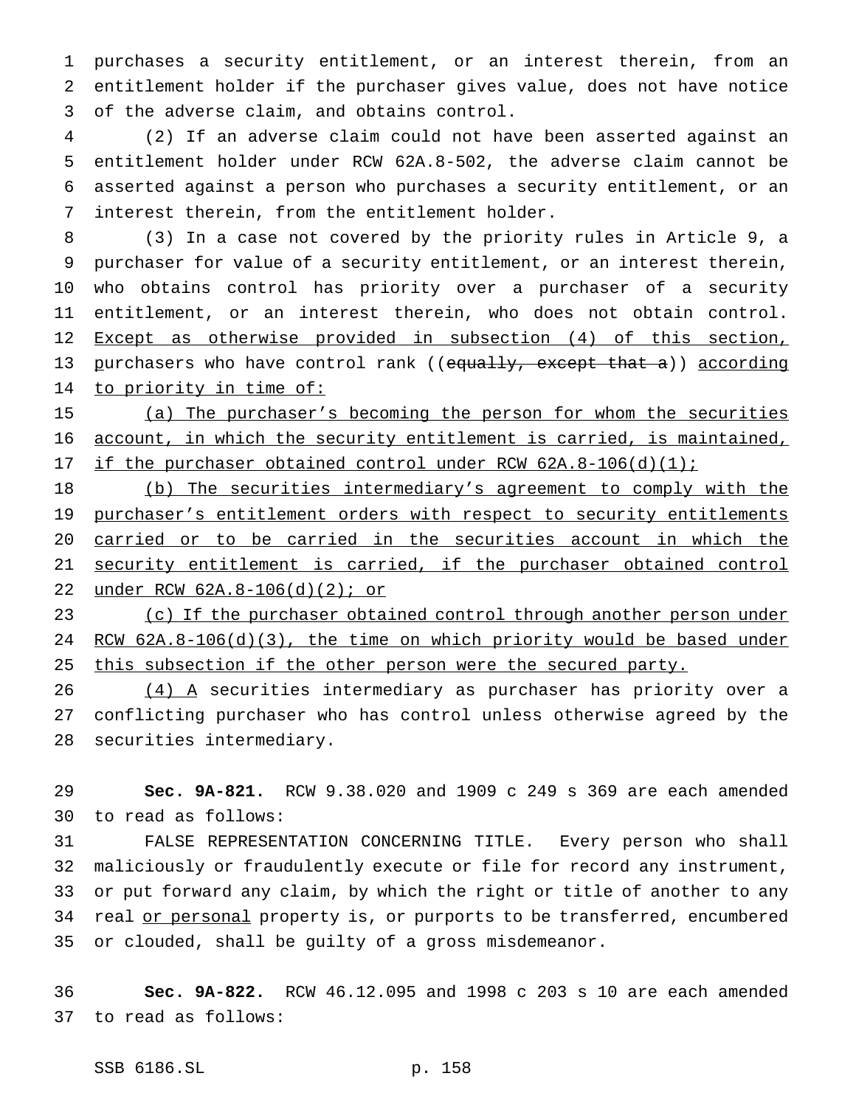purchases a security entitlement, or an interest therein, from an entitlement holder if the purchaser gives value, does not have notice of the adverse claim, and obtains control.

 (2) If an adverse claim could not have been asserted against an entitlement holder under RCW 62A.8-502, the adverse claim cannot be asserted against a person who purchases a security entitlement, or an interest therein, from the entitlement holder.

 (3) In a case not covered by the priority rules in Article 9, a purchaser for value of a security entitlement, or an interest therein, who obtains control has priority over a purchaser of a security entitlement, or an interest therein, who does not obtain control. Except as otherwise provided in subsection (4) of this section, 13 purchasers who have control rank ((equally, except that a)) according 14 to priority in time of:

15 (a) The purchaser's becoming the person for whom the securities account, in which the security entitlement is carried, is maintained, 17 if the purchaser obtained control under RCW 62A.8-106(d)(1);

 (b) The securities intermediary's agreement to comply with the 19 purchaser's entitlement orders with respect to security entitlements carried or to be carried in the securities account in which the security entitlement is carried, if the purchaser obtained control under RCW 62A.8-106(d)(2); or

 (c) If the purchaser obtained control through another person under RCW 62A.8-106(d)(3), the time on which priority would be based under 25 this subsection if the other person were the secured party.

26 (4) A securities intermediary as purchaser has priority over a conflicting purchaser who has control unless otherwise agreed by the securities intermediary.

 **Sec. 9A-821.** RCW 9.38.020 and 1909 c 249 s 369 are each amended to read as follows:

 FALSE REPRESENTATION CONCERNING TITLE. Every person who shall maliciously or fraudulently execute or file for record any instrument, or put forward any claim, by which the right or title of another to any 34 real or personal property is, or purports to be transferred, encumbered or clouded, shall be guilty of a gross misdemeanor.

 **Sec. 9A-822.** RCW 46.12.095 and 1998 c 203 s 10 are each amended to read as follows: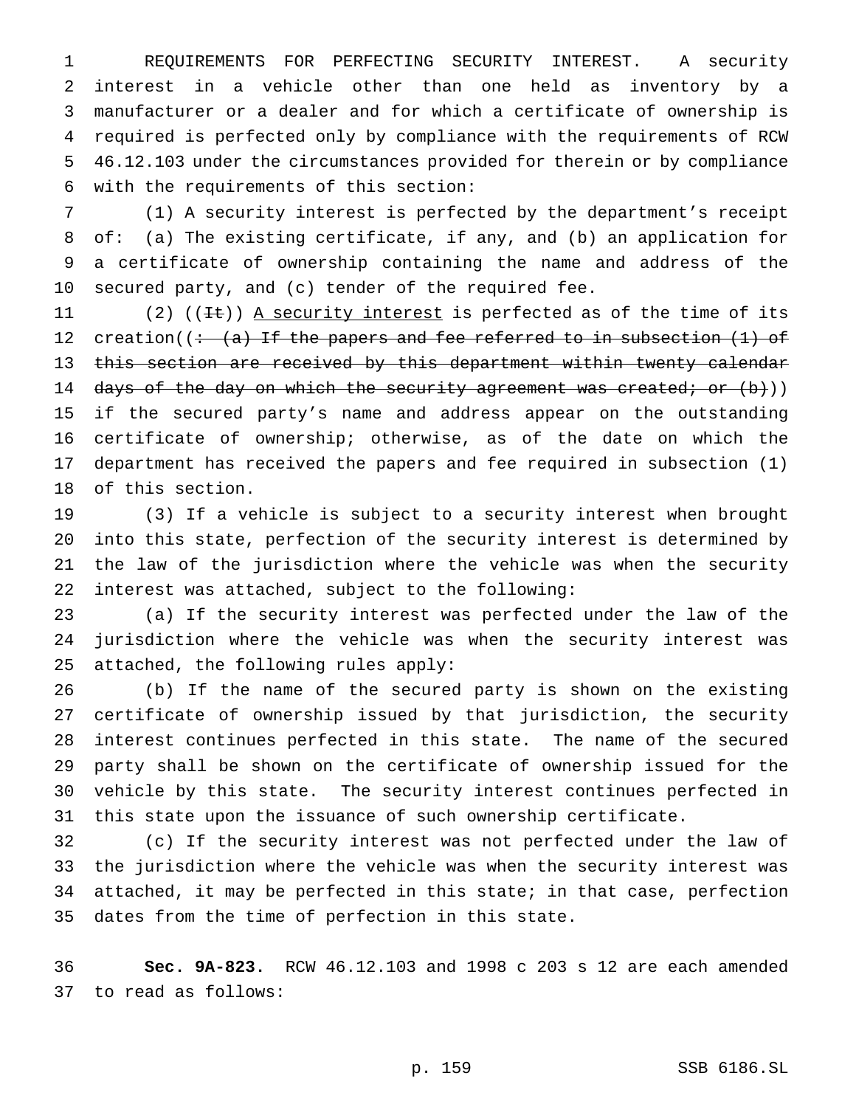REQUIREMENTS FOR PERFECTING SECURITY INTEREST. A security interest in a vehicle other than one held as inventory by a manufacturer or a dealer and for which a certificate of ownership is required is perfected only by compliance with the requirements of RCW 46.12.103 under the circumstances provided for therein or by compliance with the requirements of this section:

 (1) A security interest is perfected by the department's receipt of: (a) The existing certificate, if any, and (b) an application for a certificate of ownership containing the name and address of the secured party, and (c) tender of the required fee.

11 (2) ( $(1t)$ ) A security interest is perfected as of the time of its 12 creation( $\left(\div -\left(\frac{1}{2}\right) \right)$  if the papers and fee referred to in subsection (1) of 13 this section are received by this department within twenty calendar 14 days of the day on which the security agreement was created; or  $(b)$ )) if the secured party's name and address appear on the outstanding certificate of ownership; otherwise, as of the date on which the department has received the papers and fee required in subsection (1) of this section.

 (3) If a vehicle is subject to a security interest when brought into this state, perfection of the security interest is determined by the law of the jurisdiction where the vehicle was when the security interest was attached, subject to the following:

 (a) If the security interest was perfected under the law of the jurisdiction where the vehicle was when the security interest was attached, the following rules apply:

 (b) If the name of the secured party is shown on the existing certificate of ownership issued by that jurisdiction, the security interest continues perfected in this state. The name of the secured party shall be shown on the certificate of ownership issued for the vehicle by this state. The security interest continues perfected in this state upon the issuance of such ownership certificate.

 (c) If the security interest was not perfected under the law of the jurisdiction where the vehicle was when the security interest was attached, it may be perfected in this state; in that case, perfection dates from the time of perfection in this state.

 **Sec. 9A-823.** RCW 46.12.103 and 1998 c 203 s 12 are each amended to read as follows: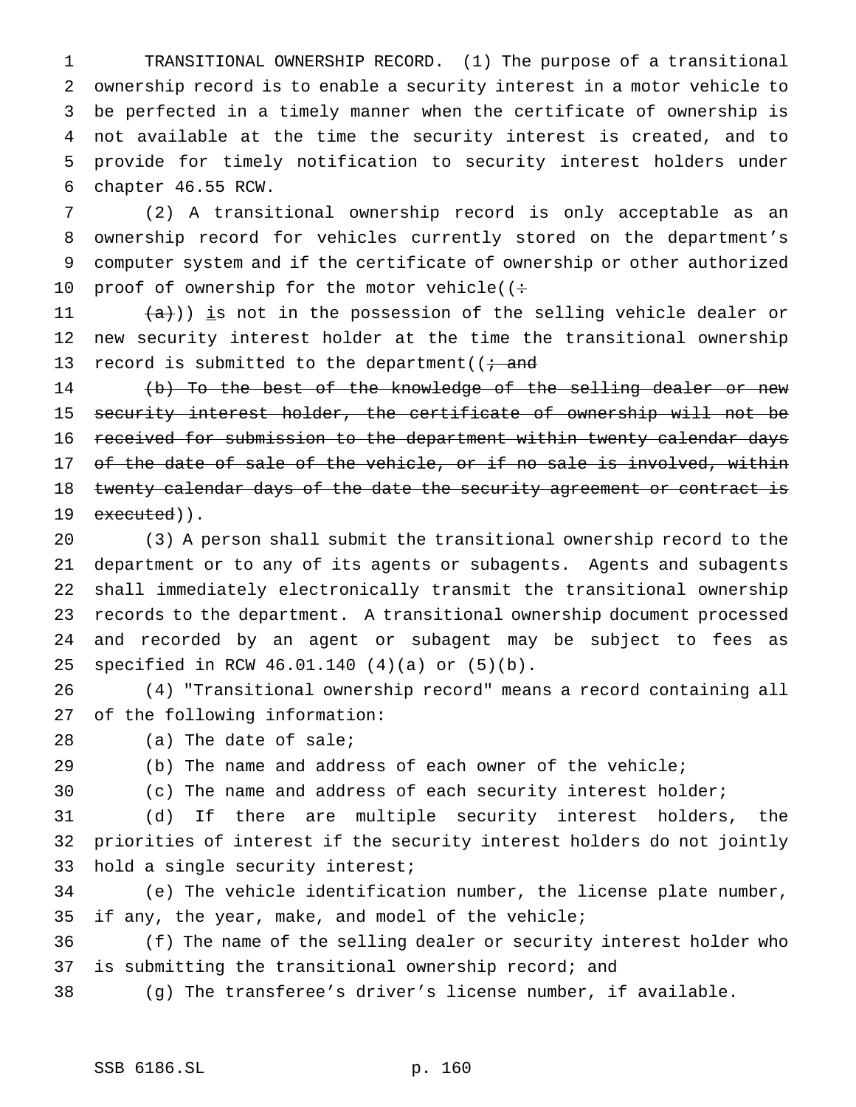TRANSITIONAL OWNERSHIP RECORD. (1) The purpose of a transitional ownership record is to enable a security interest in a motor vehicle to be perfected in a timely manner when the certificate of ownership is not available at the time the security interest is created, and to provide for timely notification to security interest holders under chapter 46.55 RCW.

 (2) A transitional ownership record is only acceptable as an ownership record for vehicles currently stored on the department's computer system and if the certificate of ownership or other authorized 10 proof of ownership for the motor vehicle( $($ :

 $(a)$ )) is not in the possession of the selling vehicle dealer or new security interest holder at the time the transitional ownership 13 record is submitted to the department( $\overline{t}$  and

14 (b) To the best of the knowledge of the selling dealer or new security interest holder, the certificate of ownership will not be 16 received for submission to the department within twenty calendar days 17 of the date of sale of the vehicle, or if no sale is involved, within 18 twenty calendar days of the date the security agreement or contract is 19 executed)).

 (3) A person shall submit the transitional ownership record to the department or to any of its agents or subagents. Agents and subagents shall immediately electronically transmit the transitional ownership records to the department. A transitional ownership document processed and recorded by an agent or subagent may be subject to fees as specified in RCW 46.01.140 (4)(a) or (5)(b).

 (4) "Transitional ownership record" means a record containing all of the following information:

28 (a) The date of sale;

(b) The name and address of each owner of the vehicle;

(c) The name and address of each security interest holder;

 (d) If there are multiple security interest holders, the priorities of interest if the security interest holders do not jointly hold a single security interest;

 (e) The vehicle identification number, the license plate number, if any, the year, make, and model of the vehicle;

 (f) The name of the selling dealer or security interest holder who is submitting the transitional ownership record; and

(g) The transferee's driver's license number, if available.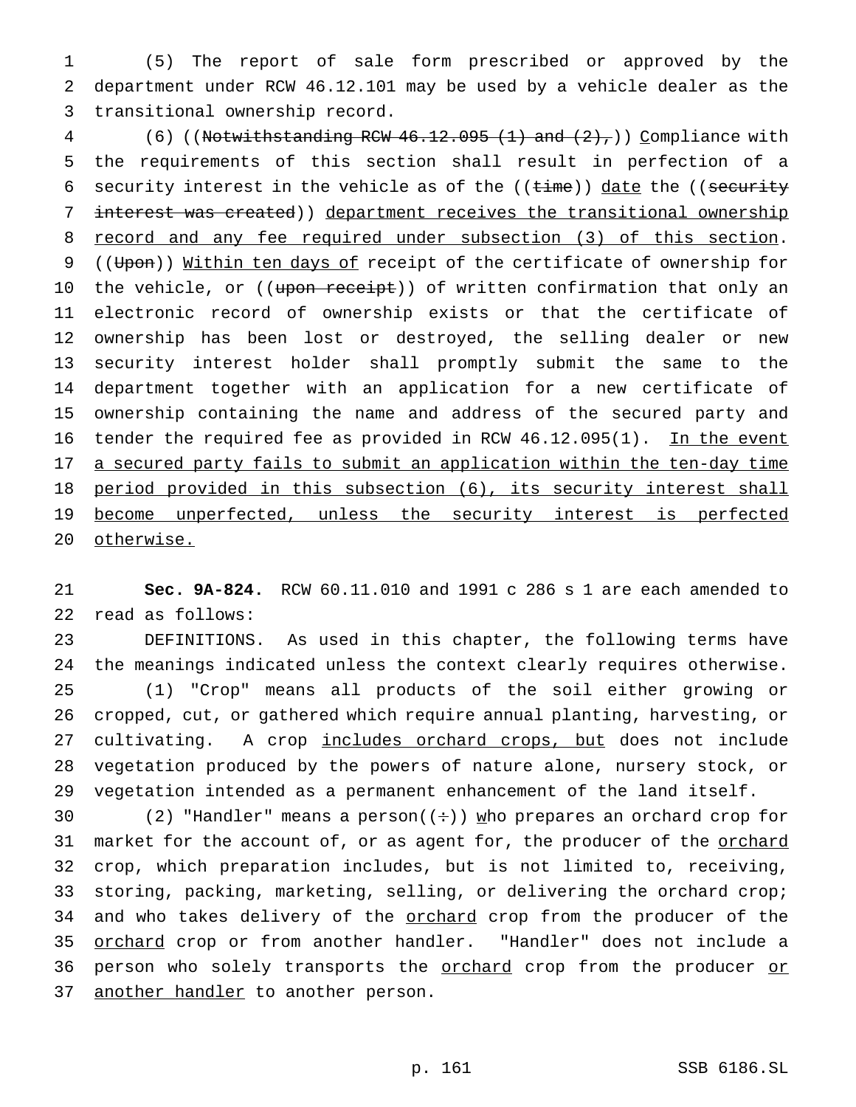1 (5) The report of sale form prescribed or approved by the 2 department under RCW 46.12.101 may be used by a vehicle dealer as the 3 transitional ownership record.

4 (6) ((Notwithstanding RCW  $46.12.095$  (1) and  $(2)$ ,)) Compliance with 5 the requirements of this section shall result in perfection of a 6 security interest in the vehicle as of the  $((time))$  date the  $((security$ 7 interest was created)) department receives the transitional ownership 8 record and any fee required under subsection (3) of this section. 9 ((Upon)) Within ten days of receipt of the certificate of ownership for 10 the vehicle, or ((upon receipt)) of written confirmation that only an 11 electronic record of ownership exists or that the certificate of 12 ownership has been lost or destroyed, the selling dealer or new 13 security interest holder shall promptly submit the same to the 14 department together with an application for a new certificate of 15 ownership containing the name and address of the secured party and 16 tender the required fee as provided in RCW 46.12.095(1). In the event 17 a secured party fails to submit an application within the ten-day time 18 period provided in this subsection (6), its security interest shall 19 become unperfected, unless the security interest is perfected 20 otherwise.

21 **Sec. 9A-824.** RCW 60.11.010 and 1991 c 286 s 1 are each amended to 22 read as follows:

 DEFINITIONS. As used in this chapter, the following terms have the meanings indicated unless the context clearly requires otherwise. (1) "Crop" means all products of the soil either growing or cropped, cut, or gathered which require annual planting, harvesting, or 27 cultivating. A crop includes orchard crops, but does not include vegetation produced by the powers of nature alone, nursery stock, or vegetation intended as a permanent enhancement of the land itself.

30 (2) "Handler" means a person( $(\div)$ ) who prepares an orchard crop for 31 market for the account of, or as agent for, the producer of the orchard 32 crop, which preparation includes, but is not limited to, receiving, 33 storing, packing, marketing, selling, or delivering the orchard crop; 34 and who takes delivery of the orchard crop from the producer of the 35 orchard crop or from another handler. "Handler" does not include a 36 person who solely transports the orchard crop from the producer or 37 another handler to another person.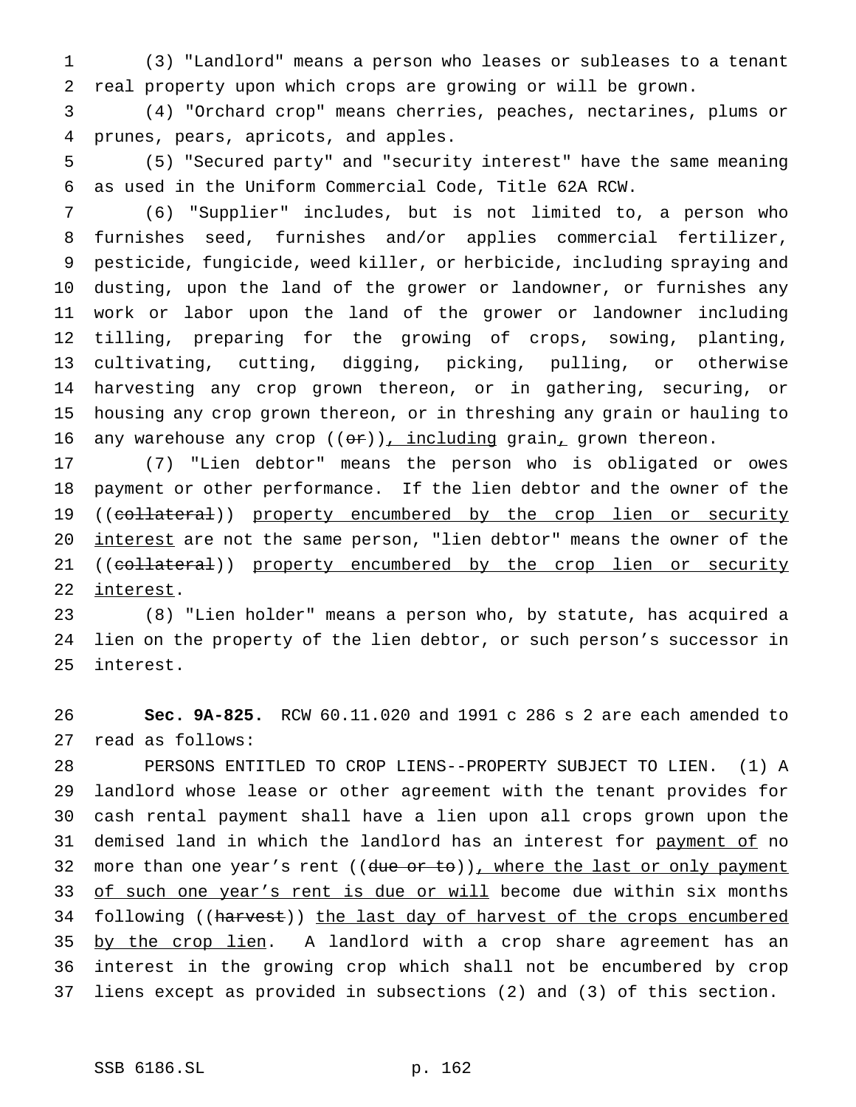(3) "Landlord" means a person who leases or subleases to a tenant real property upon which crops are growing or will be grown.

 (4) "Orchard crop" means cherries, peaches, nectarines, plums or prunes, pears, apricots, and apples.

 (5) "Secured party" and "security interest" have the same meaning as used in the Uniform Commercial Code, Title 62A RCW.

 (6) "Supplier" includes, but is not limited to, a person who furnishes seed, furnishes and/or applies commercial fertilizer, pesticide, fungicide, weed killer, or herbicide, including spraying and dusting, upon the land of the grower or landowner, or furnishes any work or labor upon the land of the grower or landowner including tilling, preparing for the growing of crops, sowing, planting, cultivating, cutting, digging, picking, pulling, or otherwise harvesting any crop grown thereon, or in gathering, securing, or housing any crop grown thereon, or in threshing any grain or hauling to 16 any warehouse any crop  $((or))$ , including grain, grown thereon.

 (7) "Lien debtor" means the person who is obligated or owes payment or other performance. If the lien debtor and the owner of the 19 ((collateral)) property encumbered by the crop lien or security 20 interest are not the same person, "lien debtor" means the owner of the 21 ((collateral)) property encumbered by the crop lien or security 22 interest.

 (8) "Lien holder" means a person who, by statute, has acquired a lien on the property of the lien debtor, or such person's successor in interest.

 **Sec. 9A-825.** RCW 60.11.020 and 1991 c 286 s 2 are each amended to read as follows:

 PERSONS ENTITLED TO CROP LIENS--PROPERTY SUBJECT TO LIEN. (1) A landlord whose lease or other agreement with the tenant provides for cash rental payment shall have a lien upon all crops grown upon the 31 demised land in which the landlord has an interest for payment of no 32 more than one year's rent ((due or to)), where the last or only payment 33 of such one year's rent is due or will become due within six months following ((harvest)) the last day of harvest of the crops encumbered 35 by the crop lien. A landlord with a crop share agreement has an interest in the growing crop which shall not be encumbered by crop liens except as provided in subsections (2) and (3) of this section.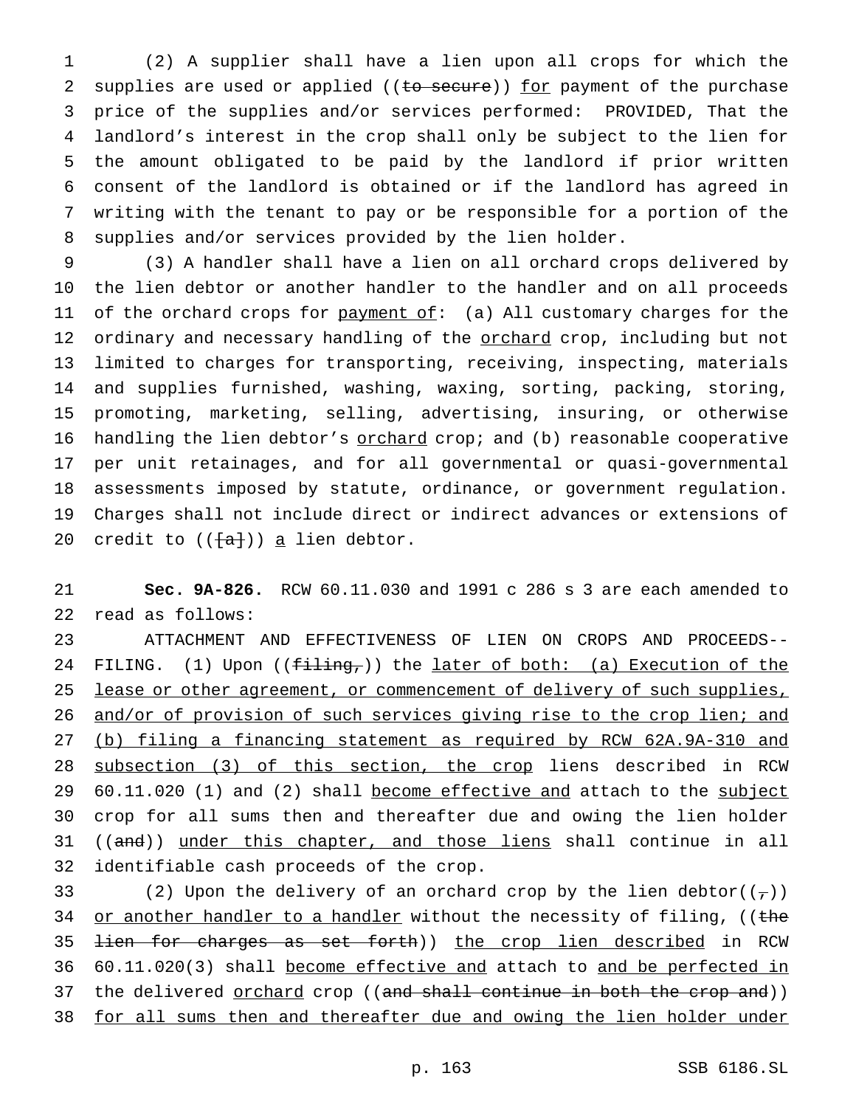(2) A supplier shall have a lien upon all crops for which the 2 supplies are used or applied (( $t$ o secure)) for payment of the purchase price of the supplies and/or services performed: PROVIDED, That the landlord's interest in the crop shall only be subject to the lien for the amount obligated to be paid by the landlord if prior written consent of the landlord is obtained or if the landlord has agreed in writing with the tenant to pay or be responsible for a portion of the supplies and/or services provided by the lien holder.

 (3) A handler shall have a lien on all orchard crops delivered by the lien debtor or another handler to the handler and on all proceeds 11 of the orchard crops for  $\frac{payment}{}$  (a) All customary charges for the 12 ordinary and necessary handling of the orchard crop, including but not limited to charges for transporting, receiving, inspecting, materials and supplies furnished, washing, waxing, sorting, packing, storing, promoting, marketing, selling, advertising, insuring, or otherwise 16 handling the lien debtor's orchard crop; and (b) reasonable cooperative per unit retainages, and for all governmental or quasi-governmental assessments imposed by statute, ordinance, or government regulation. Charges shall not include direct or indirect advances or extensions of 20 credit to  $((+a))$  a lien debtor.

21 **Sec. 9A-826.** RCW 60.11.030 and 1991 c 286 s 3 are each amended to 22 read as follows:

23 ATTACHMENT AND EFFECTIVENESS OF LIEN ON CROPS AND PROCEEDS-- 24 FILING. (1) Upon  $((f<sub>ii</sub>+ig<sub>r</sub>))$  the later of both: (a) Execution of the 25 lease or other agreement, or commencement of delivery of such supplies, 26 and/or of provision of such services giving rise to the crop lien; and 27 (b) filing a financing statement as required by RCW 62A.9A-310 and 28 subsection (3) of this section, the crop liens described in RCW 29 60.11.020 (1) and (2) shall become effective and attach to the subject 30 crop for all sums then and thereafter due and owing the lien holder 31 ((and)) under this chapter, and those liens shall continue in all 32 identifiable cash proceeds of the crop.

33 (2) Upon the delivery of an orchard crop by the lien debtor( $(\tau)$ ) 34 or another handler to a handler without the necessity of filing, ((the 35 <del>lien for charges as set forth</del>)) the crop lien described in RCW 36 60.11.020(3) shall become effective and attach to and be perfected in 37 the delivered orchard crop ((and shall continue in both the crop and)) 38 for all sums then and thereafter due and owing the lien holder under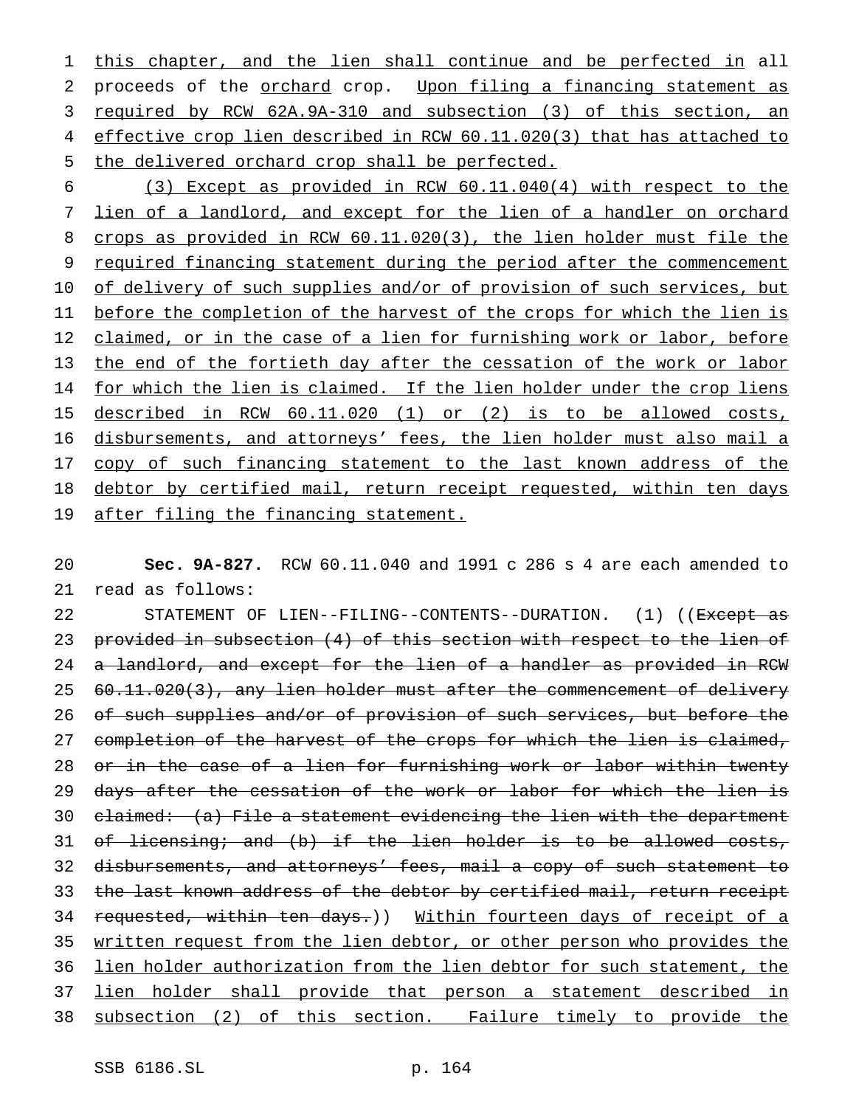1 this chapter, and the lien shall continue and be perfected in all 2 proceeds of the orchard crop. Upon filing a financing statement as 3 required by RCW 62A.9A-310 and subsection (3) of this section, an 4 effective crop lien described in RCW 60.11.020(3) that has attached to 5 the delivered orchard crop shall be perfected.

6 (3) Except as provided in RCW 60.11.040(4) with respect to the 7 lien of a landlord, and except for the lien of a handler on orchard 8 crops as provided in RCW 60.11.020(3), the lien holder must file the 9 required financing statement during the period after the commencement 10 of delivery of such supplies and/or of provision of such services, but 11 before the completion of the harvest of the crops for which the lien is 12 claimed, or in the case of a lien for furnishing work or labor, before 13 the end of the fortieth day after the cessation of the work or labor 14 for which the lien is claimed. If the lien holder under the crop liens 15 described in RCW 60.11.020 (1) or (2) is to be allowed costs, 16 disbursements, and attorneys' fees, the lien holder must also mail a 17 copy of such financing statement to the last known address of the 18 debtor by certified mail, return receipt requested, within ten days 19 after filing the financing statement.

20 **Sec. 9A-827.** RCW 60.11.040 and 1991 c 286 s 4 are each amended to 21 read as follows:

22 STATEMENT OF LIEN--FILING--CONTENTS--DURATION. (1) ((Except as 23 provided in subsection (4) of this section with respect to the lien of 24 a landlord, and except for the lien of a handler as provided in RCW 25 60.11.020(3), any lien holder must after the commencement of delivery 26 of such supplies and/or of provision of such services, but before the 27 completion of the harvest of the crops for which the lien is claimed, 28 or in the case of a lien for furnishing work or labor within twenty 29 days after the cessation of the work or labor for which the lien is 30 claimed: (a) File a statement evidencing the lien with the department 31 of licensing; and (b) if the lien holder is to be allowed costs, 32 disbursements, and attorneys' fees, mail a copy of such statement to 33 the last known address of the debtor by certified mail, return receipt 34 requested, within ten days.)) Within fourteen days of receipt of a 35 written request from the lien debtor, or other person who provides the 36 lien holder authorization from the lien debtor for such statement, the 37 lien holder shall provide that person a statement described in 38 subsection (2) of this section. Failure timely to provide the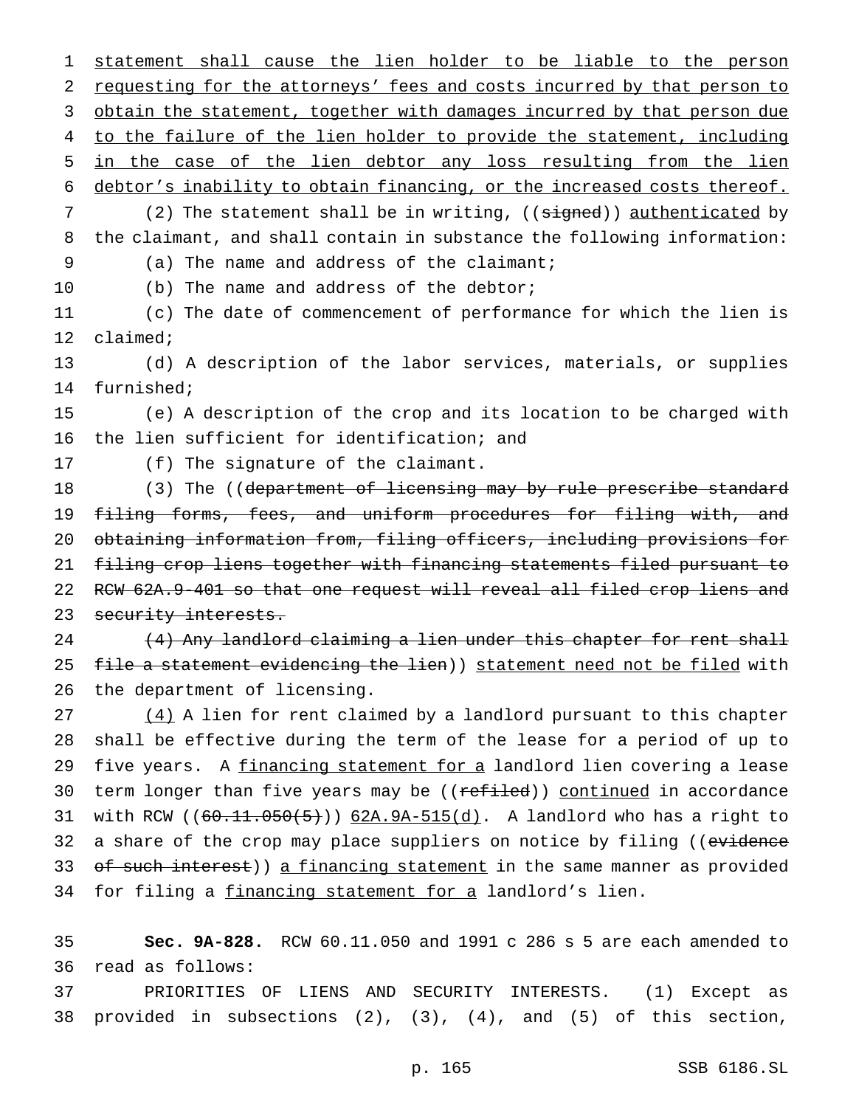statement shall cause the lien holder to be liable to the person requesting for the attorneys' fees and costs incurred by that person to 3 obtain the statement, together with damages incurred by that person due to the failure of the lien holder to provide the statement, including 5 in the case of the lien debtor any loss resulting from the lien debtor's inability to obtain financing, or the increased costs thereof. 7 (2) The statement shall be in writing, ((signed)) authenticated by the claimant, and shall contain in substance the following information: (a) The name and address of the claimant; 10 (b) The name and address of the debtor; (c) The date of commencement of performance for which the lien is claimed; (d) A description of the labor services, materials, or supplies furnished; (e) A description of the crop and its location to be charged with the lien sufficient for identification; and

(f) The signature of the claimant.

18 (3) The ((department of licensing may by rule prescribe standard 19 filing forms, fees, and uniform procedures for filing with, and obtaining information from, filing officers, including provisions for filing crop liens together with financing statements filed pursuant to RCW 62A.9-401 so that one request will reveal all filed crop liens and 23 security interests.

  $(4)$  Any landlord claiming a lien under this chapter for rent shall 25 file a statement evidencing the lien)) statement need not be filed with the department of licensing.

 $(4)$  A lien for rent claimed by a landlord pursuant to this chapter shall be effective during the term of the lease for a period of up to 29 five years. A financing statement for a landlord lien covering a lease 30 term longer than five years may be ((refiled)) continued in accordance 31 with RCW  $((60.11.050(5))) 62A.9A-515(d)$ . A landlord who has a right to 32 a share of the crop may place suppliers on notice by filing ((evidence 33 of such interest)) a financing statement in the same manner as provided 34 for filing a financing statement for a landlord's lien.

 **Sec. 9A-828.** RCW 60.11.050 and 1991 c 286 s 5 are each amended to read as follows:

 PRIORITIES OF LIENS AND SECURITY INTERESTS. (1) Except as provided in subsections (2), (3), (4), and (5) of this section,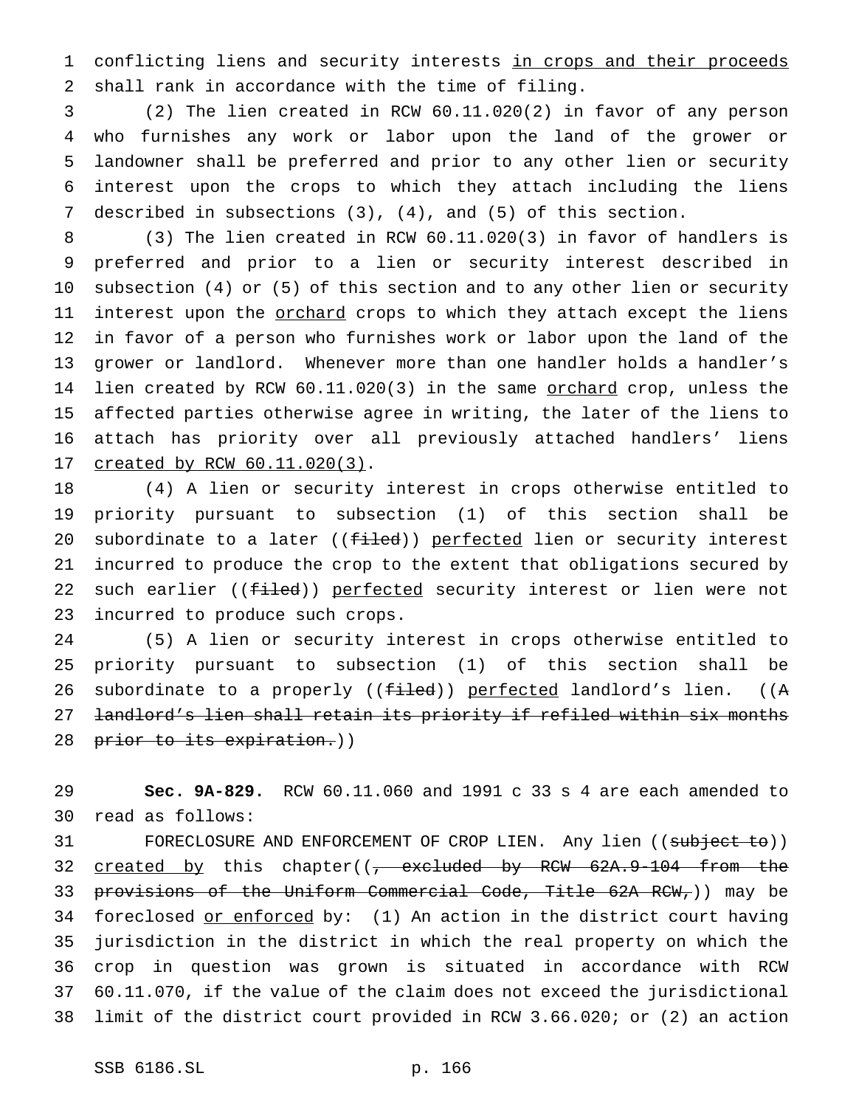1 conflicting liens and security interests in crops and their proceeds shall rank in accordance with the time of filing.

 (2) The lien created in RCW 60.11.020(2) in favor of any person who furnishes any work or labor upon the land of the grower or landowner shall be preferred and prior to any other lien or security interest upon the crops to which they attach including the liens described in subsections (3), (4), and (5) of this section.

 (3) The lien created in RCW 60.11.020(3) in favor of handlers is preferred and prior to a lien or security interest described in subsection (4) or (5) of this section and to any other lien or security 11 interest upon the orchard crops to which they attach except the liens in favor of a person who furnishes work or labor upon the land of the grower or landlord. Whenever more than one handler holds a handler's 14 lien created by RCW 60.11.020(3) in the same orchard crop, unless the affected parties otherwise agree in writing, the later of the liens to attach has priority over all previously attached handlers' liens created by RCW 60.11.020(3).

 (4) A lien or security interest in crops otherwise entitled to priority pursuant to subsection (1) of this section shall be 20 subordinate to a later ((filed)) perfected lien or security interest incurred to produce the crop to the extent that obligations secured by 22 such earlier ((filed)) perfected security interest or lien were not incurred to produce such crops.

 (5) A lien or security interest in crops otherwise entitled to priority pursuant to subsection (1) of this section shall be 26 subordinate to a properly ((filed)) perfected landlord's lien. ((A landlord's lien shall retain its priority if refiled within six months 28 prior to its expiration.))

 **Sec. 9A-829.** RCW 60.11.060 and 1991 c 33 s 4 are each amended to read as follows:

31 FORECLOSURE AND ENFORCEMENT OF CROP LIEN. Any lien ((subject to)) 32 created by this chapter((, excluded by RCW 62A.9-104 from the 33 provisions of the Uniform Commercial Code, Title 62A RCW, ) may be 34 foreclosed or enforced by: (1) An action in the district court having jurisdiction in the district in which the real property on which the crop in question was grown is situated in accordance with RCW 60.11.070, if the value of the claim does not exceed the jurisdictional limit of the district court provided in RCW 3.66.020; or (2) an action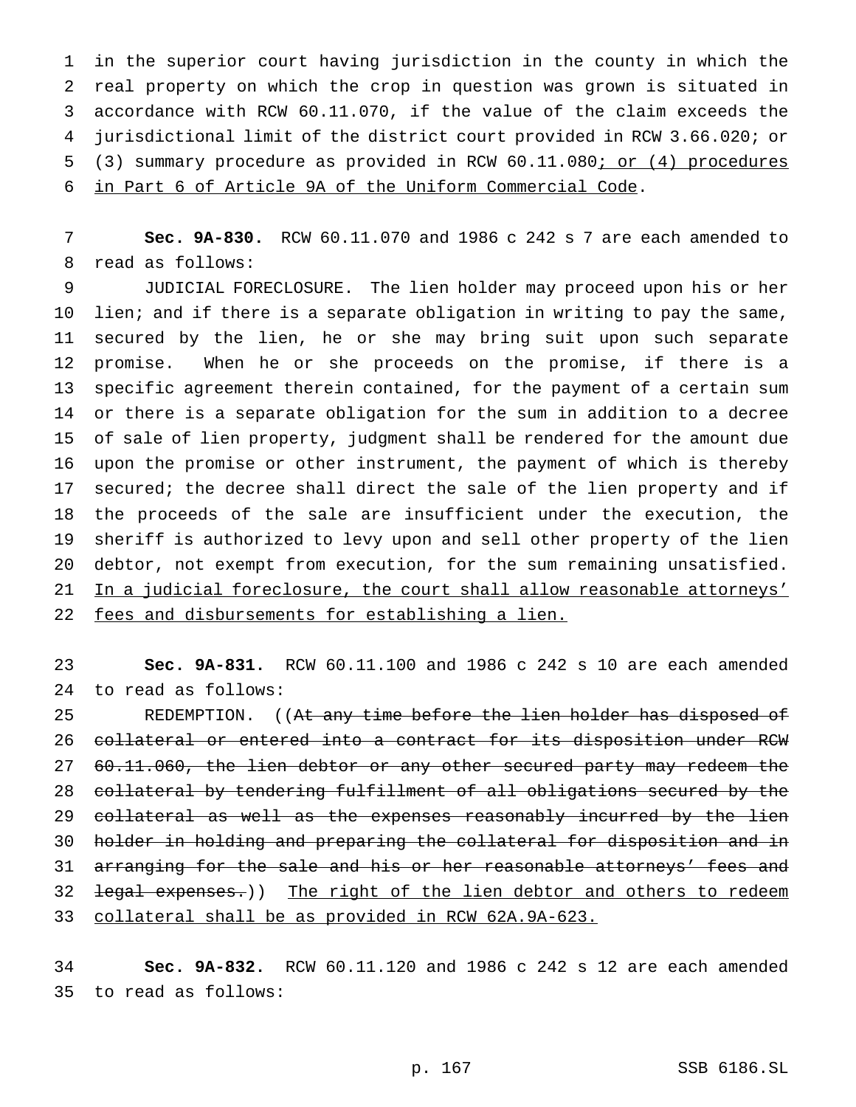in the superior court having jurisdiction in the county in which the real property on which the crop in question was grown is situated in accordance with RCW 60.11.070, if the value of the claim exceeds the jurisdictional limit of the district court provided in RCW 3.66.020; or (3) summary procedure as provided in RCW 60.11.080; or (4) procedures in Part 6 of Article 9A of the Uniform Commercial Code.

 **Sec. 9A-830.** RCW 60.11.070 and 1986 c 242 s 7 are each amended to read as follows:

 JUDICIAL FORECLOSURE. The lien holder may proceed upon his or her lien; and if there is a separate obligation in writing to pay the same, secured by the lien, he or she may bring suit upon such separate promise. When he or she proceeds on the promise, if there is a specific agreement therein contained, for the payment of a certain sum or there is a separate obligation for the sum in addition to a decree of sale of lien property, judgment shall be rendered for the amount due upon the promise or other instrument, the payment of which is thereby 17 secured; the decree shall direct the sale of the lien property and if the proceeds of the sale are insufficient under the execution, the sheriff is authorized to levy upon and sell other property of the lien debtor, not exempt from execution, for the sum remaining unsatisfied. 21 In a judicial foreclosure, the court shall allow reasonable attorneys' fees and disbursements for establishing a lien.

 **Sec. 9A-831.** RCW 60.11.100 and 1986 c 242 s 10 are each amended to read as follows:

25 REDEMPTION. ((At any time before the lien holder has disposed of 26 collateral or entered into a contract for its disposition under RCW 60.11.060, the lien debtor or any other secured party may redeem the collateral by tendering fulfillment of all obligations secured by the 29 collateral as well as the expenses reasonably incurred by the lien holder in holding and preparing the collateral for disposition and in 31 arranging for the sale and his or her reasonable attorneys' fees and 32 <del>legal expenses.</del>)) The right of the lien debtor and others to redeem collateral shall be as provided in RCW 62A.9A-623.

 **Sec. 9A-832.** RCW 60.11.120 and 1986 c 242 s 12 are each amended to read as follows: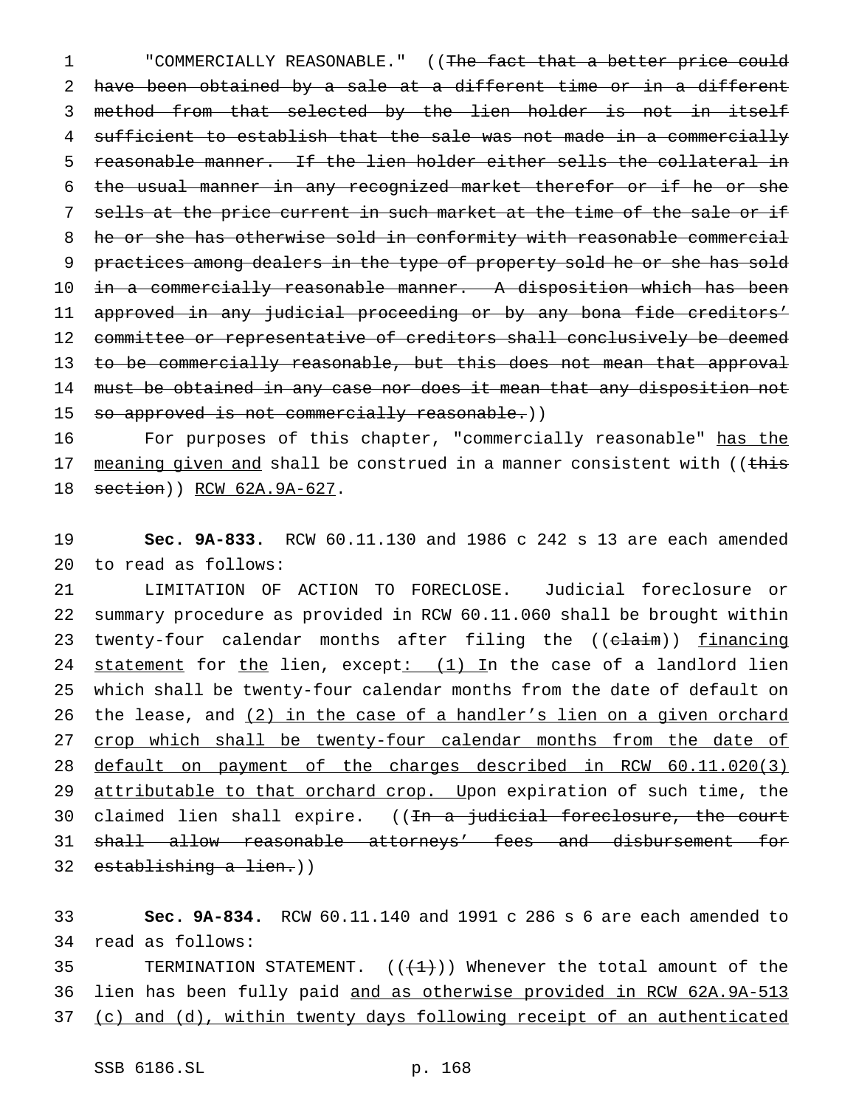1 "COMMERCIALLY REASONABLE." ((The fact that a better price could 2 have been obtained by a sale at a different time or in a different 3 method from that selected by the lien holder is not in itself 4 sufficient to establish that the sale was not made in a commercially 5 reasonable manner. If the lien holder either sells the collateral in 6 the usual manner in any recognized market therefor or if he or she 7 sells at the price current in such market at the time of the sale or if 8 he or she has otherwise sold in conformity with reasonable commercial 9 practices among dealers in the type of property sold he or she has sold 10 in a commercially reasonable manner. A disposition which has been 11 approved in any judicial proceeding or by any bona fide creditors' 12 committee or representative of creditors shall conclusively be deemed 13 to be commercially reasonable, but this does not mean that approval 14 must be obtained in any case nor does it mean that any disposition not 15 so approved is not commercially reasonable.))

16 For purposes of this chapter, "commercially reasonable" has the 17 meaning given and shall be construed in a manner consistent with ((this 18 section)) RCW 62A.9A-627.

19 **Sec. 9A-833.** RCW 60.11.130 and 1986 c 242 s 13 are each amended 20 to read as follows:

21 LIMITATION OF ACTION TO FORECLOSE. Judicial foreclosure or 22 summary procedure as provided in RCW 60.11.060 shall be brought within 23 twenty-four calendar months after filing the ((claim)) financing 24 statement for the lien, except:  $(1)$  In the case of a landlord lien 25 which shall be twenty-four calendar months from the date of default on 26 the lease, and (2) in the case of a handler's lien on a given orchard 27 crop which shall be twenty-four calendar months from the date of 28 default on payment of the charges described in RCW 60.11.020(3) 29 attributable to that orchard crop. Upon expiration of such time, the 30 claimed lien shall expire. ((In a judicial foreclosure, the court 31 shall allow reasonable attorneys' fees and disbursement for 32 establishing a lien.))

33 **Sec. 9A-834.** RCW 60.11.140 and 1991 c 286 s 6 are each amended to 34 read as follows:

35 TERMINATION STATEMENT.  $((+1)^n)$  Whenever the total amount of the 36 lien has been fully paid and as otherwise provided in RCW 62A.9A-513 37 (c) and (d), within twenty days following receipt of an authenticated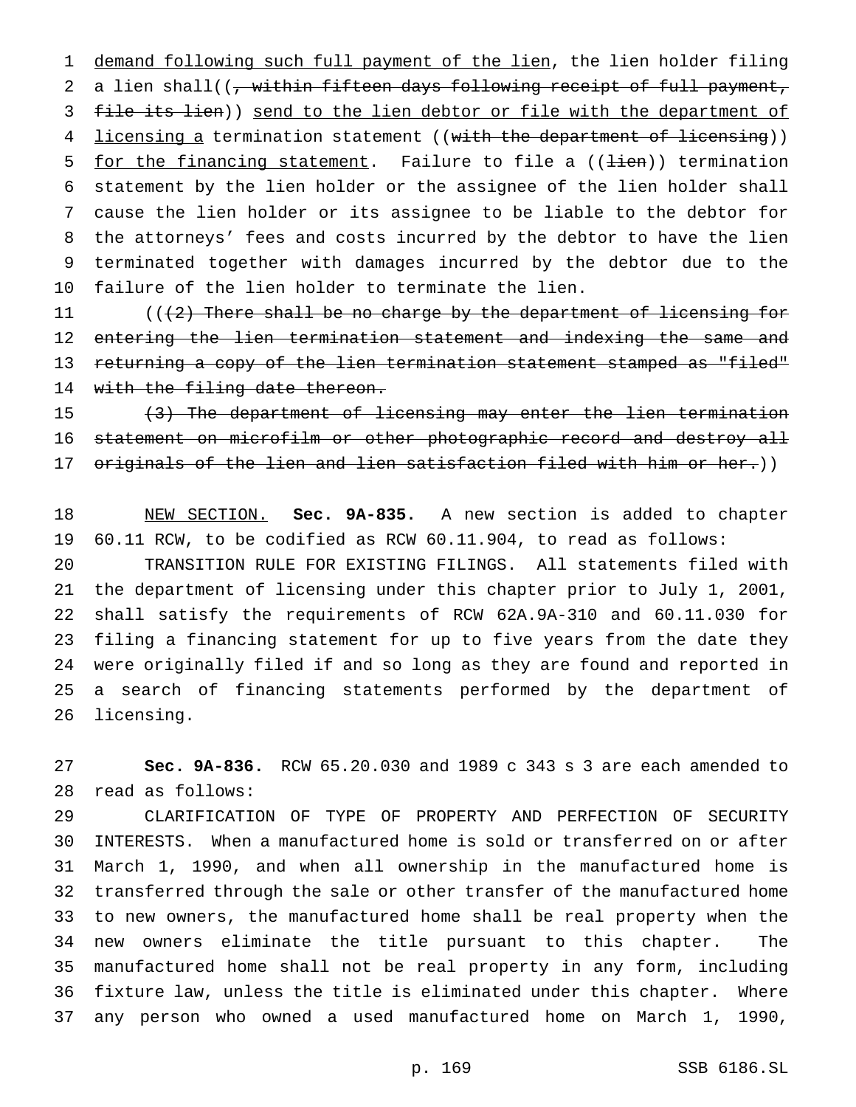1 demand following such full payment of the lien, the lien holder filing 2 a lien shall((, within fifteen days following receipt of full payment, 3 file its lien)) send to the lien debtor or file with the department of 4 licensing a termination statement ((with the department of licensing)) 5 for the financing statement. Failure to file a  $((\text{then}))$  termination statement by the lien holder or the assignee of the lien holder shall cause the lien holder or its assignee to be liable to the debtor for the attorneys' fees and costs incurred by the debtor to have the lien terminated together with damages incurred by the debtor due to the failure of the lien holder to terminate the lien.

 $((2)$  There shall be no charge by the department of licensing for 12 entering the lien termination statement and indexing the same and 13 returning a copy of the lien termination statement stamped as "filed" 14 with the filing date thereon.

15 (3) The department of licensing may enter the lien termination statement on microfilm or other photographic record and destroy all 17 originals of the lien and lien satisfaction filed with him or her.))

 NEW SECTION. **Sec. 9A-835.** A new section is added to chapter 60.11 RCW, to be codified as RCW 60.11.904, to read as follows: TRANSITION RULE FOR EXISTING FILINGS. All statements filed with the department of licensing under this chapter prior to July 1, 2001, shall satisfy the requirements of RCW 62A.9A-310 and 60.11.030 for filing a financing statement for up to five years from the date they were originally filed if and so long as they are found and reported in a search of financing statements performed by the department of licensing.

 **Sec. 9A-836.** RCW 65.20.030 and 1989 c 343 s 3 are each amended to read as follows:

 CLARIFICATION OF TYPE OF PROPERTY AND PERFECTION OF SECURITY INTERESTS. When a manufactured home is sold or transferred on or after March 1, 1990, and when all ownership in the manufactured home is transferred through the sale or other transfer of the manufactured home to new owners, the manufactured home shall be real property when the new owners eliminate the title pursuant to this chapter. The manufactured home shall not be real property in any form, including fixture law, unless the title is eliminated under this chapter. Where any person who owned a used manufactured home on March 1, 1990,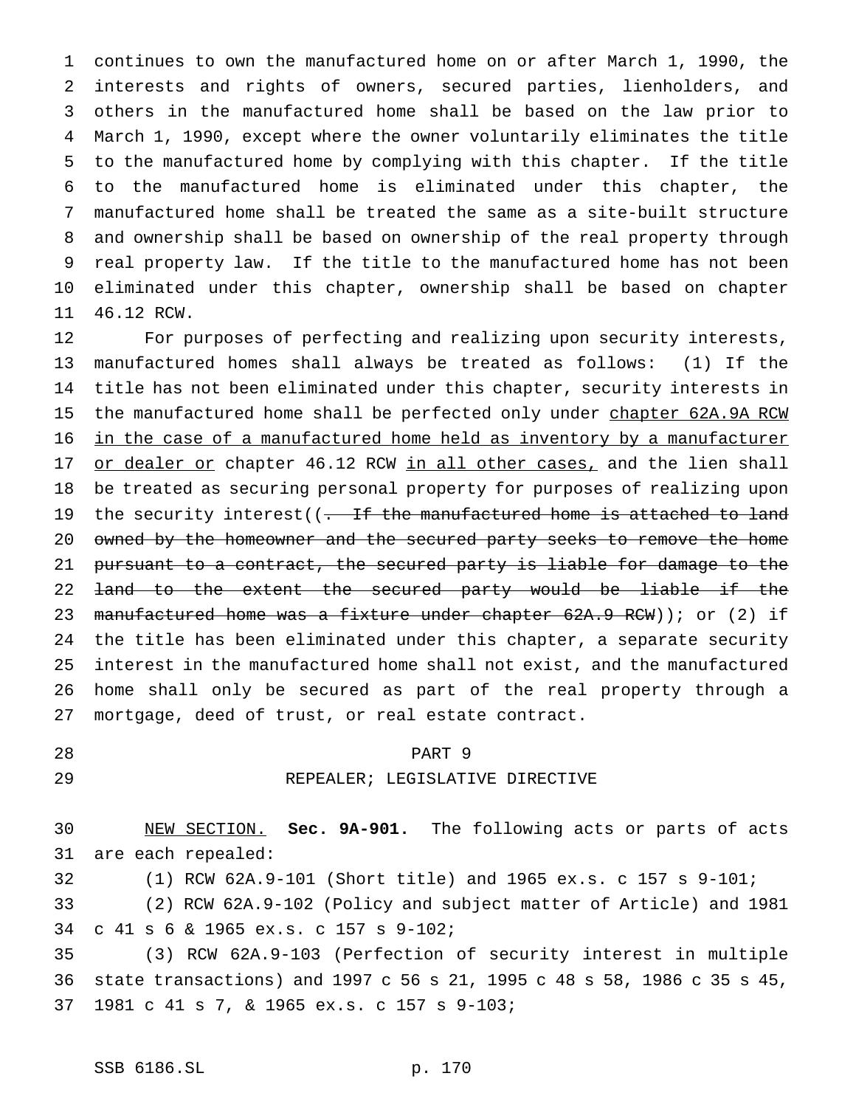continues to own the manufactured home on or after March 1, 1990, the interests and rights of owners, secured parties, lienholders, and others in the manufactured home shall be based on the law prior to March 1, 1990, except where the owner voluntarily eliminates the title to the manufactured home by complying with this chapter. If the title to the manufactured home is eliminated under this chapter, the manufactured home shall be treated the same as a site-built structure and ownership shall be based on ownership of the real property through real property law. If the title to the manufactured home has not been eliminated under this chapter, ownership shall be based on chapter 46.12 RCW.

 For purposes of perfecting and realizing upon security interests, manufactured homes shall always be treated as follows: (1) If the title has not been eliminated under this chapter, security interests in 15 the manufactured home shall be perfected only under chapter 62A.9A RCW 16 in the case of a manufactured home held as inventory by a manufacturer 17 or dealer or chapter 46.12 RCW in all other cases, and the lien shall be treated as securing personal property for purposes of realizing upon 19 the security interest((. If the manufactured home is attached to land owned by the homeowner and the secured party seeks to remove the home 21 pursuant to a contract, the secured party is liable for damage to the 22 <del>land to the extent the secured party would be liable if the</del> 23 manufactured home was a fixture under chapter 62A.9 RCW) ); or (2) if the title has been eliminated under this chapter, a separate security interest in the manufactured home shall not exist, and the manufactured home shall only be secured as part of the real property through a mortgage, deed of trust, or real estate contract.

## PART 9

## REPEALER; LEGISLATIVE DIRECTIVE

 NEW SECTION. **Sec. 9A-901.** The following acts or parts of acts are each repealed:

 (1) RCW 62A.9-101 (Short title) and 1965 ex.s. c 157 s 9-101; (2) RCW 62A.9-102 (Policy and subject matter of Article) and 1981 c 41 s 6 & 1965 ex.s. c 157 s 9-102;

 (3) RCW 62A.9-103 (Perfection of security interest in multiple state transactions) and 1997 c 56 s 21, 1995 c 48 s 58, 1986 c 35 s 45, 1981 c 41 s 7, & 1965 ex.s. c 157 s 9-103;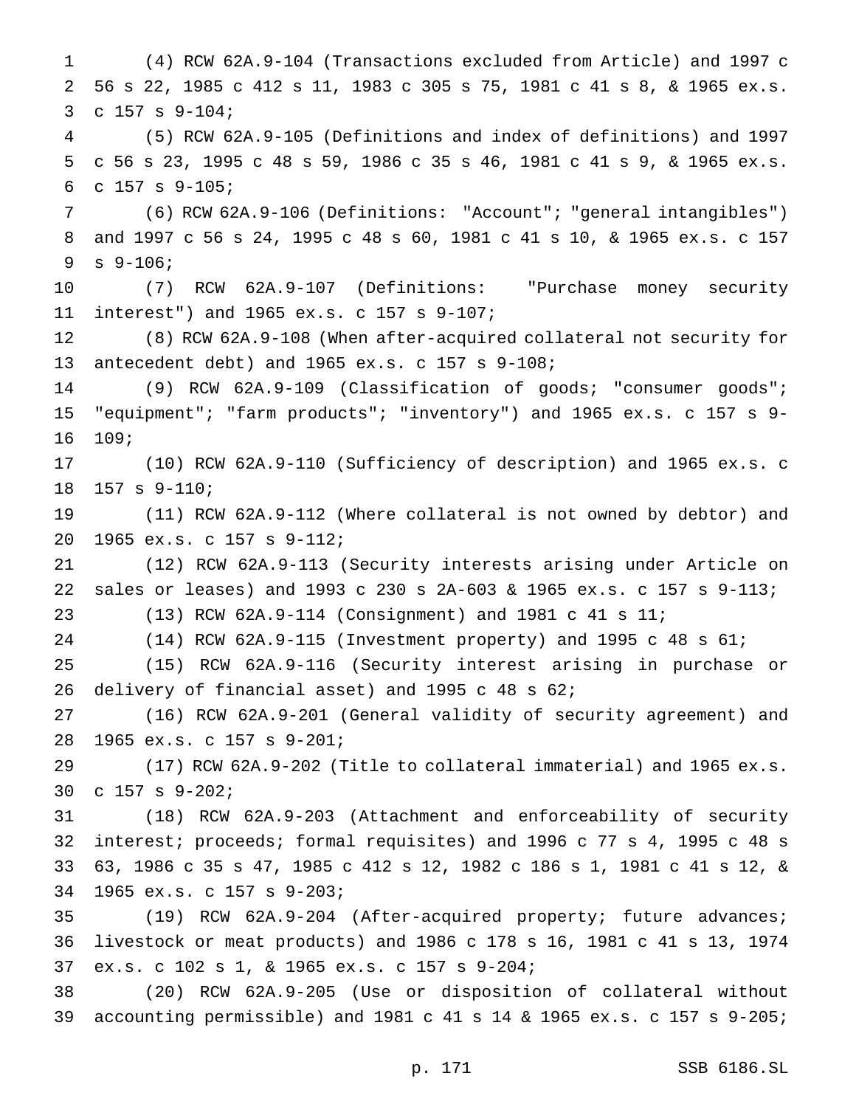(4) RCW 62A.9-104 (Transactions excluded from Article) and 1997 c 56 s 22, 1985 c 412 s 11, 1983 c 305 s 75, 1981 c 41 s 8, & 1965 ex.s. c 157 s 9-104; (5) RCW 62A.9-105 (Definitions and index of definitions) and 1997 c 56 s 23, 1995 c 48 s 59, 1986 c 35 s 46, 1981 c 41 s 9, & 1965 ex.s. c 157 s 9-105; (6) RCW 62A.9-106 (Definitions: "Account"; "general intangibles") and 1997 c 56 s 24, 1995 c 48 s 60, 1981 c 41 s 10, & 1965 ex.s. c 157 s 9-106; (7) RCW 62A.9-107 (Definitions: "Purchase money security interest") and 1965 ex.s. c 157 s 9-107; (8) RCW 62A.9-108 (When after-acquired collateral not security for antecedent debt) and 1965 ex.s. c 157 s 9-108; (9) RCW 62A.9-109 (Classification of goods; "consumer goods"; "equipment"; "farm products"; "inventory") and 1965 ex.s. c 157 s 9- 109; (10) RCW 62A.9-110 (Sufficiency of description) and 1965 ex.s. c 157 s 9-110; (11) RCW 62A.9-112 (Where collateral is not owned by debtor) and 1965 ex.s. c 157 s 9-112; (12) RCW 62A.9-113 (Security interests arising under Article on sales or leases) and 1993 c 230 s 2A-603 & 1965 ex.s. c 157 s 9-113; (13) RCW 62A.9-114 (Consignment) and 1981 c 41 s 11; (14) RCW 62A.9-115 (Investment property) and 1995 c 48 s 61; (15) RCW 62A.9-116 (Security interest arising in purchase or delivery of financial asset) and 1995 c 48 s 62; (16) RCW 62A.9-201 (General validity of security agreement) and 1965 ex.s. c 157 s 9-201; (17) RCW 62A.9-202 (Title to collateral immaterial) and 1965 ex.s. c 157 s 9-202; (18) RCW 62A.9-203 (Attachment and enforceability of security interest; proceeds; formal requisites) and 1996 c 77 s 4, 1995 c 48 s 63, 1986 c 35 s 47, 1985 c 412 s 12, 1982 c 186 s 1, 1981 c 41 s 12, & 1965 ex.s. c 157 s 9-203; (19) RCW 62A.9-204 (After-acquired property; future advances; livestock or meat products) and 1986 c 178 s 16, 1981 c 41 s 13, 1974 ex.s. c 102 s 1, & 1965 ex.s. c 157 s 9-204; (20) RCW 62A.9-205 (Use or disposition of collateral without accounting permissible) and 1981 c 41 s 14 & 1965 ex.s. c 157 s 9-205;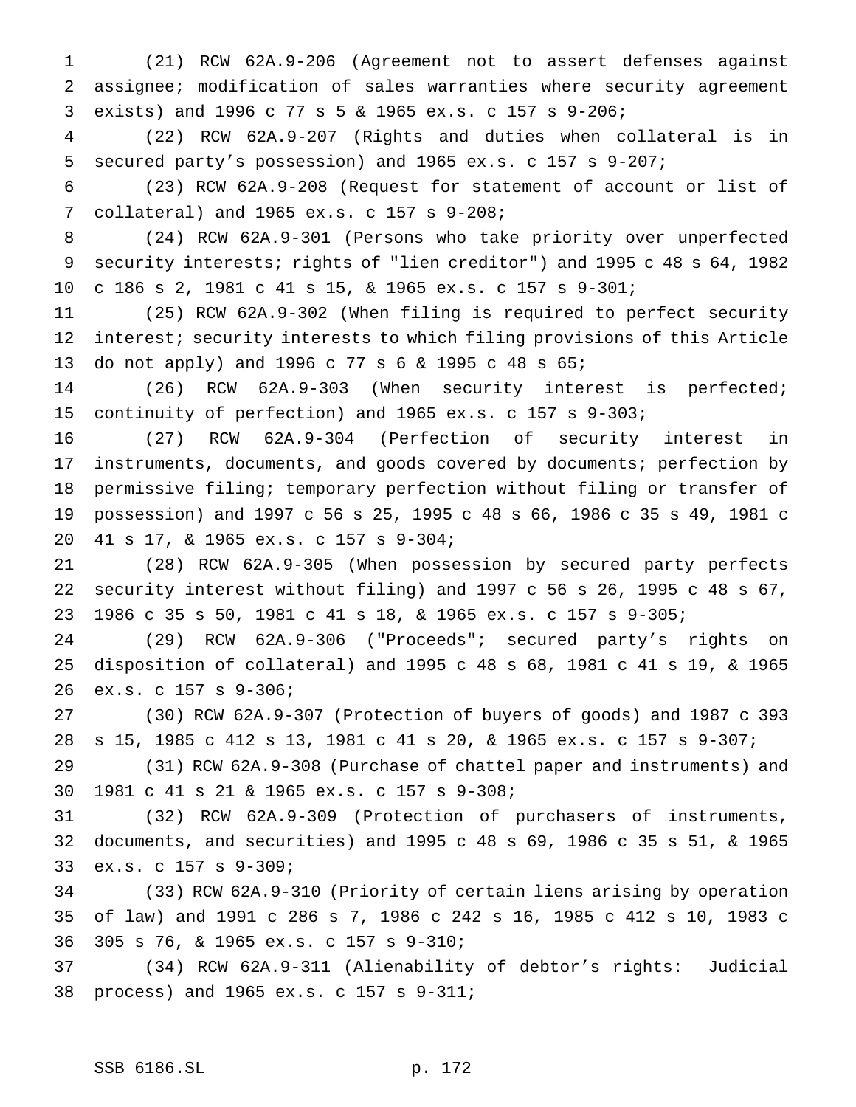(21) RCW 62A.9-206 (Agreement not to assert defenses against assignee; modification of sales warranties where security agreement exists) and 1996 c 77s5& 1965 ex.s. c 157 s 9-206;

 (22) RCW 62A.9-207 (Rights and duties when collateral is in secured party's possession) and 1965 ex.s. c 157 s 9-207;

 (23) RCW 62A.9-208 (Request for statement of account or list of collateral) and 1965 ex.s. c 157 s 9-208;

 (24) RCW 62A.9-301 (Persons who take priority over unperfected security interests; rights of "lien creditor") and 1995 c 48 s 64, 1982 c 186 s 2, 1981 c 41 s 15, & 1965 ex.s. c 157 s 9-301;

 (25) RCW 62A.9-302 (When filing is required to perfect security interest; security interests to which filing provisions of this Article do not apply) and 1996 c 77s6& 1995 c 48 s 65;

 (26) RCW 62A.9-303 (When security interest is perfected; continuity of perfection) and 1965 ex.s. c 157 s 9-303;

 (27) RCW 62A.9-304 (Perfection of security interest in instruments, documents, and goods covered by documents; perfection by permissive filing; temporary perfection without filing or transfer of possession) and 1997 c 56 s 25, 1995 c 48 s 66, 1986 c 35 s 49, 1981 c 41 s 17, & 1965 ex.s. c 157 s 9-304;

 (28) RCW 62A.9-305 (When possession by secured party perfects security interest without filing) and 1997 c 56 s 26, 1995 c 48 s 67, 1986 c 35 s 50, 1981 c 41 s 18, & 1965 ex.s. c 157 s 9-305;

 (29) RCW 62A.9-306 ("Proceeds"; secured party's rights on disposition of collateral) and 1995 c 48 s 68, 1981 c 41 s 19, & 1965 ex.s. c 157 s 9-306;

 (30) RCW 62A.9-307 (Protection of buyers of goods) and 1987 c 393 s 15, 1985 c 412 s 13, 1981 c 41 s 20, & 1965 ex.s. c 157 s 9-307;

 (31) RCW 62A.9-308 (Purchase of chattel paper and instruments) and 1981 c 41 s 21 & 1965 ex.s. c 157 s 9-308;

 (32) RCW 62A.9-309 (Protection of purchasers of instruments, documents, and securities) and 1995 c 48 s 69, 1986 c 35 s 51, & 1965 ex.s. c 157 s 9-309;

 (33) RCW 62A.9-310 (Priority of certain liens arising by operation of law) and 1991 c 286 s 7, 1986 c 242 s 16, 1985 c 412 s 10, 1983 c 305 s 76, & 1965 ex.s. c 157 s 9-310;

 (34) RCW 62A.9-311 (Alienability of debtor's rights: Judicial process) and 1965 ex.s. c 157 s 9-311;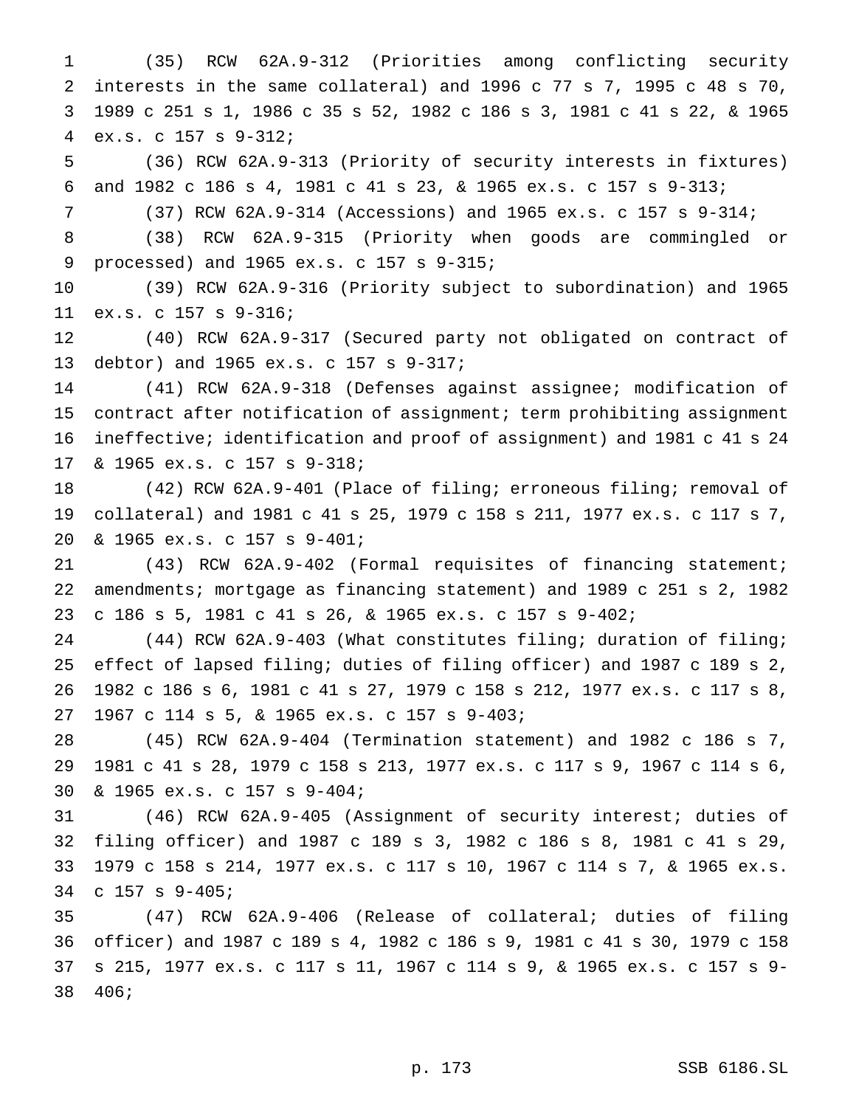(35) RCW 62A.9-312 (Priorities among conflicting security interests in the same collateral) and 1996 c 77 s 7, 1995 c 48 s 70, 1989 c 251 s 1, 1986 c 35 s 52, 1982 c 186 s 3, 1981 c 41 s 22, & 1965 ex.s. c 157 s 9-312;

 (36) RCW 62A.9-313 (Priority of security interests in fixtures) and 1982 c 186 s 4, 1981 c 41 s 23, & 1965 ex.s. c 157 s 9-313;

(37) RCW 62A.9-314 (Accessions) and 1965 ex.s. c 157 s 9-314;

 (38) RCW 62A.9-315 (Priority when goods are commingled or processed) and 1965 ex.s. c 157 s 9-315;

 (39) RCW 62A.9-316 (Priority subject to subordination) and 1965 ex.s. c 157 s 9-316;

 (40) RCW 62A.9-317 (Secured party not obligated on contract of debtor) and 1965 ex.s. c 157 s 9-317;

 (41) RCW 62A.9-318 (Defenses against assignee; modification of contract after notification of assignment; term prohibiting assignment ineffective; identification and proof of assignment) and 1981 c 41 s 24 & 1965 ex.s. c 157 s 9-318;

 (42) RCW 62A.9-401 (Place of filing; erroneous filing; removal of collateral) and 1981 c 41 s 25, 1979 c 158 s 211, 1977 ex.s. c 117 s 7, & 1965 ex.s. c 157 s 9-401;

 (43) RCW 62A.9-402 (Formal requisites of financing statement; amendments; mortgage as financing statement) and 1989 c 251 s 2, 1982 c 186 s 5, 1981 c 41 s 26, & 1965 ex.s. c 157 s 9-402;

 (44) RCW 62A.9-403 (What constitutes filing; duration of filing; effect of lapsed filing; duties of filing officer) and 1987 c 189 s 2, 1982 c 186 s 6, 1981 c 41 s 27, 1979 c 158 s 212, 1977 ex.s. c 117 s 8, 1967 c 114 s 5, & 1965 ex.s. c 157 s 9-403;

 (45) RCW 62A.9-404 (Termination statement) and 1982 c 186 s 7, 1981 c 41 s 28, 1979 c 158 s 213, 1977 ex.s. c 117 s 9, 1967 c 114 s 6, & 1965 ex.s. c 157 s 9-404;

 (46) RCW 62A.9-405 (Assignment of security interest; duties of filing officer) and 1987 c 189 s 3, 1982 c 186 s 8, 1981 c 41 s 29, 1979 c 158 s 214, 1977 ex.s. c 117 s 10, 1967 c 114 s 7, & 1965 ex.s. c 157 s 9-405;

 (47) RCW 62A.9-406 (Release of collateral; duties of filing officer) and 1987 c 189 s 4, 1982 c 186 s 9, 1981 c 41 s 30, 1979 c 158 s 215, 1977 ex.s. c 117 s 11, 1967 c 114 s 9, & 1965 ex.s. c 157 s 9- 406;